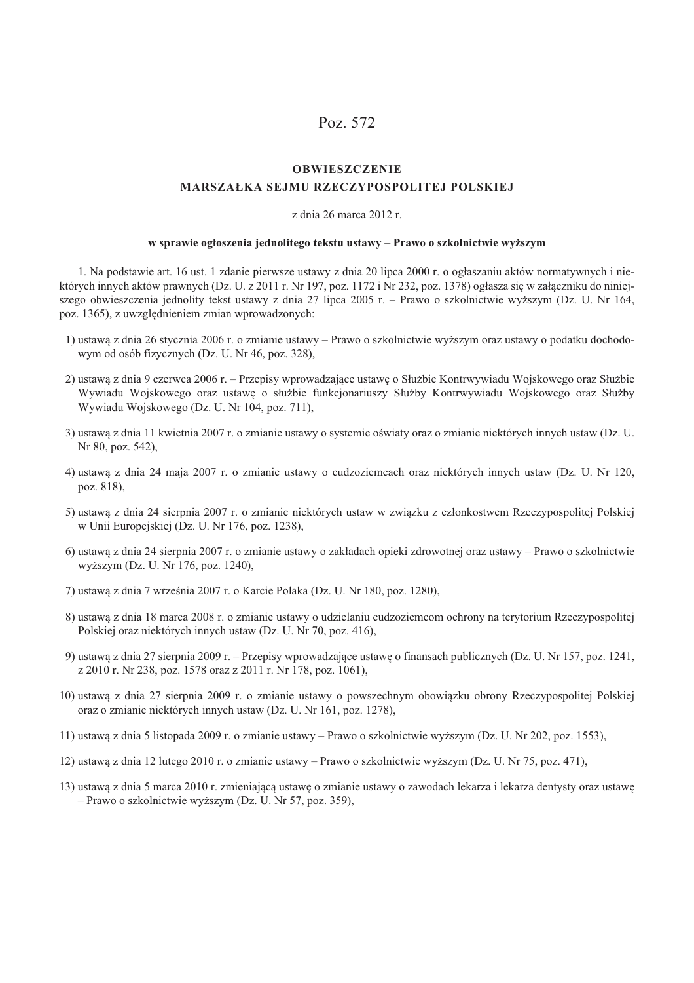# Poz. 572

#### **OBWIESZCZENIE**

#### **MARSZAŁKA SEJMU RZECZYPOSPOLITEJ POLSKIEJ**

### z dnia 26 marca 2012 r.

#### w sprawie ogłoszenia jednolitego tekstu ustawy – Prawo o szkolnictwie wyższym

1. Na podstawie art. 16 ust. 1 zdanie pierwsze ustawy z dnia 20 lipca 2000 r. o ogłaszaniu aktów normatywnych i niektórych innych aktów prawnych (Dz. U. z 2011 r. Nr 197, poz. 1172 i Nr 232, poz. 1378) ogłasza się w załączniku do niniejszego obwieszczenia jednolity tekst ustawy z dnia 27 lipca 2005 r. – Prawo o szkolnictwie wyższym (Dz. U. Nr 164, poz. 1365), z uwzględnieniem zmian wprowadzonych:

- 1) ustawą z dnia 26 stycznia 2006 r. o zmianie ustawy Prawo o szkolnictwie wyższym oraz ustawy o podatku dochodowym od osób fizycznych (Dz. U. Nr 46, poz. 328).
- 2) ustawą z dnia 9 czerwca 2006 r. Przepisy wprowadzające ustawę o Służbie Kontrwywiadu Wojskowego oraz Służbie Wywiadu Wojskowego oraz ustawę o służbie funkcjonariuszy Służby Kontrwywiadu Wojskowego oraz Służby Wywiadu Wojskowego (Dz. U. Nr 104, poz. 711),
- 3) ustawa z dnia 11 kwietnia 2007 r. o zmianie ustawy o systemie oświaty oraz o zmianie niektórych innych ustaw (Dz. U. Nr 80, poz. 542),
- 4) ustawą z dnia 24 maja 2007 r. o zmianie ustawy o cudzoziemcach oraz niektórych innych ustaw (Dz. U. Nr 120, poz. 818).
- 5) ustawa z dnia 24 sierpnia 2007 r. o zmianie niektórych ustaw w zwiazku z członkostwem Rzeczypospolitej Polskiej w Unii Europejskiej (Dz. U. Nr 176, poz. 1238),
- 6) ustawą z dnia 24 sierpnia 2007 r. o zmianie ustawy o zakładach opieki zdrowotnej oraz ustawy Prawo o szkolnictwie wyższym (Dz. U. Nr 176, poz. 1240),
- 7) ustawą z dnia 7 września 2007 r. o Karcie Polaka (Dz. U. Nr 180, poz. 1280),
- 8) ustawą z dnia 18 marca 2008 r. o zmianie ustawy o udzielaniu cudzoziemcom ochrony na terytorium Rzeczypospolitej Polskiej oraz niektórych innych ustaw (Dz. U. Nr 70, poz. 416),
- 9) ustawą z dnia 27 sierpnia 2009 r. Przepisy wprowadzające ustawę o finansach publicznych (Dz. U. Nr 157, poz. 1241, z 2010 r. Nr 238, poz. 1578 oraz z 2011 r. Nr 178, poz. 1061),
- 10) ustawą z dnia 27 sierpnia 2009 r. o zmianie ustawy o powszechnym obowiązku obrony Rzeczypospolitej Polskiej oraz o zmianie niektórych innych ustaw (Dz. U. Nr 161, poz. 1278).
- 11) ustawą z dnia 5 listopada 2009 r. o zmianie ustawy Prawo o szkolnictwie wyższym (Dz. U. Nr 202, poz. 1553),
- 12) ustawą z dnia 12 lutego 2010 r. o zmianie ustawy Prawo o szkolnictwie wyższym (Dz. U. Nr 75, poz. 471),
- 13) ustawa z dnia 5 marca 2010 r. zmieniająca ustawę o zmianie ustawy o zawodach lekarza i lekarza dentysty oraz ustawę - Prawo o szkolnictwie wyższym (Dz. U. Nr 57, poz. 359),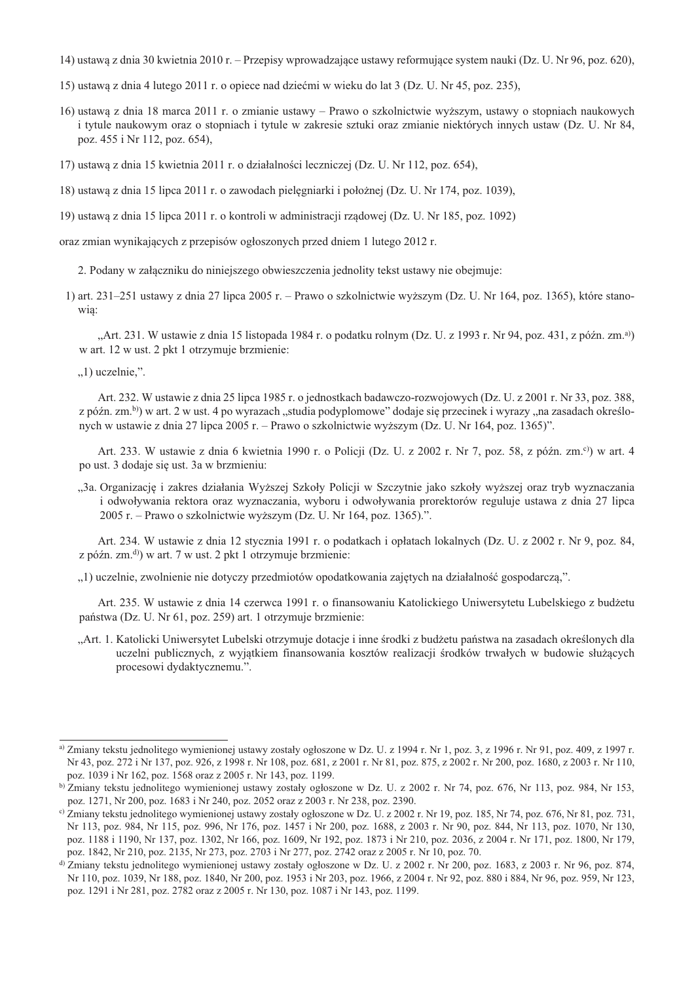14) ustawa z dnia 30 kwietnia 2010 r. – Przepisy wprowadzające ustawy reformujące system nauki (Dz. U. Nr 96, poz. 620),

15) ustawa z dnia 4 lutego 2011 r. o opiece nad dziećmi w wieku do lat 3 (Dz. U. Nr 45, poz. 235).

- 16) ustawa z dnia 18 marca 2011 r. o zmianie ustawy Prawo o szkolnictwie wyższym, ustawy o stopniach naukowych i tytule naukowym oraz o stopniach i tytule w zakresie sztuki oraz zmianie niektórych innych ustaw (Dz. U. Nr 84, poz. 455 i Nr 112, poz. 654),
- 17) ustawą z dnia 15 kwietnia 2011 r. o działalności leczniczej (Dz. U. Nr 112, poz. 654),

18) ustawą z dnia 15 lipca 2011 r. o zawodach pielęgniarki i położnej (Dz. U. Nr 174, poz. 1039),

19) ustawą z dnia 15 lipca 2011 r. o kontroli w administracji rządowej (Dz. U. Nr 185, poz. 1092)

oraz zmian wynikających z przepisów ogłoszonych przed dniem 1 lutego 2012 r.

2. Podany w załączniku do niniejszego obwieszczenia jednolity tekst ustawy nie obejmuje:

1) art. 231–251 ustawy z dnia 27 lipca 2005 r. – Prawo o szkolnictwie wyższym (Dz. U. Nr 164, poz. 1365), które stanowia:

"Art. 231. W ustawie z dnia 15 listopada 1984 r. o podatku rolnym (Dz. U. z 1993 r. Nr 94, poz. 431, z późn. zm.<sup>a)</sup>) w art. 12 w ust. 2 pkt 1 otrzymuje brzmienie:

 $,1)$  uczelnie,".

Art. 232. W ustawie z dnia 25 lipca 1985 r. o jednostkach badawczo-rozwojowych (Dz. U. z 2001 r. Nr 33, poz. 388, z późn. zm.<sup>b</sup>) w art. 2 w ust. 4 po wyrazach "studia podyplomowe" dodaje się przecinek i wyrazy "na zasadach określonych w ustawie z dnia 27 lipca 2005 r. – Prawo o szkolnictwie wyższym (Dz. U. Nr 164, poz. 1365)".

Art. 233. W ustawie z dnia 6 kwietnia 1990 r. o Policji (Dz. U. z 2002 r. Nr 7, poz. 58, z późn. zm.<sup>c)</sup>) w art. 4 po ust. 3 dodaje się ust. 3a w brzmieniu:

"3a. Organizację i zakres działania Wyższej Szkoły Policji w Szczytnie jako szkoły wyższej oraz tryb wyznaczania i odwoływania rektora oraz wyznaczania, wyboru i odwoływania prorektorów reguluje ustawa z dnia 27 lipca 2005 r. – Prawo o szkolnictwie wyższym (Dz. U. Nr 164, poz. 1365).".

Art. 234. W ustawie z dnia 12 stycznia 1991 r. o podatkach i opłatach lokalnych (Dz. U. z 2002 r. Nr 9, poz. 84, z późn. zm.<sup>d</sup>) w art. 7 w ust. 2 pkt 1 otrzymuje brzmienie:

"1) uczelnie, zwolnienie nie dotyczy przedmiotów opodatkowania zajętych na działalność gospodarczą,".

Art. 235. W ustawie z dnia 14 czerwca 1991 r. o finansowaniu Katolickiego Uniwersytetu Lubelskiego z budżetu państwa (Dz. U. Nr 61, poz. 259) art. 1 otrzymuje brzmienie:

"Art. 1. Katolicki Uniwersytet Lubelski otrzymuje dotacje i inne środki z budżetu państwa na zasadach określonych dla uczelni publicznych, z wyjątkiem finansowania kosztów realizacji środków trwałych w budowie służących procesowi dydaktycznemu.".

a) Zmiany tekstu jednolitego wymienionej ustawy zostały ogłoszone w Dz. U. z 1994 r. Nr 1, poz. 3, z 1996 r. Nr 91, poz. 409, z 1997 r. Nr 43, poz. 272 i Nr 137, poz. 926, z 1998 r. Nr 108, poz. 681, z 2001 r. Nr 81, poz. 875, z 2002 r. Nr 200, poz. 1680, z 2003 r. Nr 110, poz. 1039 i Nr 162, poz. 1568 oraz z 2005 r. Nr 143, poz. 1199.

b) Zmiany tekstu jednolitego wymienionej ustawy zostały ogłoszone w Dz. U. z 2002 r. Nr 74, poz. 676, Nr 113, poz. 984, Nr 153, poz. 1271, Nr 200, poz. 1683 i Nr 240, poz. 2052 oraz z 2003 r. Nr 238, poz. 2390.

c) Zmiany tekstu jednolitego wymienionej ustawy zostały ogłoszone w Dz. U. z 2002 r. Nr 19, poz. 185, Nr 74, poz. 676, Nr 81, poz. 731, Nr 113, poz. 984, Nr 115, poz. 996, Nr 176, poz. 1457 i Nr 200, poz. 1688, z 2003 r. Nr 90, poz. 844, Nr 113, poz. 1070, Nr 130, poz. 1188 i 1190, Nr 137, poz. 1302, Nr 166, poz. 1609, Nr 192, poz. 1873 i Nr 210, poz. 2036, z 2004 r. Nr 171, poz. 1800, Nr 179, poz. 1842, Nr 210, poz. 2135, Nr 273, poz. 2703 i Nr 277, poz. 2742 oraz z 2005 r. Nr 10, poz. 70.

d) Zmiany tekstu jednolitego wymienionej ustawy zostały ogłoszone w Dz. U. z 2002 r. Nr 200, poz. 1683, z 2003 r. Nr 96, poz. 874, Nr 110, poz. 1039, Nr 188, poz. 1840, Nr 200, poz. 1953 i Nr 203, poz. 1966, z 2004 r. Nr 92, poz. 880 i 884, Nr 96, poz. 959, Nr 123, poz. 1291 i Nr 281, poz. 2782 oraz z 2005 r. Nr 130, poz. 1087 i Nr 143, poz. 1199.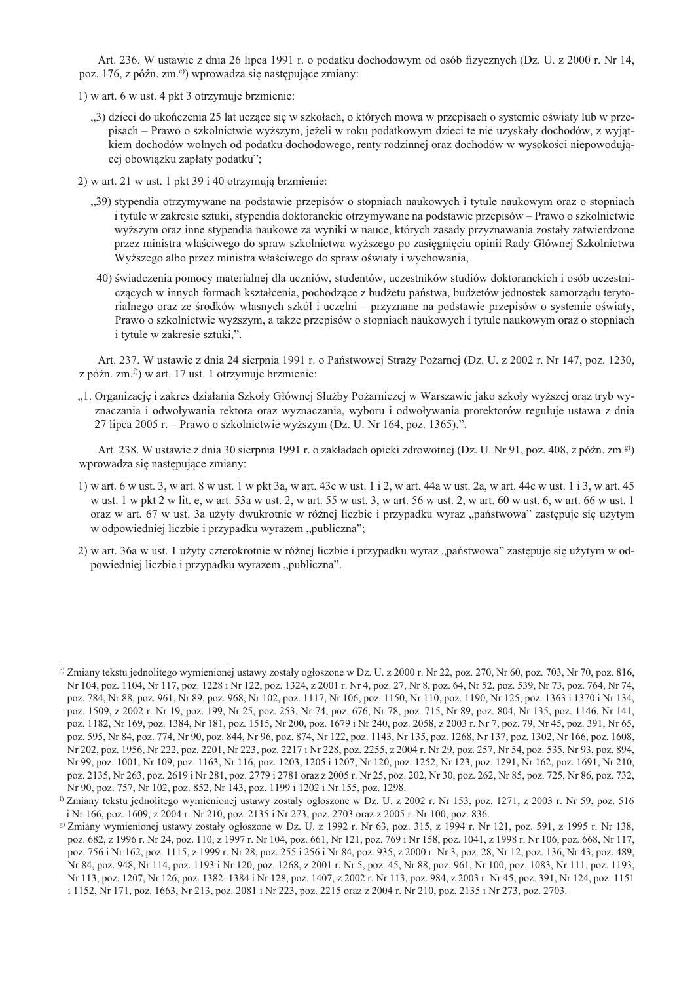Art. 236. W ustawie z dnia 26 lipca 1991 r. o podatku dochodowym od osób fizycznych (Dz. U. z 2000 r. Nr 14, poz. 176, z późn. zm.<sup>e)</sup>) wprowadza się następujące zmiany:

1) w art. 6 w ust. 4 pkt 3 otrzymuje brzmienie:

"3) dzieci do ukończenia 25 lat uczące się w szkołach, o których mowa w przepisach o systemie oświaty lub w przepisach – Prawo o szkolnictwie wyższym, jeżeli w roku podatkowym dzieci te nie uzyskały dochodów, z wyjątkiem dochodów wolnych od podatku dochodowego, renty rodzinnej oraz dochodów w wysokości niepowodującej obowiązku zapłaty podatku";

2) w art. 21 w ust. 1 pkt 39 i 40 otrzymują brzmienie:

- "39) stypendia otrzymywane na podstawie przepisów o stopniach naukowych i tytule naukowym oraz o stopniach i tytule w zakresie sztuki, stypendia doktoranckie otrzymywane na podstawie przepisów – Prawo o szkolnictwie wyższym oraz inne stypendia naukowe za wyniki w nauce, których zasady przyznawania zostały zatwierdzone przez ministra właściwego do spraw szkolnictwa wyższego po zasięgnięciu opinii Rady Głównej Szkolnictwa Wyższego albo przez ministra właściwego do spraw oświaty i wychowania,
- 40) świadczenia pomocy materialnej dla uczniów, studentów, uczestników studiów doktoranckich i osób uczestniczących w innych formach kształcenia, pochodzące z budżetu państwa, budżetów jednostek samorządu terytorialnego oraz ze środków własnych szkół i uczelni – przyznane na podstawie przepisów o systemie oświaty, Prawo o szkolnictwie wyższym, a także przepisów o stopniach naukowych i tytule naukowym oraz o stopniach i tytule w zakresie sztuki,".

Art. 237. W ustawie z dnia 24 sierpnia 1991 r. o Państwowej Straży Pożarnej (Dz. U. z 2002 r. Nr 147, poz. 1230, z późn. zm. $^{f)}$ ) w art. 17 ust. 1 otrzymuje brzmienie:

"1. Organizację i zakres działania Szkoły Głównej Służby Pożarniczej w Warszawie jako szkoły wyższej oraz tryb wyznaczania i odwoływania rektora oraz wyznaczania, wyboru i odwoływania prorektorów reguluje ustawa z dnia 27 lipca 2005 r. – Prawo o szkolnictwie wyższym (Dz. U. Nr 164, poz. 1365).".

Art. 238. W ustawie z dnia 30 sierpnia 1991 r. o zakładach opieki zdrowotnej (Dz. U. Nr 91, poz. 408, z późn. zm.<sup>g)</sup>) wprowadza się następujące zmiany:

- 1) w art. 6 w ust. 3, w art. 8 w ust. 1 w pkt 3a, w art. 43e w ust. 1 i 2, w art. 44a w ust. 2a, w art. 44c w ust. 1 i 3, w art. 45 w ust. 1 w pkt 2 w lit. e, w art. 53a w ust. 2, w art. 55 w ust. 3, w art. 56 w ust. 2, w art. 60 w ust. 6, w art. 66 w ust. 1 oraz w art. 67 w ust. 3a użyty dwukrotnie w różnej liczbie i przypadku wyraz "państwowa" zastępuje się użytym w odpowiedniej liczbie i przypadku wyrazem "publiczna";
- 2) w art. 36a w ust. 1 użyty czterokrotnie w różnej liczbie i przypadku wyraz "państwowa" zastępuje się użytym w odpowiedniej liczbie i przypadku wyrazem "publiczna".

<sup>&</sup>lt;sup>e)</sup> Zmiany tekstu jednolitego wymienionej ustawy zostały ogłoszone w Dz. U. z 2000 r. Nr 22, poz. 270, Nr 60, poz. 703, Nr 70, poz. 816. Nr 104, poz. 1104, Nr 117, poz. 1228 i Nr 122, poz. 1324, z 2001 r. Nr 4, poz. 27, Nr 8, poz. 64, Nr 52, poz. 539, Nr 73, poz. 764, Nr 74, poz. 784, Nr 88, poz. 961, Nr 89, poz. 968, Nr 102, poz. 1117, Nr 106, poz. 1150, Nr 110, poz. 1190, Nr 125, poz. 1363 i 1370 i Nr 134, poz. 1509, z 2002 r. Nr 19, poz. 199, Nr 25, poz. 253, Nr 74, poz. 676, Nr 78, poz. 715, Nr 89, poz. 804, Nr 135, poz. 1146, Nr 141, poz. 1182, Nr 169, poz. 1384, Nr 181, poz. 1515, Nr 200, poz. 1679 i Nr 240, poz. 2058, z 2003 r. Nr 7, poz. 79, Nr 45, poz. 391, Nr 65, poz. 595, Nr 84, poz. 774, Nr 90, poz. 844, Nr 96, poz. 874, Nr 122, poz. 1143, Nr 135, poz. 1268, Nr 137, poz. 1302, Nr 166, poz. 1608, Nr 202, poz. 1956, Nr 222, poz. 2201, Nr 223, poz. 2217 i Nr 228, poz. 2255, z 2004 r. Nr 29, poz. 257, Nr 54, poz. 535, Nr 93, poz. 894, Nr 99, poz. 1001, Nr 109, poz. 1163, Nr 116, poz. 1203, 1205 i 1207, Nr 120, poz. 1252, Nr 123, poz. 1291, Nr 162, poz. 1691, Nr 210, poz. 2135, Nr 263, poz. 2619 i Nr 281, poz. 2779 i 2781 oraz z 2005 r. Nr 25, poz. 202, Nr 30, poz. 262, Nr 85, poz. 725, Nr 86, poz. 732, Nr 90, poz. 757, Nr 102, poz. 852, Nr 143, poz. 1199 i 1202 i Nr 155, poz. 1298.

<sup>&</sup>lt;sup>f)</sup> Zmiany tekstu jednolitego wymienionej ustawy zostały ogłoszone w Dz. U. z 2002 r. Nr 153, poz. 1271, z 2003 r. Nr 59, poz. 516 i Nr 166, poz. 1609, z 2004 r. Nr 210, poz. 2135 i Nr 273, poz. 2703 oraz z 2005 r. Nr 100, poz. 836.

g) Zmiany wymienionej ustawy zostały ogłoszone w Dz. U. z 1992 r. Nr 63, poz. 315, z 1994 r. Nr 121, poz. 591, z 1995 r. Nr 138, poz. 682, z 1996 r. Nr 24, poz. 110, z 1997 r. Nr 104, poz. 661, Nr 121, poz. 769 i Nr 158, poz. 1041, z 1998 r. Nr 106, poz. 668, Nr 117, poz. 756 i Nr 162, poz. 1115, z 1999 r. Nr 28, poz. 255 i 256 i Nr 84, poz. 935, z 2000 r. Nr 3, poz. 28, Nr 12, poz. 136, Nr 43, poz. 489, Nr 84, poz. 948, Nr 114, poz. 1193 i Nr 120, poz. 1268, z 2001 r. Nr 5, poz. 45, Nr 88, poz. 961, Nr 100, poz. 1083, Nr 111, poz. 1193, Nr 113, poz. 1207, Nr 126, poz. 1382–1384 i Nr 128, poz. 1407, z 2002 r. Nr 113, poz. 984, z 2003 r. Nr 45, poz. 391, Nr 124, poz. 1151 i 1152, Nr 171, poz. 1663, Nr 213, poz. 2081 i Nr 223, poz. 2215 oraz z 2004 r. Nr 210, poz. 2135 i Nr 273, poz. 2703.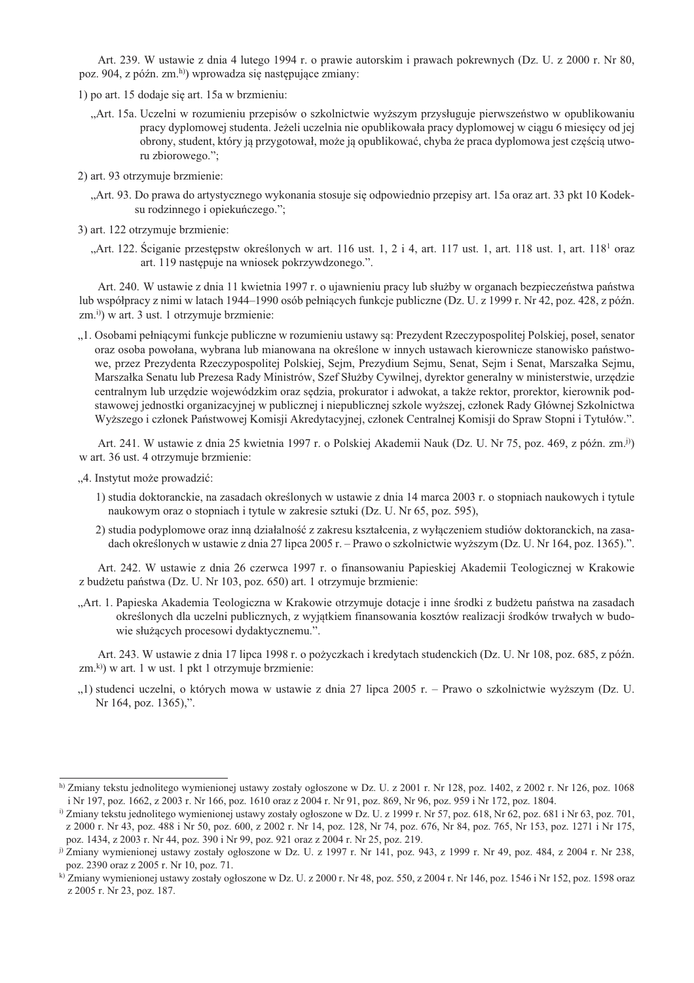Art. 239. W ustawie z dnia 4 lutego 1994 r. o prawie autorskim i prawach pokrewnych (Dz. U. z 2000 r. Nr 80, poz. 904, z późn. zm.<sup>h)</sup>) wprowadza się następujące zmiany:

1) po art. 15 dodaje się art. 15a w brzmieniu:

- "Art. 15a. Uczelni w rozumieniu przepisów o szkolnictwie wyższym przysługuje pierwszeństwo w opublikowaniu pracy dyplomowej studenta. Jeżeli uczelnia nie opublikowała pracy dyplomowej w ciagu 6 miesiecy od jej obrony, student, który ją przygotował, może ją opublikować, chyba że praca dyplomowa jest częścią utworu zbiorowego.";
- 2) art. 93 otrzymuje brzmienie:
	- "Art. 93. Do prawa do artystycznego wykonania stosuje się odpowiednio przepisy art. 15a oraz art. 33 pkt 10 Kodeksu rodzinnego i opiekuńczego.";
- 3) art. 122 otrzymuje brzmienie:
	- "Art. 122. Sciganie przestępstw określonych w art. 116 ust. 1, 2 i 4, art. 117 ust. 1, art. 118 ust. 1, art. 118<sup>1</sup> oraz art. 119 następuje na wniosek pokrzywdzonego.".

Art. 240. W ustawie z dnia 11 kwietnia 1997 r. o ujawnieniu pracy lub służby w organach bezpieczeństwa państwa lub współpracy z nimi w latach 1944–1990 osób pełniących funkcje publiczne (Dz. U. z 1999 r. Nr 42, poz. 428, z późn.  $(zm, i)$ ) w art. 3 ust. 1 otrzymuje brzmienie:

"1. Osobami pełniącymi funkcje publiczne w rozumieniu ustawy są: Prezydent Rzeczypospolitej Polskiej, poseł, senator oraz osoba powołana, wybrana lub mianowana na określone w innych ustawach kierownicze stanowisko państwowe, przez Prezydenta Rzeczypospolitej Polskiej, Sejm, Prezydium Sejmu, Senat, Sejm i Senat, Marszałka Sejmu, Marszałka Senatu lub Prezesa Rady Ministrów, Szef Służby Cywilnej, dyrektor generalny w ministerstwie, urzędzie centralnym lub urzędzie wojewódzkim oraz sędzia, prokurator i adwokat, a także rektor, prorektor, kierownik podstawowej jednostki organizacyjnej w publicznej i niepublicznej szkole wyższej, członek Rady Głównej Szkolnictwa Wyższego i członek Państwowej Komisji Akredytacyjnej, członek Centralnej Komisji do Spraw Stopni i Tytułów.".

Art. 241. W ustawie z dnia 25 kwietnia 1997 r. o Polskiej Akademii Nauk (Dz. U. Nr 75, poz. 469, z późn. zm.<sup>j)</sup>) w art. 36 ust. 4 otrzymuje brzmienie:

- "4. Instytut może prowadzić:
	- 1) studia doktoranckie, na zasadach określonych w ustawie z dnia 14 marca 2003 r. o stopniach naukowych i tytule naukowym oraz o stopniach i tytule w zakresie sztuki (Dz. U. Nr 65, poz. 595),
	- 2) studia podyplomowe oraz inną działalność z zakresu kształcenia, z wyłączeniem studiów doktoranckich, na zasadach określonych w ustawie z dnia 27 lipca 2005 r. – Prawo o szkolnictwie wyższym (Dz. U. Nr 164, poz. 1365).".

Art. 242. W ustawie z dnia 26 czerwca 1997 r. o finansowaniu Papieskiej Akademii Teologicznej w Krakowie z budżetu państwa (Dz. U. Nr 103, poz. 650) art. 1 otrzymuje brzmienie:

"Art. 1. Papieska Akademia Teologiczna w Krakowie otrzymuje dotacje i inne środki z budżetu państwa na zasadach określonych dla uczelni publicznych, z wyjątkiem finansowania kosztów realizacji środków trwałych w budowie służących procesowi dydaktycznemu.".

Art. 243. W ustawie z dnia 17 lipca 1998 r. o pożyczkach i kredytach studenckich (Dz. U. Nr 108, poz. 685, z późn.  $(zm, k)$ ) w art. 1 w ust. 1 pkt 1 otrzymuje brzmienie:

"1) studenci uczelni, o których mowa w ustawie z dnia 27 lipca 2005 r. – Prawo o szkolnictwie wyższym (Dz. U. Nr 164, poz. 1365),".

h) Zmiany tekstu jednolitego wymienionej ustawy zostały ogłoszone w Dz. U. z 2001 r. Nr 128, poz. 1402, z 2002 r. Nr 126, poz. 1068 i Nr 197, poz. 1662, z 2003 r. Nr 166, poz. 1610 oraz z 2004 r. Nr 91, poz. 869, Nr 96, poz. 959 i Nr 172, poz. 1804.

<sup>&</sup>lt;sup>i)</sup> Zmiany tekstu jednolitego wymienionej ustawy zostały ogłoszone w Dz. U. z 1999 r. Nr 57, poz. 618, Nr 62, poz. 681 i Nr 63, poz. 701, z 2000 r. Nr 43, poz. 488 i Nr 50, poz. 600, z 2002 r. Nr 14, poz. 128, Nr 74, poz. 676, Nr 84, poz. 765, Nr 153, poz. 1271 i Nr 175,

poz. 1434, z 2003 r. Nr 44, poz. 390 i Nr 99, poz. 921 oraz z 2004 r. Nr 25, poz. 219.

<sup>&</sup>lt;sup>j)</sup> Zmiany wymienionej ustawy zostały ogłoszone w Dz. U. z 1997 r. Nr 141, poz. 943, z 1999 r. Nr 49, poz. 484, z 2004 r. Nr 238, poz. 2390 oraz z 2005 r. Nr 10, poz. 71.

k) Zmiany wymienionej ustawy zostały ogłoszone w Dz. U. z 2000 r. Nr 48, poz. 550, z 2004 r. Nr 146, poz. 1546 i Nr 152, poz. 1598 oraz z 2005 r. Nr 23, poz. 187.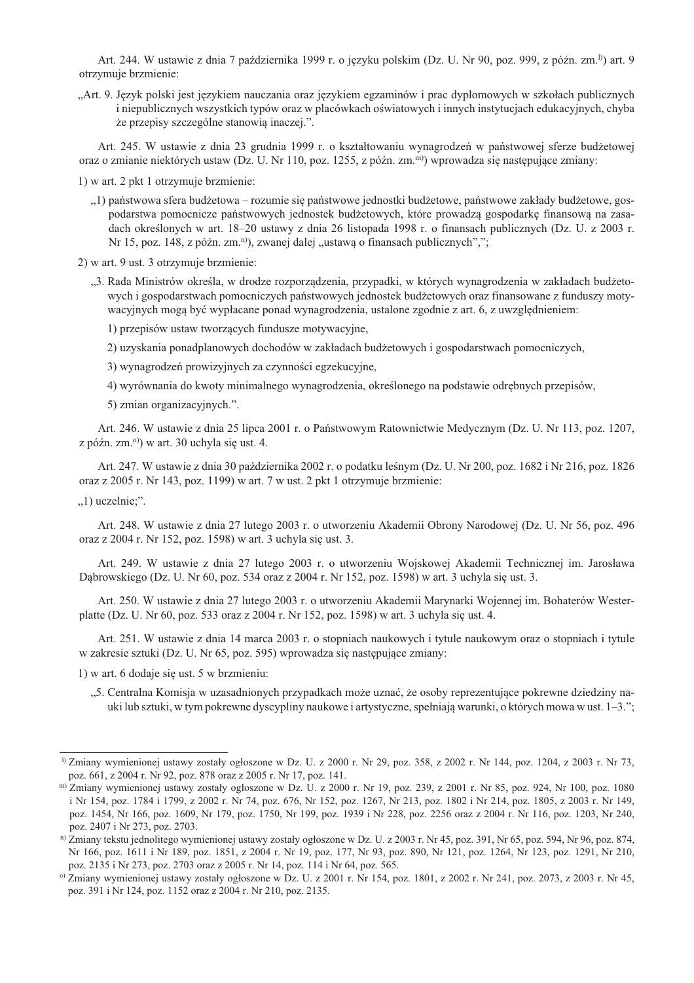Art. 244. W ustawie z dnia 7 października 1999 r. o języku polskim (Dz. U. Nr 90, poz. 999, z późn. zm.<sup>1)</sup>) art. 9 otrzymuje brzmienie:

"Art. 9. Język polski jest językiem nauczania oraz językiem egzaminów i prac dyplomowych w szkołach publicznych i niepublicznych wszystkich typów oraz w placówkach oświatowych i innych instytucjach edukacyjnych, chyba że przepisy szczególne stanowią inaczej.".

Art. 245. W ustawie z dnia 23 grudnia 1999 r. o kształtowaniu wynagrodzeń w państwowej sferze budżetowej oraz o zmianie niektórych ustaw (Dz. U. Nr 110, poz. 1255, z późn. zm.<sup>m)</sup>) wprowadza się następujące zmiany:

1) w art. 2 pkt 1 otrzymuje brzmienie:

..1) państwowa sfera budżetowa – rozumie się państwowe jednostki budżetowe, państwowe zakłady budżetowe, gospodarstwa pomocnicze państwowych jednostek budżetowych, które prowadzą gospodarkę finansową na zasadach określonych w art. 18-20 ustawy z dnia 26 listopada 1998 r. o finansach publicznych (Dz. U. z 2003 r. Nr 15, poz. 148, z późn. zm.<sup>n)</sup>), zwanej dalej "ustawą o finansach publicznych",";

2) w art. 9 ust. 3 otrzymuje brzmienie:

- "3. Rada Ministrów określa, w drodze rozporządzenia, przypadki, w których wynagrodzenia w zakładach budżetowych i gospodarstwach pomocniczych państwowych jednostek budżetowych oraz finansowane z funduszy motywacyjnych mogą być wypłacane ponad wynagrodzenia, ustalone zgodnie z art. 6, z uwzględnieniem:
	- 1) przepisów ustaw tworzących fundusze motywacyjne,
	- 2) uzyskania ponadplanowych dochodów w zakładach budżetowych i gospodarstwach pomocniczych,

3) wynagrodzeń prowizyjnych za czynności egzekucyjne.

4) wyrównania do kwoty minimalnego wynagrodzenia, określonego na podstawie odrębnych przepisów,

5) zmian organizacyjnych.".

Art. 246. W ustawie z dnia 25 lipca 2001 r. o Państwowym Ratownictwie Medycznym (Dz. U. Nr 113, poz. 1207, z późn. zm.<sup>o)</sup>) w art. 30 uchyla się ust. 4.

Art. 247. W ustawie z dnia 30 października 2002 r. o podatku leśnym (Dz. U. Nr 200, poz. 1682 i Nr 216, poz. 1826 oraz z 2005 r. Nr 143, poz. 1199) w art. 7 w ust. 2 pkt 1 otrzymuje brzmienie:

 $,1)$  uczelnie;".

Art. 248. W ustawie z dnia 27 lutego 2003 r. o utworzeniu Akademii Obrony Narodowej (Dz. U. Nr 56, poz. 496 oraz z 2004 r. Nr 152, poz. 1598) w art. 3 uchyla się ust. 3.

Art. 249. W ustawie z dnia 27 lutego 2003 r. o utworzeniu Wojskowej Akademii Technicznej im. Jarosława Dąbrowskiego (Dz. U. Nr 60, poz. 534 oraz z 2004 r. Nr 152, poz. 1598) w art. 3 uchyla się ust. 3.

Art. 250. W ustawie z dnia 27 lutego 2003 r. o utworzeniu Akademii Marynarki Wojennej im. Bohaterów Westerplatte (Dz. U. Nr 60, poz. 533 oraz z 2004 r. Nr 152, poz. 1598) w art. 3 uchyla się ust. 4.

Art. 251. W ustawie z dnia 14 marca 2003 r. o stopniach naukowych i tytule naukowym oraz o stopniach i tytule w zakresie sztuki (Dz. U. Nr 65, poz. 595) wprowadza się następujące zmiany:

1) w art. 6 dodaje się ust. 5 w brzmieniu:

"5. Centralna Komisja w uzasadnionych przypadkach może uznać, że osoby reprezentujące pokrewne dziedziny nauki lub sztuki, w tym pokrewne dyscypliny naukowe i artystyczne, spełniają warunki, o których mowa w ust. 1–3.";

<sup>&</sup>lt;sup>1)</sup> Zmiany wymienionej ustawy zostały ogłoszone w Dz. U. z 2000 r. Nr 29, poz. 358, z 2002 r. Nr 144, poz. 1204, z 2003 r. Nr 73, poz. 661, z 2004 r. Nr 92, poz. 878 oraz z 2005 r. Nr 17, poz. 141.

m) Zmiany wymienionej ustawy zostały ogłoszone w Dz. U. z 2000 r. Nr 19, poz. 239, z 2001 r. Nr 85, poz. 924, Nr 100, poz. 1080 i Nr 154, poz. 1784 i 1799, z 2002 r. Nr 74, poz. 676, Nr 152, poz. 1267, Nr 213, poz. 1802 i Nr 214, poz. 1805, z 2003 r. Nr 149, poz. 1454, Nr 166, poz. 1609, Nr 179, poz. 1750, Nr 199, poz. 1939 i Nr 228, poz. 2256 oraz z 2004 r. Nr 116, poz. 1203, Nr 240, poz. 2407 i Nr 273, poz. 2703.

n) Zmiany tekstu jednolitego wymienionej ustawy zostały ogłoszone w Dz. U. z 2003 r. Nr 45, poz. 391, Nr 65, poz. 594, Nr 96, poz. 874, Nr 166, poz. 1611 i Nr 189, poz. 1851, z 2004 r. Nr 19, poz. 177, Nr 93, poz. 890, Nr 121, poz. 1264, Nr 123, poz. 1291, Nr 210, poz. 2135 i Nr 273, poz. 2703 oraz z 2005 r. Nr 14, poz. 114 i Nr 64, poz. 565.

<sup>&</sup>lt;sup>o)</sup> Zmiany wymienionej ustawy zostały ogłoszone w Dz. U. z 2001 r. Nr 154, poz. 1801, z 2002 r. Nr 241, poz. 2073, z 2003 r. Nr 45, poz. 391 i Nr 124, poz. 1152 oraz z 2004 r. Nr 210, poz. 2135.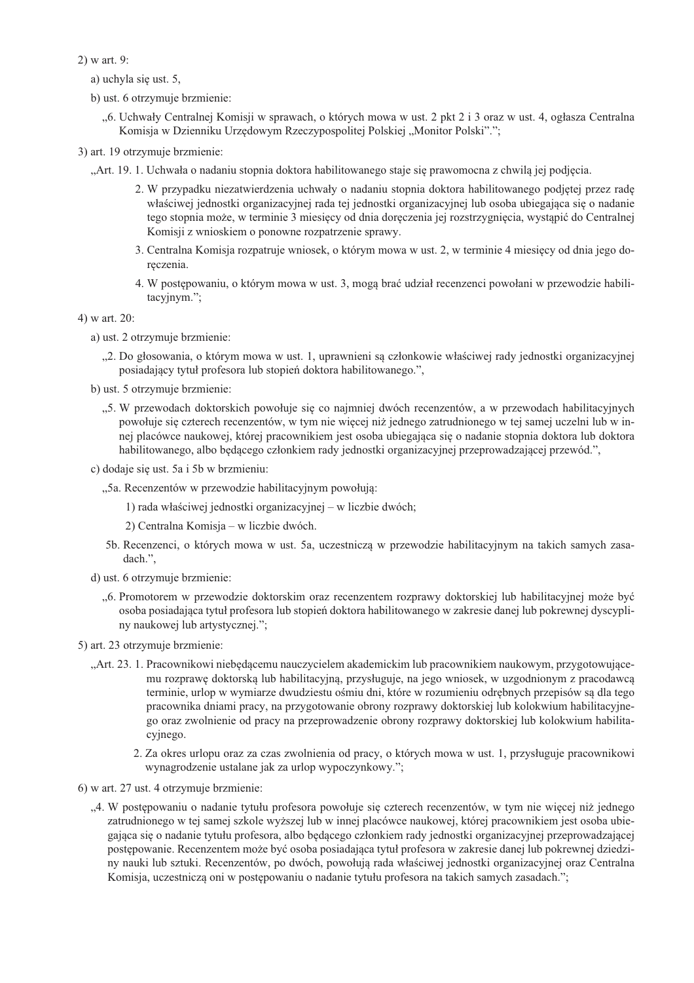$2)$  w art. 9:

- a) uchyla się ust. 5,
- b) ust. 6 otrzymuje brzmienie:
	- "6. Uchwały Centralnej Komisji w sprawach, o których mowa w ust. 2 pkt 2 i 3 oraz w ust. 4, ogłasza Centralna Komisja w Dzienniku Urzędowym Rzeczypospolitej Polskiej "Monitor Polski".";
- 3) art. 19 otrzymuje brzmienie:
	- "Art. 19. 1. Uchwała o nadaniu stopnia doktora habilitowanego staje się prawomocna z chwilą jej podjęcia.
		- 2. W przypadku niezatwierdzenia uchwały o nadaniu stopnia doktora habilitowanego podjetej przez rade właściwej jednostki organizacyjnej rada tej jednostki organizacyjnej lub osoba ubiegająca się o nadanie tego stopnia może, w terminie 3 miesięcy od dnia doręczenia jej rozstrzygnięcia, wystąpić do Centralnej Komisji z wnioskiem o ponowne rozpatrzenie sprawy.
		- 3. Centralna Komisia rozpatruje wniosek, o którym mowa w ust. 2, w terminie 4 miesięcy od dnia jego doreczenia.
		- 4. W postępowaniu, o którym mowa w ust. 3, mogą brać udział recenzenci powołani w przewodzie habilitacyjnym.";

4) w art. 20:

- a) ust. 2 otrzymuje brzmienie:
	- "2. Do głosowania, o którym mowa w ust. 1, uprawnieni są członkowie właściwej rady jednostki organizacyjnej posiadający tytuł profesora lub stopień doktora habilitowanego.",
- b) ust. 5 otrzymuje brzmienie:
	- "5. W przewodach doktorskich powołuje się co najmniej dwóch recenzentów, a w przewodach habilitacyjnych powołuje się czterech recenzentów, w tym nie więcej niż jednego zatrudnionego w tej samej uczelni lub w innei placówce naukowej, której pracownikiem jest osoba ubiegająca się o nadanie stopnia doktora lub doktora habilitowanego, albo będącego członkiem rady jednostki organizacyjnej przeprowadzającej przewód.",
- c) dodaje się ust. 5a i 5b w brzmieniu:
	- "5a. Recenzentów w przewodzie habilitacyjnym powołują:
		- 1) rada właściwej jednostki organizacyjnej w liczbie dwóch:
		- 2) Centralna Komisja w liczbie dwóch.
	- 5b. Recenzenci, o których mowa w ust. 5a, uczestniczą w przewodzie habilitacyjnym na takich samych zasadach.".
- d) ust. 6 otrzymuje brzmienie:
	- "6. Promotorem w przewodzie doktorskim oraz recenzentem rozprawy doktorskiej lub habilitacyjnej może być osoba posiadająca tytuł profesora lub stopień doktora habilitowanego w zakresie danej lub pokrewnej dyscypliny naukowej lub artystycznej.";

5) art. 23 otrzymuje brzmienie:

- "Art. 23. 1. Pracownikowi niebędącemu nauczycielem akademickim lub pracownikiem naukowym, przygotowującemu rozprawę doktorską lub habilitacyjną, przysługuje, na jego wniosek, w uzgodnionym z pracodawcą terminie, urlop w wymiarze dwudziestu ośmiu dni, które w rozumieniu odrębnych przepisów są dla tego pracownika dniami pracy, na przygotowanie obrony rozprawy doktorskiej lub kolokwium habilitacyjnego oraz zwolnienie od pracy na przeprowadzenie obrony rozprawy doktorskiej lub kolokwium habilitacyjnego.
	- 2. Za okres urlopu oraz za czas zwolnienia od pracy, o których mowa w ust. 1, przysługuje pracownikowi wynagrodzenie ustalane jak za urlop wypoczynkowy.";

6) w art. 27 ust. 4 otrzymuje brzmienie:

"4. W postępowaniu o nadanie tytułu profesora powołuje się czterech recenzentów, w tym nie więcej niż jednego zatrudnionego w tej samej szkole wyższej lub w innej placówce naukowej, której pracownikiem jest osoba ubiegająca się o nadanie tytułu profesora, albo będącego członkiem rady jednostki organizacyjnej przeprowadzającej postępowanie. Recenzentem może być osoba posiadająca tytuł profesora w zakresie danej lub pokrewnej dziedziny nauki lub sztuki. Recenzentów, po dwóch, powołują rada właściwej jednostki organizacyjnej oraz Centralna Komisja, uczestniczą oni w postępowaniu o nadanie tytułu profesora na takich samych zasadach.";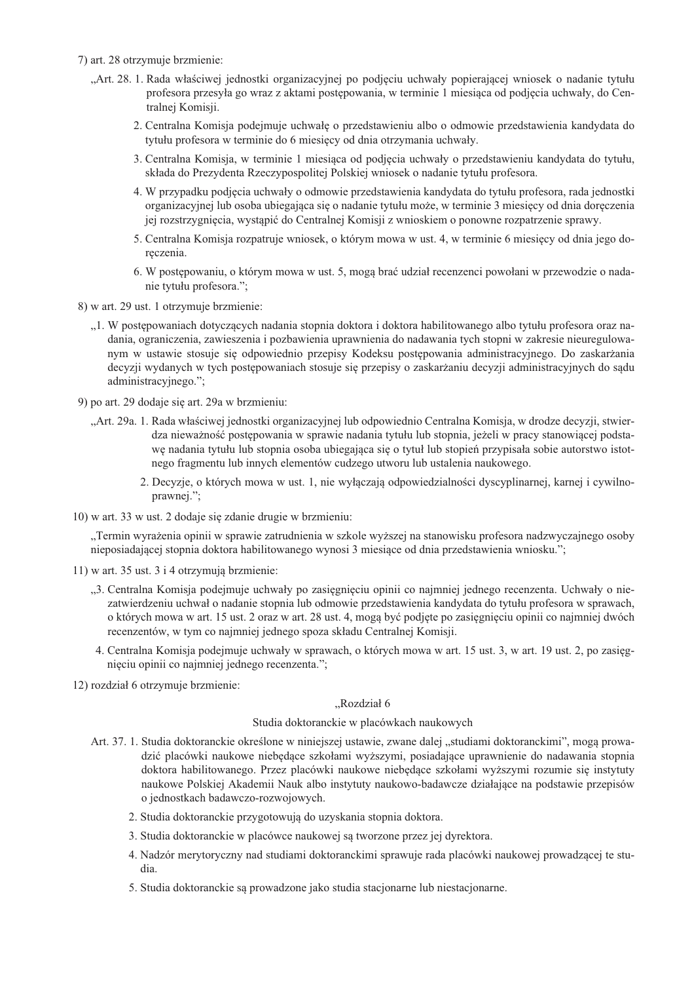- 7) art. 28 otrzymuje brzmienie:
	- "Art. 28. 1. Rada właściwej jednostki organizacyjnej po podjęciu uchwały popierającej wniosek o nadanie tytułu profesora przesyła go wraz z aktami postępowania, w terminie 1 miesiąca od podjęcia uchwały, do Centralnej Komisji.
		- 2. Centralna Komisja podejmuje uchwałę o przedstawieniu albo o odmowie przedstawienia kandydata do tytułu profesora w terminie do 6 miesięcy od dnia otrzymania uchwały.
		- 3. Centralna Komisja, w terminie 1 miesiąca od podjęcia uchwały o przedstawieniu kandydata do tytułu, składa do Prezydenta Rzeczypospolitej Polskiej wniosek o nadanie tytułu profesora.
		- 4. W przypadku podjęcia uchwały o odmowie przedstawienia kandydata do tytułu profesora, rada jednostki organizacyjnej lub osoba ubiegająca się o nadanie tytułu może, w terminie 3 miesięcy od dnia doręczenia jej rozstrzygnięcia, wystąpić do Centralnej Komisji z wnioskiem o ponowne rozpatrzenie sprawy.
		- 5. Centralna Komisia rozpatruje wniosek, o którym mowa w ust. 4, w terminie 6 miesiecy od dnia jego doreczenia.
		- 6. W postępowaniu, o którym mowa w ust. 5, mogą brać udział recenzenci powołani w przewodzie o nadanie tytułu profesora.";

8) w art. 29 ust. 1 otrzymuje brzmienie:

- "1. W postępowaniach dotyczących nadania stopnia doktora i doktora habilitowanego albo tytułu profesora oraz nadania, ograniczenia, zawieszenia i pozbawienia uprawnienia do nadawania tych stopni w zakresie nieuregulowanym w ustawie stosuje się odpowiednio przepisy Kodeksu postępowania administracyjnego. Do zaskarżania decyzji wydanych w tych postępowaniach stosuje się przepisy o zaskarżaniu decyzji administracyjnych do sądu administracyjnego.";
- 9) po art. 29 dodaje się art. 29a w brzmieniu:
	- "Art. 29a. 1. Rada właściwej jednostki organizacyjnej lub odpowiednio Centralna Komisja, w drodze decyzji, stwierdza nieważność postępowania w sprawie nadania tytułu lub stopnia, jeżeli w pracy stanowiącej podstawe nadania tytułu lub stopnia osoba ubiegająca się o tytuł lub stopień przypisała sobie autorstwo istotnego fragmentu lub innych elementów cudzego utworu lub ustalenia naukowego.
		- 2. Decyzje, o których mowa w ust. 1, nie wyłączają odpowiedzialności dyscyplinarnej, karnej i cywilnoprawnej.";
- 10) w art. 33 w ust. 2 dodaje się zdanie drugie w brzmieniu:

"Termin wyrażenia opinii w sprawie zatrudnienia w szkole wyższej na stanowisku profesora nadzwyczajnego osoby nieposiadającej stopnia doktora habilitowanego wynosi 3 miesiące od dnia przedstawienia wniosku.";

- 11) w art. 35 ust. 3 i 4 otrzymują brzmienie:
	- "3. Centralna Komisja podejmuje uchwały po zasięgnięciu opinii co najmniej jednego recenzenta. Uchwały o niezatwierdzeniu uchwał o nadanie stopnia lub odmowie przedstawienia kandydata do tytułu profesora w sprawach, o których mowa w art. 15 ust. 2 oraz w art. 28 ust. 4, mogą być podjęte po zasięgnięciu opinii co najmniej dwóch recenzentów, w tym co najmniej jednego spoza składu Centralnej Komisji.
	- 4. Centralna Komisja podejmuje uchwały w sprawach, o których mowa w art. 15 ust. 3, w art. 19 ust. 2, po zasięgnięciu opinii co najmniej jednego recenzenta.";
- 12) rozdział 6 otrzymuje brzmienie:

#### "Rozdział 6

#### Studia doktoranckie w placówkach naukowych

- Art. 37. 1. Studia doktoranckie określone w niniejszej ustawie, zwane dalej "studiami doktoranckimi", mogą prowadzić placówki naukowe niebędące szkołami wyższymi, posiadające uprawnienie do nadawania stopnia doktora habilitowanego. Przez placówki naukowe niebędące szkołami wyższymi rozumie się instytuty naukowe Polskiej Akademii Nauk albo instytuty naukowo-badawcze działające na podstawie przepisów o jednostkach badawczo-rozwojowych.
	- 2. Studia doktoranckie przygotowują do uzyskania stopnia doktora.
	- 3. Studia doktoranckie w placówce naukowej są tworzone przez jej dyrektora.
	- 4. Nadzór merytoryczny nad studiami doktoranckimi sprawuje rada placówki naukowej prowadzącej te studia.
	- 5. Studia doktoranckie są prowadzone jako studia stacjonarne lub niestacjonarne.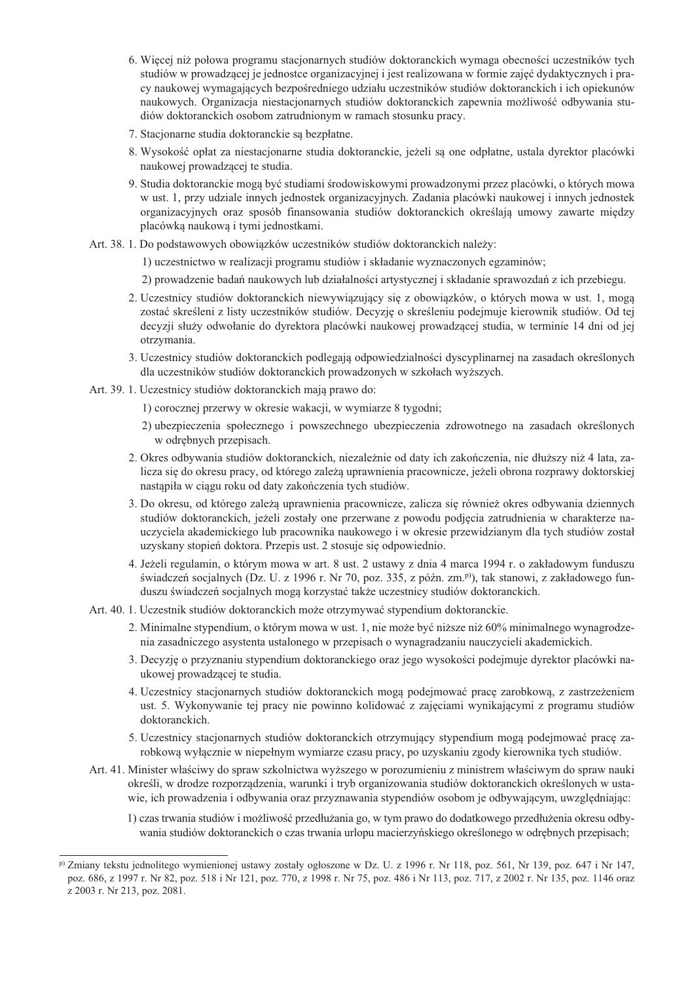- 6. Wiecej niż połowa programu stacjonarnych studiów doktoranckich wymaga obecności uczestników tych studiów w prowadzącej je jednostce organizacyjnej i jest realizowana w formie zajęć dydaktycznych i pracy naukowej wymagających bezpośredniego udziału uczestników studiów doktoranckich i ich opiekunów naukowych. Organizacja niestacjonarnych studiów doktoranckich zapewnia możliwość odbywania studiów doktoranckich osobom zatrudnionym w ramach stosunku pracy.
- 7. Stacjonarne studia doktoranckie są bezpłatne.
- 8. Wysokość opłat za niestacjonarne studia doktoranckie, jeżeli są one odpłatne, ustala dyrektor placówki naukowej prowadzącej te studia.
- 9. Studia doktoranckie moga być studiami środowiskowymi prowadzonymi przez placówki, o których mowa w ust. 1, przy udziale innych jednostek organizacyjnych. Zadania placówki naukowej i innych jednostek organizacyjnych oraz sposób finansowania studiów doktoranckich określają umowy zawarte między placówką naukową i tymi jednostkami.
- Art. 38. 1. Do podstawowych obowiązków uczestników studiów doktoranckich należy:
	- 1) uczestnictwo w realizacji programu studiów i składanie wyznaczonych egzaminów;
	- 2) prowadzenie badań naukowych lub działalności artystycznej i składanie sprawozdań z ich przebiegu.
	- 2. Uczestnicy studiów doktoranckich niewywiązujący się z obowiązków, o których mowa w ust. 1, mogą zostać skreśleni z listy uczestników studiów. Decyzję o skreśleniu podejmuje kierownik studiów. Od tej decyzji służy odwołanie do dyrektora placówki naukowej prowadzącej studia, w terminie 14 dni od jej otrzymania.
	- 3. Uczestnicy studiów doktoranckich podlegają odpowiedzialności dyscyplinarnej na zasadach określonych dla uczestników studiów doktoranckich prowadzonych w szkołach wyższych.
- Art. 39. 1. Uczestnicy studiów doktoranckich mają prawo do:
	- 1) corocznej przerwy w okresie wakacji, w wymiarze 8 tygodni;
	- 2) ubezpieczenia społecznego i powszechnego ubezpieczenia zdrowotnego na zasadach określonych w odrębnych przepisach.
	- 2. Okres odbywania studiów doktoranckich, niezależnie od daty ich zakończenia, nie dłuższy niż 4 lata, zalicza się do okresu pracy, od którego zależa uprawnienia pracownicze, jeżeli obrona rozprawy doktorskiej nastąpiła w ciągu roku od daty zakończenia tych studiów.
	- 3. Do okresu, od którego zależą uprawnienia pracownicze, zalicza się również okres odbywania dziennych studiów doktoranckich, jeżeli zostały one przerwane z powodu podjęcia zatrudnienia w charakterze nauczyciela akademickiego lub pracownika naukowego i w okresie przewidzianym dla tych studiów został uzyskany stopień doktora. Przepis ust. 2 stosuje się odpowiednio.
	- 4. Jeżeli regulamin, o którym mowa w art. 8 ust. 2 ustawy z dnia 4 marca 1994 r. o zakładowym funduszu świadczeń socjalnych (Dz. U. z 1996 r. Nr 70, poz. 335, z późn. zm.<sup>p)</sup>), tak stanowi, z zakładowego funduszu świadczeń socjalnych mogą korzystać także uczestnicy studiów doktoranckich.
- Art. 40. 1. Uczestnik studiów doktoranckich może otrzymywać stypendium doktoranckie.
	- 2. Minimalne stypendium, o którym mowa w ust. 1, nie może być niższe niż 60% minimalnego wynagrodzenia zasadniczego asystenta ustalonego w przepisach o wynagradzaniu nauczycieli akademickich.
	- 3. Decyzję o przyznaniu stypendium doktoranckiego oraz jego wysokości podejmuje dyrektor placówki naukowej prowadzacej te studia.
	- 4. Uczestnicy stacjonarnych studiów doktoranckich mogą podejmować pracę zarobkową, z zastrzeżeniem ust. 5. Wykonywanie tej pracy nie powinno kolidować z zajęciami wynikającymi z programu studiów doktoranckich.
	- 5. Uczestnicy stacjonarnych studiów doktoranckich otrzymujący stypendium mogą podejmować prace zarobkowa wyłacznie w niepełnym wymiarze czasu pracy, po uzyskaniu zgody kierownika tych studiów.
- Art. 41. Minister właściwy do spraw szkolnictwa wyższego w porozumieniu z ministrem właściwym do spraw nauki określi, w drodze rozporządzenia, warunki i tryb organizowania studiów doktoranckich określonych w ustawie, ich prowadzenia i odbywania oraz przyznawania stypendiów osobom je odbywającym, uwzględniając:
	- 1) czas trwania studiów i możliwość przedłużania go, w tym prawo do dodatkowego przedłużenia okresu odbywania studiów doktoranckich o czas trwania urlopu macierzyńskiego określonego w odrębnych przepisach;

<sup>&</sup>lt;sup>p)</sup> Zmiany tekstu jednolitego wymienionej ustawy zostały ogłoszone w Dz. U. z 1996 r. Nr 118, poz. 561. Nr 139, poz. 647 i Nr 147. poz. 686, z 1997 r. Nr 82, poz. 518 i Nr 121, poz. 770, z 1998 r. Nr 75, poz. 486 i Nr 113, poz. 717, z 2002 r. Nr 135, poz. 1146 oraz z 2003 r. Nr 213, poz. 2081.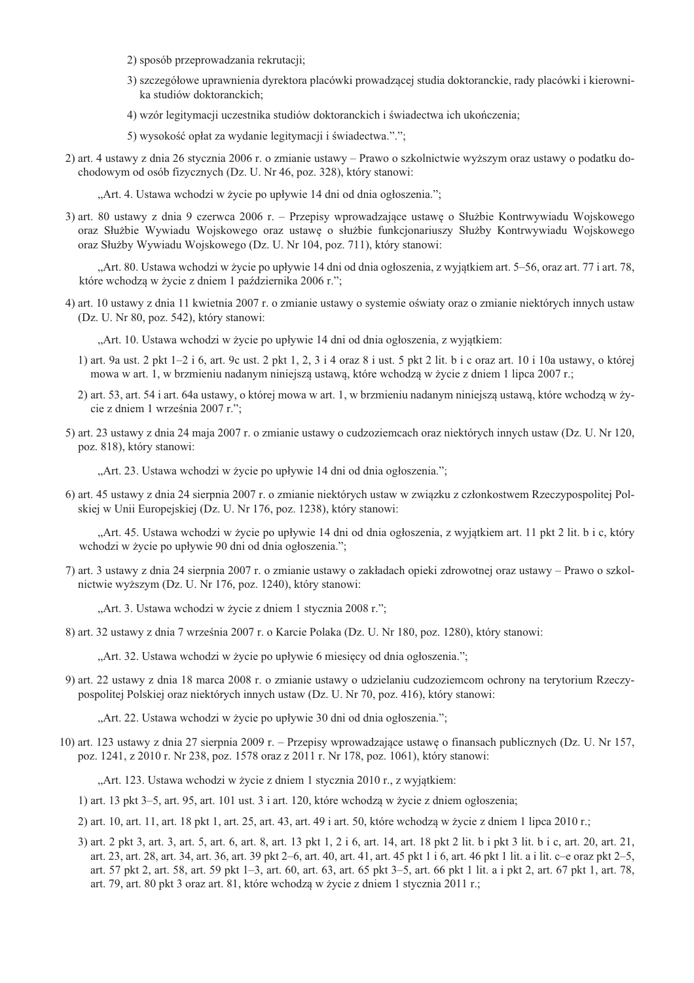- 2) sposób przeprowadzania rekrutacji;
- 3) szczegółowe uprawnienia dyrektora placówki prowadzącej studia doktoranckie, rady placówki i kierownika studiów doktoranckich:
- 4) wzór legitymacji uczestnika studiów doktoranckich i świadectwa ich ukończenia;
- 5) wysokość opłat za wydanie legitymacji i świadectwa.".";
- 2) art. 4 ustawy z dnia 26 stycznia 2006 r. o zmianie ustawy Prawo o szkolnictwie wyższym oraz ustawy o podatku dochodowym od osób fizycznych (Dz. U. Nr 46, poz. 328), który stanowi:

"Art. 4. Ustawa wchodzi w życie po upływie 14 dni od dnia ogłoszenia.";

3) art. 80 ustawy z dnia 9 czerwca 2006 r. – Przepisy wprowadzające ustawę o Służbie Kontrwywiadu Wojskowego oraz Służbie Wywiadu Wojskowego oraz ustawę o służbie funkcjonariuszy Służby Kontrwywiadu Wojskowego oraz Służby Wywiadu Wojskowego (Dz. U. Nr 104, poz. 711), który stanowi:

"Art. 80. Ustawa wchodzi w życie po upływie 14 dni od dnia ogłoszenia, z wyjątkiem art. 5–56, oraz art. 77 i art. 78, które wchodzą w życie z dniem 1 października 2006 r.";

4) art. 10 ustawy z dnia 11 kwietnia 2007 r. o zmianie ustawy o systemie oświaty oraz o zmianie niektórych innych ustaw (Dz. U. Nr 80, poz. 542), który stanowi:

"Art. 10. Ustawa wchodzi w życie po upływie 14 dni od dnia ogłoszenia, z wyjątkiem:

- 1) art. 9a ust. 2 pkt  $1-2i$  6, art. 9c ust. 2 pkt 1, 2, 3 i 4 oraz 8 i ust. 5 pkt 2 lit. b i c oraz art. 10 i 10a ustawy, o której mowa w art. 1, w brzmieniu nadanym niniejszą ustawą, które wchodzą w życie z dniem 1 lipca 2007 r.;
- 2) art. 53, art. 54 i art. 64a ustawy, o której mowa w art. 1, w brzmieniu nadanym niniejszą ustawą, które wchodzą w życie z dniem 1 września 2007 r.":
- 5) art. 23 ustawy z dnia 24 maja 2007 r. o zmianie ustawy o cudzoziemcach oraz niektórych innych ustaw (Dz. U. Nr 120, poz. 818), który stanowi:

"Art. 23. Ustawa wchodzi w życie po upływie 14 dni od dnia ogłoszenia.";

6) art. 45 ustawy z dnia 24 sierpnia 2007 r. o zmianie niektórych ustaw w związku z członkostwem Rzeczypospolitej Polskiej w Unii Europejskiej (Dz. U. Nr 176, poz. 1238), który stanowi:

"Art. 45. Ustawa wchodzi w życie po upływie 14 dni od dnia ogłoszenia, z wyjątkiem art. 11 pkt 2 lit. b i c, który wchodzi w życie po upływie 90 dni od dnia ogłoszenia.";

7) art. 3 ustawy z dnia 24 sierpnia 2007 r. o zmianie ustawy o zakładach opieki zdrowotnej oraz ustawy – Prawo o szkolnictwie wyższym (Dz. U. Nr 176, poz. 1240), który stanowi:

"Art. 3. Ustawa wchodzi w życie z dniem 1 stycznia 2008 r.";

8) art. 32 ustawy z dnia 7 września 2007 r. o Karcie Polaka (Dz. U. Nr 180, poz. 1280), który stanowi:

"Art. 32. Ustawa wchodzi w życie po upływie 6 miesięcy od dnia ogłoszenia.";

9) art. 22 ustawy z dnia 18 marca 2008 r. o zmianie ustawy o udzielaniu cudzoziemcom ochrony na terytorium Rzeczypospolitej Polskiej oraz niektórych innych ustaw (Dz. U. Nr 70, poz. 416), który stanowi:

"Art. 22. Ustawa wchodzi w życie po upływie 30 dni od dnia ogłoszenia.";

10) art. 123 ustawy z dnia 27 sierpnia 2009 r. – Przepisy wprowadzające ustawę o finansach publicznych (Dz. U. Nr 157, poz. 1241, z 2010 r. Nr 238, poz. 1578 oraz z 2011 r. Nr 178, poz. 1061), który stanowi:

"Art. 123. Ustawa wchodzi w życie z dniem 1 stycznia 2010 r., z wyjątkiem:

1) art. 13 pkt 3–5, art. 95, art. 101 ust. 3 i art. 120, które wchodzą w życie z dniem ogłoszenia;

- 2) art. 10, art. 11, art. 18 pkt 1, art. 25, art. 43, art. 49 i art. 50, które wchodzą w życie z dniem 1 lipca 2010 r.;
- 3) art. 2 pkt 3, art. 3, art. 5, art. 6, art. 8, art. 13 pkt 1, 2 i 6, art. 14, art. 18 pkt 2 lit. b i pkt 3 lit. b i c, art. 20, art. 21, art. 23, art. 28, art. 34, art. 36, art. 39 pkt 2–6, art. 40, art. 41, art. 45 pkt 1 i 6, art. 46 pkt 1 lit. a i lit. c–e oraz pkt 2–5, art. 57 pkt 2, art. 58, art. 59 pkt 1–3, art. 60, art. 63, art. 65 pkt 3–5, art. 66 pkt 1 lit. a i pkt 2, art. 67 pkt 1, art. 78, art. 79, art. 80 pkt 3 oraz art. 81, które wchodzą w życie z dniem 1 stycznia 2011 r.;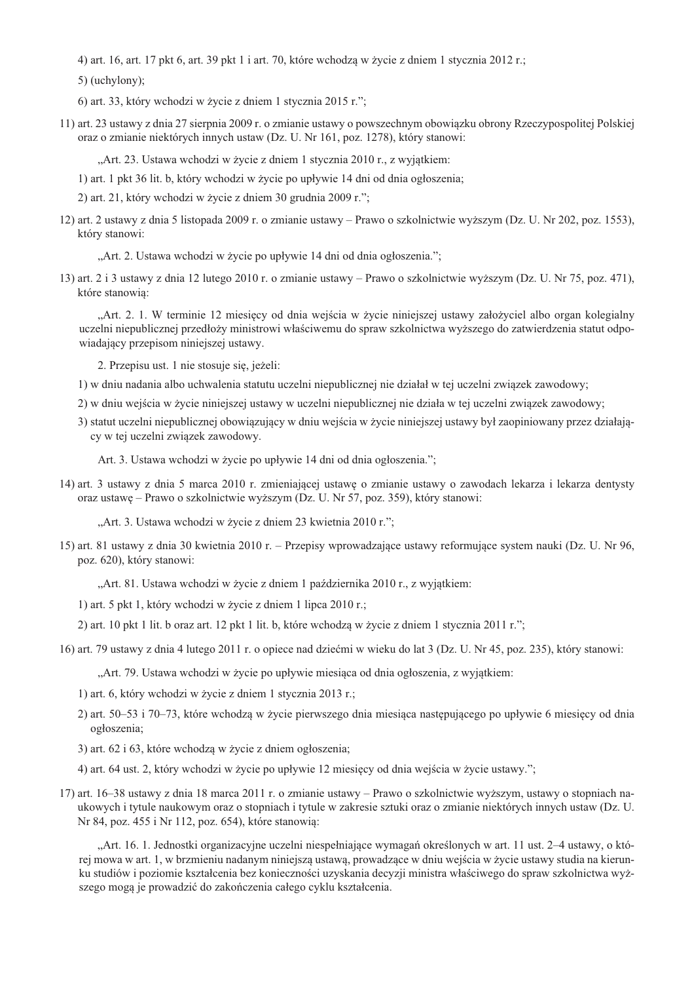4) art. 16, art. 17 pkt 6, art. 39 pkt 1 i art. 70, które wchodza w życie z dniem 1 stycznia 2012 r.;

5) (uchylony);

6) art. 33, który wchodzi w życie z dniem 1 stycznia 2015 r.";

11) art. 23 ustawy z dnia 27 sierpnia 2009 r. o zmianie ustawy o powszechnym obowiazku obrony Rzeczypospolitej Polskiej oraz o zmianie niektórych innych ustaw (Dz. U. Nr 161, poz. 1278), który stanowi:

"Art. 23. Ustawa wchodzi w życie z dniem 1 stycznia 2010 r., z wyjątkiem:

1) art. 1 pkt 36 lit. b, który wchodzi w życie po upływie 14 dni od dnia ogłoszenia;

2) art. 21, który wchodzi w życie z dniem 30 grudnia 2009 r.";

12) art. 2 ustawy z dnia 5 listopada 2009 r. o zmianie ustawy – Prawo o szkolnictwie wyższym (Dz. U. Nr 202, poz. 1553), który stanowi:

"Art. 2. Ustawa wchodzi w życie po upływie 14 dni od dnia ogłoszenia.";

13) art. 2 i 3 ustawy z dnia 12 lutego 2010 r. o zmianie ustawy – Prawo o szkolnictwie wyższym (Dz. U. Nr 75, poz. 471), które stanowią:

"Art. 2. 1. W terminie 12 miesiecy od dnia wejścia w życie niniejszej ustawy założyciel albo organ kolegialny uczelni niepublicznej przedłoży ministrowi właściwemu do spraw szkolnictwa wyższego do zatwierdzenia statut odpowiadający przepisom niniejszej ustawy.

2. Przepisu ust. 1 nie stosuje się, jeżeli:

1) w dniu nadania albo uchwalenia statutu uczelni niepublicznej nie działał w tej uczelni związek zawodowy;

- 2) w dniu wejścia w życie niniejszej ustawy w uczelni niepublicznej nie działa w tej uczelni zwiazek zawodowy:
- 3) statut uczelni niepublicznej obowiązujący w dniu wejścia w życie niniejszej ustawy był zaopiniowany przez działający w tej uczelni związek zawodowy.

Art. 3. Ustawa wchodzi w życie po upływie 14 dni od dnia ogłoszenia.";

14) art. 3 ustawy z dnia 5 marca 2010 r. zmieniającej ustawę o zmianie ustawy o zawodach lekarza i lekarza dentysty oraz ustawę – Prawo o szkolnictwie wyższym (Dz. U. Nr 57, poz. 359), który stanowi:

"Art. 3. Ustawa wchodzi w życie z dniem 23 kwietnia 2010 r.";

15) art. 81 ustawy z dnia 30 kwietnia 2010 r. – Przepisy wprowadzające ustawy reformujące system nauki (Dz. U. Nr 96, poz. 620), który stanowi:

"Art. 81. Ustawa wchodzi w życie z dniem 1 października 2010 r., z wyjatkiem:

1) art. 5 pkt 1, który wchodzi w życie z dniem 1 lipca 2010 r.;

2) art. 10 pkt 1 lit. b oraz art. 12 pkt 1 lit. b, które wchodzą w życie z dniem 1 stycznia 2011 r.";

16) art. 79 ustawy z dnia 4 lutego 2011 r. o opiece nad dziećmi w wieku do lat 3 (Dz. U. Nr 45, poz. 235), który stanowi:

"Art. 79. Ustawa wchodzi w życie po upływie miesiąca od dnia ogłoszenia, z wyjątkiem:

1) art. 6, który wchodzi w życie z dniem 1 stycznia 2013 r.;

2) art. 50–53 i 70–73, które wchodzą w życie pierwszego dnia miesiąca następującego po upływie 6 miesięcy od dnia ogłoszenia:

3) art. 62 i 63, które wchodzą w życie z dniem ogłoszenia;

4) art. 64 ust. 2, który wchodzi w życie po upływie 12 miesięcy od dnia wejścia w życie ustawy.";

17) art. 16–38 ustawy z dnia 18 marca 2011 r. o zmianie ustawy – Prawo o szkolnictwie wyższym, ustawy o stopniach naukowych i tytule naukowym oraz o stopniach i tytule w zakresie sztuki oraz o zmianie niektórych innych ustaw (Dz. U. Nr 84, poz. 455 i Nr 112, poz. 654), które stanowią:

"Art. 16. 1. Jednostki organizacyjne uczelni niespełniające wymagań określonych w art. 11 ust. 2-4 ustawy, o której mowa w art. 1, w brzmieniu nadanym niniejszą ustawą, prowadzące w dniu wejścia w życie ustawy studia na kierunku studiów i poziomie kształcenia bez konieczności uzyskania decyzji ministra właściwego do spraw szkolnictwa wyższego mogą je prowadzić do zakończenia całego cyklu kształcenia.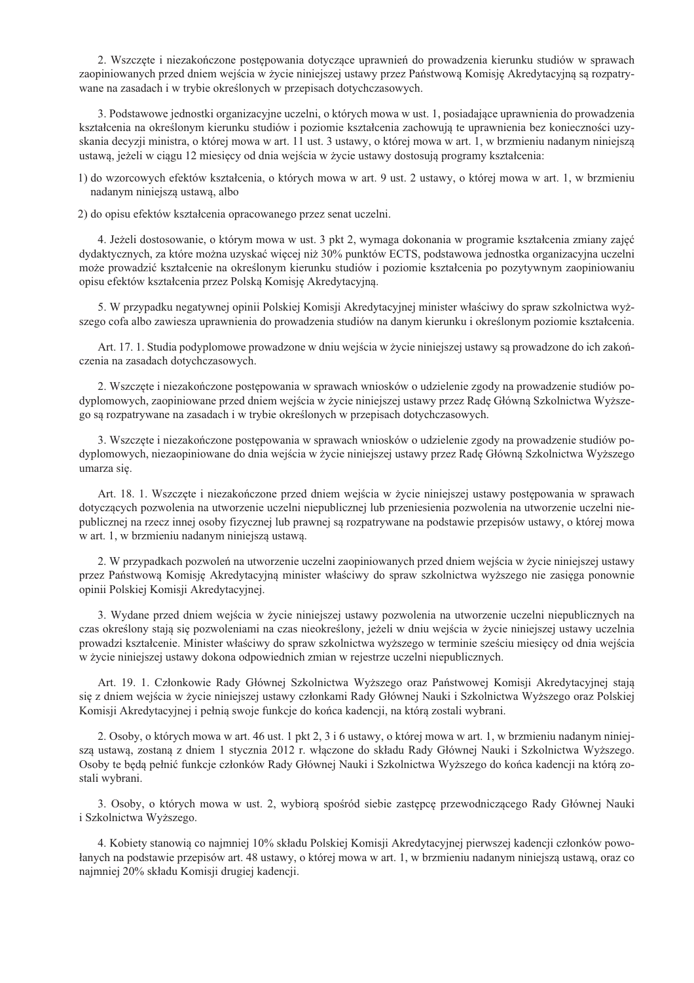2. Wszczęte i niezakończone postępowania dotyczące uprawnień do prowadzenia kierunku studiów w sprawach zaopiniowanych przed dniem wejścia w życie niniejszej ustawy przez Państwową Komisję Akredytacyjną są rozpatrywane na zasadach i w trybie określonych w przepisach dotychczasowych.

3. Podstawowe jednostki organizacyjne uczelni, o których mowa w ust. 1, posiadające uprawnienia do prowadzenia kształcenia na określonym kierunku studiów i poziomie kształcenia zachowują te uprawnienia bez konieczności uzyskania decyzji ministra, o której mowa w art. 11 ust. 3 ustawy, o której mowa w art. 1, w brzmieniu nadanym niniejszą ustawą, jeżeli w ciągu 12 miesięcy od dnia wejścia w życie ustawy dostosują programy kształcenia:

1) do wzorcowych efektów kształcenia, o których mowa w art. 9 ust. 2 ustawy, o której mowa w art. 1, w brzmieniu nadanym niniejszą ustawą, albo

2) do opisu efektów kształcenia opracowanego przez senat uczelni.

4. Jeżeli dostosowanie, o którym mowa w ust. 3 pkt 2, wymaga dokonania w programie kształcenia zmiany zajeć dydaktycznych, za które można uzyskać więcej niż 30% punktów ECTS, podstawowa jednostka organizacyjna uczelni może prowadzić kształcenie na określonym kierunku studiów i poziomie kształcenia po pozytywnym zaopiniowaniu opisu efektów kształcenia przez Polską Komisję Akredytacyjną.

5. W przypadku negatywnej opinii Polskiej Komisji Akredytacyjnej minister właściwy do spraw szkolnictwa wyższego cofa albo zawiesza uprawnienia do prowadzenia studiów na danym kierunku i określonym poziomie kształcenia.

Art. 17. 1. Studia podyplomowe prowadzone w dniu wejścia w życie niniejszej ustawy są prowadzone do ich zakończenia na zasadach dotychczasowych.

2. Wszczęte i niezakończone postępowania w sprawach wniosków o udzielenie zgody na prowadzenie studiów podyplomowych, zaopiniowane przed dniem wejścia w życie niniejszej ustawy przez Radę Główną Szkolnictwa Wyższego są rozpatrywane na zasadach i w trybie określonych w przepisach dotychczasowych.

3. Wszczęte i niezakończone postępowania w sprawach wniosków o udzielenie zgody na prowadzenie studiów podyplomowych, niezaopiniowane do dnia wejścia w życie niniejszej ustawy przez Radę Główną Szkolnictwa Wyższego umarza sie.

Art. 18. 1. Wszczęte i niezakończone przed dniem wejścia w życie niniejszej ustawy postępowania w sprawach dotyczących pozwolenia na utworzenie uczelni niepublicznej lub przeniesienia pozwolenia na utworzenie uczelni niepublicznej na rzecz innej osoby fizycznej lub prawnej są rozpatrywane na podstawie przepisów ustawy, o której mowa w art. 1, w brzmieniu nadanym niniejszą ustawą.

2. W przypadkach pozwoleń na utworzenie uczelni zaopiniowanych przed dniem wejścia w życie niniejszej ustawy przez Państwową Komisję Akredytacyjną minister właściwy do spraw szkolnictwa wyższego nie zasięga ponownie opinii Polskiej Komisji Akredytacyjnej.

3. Wydane przed dniem wejścia w życie niniejszej ustawy pozwolenia na utworzenie uczelni niepublicznych na czas określony stają się pozwoleniami na czas nieokreślony, jeżeli w dniu wejścia w życie niniejszej ustawy uczelnia prowadzi kształcenie. Minister właściwy do spraw szkolnictwa wyższego w terminie sześciu miesięcy od dnia wejścia w życie niniejszej ustawy dokona odpowiednich zmian w rejestrze uczelni niepublicznych.

Art. 19. 1. Członkowie Rady Głównej Szkolnictwa Wyższego oraz Państwowej Komisji Akredytacyjnej stają się z dniem wejścia w życie niniejszej ustawy członkami Rady Głównej Nauki i Szkolnictwa Wyższego oraz Polskiej Komisji Akredytacyjnej i pełnią swoje funkcje do końca kadencji, na którą zostali wybrani.

2. Osoby, o których mowa w art. 46 ust. 1 pkt 2, 3 i 6 ustawy, o której mowa w art. 1, w brzmieniu nadanym niniejsza ustawa, zostana z dniem 1 stycznia 2012 r. właczone do składu Rady Głównej Nauki i Szkolnictwa Wyższego. Osoby te będą pełnić funkcje członków Rady Głównej Nauki i Szkolnictwa Wyższego do końca kadencji na którą zostali wybrani.

3. Osoby, o których mowa w ust. 2, wybiorą spośród siebie zastępcę przewodniczącego Rady Głównej Nauki i Szkolnictwa Wyższego.

4. Kobiety stanowią co najmniej 10% składu Polskiej Komisji Akredytacyjnej pierwszej kadencji członków powołanych na podstawie przepisów art. 48 ustawy, o której mowa w art. 1, w brzmieniu nadanym niniejszą ustawą, oraz co najmniej 20% składu Komisji drugiej kadencji.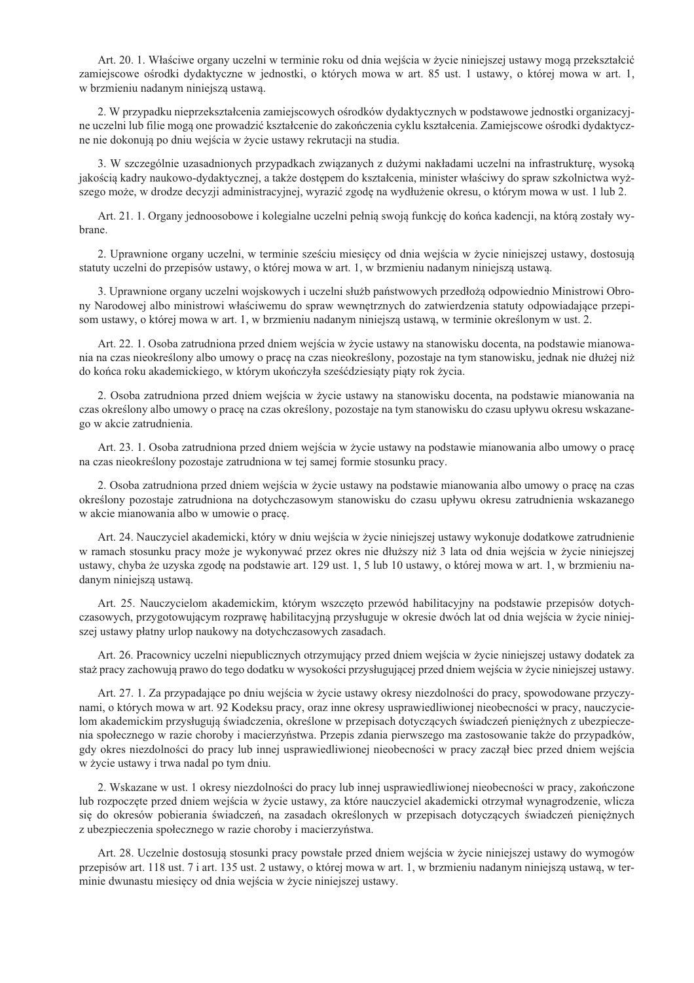Art. 20. 1. Właściwe organy uczelni w terminie roku od dnia wejścia w życie niniejszej ustawy mogą przekształcić zamiejscowe ośrodki dydaktyczne w jednostki, o których mowa w art. 85 ust. 1 ustawy, o której mowa w art. 1, w brzmieniu nadanym niniejsza ustawa.

2. W przypadku nieprzekształcenia zamiejscowych ośrodków dydaktycznych w podstawowe jednostki organizacyjne uczelni lub filie mogą one prowadzić kształcenie do zakończenia cyklu kształcenia. Zamiejscowe ośrodki dydaktyczne nie dokonują po dniu wejścia w życie ustawy rekrutacji na studia.

3. W szczególnie uzasadnionych przypadkach związanych z dużymi nakładami uczelni na infrastrukturę, wysoką jakością kadry naukowo-dydaktycznej, a także dostępem do kształcenia, minister właściwy do spraw szkolnictwa wyższego może, w drodze decyzji administracyjnej, wyrazić zgodę na wydłużenie okresu, o którym mowa w ust. 1 lub 2.

Art. 21. 1. Organy jednoosobowe i kolegialne uczelni pełnią swoją funkcję do końca kadencji, na którą zostały wybrane.

2. Uprawnione organy uczelni, w terminie sześciu miesięcy od dnia wejścia w życie niniejszej ustawy, dostosują statuty uczelni do przepisów ustawy, o której mowa w art. 1, w brzmieniu nadanym niniejszą ustawą.

3. Uprawnione organy uczelni wojskowych i uczelni służb państwowych przedłożą odpowiednio Ministrowi Obrony Narodowej albo ministrowi właściwemu do spraw wewnętrznych do zatwierdzenia statuty odpowiadające przepisom ustawy, o której mowa w art. 1, w brzmieniu nadanym niniejszą ustawą, w terminie określonym w ust. 2.

Art. 22. 1. Osoba zatrudniona przed dniem wejścia w życie ustawy na stanowisku docenta, na podstawie mianowania na czas nieokreślony albo umowy o pracę na czas nieokreślony, pozostaje na tym stanowisku, jednak nie dłużej niż do końca roku akademickiego, w którym ukończyła sześć dziesiąty piąty rok życia.

2. Osoba zatrudniona przed dniem wejścia w życie ustawy na stanowisku docenta, na podstawie mianowania na czas określony albo umowy o pracę na czas określony, pozostaje na tym stanowisku do czasu upływu okresu wskazanego w akcie zatrudnienia.

Art. 23. 1. Osoba zatrudniona przed dniem wejścia w życie ustawy na podstawie mianowania albo umowy o pracę na czas nieokreślony pozostaje zatrudniona w tej samej formie stosunku pracy.

2. Osoba zatrudniona przed dniem wejścia w życie ustawy na podstawie mianowania albo umowy o pracę na czas określony pozostaje zatrudniona na dotychczasowym stanowisku do czasu upływu okresu zatrudnienia wskazanego w akcie mianowania albo w umowie o pracę.

Art. 24. Nauczyciel akademicki, który w dniu wejścia w życie niniejszej ustawy wykonuje dodatkowe zatrudnienie w ramach stosunku pracy może je wykonywać przez okres nie dłuższy niż 3 lata od dnia wejścia w życie niniejszej ustawy, chyba że uzyska zgodę na podstawie art. 129 ust. 1, 5 lub 10 ustawy, o której mowa w art. 1, w brzmieniu nadanym niniejszą ustawą.

Art. 25. Nauczycielom akademickim, którym wszczęto przewód habilitacyjny na podstawie przepisów dotychczasowych, przygotowującym rozprawę habilitacyjną przysługuje w okresie dwóch lat od dnia wejścia w życie niniejszej ustawy płatny urlop naukowy na dotychczasowych zasadach.

Art. 26. Pracownicy uczelni niepublicznych otrzymujący przed dniem wejścia w życie niniejszej ustawy dodatek za staż pracy zachowują prawo do tego dodatku w wysokości przysługującej przed dniem wejścia w życie niniejszej ustawy.

Art. 27. 1. Za przypadające po dniu wejścia w życie ustawy okresy niezdolności do pracy, spowodowane przyczynami, o których mowa w art. 92 Kodeksu pracy, oraz inne okresy usprawiedliwionej nieobecności w pracy, nauczycielom akademickim przysługują świadczenia, określone w przepisach dotyczących świadczeń pieniężnych z ubezpieczenia społecznego w razie choroby i macierzyństwa. Przepis zdania pierwszego ma zastosowanie także do przypadków, gdy okres niezdolności do pracy lub innej usprawiedliwionej nieobecności w pracy zaczął biec przed dniem wejścia w życie ustawy i trwa nadal po tym dniu.

2. Wskazane w ust. 1 okresy niezdolności do pracy lub innej usprawiedliwionej nieobecności w pracy, zakończone lub rozpoczęte przed dniem wejścia w życie ustawy, za które nauczyciel akademicki otrzymał wynagrodzenie, wlicza się do okresów pobierania świadczeń, na zasadach określonych w przepisach dotyczących świadczeń pieniężnych z ubezpieczenia społecznego w razie choroby i macierzyństwa.

Art. 28. Uczelnie dostosują stosunki pracy powstałe przed dniem wejścia w życie niniejszej ustawy do wymogów przepisów art. 118 ust. 7 i art. 135 ust. 2 ustawy, o której mowa w art. 1, w brzmieniu nadanym niniejszą ustawą, w terminie dwunastu miesięcy od dnia wejścia w życie niniejszej ustawy.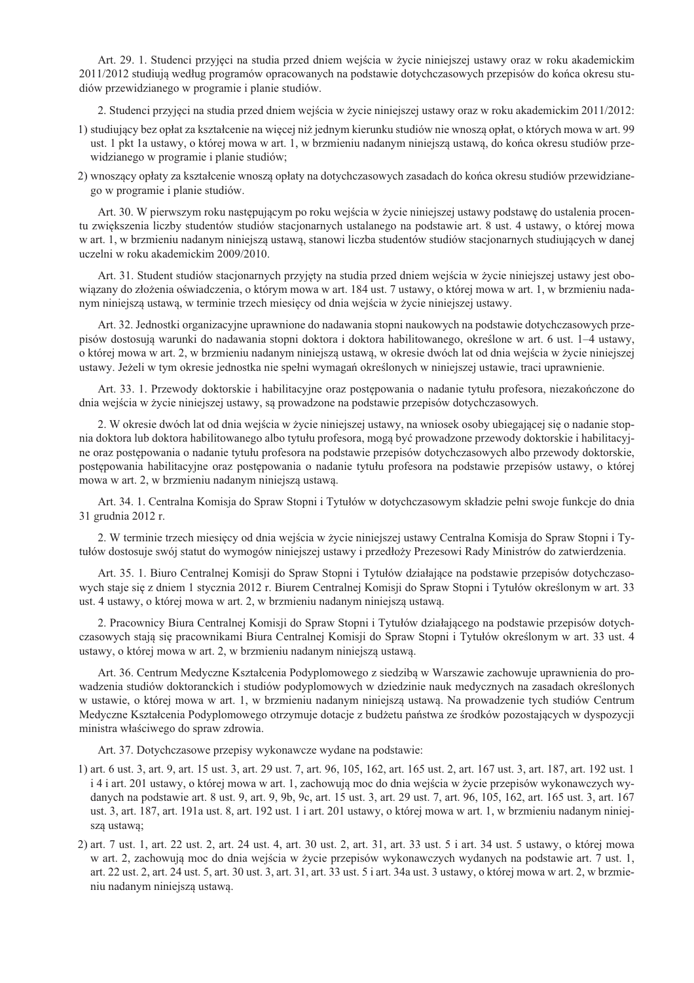Art. 29. 1. Studenci przyjęci na studia przed dniem wejścia w życie niniejszej ustawy oraz w roku akademickim 2011/2012 studiują według programów opracowanych na podstawie dotychczasowych przepisów do końca okresu studiów przewidzianego w programie i planie studiów.

2. Studenci przyjęci na studia przed dniem wejścia w życie niniejszej ustawy oraz w roku akademickim 2011/2012:

- 1) studiujący bez opłat za kształcenie na więcej niż jednym kierunku studiów nie wnoszą opłat, o których mowa w art. 99 ust. 1 pkt 1a ustawy, o której mowa w art. 1, w brzmieniu nadanym niniejszą ustawą, do końca okresu studiów przewidzianego w programie i planie studiów;
- 2) wnoszący opłaty za kształcenie wnoszą opłaty na dotychczasowych zasadach do końca okresu studiów przewidzianego w programie i planie studiów.

Art. 30. W pierwszym roku następującym po roku wejścia w życie niniejszej ustawy podstawę do ustalenia procentu zwiekszenia liczby studentów studiów stacjonarnych ustalanego na podstawie art. 8 ust. 4 ustawy, o której mowa w art. 1, w brzmieniu nadanym niniejsza ustawa, stanowi liczba studentów studiów stacionarnych studiujących w danej uczelni w roku akademickim 2009/2010.

Art. 31. Student studiów stacjonarnych przyjęty na studia przed dniem wejścia w życie niniejszej ustawy jest obowiązany do złożenia oświadczenia, o którym mowa w art. 184 ust. 7 ustawy, o której mowa w art. 1, w brzmieniu nadanym niniejszą ustawą, w terminie trzech miesięcy od dnia wejścia w życie niniejszej ustawy.

Art. 32. Jednostki organizacyjne uprawnione do nadawania stopni naukowych na podstawie dotychczasowych przepisów dostosują warunki do nadawania stopni doktora i doktora habilitowanego, określone w art. 6 ust. 1–4 ustawy, o której mowa w art. 2, w brzmieniu nadanym niniejsza ustawa, w okresie dwóch lat od dnia wejścia w życie niniejszej ustawy. Jeżeli w tym okresie jednostka nie spełni wymagań określonych w niniejszej ustawie, traci uprawnienie.

Art. 33. 1. Przewody doktorskie i habilitacyjne oraz postępowania o nadanie tytułu profesora, niezakończone do dnia wejścia w życie niniejszej ustawy, są prowadzone na podstawie przepisów dotychczasowych.

2. W okresie dwóch lat od dnia wejścia w życie niniejszej ustawy, na wniosek osoby ubiegającej się o nadanie stopnia doktora lub doktora habilitowanego albo tytułu profesora, mogą być prowadzone przewody doktorskie i habilitacyjne oraz postępowania o nadanie tytułu profesora na podstawie przepisów dotychczasowych albo przewody doktorskie, postępowania habilitacyjne oraz postępowania o nadanie tytułu profesora na podstawie przepisów ustawy, o której mowa w art. 2, w brzmieniu nadanym niniejszą ustawą.

Art. 34. 1. Centralna Komisja do Spraw Stopni i Tytułów w dotychczasowym składzie pełni swoje funkcje do dnia 31 grudnia 2012 r.

2. W terminie trzech miesięcy od dnia wejścia w życie niniejszej ustawy Centralna Komisja do Spraw Stopni i Tytułów dostosuje swój statut do wymogów niniejszej ustawy i przedłoży Prezesowi Rady Ministrów do zatwierdzenia.

Art. 35, 1. Biuro Centralnei Komisii do Spraw Stopni i Tytułów działające na podstawie przepisów dotychczasowych staje się z dniem 1 stycznia 2012 r. Biurem Centralnej Komisji do Spraw Stopni i Tytułów określonym w art. 33 ust. 4 ustawy, o której mowa w art. 2, w brzmieniu nadanym niniejszą ustawą.

2. Pracownicy Biura Centralnej Komisji do Spraw Stopni i Tytułów działającego na podstawie przepisów dotychczasowych stają się pracownikami Biura Centralnej Komisji do Spraw Stopni i Tytułów określonym w art. 33 ust. 4 ustawy, o której mowa w art. 2, w brzmieniu nadanym niniejszą ustawą.

Art. 36. Centrum Medyczne Kształcenia Podyplomowego z siedzibą w Warszawie zachowuje uprawnienia do prowadzenia studiów doktoranckich i studiów podyplomowych w dziedzinie nauk medycznych na zasadach określonych w ustawie, o której mowa w art. 1, w brzmieniu nadanym niniejsza ustawa. Na prowadzenie tych studiów Centrum Medyczne Kształcenia Podyplomowego otrzymuje dotacje z budżetu państwa ze środków pozostających w dyspozycji ministra właściwego do spraw zdrowia.

Art. 37. Dotychczasowe przepisy wykonawcze wydane na podstawie:

- 1) art. 6 ust. 3, art. 9, art. 15 ust. 3, art. 29 ust. 7, art. 96, 105, 162, art. 165 ust. 2, art. 167 ust. 3, art. 187, art. 192 ust. 1 i 4 i art. 201 ustawy, o której mowa w art. 1, zachowują moc do dnia wejścia w życie przepisów wykonawczych wydanych na podstawie art. 8 ust. 9, art. 9, 9b, 9c, art. 15 ust. 3, art. 29 ust. 7, art. 96, 105, 162, art. 165 ust. 3, art. 167 ust. 3, art. 187, art. 191a ust. 8, art. 192 ust. 1 i art. 201 ustawy, o której mowa w art. 1, w brzmieniu nadanym niniejsza ustawa;
- 2) art. 7 ust. 1, art. 22 ust. 2, art. 24 ust. 4, art. 30 ust. 2, art. 31, art. 33 ust. 5 i art. 34 ust. 5 ustawy, o której mowa w art. 2, zachowują moc do dnia wejścia w życie przepisów wykonawczych wydanych na podstawie art. 7 ust. 1, art. 22 ust. 2, art. 24 ust. 5, art. 30 ust. 3, art. 31, art. 33 ust. 5 i art. 34a ust. 3 ustawy, o której mowa w art. 2, w brzmieniu nadanym niniejszą ustawą.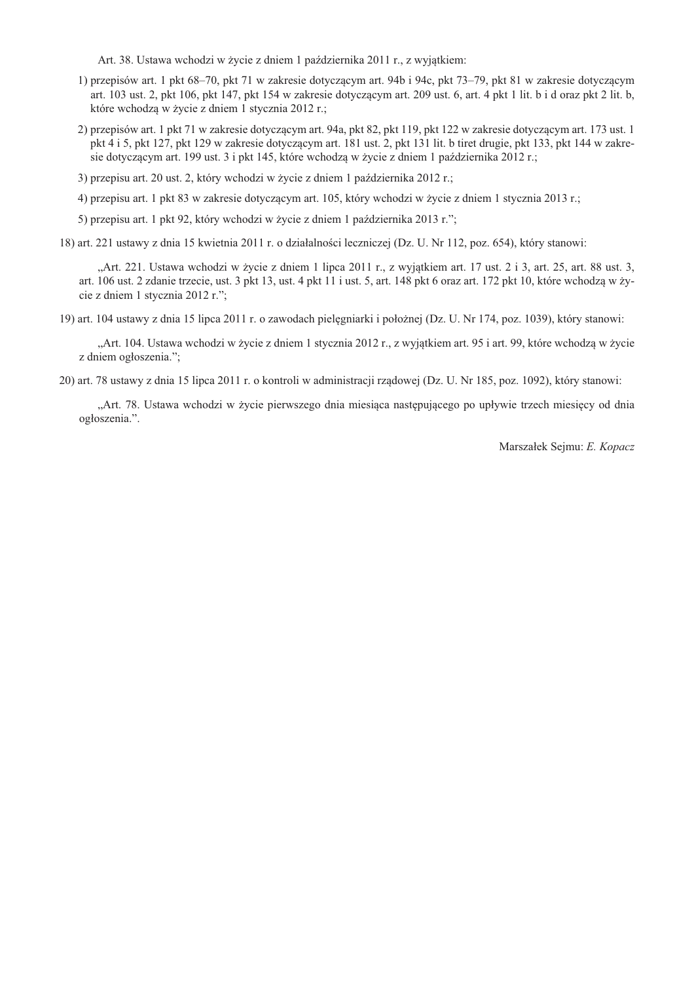Art. 38. Ustawa wchodzi w życie z dniem 1 października 2011 r., z wyjątkiem:

- 1) przepisów art. 1 pkt 68–70, pkt 71 w zakresie dotyczącym art. 94b i 94c, pkt 73–79, pkt 81 w zakresie dotyczącym art. 103 ust. 2, pkt 106, pkt 147, pkt 154 w zakresie dotyczącym art. 209 ust. 6, art. 4 pkt 1 lit. b i d oraz pkt 2 lit. b, które wchodzą w życie z dniem 1 stycznia 2012 r.;
- 2) przepisów art. 1 pkt 71 w zakresie dotyczącym art. 94a, pkt 82, pkt 119, pkt 122 w zakresie dotyczącym art. 173 ust. 1 pkt 4 i 5, pkt 127, pkt 129 w zakresie dotyczącym art. 181 ust. 2, pkt 131 lit. b tiret drugie, pkt 133, pkt 144 w zakresie dotyczącym art. 199 ust. 3 i pkt 145, które wchodzą w życie z dniem 1 października 2012 r.;

3) przepisu art. 20 ust. 2, który wchodzi w życie z dniem 1 października 2012 r.;

4) przepisu art. 1 pkt 83 w zakresie dotyczącym art. 105, który wchodzi w życie z dniem 1 stycznia 2013 r.;

5) przepisu art. 1 pkt 92, który wchodzi w życie z dniem 1 października 2013 r.";

18) art. 221 ustawy z dnia 15 kwietnia 2011 r. o działalności leczniczej (Dz. U. Nr 112, poz. 654), który stanowi:

"Art. 221. Ustawa wchodzi w życie z dniem 1 lipca 2011 r., z wyjątkiem art. 17 ust. 2 i 3, art. 25, art. 88 ust. 3, art. 106 ust. 2 zdanie trzecie, ust. 3 pkt 13, ust. 4 pkt 11 i ust. 5, art. 148 pkt 6 oraz art. 172 pkt 10, które wchodzą w życie z dniem 1 stycznia 2012 r.";

19) art. 104 ustawy z dnia 15 lipca 2011 r. o zawodach pielęgniarki i położnej (Dz. U. Nr 174, poz. 1039), który stanowi:

"Art. 104. Ustawa wchodzi w życie z dniem 1 stycznia 2012 r., z wyjątkiem art. 95 i art. 99, które wchodzą w życie z dniem ogłoszenia.";

20) art. 78 ustawy z dnia 15 lipca 2011 r. o kontroli w administracji rzadowej (Dz. U. Nr 185, poz. 1092), który stanowi:

"Art. 78. Ustawa wchodzi w życie pierwszego dnia miesiąca następującego po upływie trzech miesięcy od dnia ogłoszenia.".

Marszałek Sejmu: E. Kopacz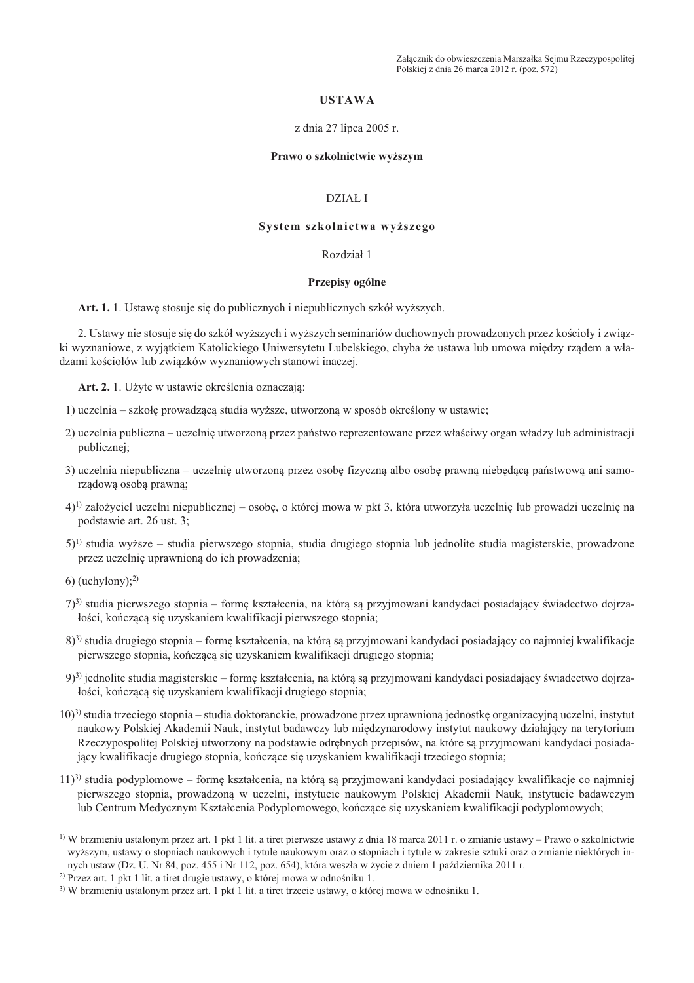Załącznik do obwieszczenia Marszałka Sejmu Rzeczypospolitej Polskiej z dnia 26 marca 2012 r. (poz. 572)

### **USTAWA**

#### z dnia 27 lipca 2005 r.

#### Prawo o szkolnictwie wyższym

#### **DZIAŁ I**

## System szkolnictwa wyższego

#### Rozdział 1

### Przepisy ogólne

Art. 1. 1. Ustawe stosuje się do publicznych i niepublicznych szkół wyższych.

2. Ustawy nie stosuje się do szkół wyższych i wyższych seminariów duchownych prowadzonych przez kościoły i związki wyznaniowe, z wyjątkiem Katolickiego Uniwersytetu Lubelskiego, chyba że ustawa lub umowa między rządem a władzami kościołów lub związków wyznaniowych stanowi inaczej.

Art. 2. 1. Użyte w ustawie określenia oznaczają:

- 1) uczelnia szkołę prowadzącą studia wyższe, utworzoną w sposób określony w ustawie;
- 2) uczelnia publiczna uczelnie utworzona przez państwo reprezentowane przez właściwy organ władzy lub administracji publicznej;
- 3) uczelnia niepubliczna uczelnię utworzoną przez osobę fizyczną albo osobę prawną niebędącą państwową ani samorzadowa osoba prawna:
- 4)<sup>1)</sup> założyciel uczelni niepublicznej osobę, o której mowa w pkt 3, która utworzyła uczelnię lub prowadzi uczelnię na podstawie art. 26 ust. 3;
- $5$ <sup>1)</sup> studia wyższe studia pierwszego stopnia, studia drugiego stopnia lub jednolite studia magisterskie, prowadzone przez uczelnię uprawnioną do ich prowadzenia;
- 6) (uchylony); $^{2)}$
- 7)<sup>3)</sup> studia pierwszego stopnia formę kształcenia, na którą są przyjmowani kandydaci posiadający świadectwo dojrzałości, kończącą się uzyskaniem kwalifikacji pierwszego stopnia;
- 8)<sup>3)</sup> studia drugiego stopnia formę kształcenia, na którą są przyjmowani kandydaci posiadający co najmniej kwalifikacje pierwszego stopnia, kończącą się uzyskaniem kwalifikacji drugiego stopnia;
- 9)<sup>3</sup> jednolite studia magisterskie formę kształcenia, na którą są przyjmowani kandydaci posiadający świadectwo dojrzałości, kończącą się uzyskaniem kwalifikacji drugiego stopnia;
- $(10)^3$  studia trzeciego stopnia studia doktoranckie, prowadzone przez uprawnioną jednostkę organizacyjną uczelni, instytut naukowy Polskiej Akademii Nauk, instytut badawczy lub międzynarodowy instytut naukowy działający na terytorium Rzeczypospolitej Polskiej utworzony na podstawie odrębnych przepisów, na które są przyjmowani kandydaci posiadajacy kwalifikacje drugiego stopnia, kończace się uzyskaniem kwalifikacji trzeciego stopnia;
- 11)<sup>3</sup> studia podyplomowe formę kształcenia, na którą są przyjmowani kandydaci posiadający kwalifikacje co najmniej pierwszego stopnia, prowadzoną w uczelni, instytucie naukowym Polskiej Akademii Nauk, instytucie badawczym lub Centrum Medycznym Kształcenia Podyplomowego, kończące się uzyskaniem kwalifikacji podyplomowych;

<sup>&</sup>lt;sup>1)</sup> W brzmieniu ustalonym przez art, 1 pkt 1 lit, a tiret pierwsze ustawy z dnia 18 marca 2011 r. o zmianie ustawy – Prawo o szkolnictwie wyższym, ustawy o stopniach naukowych i tytule naukowym oraz o stopniach i tytule w zakresie sztuki oraz o zmianie niektórych innych ustaw (Dz. U. Nr 84, poz. 455 i Nr 112, poz. 654), która weszła w życie z dniem 1 października 2011 r.

<sup>&</sup>lt;sup>2)</sup> Przez art. 1 pkt 1 lit. a tiret drugie ustawy, o której mowa w odnośniku 1.

<sup>&</sup>lt;sup>3)</sup> W brzmieniu ustalonym przez art. 1 pkt 1 lit. a tiret trzecie ustawy, o której mowa w odnośniku 1.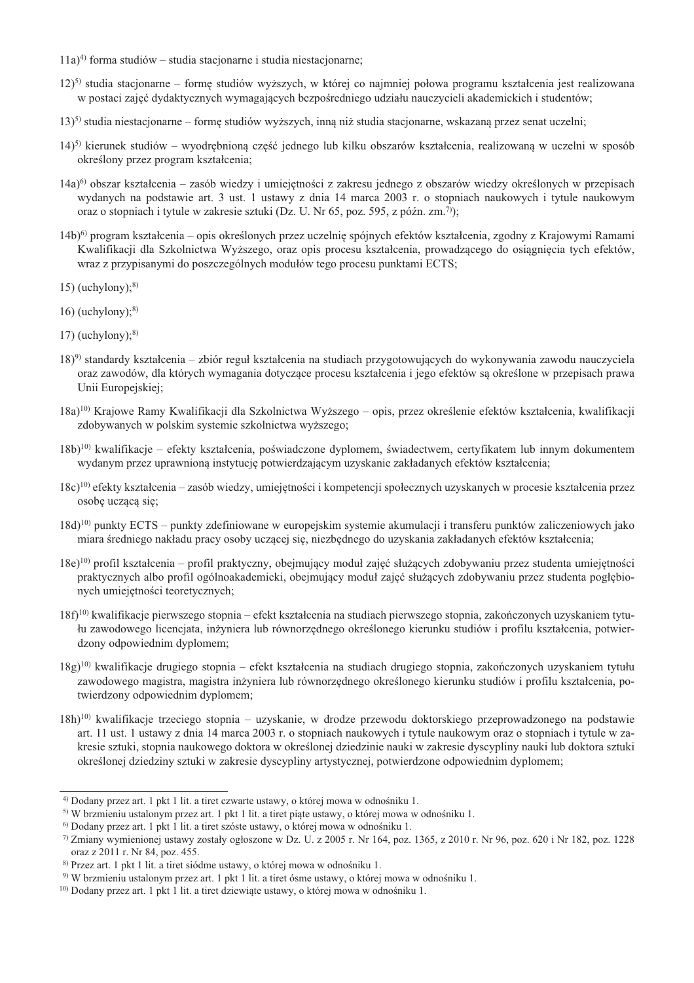- $(11a)^4$  forma studiów studia stacionarne i studia niestacionarne;
- 12)<sup>5)</sup> studia stacjonarne formę studiów wyższych, w której co najmniej połowa programu kształcenia jest realizowana w postaci zajęć dydaktycznych wymagających bezpośredniego udziału nauczycieli akademickich i studentów;
- $(13)^5$  studia niestacjonarne formę studiów wyższych, inną niż studia stacjonarne, wskazaną przez senat uczelni;
- 14)<sup>5)</sup> kierunek studiów wyodrębnioną część jednego lub kilku obszarów kształcenia, realizowaną w uczelni w sposób określony przez program kształcenia;
- $(14a)^6$  obszar kształcenia zasób wiedzy i umiejetności z zakresu jednego z obszarów wiedzy określonych w przepisach wydanych na podstawie art. 3 ust. 1 ustawy z dnia 14 marca 2003 r. o stopniach naukowych i tytule naukowym oraz o stopniach i tytule w zakresie sztuki (Dz. U. Nr 65, poz. 595, z późn. zm.<sup>7)</sup>):
- 14b)<sup>6</sup>) program kształcenia opis określonych przez uczelnię spójnych efektów kształcenia, zgodny z Krajowymi Ramami Kwalifikacji dla Szkolnictwa Wyższego, oraz opis procesu kształcenia, prowadzącego do osiągnięcia tych efektów, wraz z przypisanymi do poszczególnych modułów tego procesu punktami ECTS;
- 15) (uchylony); $8$ )
- $16)$  (uchylony);<sup>8)</sup>
- 17) (uchylony); $8$ )
- 18)<sup>9)</sup> standardy kształcenia zbiór reguł kształcenia na studiach przygotowujących do wykonywania zawodu nauczyciela oraz zawodów, dla których wymagania dotyczące procesu kształcenia i jego efektów są określone w przepisach prawa Unii Europejskiej;
- 18a)<sup>10</sup>) Krajowe Ramy Kwalifikacji dla Szkolnictwa Wyższego opis, przez określenie efektów kształcenia, kwalifikacji zdobywanych w polskim systemie szkolnictwa wyższego;
- 18b)<sup>10)</sup> kwalifikacje efekty kształcenia, poświadczone dyplomem, świadectwem, certyfikatem lub innym dokumentem wydanym przez uprawnioną instytucję potwierdzającym uzyskanie zakładanych efektów kształcenia;
- $18c$ <sup>10</sup>) efekty kształcenia zasób wiedzy, umiejętności i kompetencji społecznych uzyskanych w procesie kształcenia przez osobę uczącą się;
- 18d)<sup>10</sup> punkty ECTS punkty zdefiniowane w europejskim systemie akumulacji i transferu punktów zaliczeniowych jako miara średniego nakładu pracy osoby uczącej się, niezbędnego do uzyskania zakładanych efektów kształcenia;
- 18e)<sup>10</sup> profil kształcenia profil praktyczny, obejmujący moduł zajęć służących zdobywaniu przez studenta umiejętności praktycznych albo profil ogólnoakademicki, obejmujący moduł zajęć służących zdobywaniu przez studenta pogłębionych umiejętności teoretycznych;
- $18f$ <sup>10)</sup> kwalifikacje pierwszego stopnia efekt kształcenia na studiach pierwszego stopnia, zakończonych uzyskaniem tytułu zawodowego licencjata, inżyniera lub równorzednego określonego kierunku studiów i profilu kształcenia, potwierdzony odpowiednim dyplomem;
- $18g$ <sup>10</sup>) kwalifikacje drugiego stopnia efekt kształcenia na studiach drugiego stopnia, zakończonych uzyskaniem tytułu zawodowego magistra, magistra inżyniera lub równorzędnego określonego kierunku studiów i profilu kształcenia, potwierdzony odpowiednim dyplomem:
- $18h$ <sup>10</sup>) kwalifikacje trzeciego stopnia uzyskanie, w drodze przewodu doktorskiego przeprowadzonego na podstawie art. 11 ust. 1 ustawy z dnia 14 marca 2003 r. o stopniach naukowych i tytule naukowym oraz o stopniach i tytule w zakresie sztuki, stopnia naukowego doktora w określonej dziedzinie nauki w zakresie dyscypliny nauki lub doktora sztuki określonej dziedziny sztuki w zakresie dyscypliny artystycznej, potwierdzone odpowiednim dyplomem;

 $4)$  Dodany przez art. 1 pkt 1 lit. a tiret czwarte ustawy, o której mowa w odnośniku 1.

<sup>&</sup>lt;sup>5)</sup> W brzmieniu ustalonym przez art. 1 pkt 1 lit. a tiret piąte ustawy, o której mowa w odnośniku 1.

<sup>&</sup>lt;sup>6)</sup> Dodany przez art. 1 pkt 1 lit. a tiret szóste ustawy, o której mowa w odnośniku 1.

 $\frac{7}{2}$  Zmiany wymienionej ustawy zostały ogłoszone w Dz. U. z 2005 r. Nr 164, poz. 1365, z 2010 r. Nr 96, poz. 620 i Nr 182, poz. 1228 oraz z 2011 r. Nr 84, poz. 455.

<sup>&</sup>lt;sup>8)</sup> Przez art. 1 pkt 1 lit. a tiret siódme ustawy, o której mowa w odnośniku 1.

<sup>&</sup>lt;sup>9)</sup> W brzmieniu ustalonym przez art. 1 pkt 1 lit. a tiret ósme ustawy, o której mowa w odnośniku 1.

<sup>&</sup>lt;sup>10)</sup> Dodany przez art. 1 pkt 1 lit. a tiret dziewiąte ustawy, o której mowa w odnośniku 1.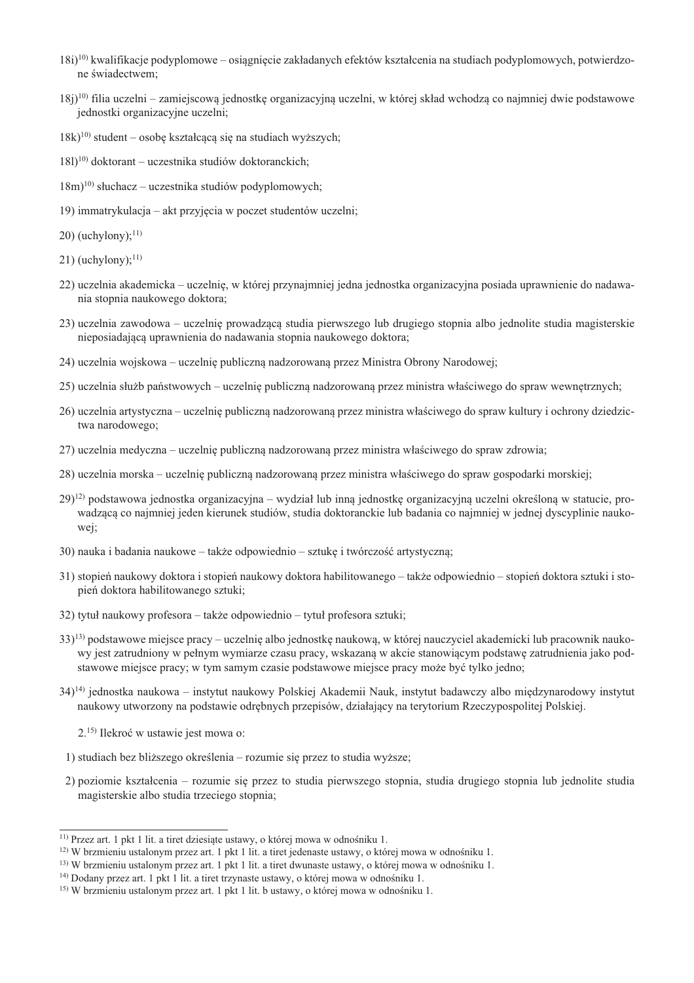- $(18i)^{10}$  kwalifikacje podyplomowe osiagniecie zakładanych efektów kształcenia na studiach podyplomowych, potwierdzone świadectwem:
- $(18i)^{10}$  filia uczelni zamiejscowa jednostke organizacyjna uczelni, w której skład wchodza co najmniej dwie podstawowe jednostki organizacyjne uczelni;
- $18k$ <sup>10)</sup> student osobe kształcaca się na studiach wyższych;
- $181$ <sup>10</sup> doktorant uczestnika studiów doktoranckich:
- $(18m)^{10}$  słuchacz uczestnika studiów podyplomowych;
- 19) immatrykulacja akt przyjęcia w poczet studentów uczelni;
- $(20)$  (uchylony):<sup>11)</sup>
- 21) (uchylony); $^{11}$ )
- 22) uczelnia akademicka uczelnię, w której przynajmniej jedna jednostka organizacyjna posiada uprawnienie do nadawania stopnia naukowego doktora;
- 23) uczelnia zawodowa uczelnię prowadzącą studia pierwszego lub drugiego stopnia albo jednolite studia magisterskie nieposiadającą uprawnienia do nadawania stopnia naukowego doktora;
- 24) uczelnia wojskowa uczelnię publiczną nadzorowaną przez Ministra Obrony Narodowej;
- 25) uczelnia służb państwowych uczelnie publiczna nadzorowana przez ministra właściwego do spraw wewnetrznych;
- 26) uczelnia artystyczna uczelnię publiczną nadzorowaną przez ministra właściwego do spraw kultury i ochrony dziedzictwa narodowego;
- 27) uczelnia medyczna uczelnię publiczną nadzorowaną przez ministra właściwego do spraw zdrowia;
- 28) uczelnia morska uczelnię publiczną nadzorowaną przez ministra właściwego do spraw gospodarki morskiej;
- $(29)^{12}$  podstawowa jednostka organizacyjna wydział lub inna jednostke organizacyjna uczelni określona w statucie, prowadzaca co najmniej jeden kierunek studiów, studia doktoranckie lub badania co najmniej w jednej dyscyplinie naukowej;
- 30) nauka i badania naukowe także odpowiednio sztukę i twórczość artystyczną;
- 31) stopień naukowy doktora i stopień naukowy doktora habilitowanego także odpowiednio stopień doktora sztuki i stopień doktora habilitowanego sztuki;
- 32) tytuł naukowy profesora także odpowiednio tytuł profesora sztuki;
- $(33)^{13}$  podstawowe miejsce pracy uczelnię albo jednostkę naukową, w której nauczyciel akademicki lub pracownik naukowy jest zatrudniony w pełnym wymiarze czasu pracy, wskazaną w akcie stanowiącym podstawę zatrudnienia jako podstawowe miejsce pracy; w tym samym czasie podstawowe miejsce pracy może być tylko jedno;
- 34)<sup>14)</sup> jednostka naukowa instytut naukowy Polskiej Akademii Nauk, instytut badawczy albo międzynarodowy instytut naukowy utworzony na podstawie odrębnych przepisów, działający na terytorium Rzeczypospolitej Polskiej.

2.<sup>15)</sup> Ilekroć w ustawie jest mowa o:

- 1) studiach bez bliższego określenia rozumie się przez to studia wyższe;
- 2) poziomie kształcenia rozumie się przez to studia pierwszego stopnia, studia drugiego stopnia lub jednolite studia magisterskie albo studia trzeciego stopnia;

<sup>&</sup>lt;sup>11)</sup> Przez art. 1 pkt 1 lit. a tiret dziesiąte ustawy, o której mowa w odnośniku 1.

 $^{12}$ ) W brzmieniu ustalonym przez art. 1 pkt 1 lit. a tiret jedenaste ustawy, o której mowa w odnośniku 1.

<sup>&</sup>lt;sup>13)</sup> W brzmieniu ustalonym przez art. 1 pkt 1 lit. a tiret dwunaste ustawy, o której mowa w odnośniku 1.

 $^{14}$ ) Dodany przez art. 1 pkt 1 lit. a tiret trzynaste ustawy, o której mowa w odnośniku 1.

<sup>&</sup>lt;sup>15)</sup> W brzmieniu ustalonym przez art. 1 pkt 1 lit. b ustawy, o której mowa w odnośniku 1.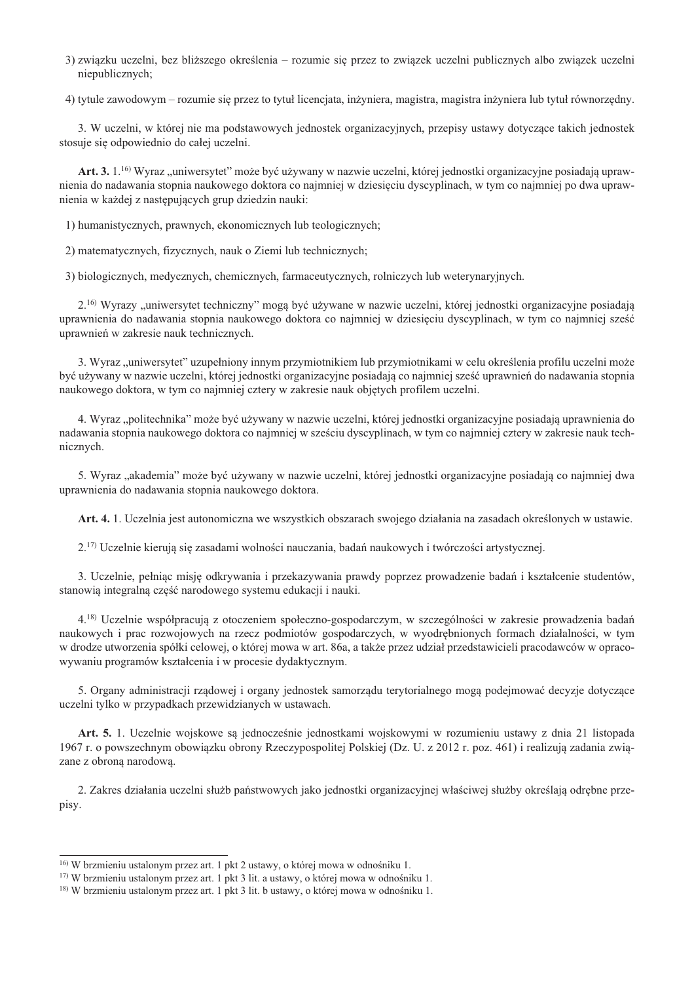3) związku uczelni, bez bliższego określenia – rozumie się przez to związek uczelni publicznych albo związek uczelni niepublicznych;

4) tytule zawodowym – rozumie się przez to tytuł licencjata, inżyniera, magistra, magistra inżyniera lub tytuł równorzędny.

3. W uczelni, w której nie ma podstawowych jednostek organizacyjnych, przepisy ustawy dotyczące takich jednostek stosuje się odpowiednio do całej uczelni.

Art. 3. 1.<sup>16)</sup> Wyraz "uniwersytet" może być używany w nazwie uczelni, której jednostki organizacyjne posiadają uprawnienia do nadawania stopnia naukowego doktora co najmniej w dziesięciu dyscyplinach, w tym co najmniej po dwa uprawnienia w każdej z następujących grup dziedzin nauki:

1) humanistycznych, prawnych, ekonomicznych lub teologicznych;

2) matematycznych, fizycznych, nauk o Ziemi lub technicznych;

3) biologicznych, medycznych, chemicznych, farmaceutycznych, rolniczych lub weterynaryjnych.

2.<sup>16</sup>) Wyrazy "uniwersytet techniczny" mogą być używane w nazwie uczelni, której jednostki organizacyjne posiadają uprawnienia do nadawania stopnia naukowego doktora co najmniej w dziesięciu dyscyplinach, w tym co najmniej sześć uprawnień w zakresie nauk technicznych.

3. Wyraz "uniwersytet" uzupełniony innym przymiotnikiem lub przymiotnikami w celu określenia profilu uczelni może być używany w nazwie uczelni, której jednostki organizacyjne posiadają co najmniej sześć uprawnień do nadawania stopnia naukowego doktora, w tym co najmniej cztery w zakresie nauk objętych profilem uczelni.

4. Wyraz "politechnika" może być używany w nazwie uczelni, której jednostki organizacyjne posiadają uprawnienia do nadawania stopnia naukowego doktora co najmniej w sześciu dyscyplinach, w tym co najmniej cztery w zakresie nauk technicznych.

5. Wyraz "akademia" może być używany w nazwie uczelni, której jednostki organizacyjne posiadają co najmniej dwa uprawnienia do nadawania stopnia naukowego doktora.

Art. 4. 1. Uczelnia jest autonomiczna we wszystkich obszarach swojego działania na zasadach określonych w ustawie.

2.<sup>17)</sup> Uczelnie kierują się zasadami wolności nauczania, badań naukowych i twórczości artystycznej.

3. Uczelnie, pełniac misję odkrywania i przekazywania prawdy poprzez prowadzenie badań i kształcenie studentów, stanowią integralną część narodowego systemu edukacji i nauki.

4.<sup>18)</sup> Uczelnie współpracują z otoczeniem społeczno-gospodarczym, w szczególności w zakresie prowadzenia badań naukowych i prac rozwojowych na rzecz podmiotów gospodarczych, w wyodrębnionych formach działalności, w tym w drodze utworzenia spółki celowej, o której mowa w art. 86a, a także przez udział przedstawicieli pracodawców w opracowywaniu programów kształcenia i w procesie dydaktycznym.

5. Organy administracji rządowej i organy jednostek samorządu terytorialnego mogą podejmować decyzje dotyczące uczelni tylko w przypadkach przewidzianych w ustawach.

Art. 5. 1. Uczelnie wojskowe są jednocześnie jednostkami wojskowymi w rozumieniu ustawy z dnia 21 listopada 1967 r. o powszechnym obowiązku obrony Rzeczypospolitej Polskiej (Dz. U. z 2012 r. poz. 461) i realizują zadania związane z obrona narodowa.

2. Zakres działania uczelni służb państwowych jako jednostki organizacyjnej właściwej służby określają odrębne przepisy.

<sup>&</sup>lt;sup>16)</sup> W brzmieniu ustalonym przez art. 1 pkt 2 ustawy, o której mowa w odnośniku 1.

<sup>&</sup>lt;sup>17)</sup> W brzmieniu ustalonym przez art. 1 pkt 3 lit. a ustawy, o której mowa w odnośniku 1.

<sup>&</sup>lt;sup>18)</sup> W brzmieniu ustalonym przez art. 1 pkt 3 lit. b ustawy, o której mowa w odnośniku 1.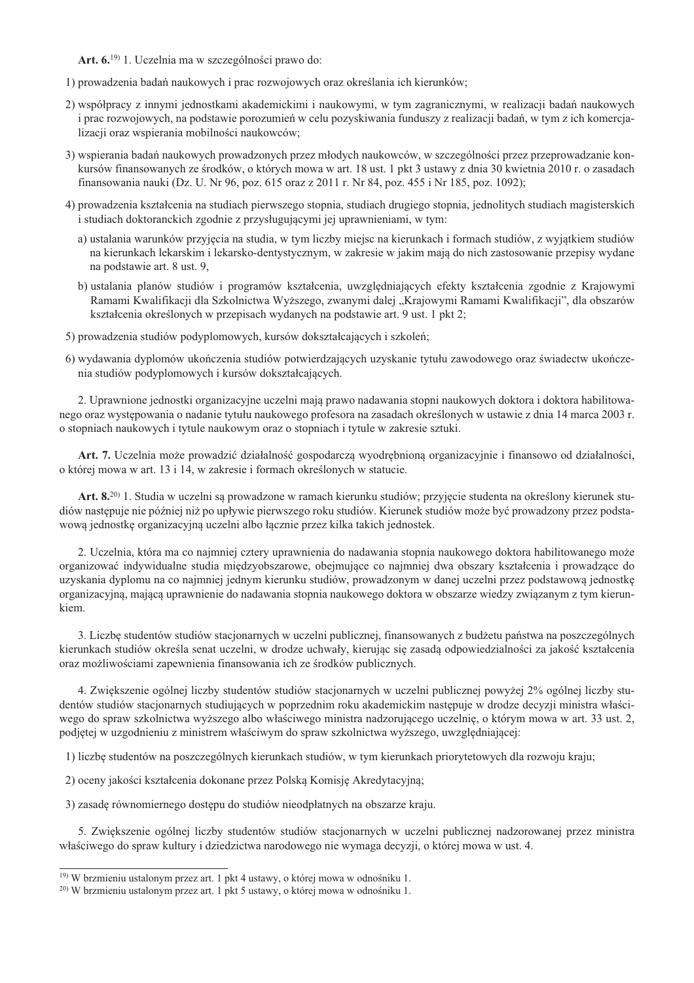Art. 6.<sup>19)</sup> 1. Uczelnia ma w szczególności prawo do:

1) prowadzenia badań naukowych i prac rozwojowych oraz określania ich kierunków;

- 2) współpracy z innymi jednostkami akademickimi i naukowymi, w tym zagranicznymi, w realizacji badań naukowych i prac rozwojowych, na podstawie porozumień w celu pozyskiwania funduszy z realizacji badań, w tym z ich komercjalizacji oraz wspierania mobilności naukowców;
- 3) wspierania badań naukowych prowadzonych przez młodych naukowców, w szczególności przez przeprowadzanie konkursów finansowanych ze środków, o których mowa w art. 18 ust. 1 pkt 3 ustawy z dnia 30 kwietnia 2010 r. o zasadach finansowania nauki (Dz. U. Nr 96, poz. 615 oraz z 2011 r. Nr 84, poz. 455 i Nr 185, poz. 1092);
- 4) prowadzenia kształcenia na studiach pierwszego stopnia, studiach drugiego stopnia, jednolitych studiach magisterskich i studiach doktoranckich zgodnie z przysługującymi jej uprawnieniami, w tym:
	- a) ustalania warunków przyjecia na studia, w tym liczby miejsc na kierunkach i formach studiów, z wyjatkiem studiów na kierunkach lekarskim i lekarsko-dentystycznym, w zakresie w jakim mają do nich zastosowanie przepisy wydane na podstawie art. 8 ust. 9,
	- b) ustalania planów studiów i programów kształcenia, uwzględniających efekty kształcenia zgodnie z Krajowymi Ramami Kwalifikacji dla Szkolnictwa Wyższego, zwanymi dalej "Krajowymi Ramami Kwalifikacji", dla obszarów kształcenia określonych w przepisach wydanych na podstawie art. 9 ust. 1 pkt 2;
- 5) prowadzenia studiów podyplomowych, kursów dokształcających i szkoleń;
- 6) wydawania dyplomów ukończenia studiów potwierdzających uzyskanie tytułu zawodowego oraz świadectw ukończenia studiów podyplomowych i kursów dokształcających.

2. Uprawnione jednostki organizacyjne uczelni mają prawo nadawania stopni naukowych doktora i doktora habilitowanego oraz występowania o nadanie tytułu naukowego profesora na zasadach określonych w ustawie z dnia 14 marca 2003 r. o stopniach naukowych i tytule naukowym oraz o stopniach i tytule w zakresie sztuki.

Art. 7. Uczelnia może prowadzić działalność gospodarczą wyodrębnioną organizacyjnie i finansowo od działalności, o której mowa w art. 13 i 14, w zakresie i formach określonych w statucie.

Art. 8.<sup>20)</sup> 1. Studia w uczelni są prowadzone w ramach kierunku studiów; przyjęcie studenta na określony kierunek studiów następuje nie później niż po upływie pierwszego roku studiów. Kierunek studiów może być prowadzony przez podstawową jednostkę organizacyjną uczelni albo łącznie przez kilka takich jednostek.

2. Uczelnia, która ma co najmniej cztery uprawnienia do nadawania stopnia naukowego doktora habilitowanego może organizować indywidualne studia międzyobszarowe, obejmujące co najmniej dwa obszary kształcenia i prowadzące do uzyskania dyplomu na co najmniej jednym kierunku studiów, prowadzonym w danej uczelni przez podstawową jednostkę organizacyjną, mającą uprawnienie do nadawania stopnia naukowego doktora w obszarze wiedzy związanym z tym kierunkiem.

3. Liczbe studentów studiów stacjonarnych w uczelni publicznej, finansowanych z budżetu państwa na poszczególnych kierunkach studiów określa senat uczelni, w drodze uchwały, kierując się zasadą odpowiedzialności za jakość kształcenia oraz możliwościami zapewnienia finansowania ich ze środków publicznych.

4. Zwiększenie ogólnej liczby studentów studiów stacjonarnych w uczelni publicznej powyżej 2% ogólnej liczby studentów studiów stacjonarnych studiujących w poprzednim roku akademickim następuje w drodze decyzji ministra właściwego do spraw szkolnictwa wyższego albo właściwego ministra nadzorującego uczelnię, o którym mowa w art. 33 ust. 2, podjętej w uzgodnieniu z ministrem właściwym do spraw szkolnictwa wyższego, uwzględniającej:

1) liczbę studentów na poszczególnych kierunkach studiów, w tym kierunkach priorytetowych dla rozwoju kraju;

2) oceny jakości kształcenia dokonane przez Polską Komisję Akredytacyjną;

3) zasadę równomiernego dostępu do studiów nieodpłatnych na obszarze kraju.

5. Zwiększenie ogólnej liczby studentów studiów stacjonarnych w uczelni publicznej nadzorowanej przez ministra właściwego do spraw kultury i dziedzictwa narodowego nie wymaga decyzji, o której mowa w ust. 4.

<sup>&</sup>lt;sup>19)</sup> W brzmieniu ustalonym przez art. 1 pkt 4 ustawy, o której mowa w odnośniku 1.

<sup>&</sup>lt;sup>20)</sup> W brzmieniu ustalonym przez art. 1 pkt 5 ustawy, o której mowa w odnośniku 1.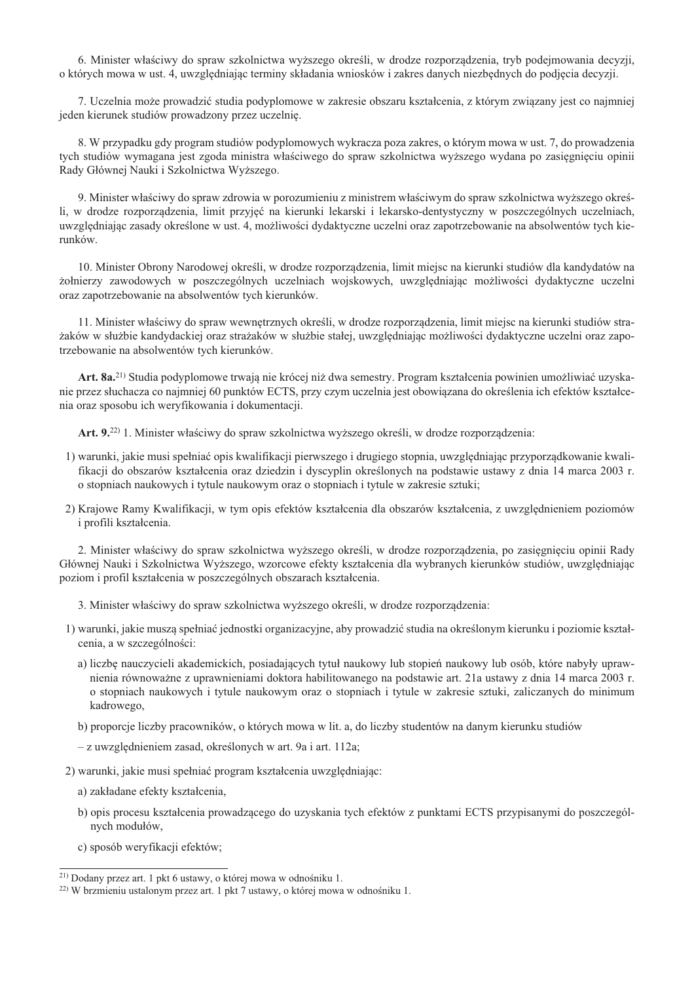6. Minister właściwy do spraw szkolnictwa wyższego określi, w drodze rozporzadzenia, tryb podejmowania decyzji, o których mowa w ust. 4, uwzględniając terminy składania wniosków i zakres danych niezbędnych do podjęcia decyzji.

7. Uczelnia może prowadzić studia podyplomowe w zakresie obszaru kształcenia, z którym zwiazany jest co najmniej jeden kierunek studiów prowadzony przez uczelnie.

8. W przypadku gdy program studiów podyplomowych wykracza poza zakres, o którym mowa w ust. 7, do prowadzenia tych studiów wymagana jest zgoda ministra właściwego do spraw szkolnictwa wyższego wydana po zasięgnięciu opinii Rady Głównej Nauki i Szkolnictwa Wyższego.

9. Minister właściwy do spraw zdrowia w porozumieniu z ministrem właściwym do spraw szkolnictwa wyższego określi, w drodze rozporzadzenia, limit przyjeć na kierunki lekarski i lekarsko-dentystyczny w poszczególnych uczelniach, uwzgledniając zasady określone w ust. 4, możliwości dydaktyczne uczelni oraz zapotrzebowanie na absolwentów tych kierunków.

10. Minister Obrony Narodowej określi, w drodze rozporządzenia, limit miejsc na kierunki studiów dla kandydatów na żołnierzy zawodowych w poszczególnych uczelniach wojskowych, uwzględniając możliwości dydaktyczne uczelni oraz zapotrzebowanie na absolwentów tych kierunków.

11. Minister właściwy do spraw wewnętrznych określi, w drodze rozporządzenia, limit miejsc na kierunki studiów strażaków w służbie kandydackiej oraz strażaków w służbie stałej, uwzględniając możliwości dydaktyczne uczelni oraz zapotrzebowanie na absolwentów tych kierunków.

Art. 8a.<sup>21)</sup> Studia podyplomowe trwają nie krócej niż dwa semestry. Program kształcenia powinien umożliwiać uzyskanie przez słuchacza co najmniej 60 punktów ECTS, przy czym uczelnia jest obowiązana do określenia ich efektów kształcenia oraz sposobu ich weryfikowania i dokumentacji.

Art. 9.<sup>22)</sup> 1. Minister właściwy do spraw szkolnictwa wyższego określi, w drodze rozporzadzenia:

- 1) warunki, jakie musi spełniać opis kwalifikacji pierwszego i drugiego stopnia, uwzględniając przyporządkowanie kwalifikacji do obszarów kształcenia oraz dziedzin i dyscyplin określonych na podstawie ustawy z dnia 14 marca 2003 r. o stopniach naukowych i tytule naukowym oraz o stopniach i tytule w zakresie sztuki;
- 2) Krajowe Ramy Kwalifikacji, w tym opis efektów kształcenia dla obszarów kształcenia, z uwzględnieniem poziomów i profili kształcenia.

2. Minister właściwy do spraw szkolnictwa wyższego określi, w drodze rozporządzenia, po zasięgnięciu opinii Rady Głównej Nauki i Szkolnictwa Wyższego, wzorcowe efekty kształcenia dla wybranych kierunków studiów, uwzględniając poziom i profil kształcenia w poszczególnych obszarach kształcenia.

3. Minister właściwy do spraw szkolnictwa wyższego określi, w drodze rozporządzenia:

- 1) warunki, jakie muszą spełniać jednostki organizacyjne, aby prowadzić studia na określonym kierunku i poziomie kształcenia, a w szczególności:
	- a) liczbę nauczycieli akademickich, posiadających tytuł naukowy lub stopień naukowy lub osób, które nabyły uprawnienia równoważne z uprawnieniami doktora habilitowanego na podstawie art. 21a ustawy z dnia 14 marca 2003 r. o stopniach naukowych i tytule naukowym oraz o stopniach i tytule w zakresie sztuki, zaliczanych do minimum kadrowego,
	- b) proporcje liczby pracowników, o których mowa w lit. a, do liczby studentów na danym kierunku studiów
	- z uwzględnieniem zasad, określonych w art. 9a i art. 112a;
- 2) warunki, jakie musi spełniać program kształcenia uwzględniając:
	- a) zakładane efekty kształcenia,
	- b) opis procesu kształcenia prowadzacego do uzyskania tych efektów z punktami ECTS przypisanymi do poszczególnvch modułów.
	- c) sposób weryfikacji efektów;

<sup>&</sup>lt;sup>21)</sup> Dodany przez art. 1 pkt 6 ustawy, o której mowa w odnośniku 1.

<sup>&</sup>lt;sup>22)</sup> W brzmieniu ustalonym przez art. 1 pkt 7 ustawy, o której mowa w odnośniku 1.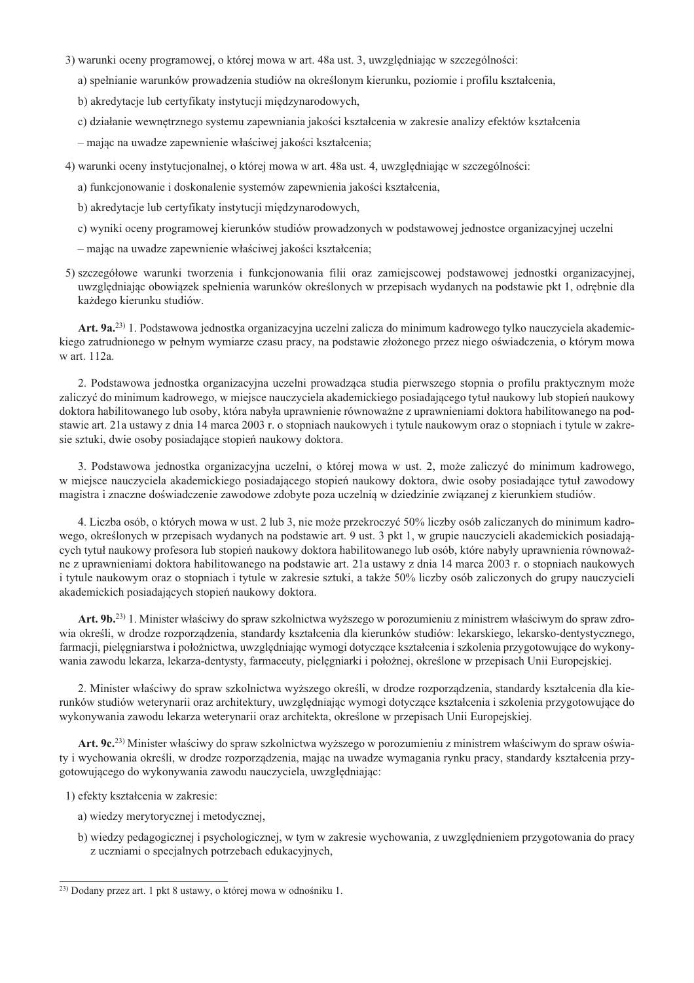- 3) warunki oceny programowej, o której mowa w art. 48a ust. 3, uwzgledniając w szczególności:
	- a) spełnianie warunków prowadzenia studiów na określonym kierunku, poziomie i profilu kształcenia,
	- b) akredytacje lub certyfikaty instytucji międzynarodowych,
	- c) działanie wewnętrznego systemu zapewniania jakości kształcenia w zakresie analizy efektów kształcenia
	- mając na uwadze zapewnienie właściwej jakości kształcenia;
- 4) warunki oceny instytucjonalnej, o której mowa w art. 48a ust. 4, uwzględniając w szczególności:
	- a) funkcjonowanie i doskonalenie systemów zapewnienia jakości kształcenia,
	- b) akredytacje lub certyfikaty instytucji międzynarodowych,
	- c) wyniki oceny programowej kierunków studiów prowadzonych w podstawowej jednostce organizacyjnej uczelni
	- mając na uwadze zapewnienie właściwej jakości kształcenia;
- 5) szczegółowe warunki tworzenia i funkcjonowania filii oraz zamiejscowej podstawowej jednostki organizacyjnej, uwzględniając obowiązek spełnienia warunków określonych w przepisach wydanych na podstawie pkt 1, odrębnie dla każdego kierunku studiów.

Art. 9a.<sup>23)</sup> 1. Podstawowa jednostka organizacyjna uczelni zalicza do minimum kadrowego tylko nauczyciela akademickiego zatrudnionego w pełnym wymiarze czasu pracy, na podstawie złożonego przez niego oświadczenia, o którym mowa w art. 112a.

2. Podstawowa jednostka organizacyjna uczelni prowadzaca studia pierwszego stopnia o profilu praktycznym może zaliczyć do minimum kadrowego, w miejsce nauczyciela akademickiego posiadającego tytuł naukowy lub stopień naukowy doktora habilitowanego lub osoby, która nabyła uprawnienie równoważne z uprawnieniami doktora habilitowanego na podstawie art. 21a ustawy z dnia 14 marca 2003 r. o stopniach naukowych i tytule naukowym oraz o stopniach i tytule w zakresie sztuki, dwie osoby posiadające stopień naukowy doktora.

3. Podstawowa jednostka organizacyjna uczelni, o której mowa w ust. 2, może zaliczyć do minimum kadrowego, w miejsce nauczyciela akademickiego posiadającego stopień naukowy doktora, dwie osoby posiadające tytuł zawodowy magistra i znaczne doświadczenie zawodowe zdobyte poza uczelnia w dziedzinie związanej z kierunkiem studiów.

4. Liczba osób, o których mowa w ust. 2 lub 3, nie może przekroczyć 50% liczby osób zaliczanych do minimum kadrowego, określonych w przepisach wydanych na podstawie art. 9 ust. 3 pkt 1, w grupie nauczycieli akademickich posiadających tytuł naukowy profesora lub stopień naukowy doktora habilitowanego lub osób, które nabyły uprawnienia równoważne z uprawnieniami doktora habilitowanego na podstawie art. 21a ustawy z dnia 14 marca 2003 r. o stopniach naukowych i tytule naukowym oraz o stopniach i tytule w zakresie sztuki, a także 50% liczby osób zaliczonych do grupy nauczycieli akademickich posiadających stopień naukowy doktora.

Art. 9b.<sup>23)</sup> 1. Minister właściwy do spraw szkolnictwa wyższego w porozumieniu z ministrem właściwym do spraw zdrowia określi, w drodze rozporządzenia, standardy kształcenia dla kierunków studiów: lekarskiego, lekarsko-dentystycznego, farmacji, pielegniarstwa i położnictwa, uwzgledniając wymogi dotyczące kształcenia i szkolenia przygotowujące do wykonywania zawodu lekarza, lekarza-dentysty, farmaceuty, pielegniarki i położnej, określone w przepisach Unii Europejskiej.

2. Minister właściwy do spraw szkolnictwa wyższego określi, w drodze rozporządzenia, standardy kształcenia dla kierunków studiów weterynarii oraz architektury, uwzględniając wymogi dotyczące kształcenia i szkolenia przygotowujące do wykonywania zawodu lekarza weterynarii oraz architekta, określone w przepisach Unii Europejskiej.

Art. 9c.<sup>23</sup>) Minister właściwy do spraw szkolnictwa wyższego w porozumieniu z ministrem właściwym do spraw oświaty i wychowania określi, w drodze rozporządzenia, mając na uwadze wymagania rynku pracy, standardy kształcenia przygotowującego do wykonywania zawodu nauczyciela, uwzględniając:

1) efekty kształcenia w zakresie:

- a) wiedzy merytorycznej i metodycznej,
- b) wiedzy pedagogicznej i psychologicznej, w tym w zakresie wychowania, z uwzględnieniem przygotowania do pracy z uczniami o specjalnych potrzebach edukacyjnych,

<sup>&</sup>lt;sup>23)</sup> Dodany przez art. 1 pkt 8 ustawy, o której mowa w odnośniku 1.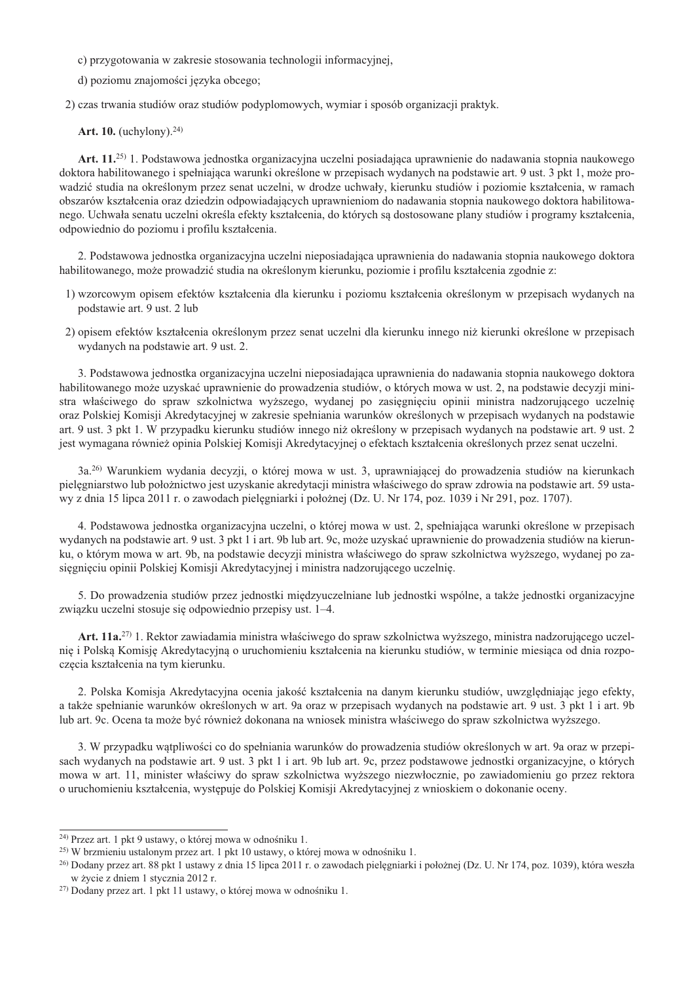c) przygotowania w zakresie stosowania technologii informacyjnej.

d) poziomu znajomości języka obcego;

2) czas trwania studiów oraz studiów podyplomowych, wymiar i sposób organizacji praktyk.

Art. 10. (uchylony). $24$ )

Art. 11.<sup>25)</sup> 1. Podstawowa jednostka organizacyjna uczelni posiadająca uprawnienie do nadawania stopnia naukowego doktora habilitowanego i spełniająca warunki określone w przepisach wydanych na podstawie art. 9 ust. 3 pkt 1, może prowadzić studia na określonym przez senat uczelni, w drodze uchwały, kierunku studiów i poziomie kształcenia, w ramach obszarów kształcenia oraz dziedzin odpowiadających uprawnieniom do nadawania stopnia naukowego doktora habilitowanego. Uchwała senatu uczelni określa efekty kształcenia, do których są dostosowane plany studiów i programy kształcenia, odpowiednio do poziomu i profilu kształcenia.

2. Podstawowa jednostka organizacyjna uczelni nieposiadająca uprawnienia do nadawania stopnia naukowego doktora habilitowanego, może prowadzić studia na określonym kierunku, poziomie i profilu kształcenia zgodnie z:

- 1) wzorcowym opisem efektów kształcenia dla kierunku i poziomu kształcenia określonym w przepisach wydanych na podstawie art. 9 ust. 2 lub
- 2) opisem efektów kształcenia określonym przez senat uczelni dla kierunku innego niż kierunki określone w przepisach wydanych na podstawie art. 9 ust. 2.

3. Podstawowa jednostka organizacyjna uczelni nieposiadająca uprawnienia do nadawania stopnia naukowego doktora habilitowanego może uzyskać uprawnienie do prowadzenia studiów, o których mowa w ust. 2, na podstawie decyzji ministra właściwego do spraw szkolnictwa wyższego, wydanej po zasięgnięciu opinii ministra nadzorującego uczelnię oraz Polskiej Komisji Akredytacyjnej w zakresie spełniania warunków określonych w przepisach wydanych na podstawie art. 9 ust. 3 pkt 1. W przypadku kierunku studiów innego niż określony w przepisach wydanych na podstawie art. 9 ust. 2 jest wymagana również opinia Polskiej Komisji Akredytacyjnej o efektach kształcenia określonych przez senat uczelni.

3a.<sup>26</sup>) Warunkiem wydania decyzji, o której mowa w ust. 3, uprawniającej do prowadzenia studiów na kierunkach pielegniarstwo lub położnictwo jest uzyskanie akredytacji ministra właściwego do spraw zdrowia na podstawie art. 59 ustawy z dnia 15 lipca 2011 r. o zawodach pielęgniarki i położnej (Dz. U. Nr 174, poz. 1039 i Nr 291, poz. 1707).

4. Podstawowa jednostka organizacyjna uczelni, o której mowa w ust. 2, spełniająca warunki określone w przepisach wydanych na podstawie art. 9 ust. 3 pkt 1 i art. 9b lub art. 9c, może uzyskać uprawnienie do prowadzenia studiów na kierunku, o którym mowa w art. 9b, na podstawie decyzji ministra właściwego do spraw szkolnictwa wyższego, wydanej po zasięgnięciu opinii Polskiej Komisji Akredytacyjnej i ministra nadzorującego uczelnię.

5. Do prowadzenia studiów przez jednostki miedzyuczelniane lub jednostki wspólne, a także jednostki organizacyjne związku uczelni stosuje się odpowiednio przepisy ust. 1–4.

Art. 11a.<sup>27)</sup> 1. Rektor zawiadamia ministra właściwego do spraw szkolnictwa wyższego, ministra nadzorującego uczelnię i Polską Komisję Akredytacyjną o uruchomieniu kształcenia na kierunku studiów, w terminie miesiąca od dnia rozpoczęcia kształcenia na tym kierunku.

2. Polska Komisja Akredytacyjna ocenia jakość kształcenia na danym kierunku studiów, uwzględniając jego efekty, a także spełnianie warunków określonych w art. 9a oraz w przepisach wydanych na podstawie art. 9 ust. 3 pkt 1 i art. 9b lub art. 9c. Ocena ta może być również dokonana na wniosek ministra właściwego do spraw szkolnictwa wyższego.

3. W przypadku wątpliwości co do spełniania warunków do prowadzenia studiów określonych w art. 9a oraz w przepisach wydanych na podstawie art. 9 ust. 3 pkt 1 i art. 9b lub art. 9c, przez podstawowe jednostki organizacyjne, o których mowa w art. 11, minister właściwy do spraw szkolnictwa wyższego niezwłocznie, po zawiadomieniu go przez rektora o uruchomieniu kształcenia, wystepuje do Polskiej Komisji Akredytacyjnej z wnioskiem o dokonanie oceny.

<sup>&</sup>lt;sup>24)</sup> Przez art. 1 pkt 9 ustawy, o której mowa w odnośniku 1.

<sup>&</sup>lt;sup>25)</sup> W brzmieniu ustalonym przez art. 1 pkt 10 ustawy, o której mowa w odnośniku 1.

<sup>&</sup>lt;sup>26</sup> Dodany przez art. 88 pkt 1 ustawy z dnia 15 lipca 2011 r. o zawodach pielegniarki i położnej (Dz. U. Nr 174. poz. 1039), która weszła w życie z dniem 1 stycznia 2012 r.

<sup>&</sup>lt;sup>27)</sup> Dodany przez art. 1 pkt 11 ustawy, o której mowa w odnośniku 1.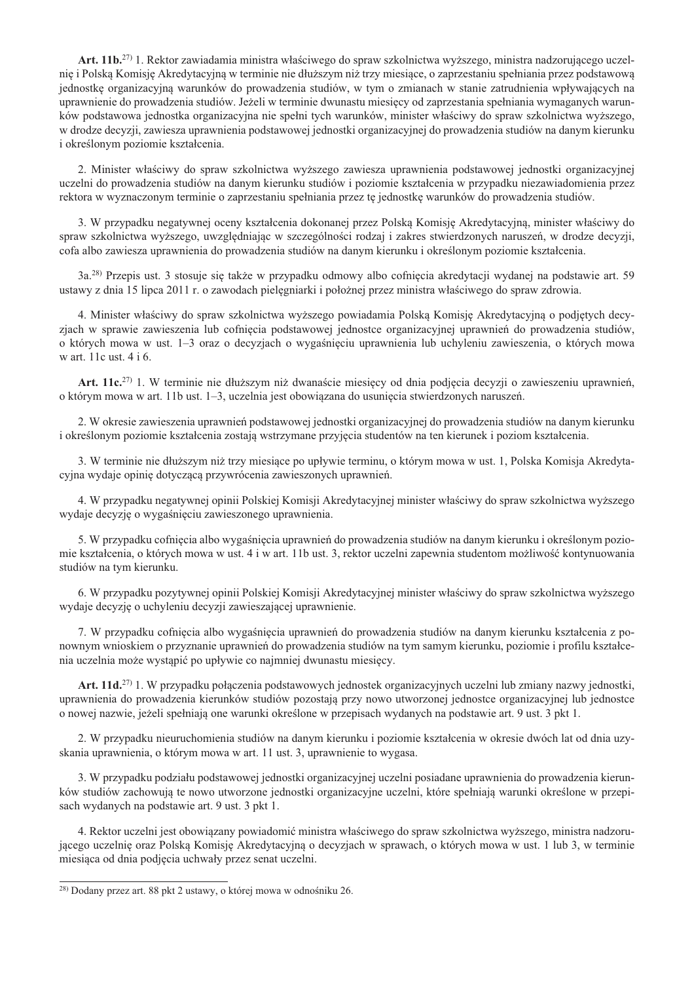Art. 11b.<sup>27)</sup> 1. Rektor zawiadamia ministra właściwego do spraw szkolnictwa wyższego, ministra nadzorującego uczelnię i Polską Komisję Akredytacyjną w terminie nie dłuższym niż trzy miesiące, o zaprzestaniu spełniania przez podstawową jednostke organizacyjna warunków do prowadzenia studiów, w tym o zmianach w stanie zatrudnienia wpływających na uprawnienie do prowadzenia studiów. Jeżeli w terminie dwunastu miesięcy od zaprzestania spełniania wymaganych warunków podstawowa jednostka organizacyjna nie spełni tych warunków, minister właściwy do spraw szkolnictwa wyższego, w drodze decyzji, zawiesza uprawnienia podstawowej jednostki organizacyjnej do prowadzenia studiów na danym kierunku i określonym poziomie kształcenia.

2. Minister właściwy do spraw szkolnictwa wyższego zawiesza uprawnienia podstawowej jednostki organizacyjnej uczelni do prowadzenia studiów na danym kierunku studiów i poziomie kształcenia w przypadku niezawiadomienia przez rektora w wyznaczonym terminie o zaprzestaniu spełniania przez tę jednostkę warunków do prowadzenia studiów.

3. W przypadku negatywnej oceny kształcenia dokonanej przez Polską Komisję Akredytacyjną, minister właściwy do spraw szkolnictwa wyższego, uwzględniając w szczególności rodzaj i zakres stwierdzonych naruszeń, w drodze decyzji, cofa albo zawiesza uprawnienia do prowadzenia studiów na danym kierunku i określonym poziomie kształcenia.

3a.<sup>28)</sup> Przepis ust. 3 stosuje się także w przypadku odmowy albo cofniecia akredytacji wydanej na podstawie art. 59 ustawy z dnia 15 lipca 2011 r. o zawodach pielęgniarki i położnej przez ministra właściwego do spraw zdrowia.

4. Minister właściwy do spraw szkolnictwa wyższego powiadamia Polska Komisję Akredytacyjna o podjętych decyzjach w sprawie zawieszenia lub cofniecia podstawowej jednostce organizacyjnej uprawnień do prowadzenia studiów, o których mowa w ust. 1–3 oraz o decyzjach o wygaśnięciu uprawnienia lub uchyleniu zawieszenia, o których mowa w art. 11c ust. 4 i 6.

Art. 11c.<sup>27)</sup> 1. W terminie nie dłuższym niż dwanaście miesięcy od dnia podjęcia decyzji o zawieszeniu uprawnień, o którym mowa w art. 11b ust. 1–3, uczelnia jest obowiazana do usuniecia stwierdzonych naruszeń.

2. W okresie zawieszenia uprawnień podstawowej jednostki organizacyjnej do prowadzenia studiów na danym kierunku i określonym poziomie kształcenia zostają wstrzymane przyjęcia studentów na ten kierunek i poziom kształcenia.

3. W terminie nie dłuższym niż trzy miesiące po upływie terminu, o którym mowa w ust. 1, Polska Komisja Akredytacyjna wydaje opinię dotyczącą przywrócenia zawieszonych uprawnień.

4. W przypadku negatywnej opinii Polskiej Komisji Akredytacyjnej minister właściwy do spraw szkolnictwa wyższego wydaje decyzję o wygaśnięciu zawieszonego uprawnienia.

5. W przypadku cofnięcia albo wygaśnięcia uprawnień do prowadzenia studiów na danym kierunku i określonym poziomie kształcenia, o których mowa w ust. 4 i w art. 11b ust. 3, rektor uczelni zapewnia studentom możliwość kontynuowania studiów na tym kierunku.

6. W przypadku pozytywnej opinii Polskiej Komisji Akredytacyjnej minister właściwy do spraw szkolnictwa wyższego wydaje decyzję o uchyleniu decyzji zawieszającej uprawnienie.

7. W przypadku cofnięcia albo wygaśnięcia uprawnień do prowadzenia studiów na danym kierunku kształcenia z ponownym wnioskiem o przyznanie uprawnień do prowadzenia studiów na tym samym kierunku, poziomie i profilu kształcenia uczelnia może wystąpić po upływie co najmniej dwunastu miesięcy.

Art. 11d.<sup>27)</sup> 1. W przypadku połaczenia podstawowych jednostek organizacyjnych uczelni lub zmiany nazwy jednostki, uprawnienia do prowadzenia kierunków studiów pozostają przy nowo utworzonej jednostce organizacyjnej lub jednostce o nowej nazwie, jeżeli spełniają one warunki określone w przepisach wydanych na podstawie art. 9 ust. 3 pkt 1.

2. W przypadku nieuruchomienia studiów na danym kierunku i poziomie kształcenia w okresie dwóch lat od dnia uzyskania uprawnienia, o którym mowa w art. 11 ust. 3, uprawnienie to wygasa.

3. W przypadku podziału podstawowej jednostki organizacyjnej uczelni posiadane uprawnienia do prowadzenia kierunków studiów zachowują te nowo utworzone jednostki organizacyjne uczelni, które spełniają warunki określone w przepisach wydanych na podstawie art. 9 ust. 3 pkt 1.

4. Rektor uczelni jest obowiązany powiadomić ministra właściwego do spraw szkolnictwa wyższego, ministra nadzorującego uczelnię oraz Polską Komisję Akredytacyjną o decyzjach w sprawach, o których mowa w ust. 1 lub 3, w terminie miesiąca od dnia podjęcia uchwały przez senat uczelni.

<sup>&</sup>lt;sup>28)</sup> Dodany przez art. 88 pkt 2 ustawy, o której mowa w odnośniku 26.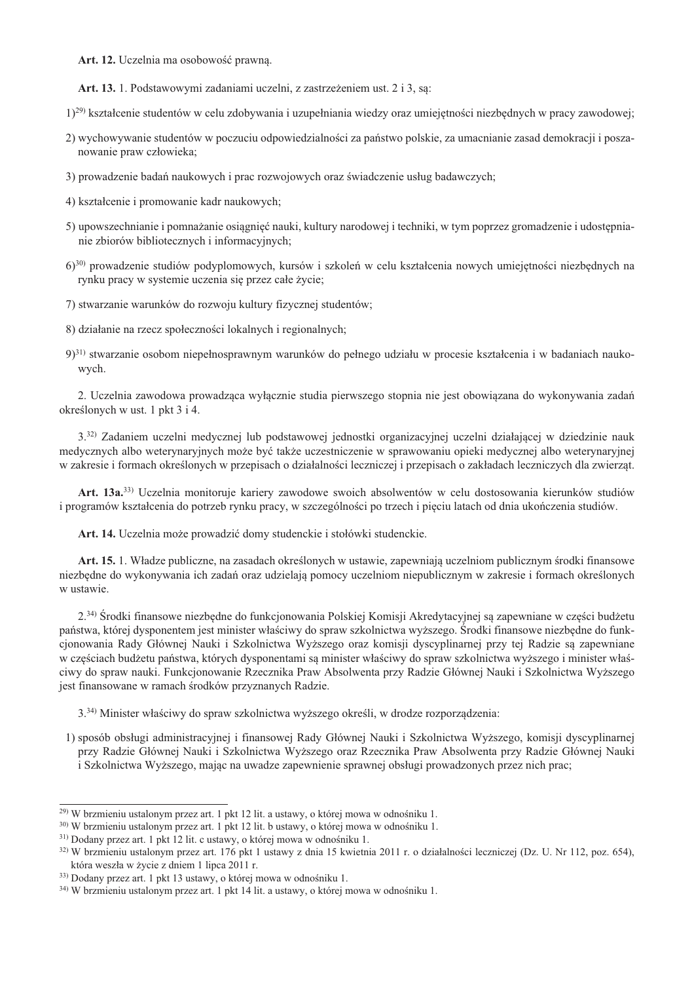Art. 12. Uczelnia ma osobowość prawna.

Art. 13. 1. Podstawowymi zadaniami uczelni, z zastrzeżeniem ust. 2 i 3, sa:

1)<sup>29)</sup> kształcenie studentów w celu zdobywania i uzupełniania wiedzy oraz umiejętności niezbędnych w pracy zawodowej;

- 2) wychowywanie studentów w poczuciu odpowiedzialności za państwo polskie, za umacnianie zasad demokracji i poszanowanie praw człowieka;
- 3) prowadzenie badań naukowych i prac rozwojowych oraz świadczenie usług badawczych;
- 4) kształcenie i promowanie kadr naukowych;
- 5) upowszechnianie i pomnażanie osiągnięć nauki, kultury narodowej i techniki, w tym poprzez gromadzenie i udostępnianie zbiorów bibliotecznych i informacyjnych;
- 6)<sup>30)</sup> prowadzenie studiów podyplomowych, kursów i szkoleń w celu kształcenia nowych umiejętności niezbędnych na rynku pracy w systemie uczenia się przez całe życie;
- 7) stwarzanie warunków do rozwoju kultury fizycznej studentów:
- 8) działanie na rzecz społeczności lokalnych i regionalnych;
- 9<sup>31)</sup> stwarzanie osobom niepełnosprawnym warunków do pełnego udziału w procesie kształcenia i w badaniach naukowych.

2. Uczelnia zawodowa prowadząca wyłącznie studia pierwszego stopnia nie jest obowiązana do wykonywania zadań określonych w ust. 1 pkt 3 i 4.

3.32) Zadaniem uczelni medycznej lub podstawowej jednostki organizacyjnej uczelni działającej w dziedzinie nauk medycznych albo weterynaryjnych może być także uczestniczenie w sprawowaniu opieki medycznej albo weterynaryjnej w zakresie i formach określonych w przepisach o działalności leczniczej i przepisach o zakładach leczniczych dla zwierząt.

Art. 13a.<sup>33)</sup> Uczelnia monitoruje kariery zawodowe swoich absolwentów w celu dostosowania kierunków studiów i programów kształcenia do potrzeb rynku pracy, w szczególności po trzech i pieciu latach od dnia ukończenia studiów.

Art. 14. Uczelnia może prowadzić domy studenckie i stołówki studenckie.

Art. 15. 1. Władze publiczne, na zasadach określonych w ustawie, zapewniają uczelniom publicznym środki finansowe niezbędne do wykonywania ich zadań oraz udzielają pomocy uczelniom niepublicznym w zakresie i formach określonych w ustawie.

2.<sup>34)</sup> Srodki finansowe niezbędne do funkcjonowania Polskiej Komisji Akredytacyjnej są zapewniane w części budżetu państwa, której dysponentem jest minister właściwy do spraw szkolnictwa wyższego. Środki finansowe niezbędne do funkcjonowania Rady Głównej Nauki i Szkolnictwa Wyższego oraz komisji dyscyplinarnej przy tej Radzie są zapewniane w częściach budżetu państwa, których dysponentami są minister właściwy do spraw szkolnictwa wyższego i minister właściwy do spraw nauki. Funkcionowanie Rzecznika Praw Absolwenta przy Radzie Głównej Nauki i Szkolnictwa Wyższego jest finansowane w ramach środków przyznanych Radzie.

3.<sup>34)</sup> Minister właściwy do spraw szkolnictwa wyższego określi, w drodze rozporzadzenia:

1) sposób obsługi administracyjnej i finansowej Rady Głównej Nauki i Szkolnictwa Wyższego, komisji dyscyplinarnej przy Radzie Głównej Nauki i Szkolnictwa Wyższego oraz Rzecznika Praw Absolwenta przy Radzie Głównej Nauki i Szkolnictwa Wyższego, mając na uwadze zapewnienie sprawnej obsługi prowadzonych przez nich prac;

<sup>&</sup>lt;sup>29)</sup> W brzmieniu ustalonym przez art. 1 pkt 12 lit. a ustawy, o której mowa w odnośniku 1.

<sup>30)</sup> W brzmieniu ustalonym przez art. 1 pkt 12 lit. b ustawy, o której mowa w odnośniku 1.

<sup>&</sup>lt;sup>31)</sup> Dodany przez art. 1 pkt 12 lit. c ustawy, o której mowa w odnośniku 1.

<sup>32)</sup> W brzmieniu ustalonym przez art. 176 pkt 1 ustawy z dnia 15 kwietnia 2011 r. o działalności leczniczej (Dz. U. Nr 112, poz. 654), która weszła w życie z dniem 1 lipca 2011 r.

<sup>33)</sup> Dodany przez art. 1 pkt 13 ustawy, o której mowa w odnośniku 1.

<sup>&</sup>lt;sup>34)</sup> W brzmieniu ustalonym przez art. 1 pkt 14 lit. a ustawy, o której mowa w odnośniku 1.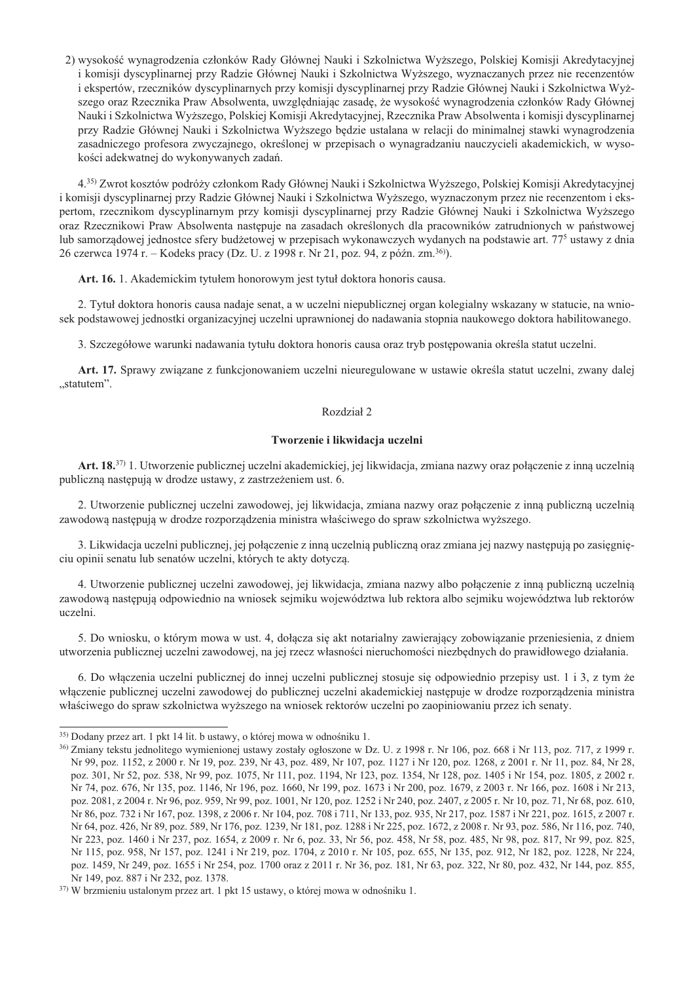2) wysokość wynagrodzenia członków Rady Głównej Nauki i Szkolnictwa Wyższego, Polskiej Komisji Akredytacyjnej i komisji dyscyplinarnej przy Radzie Głównej Nauki i Szkolnictwa Wyższego, wyznaczanych przez nie recenzentów i ekspertów, rzeczników dyscyplinarnych przy komisji dyscyplinarnej przy Radzie Głównej Nauki i Szkolnictwa Wyższego oraz Rzecznika Praw Absolwenta, uwzględniając zasadę, że wysokość wynagrodzenia członków Rady Głównej Nauki i Szkolnictwa Wyższego, Polskiej Komisji Akredytacyjnej, Rzecznika Praw Absolwenta i komisji dyscyplinarnej przy Radzie Głównej Nauki i Szkolnictwa Wyższego będzie ustalana w relacji do minimalnej stawki wynagrodzenia zasadniczego profesora zwyczajnego, określonej w przepisach o wynagradzaniu nauczycieli akademickich, w wysokości adekwatnej do wykonywanych zadań.

4.35) Zwrot kosztów podróży członkom Rady Głównej Nauki i Szkolnictwa Wyższego, Polskiej Komisji Akredytacyjnej i komisji dyscyplinarnej przy Radzie Głównej Nauki i Szkolnictwa Wyższego, wyznaczonym przez nie recenzentom i ekspertom, rzecznikom dyscyplinarnym przy komisji dyscyplinarnej przy Radzie Głównej Nauki i Szkolnictwa Wyższego oraz Rzecznikowi Praw Absolwenta następuje na zasadach określonych dla pracowników zatrudnionych w państwowej lub samorządowej jednostce sfery budżetowej w przepisach wykonawczych wydanych na podstawie art. 77<sup>5</sup> ustawy z dnia 26 czerwca 1974 r. – Kodeks pracy (Dz. U. z 1998 r. Nr 21, poz. 94, z późn. zm.<sup>36</sup>).

Art. 16. 1. Akademickim tytułem honorowym jest tytuł doktora honoris causa.

2. Tytuł doktora honoris causa nadaje senat, a w uczelni niepublicznej organ kolegialny wskazany w statucie, na wniosek podstawowej jednostki organizacyjnej uczelni uprawnionej do nadawania stopnia naukowego doktora habilitowanego.

3. Szczegółowe warunki nadawania tytułu doktora honoris causa oraz tryb postępowania określa statut uczelni.

Art. 17. Sprawy związane z funkcjonowaniem uczelni nieuregulowane w ustawie określa statut uczelni, zwany dalej "statutem".

#### Rozdział 2

### Tworzenie i likwidacja uczelni

Art. 18.<sup>37)</sup> 1. Utworzenie publicznej uczelni akademickiej, jej likwidacja, zmiana nazwy oraz połączenie z inną uczelnią publiczną następują w drodze ustawy, z zastrzeżeniem ust. 6.

2. Utworzenie publicznej uczelni zawodowej, jej likwidacja, zmiana nazwy oraz połączenie z inną publiczną uczelnią zawodową następują w drodze rozporządzenia ministra właściwego do spraw szkolnictwa wyższego.

3. Likwidacja uczelni publicznej, jej połączenie z inną uczelnią publiczną oraz zmiana jej nazwy następują po zasięgnięciu opinii senatu lub senatów uczelni, których te akty dotyczą.

4. Utworzenie publicznej uczelni zawodowej, jej likwidacja, zmiana nazwy albo połączenie z inną publiczną uczelnią zawodową następują odpowiednio na wniosek sejmiku województwa lub rektora albo sejmiku województwa lub rektorów uczelni.

5. Do wniosku, o którym mowa w ust. 4, dołącza się akt notarialny zawierający zobowiązanie przeniesienia, z dniem utworzenia publicznej uczelni zawodowej, na jej rzecz własności nieruchomości niezbędnych do prawidłowego działania.

6. Do włączenia uczelni publicznej do innej uczelni publicznej stosuje się odpowiednio przepisy ust. 1 i 3, z tym że włączenie publicznej uczelni zawodowej do publicznej uczelni akademickiej następuje w drodze rozporządzenia ministra właściwego do spraw szkolnictwa wyższego na wniosek rektorów uczelni po zaopiniowaniu przez ich senaty.

<sup>&</sup>lt;sup>35)</sup> Dodany przez art. 1 pkt 14 lit. b ustawy, o której mowa w odnośniku 1.

<sup>&</sup>lt;sup>36</sup> Zmiany tekstu jednolitego wymienionej ustawy zostały ogłoszone w Dz. U. z 1998 r. Nr 106, poz. 668 i Nr 113, poz. 717, z 1999 r. Nr 99, poz. 1152, z 2000 r. Nr 19, poz. 239, Nr 43, poz. 489, Nr 107, poz. 1127 i Nr 120, poz. 1268, z 2001 r. Nr 11, poz. 84, Nr 28, poz. 301, Nr 52, poz. 538, Nr 99, poz. 1075, Nr 111, poz. 1194, Nr 123, poz. 1354, Nr 128, poz. 1405 i Nr 154, poz. 1805, z 2002 r. Nr 74, poz. 676, Nr 135, poz. 1146, Nr 196, poz. 1660, Nr 199, poz. 1673 i Nr 200, poz. 1679, z 2003 r. Nr 166, poz. 1608 i Nr 213, poz. 2081, z 2004 r. Nr 96, poz. 959, Nr 99, poz. 1001, Nr 120, poz. 1252 i Nr 240, poz. 2407, z 2005 r. Nr 10, poz. 71, Nr 68, poz. 610, Nr 86, poz. 732 i Nr 167, poz. 1398, z 2006 r. Nr 104, poz. 708 i 711, Nr 133, poz. 935, Nr 217, poz. 1587 i Nr 221, poz. 1615, z 2007 r. Nr 64, poz. 426, Nr 89, poz. 589, Nr 176, poz. 1239, Nr 181, poz. 1288 i Nr 225, poz. 1672, z 2008 r. Nr 93, poz. 586, Nr 116, poz. 740, Nr 223, poz. 1460 i Nr 237, poz. 1654, z 2009 r. Nr 6, poz. 33, Nr 56, poz. 458, Nr 58, poz. 485, Nr 98, poz. 817, Nr 99, poz. 825, Nr 115, poz. 958, Nr 157, poz. 1241 i Nr 219, poz. 1704, z 2010 r. Nr 105, poz. 655, Nr 135, poz. 912, Nr 182, poz. 1228, Nr 224, poz. 1459, Nr 249, poz. 1655 i Nr 254, poz. 1700 oraz z 2011 r. Nr 36, poz. 181, Nr 63, poz. 322, Nr 80, poz. 432, Nr 144, poz. 855, Nr 149, poz. 887 i Nr 232, poz. 1378.

 $37$ ) W brzmieniu ustalonym przez art. 1 pkt 15 ustawy, o której mowa w odnośniku 1.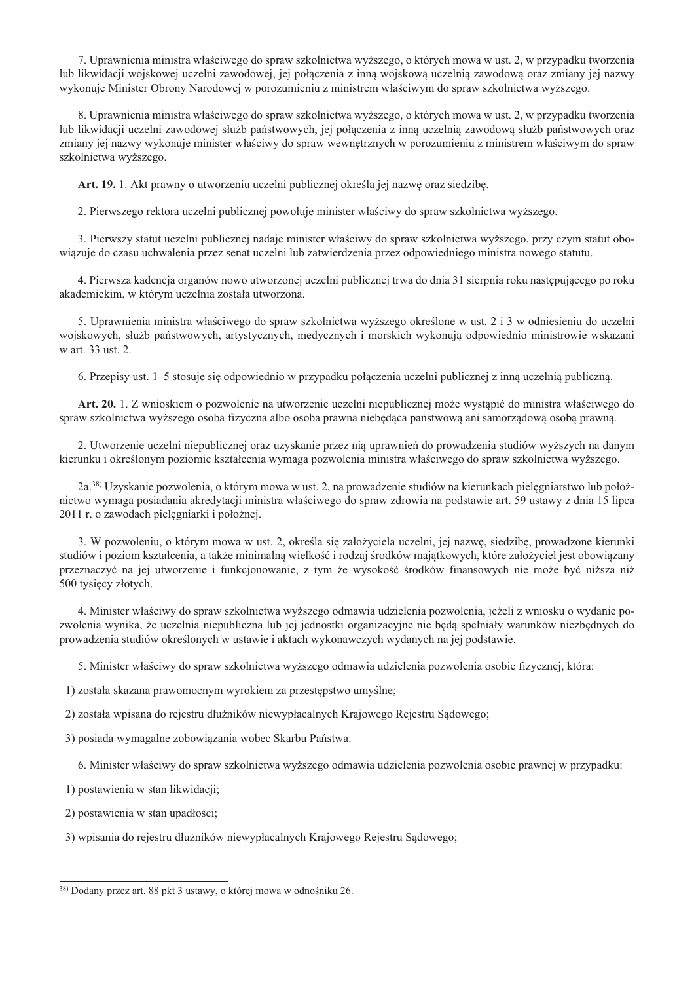7. Uprawnienia ministra właściwego do spraw szkolnictwa wyższego, o których mowa w ust. 2, w przypadku tworzenia lub likwidacji wojskowej uczelni zawodowej, jej połączenia z inną wojskową uczelnią zawodową oraz zmiany jej nazwy wykonuje Minister Obrony Narodowej w porozumieniu z ministrem właściwym do spraw szkolnictwa wyższego.

8. Uprawnienia ministra właściwego do spraw szkolnictwa wyższego, o których mowa w ust. 2, w przypadku tworzenia lub likwidacji uczelni zawodowej służb państwowych, jej połączenia z inną uczelnią zawodową służb państwowych oraz zmiany jej nazwy wykonuje minister właściwy do spraw wewnętrznych w porozumieniu z ministrem właściwym do spraw szkolnictwa wyższego.

Art. 19. 1. Akt prawny o utworzeniu uczelni publicznej określa jej nazwę oraz siedzibę.

2. Pierwszego rektora uczelni publicznej powołuje minister właściwy do spraw szkolnictwa wyższego.

3. Pierwszy statut uczelni publicznej nadaje minister właściwy do spraw szkolnictwa wyższego, przy czym statut obowiazuje do czasu uchwalenia przez senat uczelni lub zatwierdzenia przez odpowiedniego ministra nowego statutu.

4. Pierwsza kadencja organów nowo utworzonej uczelni publicznej trwa do dnia 31 sierpnia roku następującego po roku akademickim, w którym uczelnia została utworzona.

5. Uprawnienia ministra właściwego do spraw szkolnictwa wyższego określone w ust. 2 i 3 w odniesieniu do uczelni wojskowych, służb państwowych, artystycznych, medycznych i morskich wykonują odpowiednio ministrowie wskazani w art. 33 ust. 2.

6. Przepisy ust. 1–5 stosuje się odpowiednio w przypadku połączenia uczelni publicznej z inną uczelnią publiczną.

Art. 20. 1. Z wnioskiem o pozwolenie na utworzenie uczelni niepublicznej może wystąpić do ministra właściwego do spraw szkolnictwa wyższego osoba fizyczna albo osoba prawna niebędąca państwową ani samorządową osobą prawną.

2. Utworzenie uczelni niepublicznej oraz uzyskanie przez nia uprawnień do prowadzenia studiów wyższych na danym kierunku i określonym poziomie kształcenia wymaga pozwolenia ministra właściwego do spraw szkolnictwa wyższego.

2a.<sup>38</sup>) Uzyskanie pozwolenia, o którym mowa w ust. 2, na prowadzenie studiów na kierunkach pielęgniarstwo lub położnictwo wymaga posiadania akredytacji ministra właściwego do spraw zdrowia na podstawie art. 59 ustawy z dnia 15 lipca 2011 r. o zawodach pielęgniarki i położnej.

3. W pozwoleniu, o którym mowa w ust. 2, określa się założyciela uczelni, jej nazwę, siedzibę, prowadzone kierunki studiów i poziom kształcenia, a także minimalną wielkość i rodzaj środków majątkowych, które założyciel jest obowiązany przeznaczyć na jej utworzenie i funkcjonowanie, z tym że wysokość środków finansowych nie może być niższa niż 500 tysięcy złotych.

4. Minister właściwy do spraw szkolnictwa wyższego odmawia udzielenia pozwolenia, jeżeli z wniosku o wydanie pozwolenia wynika, że uczelnia niepubliczna lub jej jednostki organizacyjne nie będą spełniały warunków niezbędnych do prowadzenia studiów określonych w ustawie i aktach wykonawczych wydanych na jej podstawie.

5. Minister właściwy do spraw szkolnictwa wyższego odmawia udzielenia pozwolenia osobie fizycznej, która:

1) została skazana prawomocnym wyrokiem za przestępstwo umyślne;

2) została wpisana do rejestru dłużników niewypłacalnych Krajowego Rejestru Sądowego;

3) posiada wymagalne zobowiązania wobec Skarbu Państwa.

6. Minister właściwy do spraw szkolnictwa wyższego odmawia udzielenia pozwolenia osobie prawnej w przypadku:

1) postawienia w stan likwidacji;

2) postawienia w stan upadłości:

3) wpisania do rejestru dłużników niewypłacalnych Krajowego Rejestru Sądowego;

<sup>38)</sup> Dodany przez art. 88 pkt 3 ustawy, o której mowa w odnośniku 26.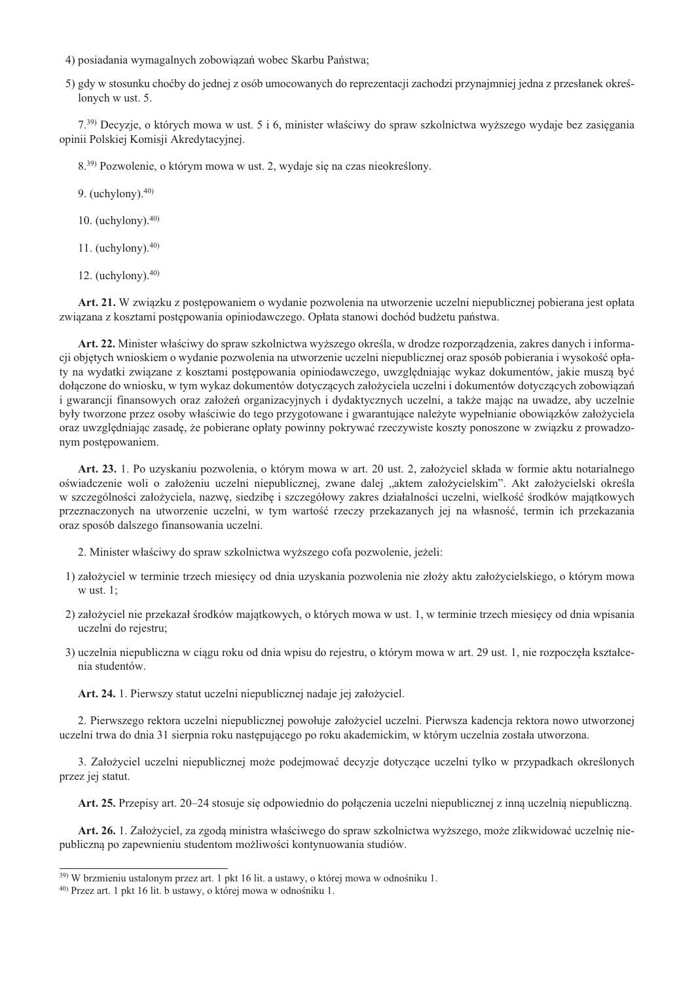- 4) posiadania wymagalnych zobowiązań wobec Skarbu Państwa;
- 5) gdy w stosunku choćby do jednej z osób umocowanych do reprezentacji zachodzi przynajmniej jedna z przesłanek określonych w ust. 5.

7.<sup>39)</sup> Decyzie, o których mowa w ust. 5 i 6, minister właściwy do spraw szkolnictwa wyższego wydaje bez zasiegania opinii Polskiej Komisji Akredytacyjnej.

8.<sup>39)</sup> Pozwolenie, o którym mowa w ust. 2, wydaje się na czas nieokreślony.

9. (uchylony). $40$ )

10. (uchylony). $40$ )

11. (uchylony). $40$ )

12. (uchylony). $40$ )

Art. 21. W związku z postępowaniem o wydanie pozwolenia na utworzenie uczelni niepublicznej pobierana jest opłata związana z kosztami postępowania opiniodawczego. Opłata stanowi dochód budżetu państwa.

Art. 22. Minister właściwy do spraw szkolnictwa wyższego określa, w drodze rozporzadzenia, zakres danych i informacji objętych wnioskiem o wydanie pozwolenia na utworzenie uczelni niepublicznej oraz sposób pobierania i wysokość opłaty na wydatki związane z kosztami postępowania opiniodawczego, uwzględniając wykaz dokumentów, jakie muszą być dołączone do wniosku, w tym wykaz dokumentów dotyczących założyciela uczelni i dokumentów dotyczących zobowiązań i gwarancji finansowych oraz założeń organizacyjnych i dydaktycznych uczelni, a także mając na uwadze, aby uczelnie były tworzone przez osoby właściwie do tego przygotowane i gwarantujące należyte wypełnianie obowiązków założyciela oraz uwzględniając zasadę, że pobierane opłaty powinny pokrywać rzeczywiste koszty ponoszone w związku z prowadzonym postepowaniem.

Art. 23. 1. Po uzyskaniu pozwolenia, o którym mowa w art. 20 ust. 2, założyciel składa w formie aktu notarialnego oświadczenie woli o założeniu uczelni niepublicznej, zwane dalej "aktem założycielskim". Akt założycielski określa w szczególności założyciela, nazwę, siedzibę i szczegółowy zakres działalności uczelni, wielkość środków majątkowych przeznaczonych na utworzenie uczelni, w tym wartość rzeczy przekazanych jej na własność, termin ich przekazania oraz sposób dalszego finansowania uczelni.

2. Minister właściwy do spraw szkolnictwa wyższego cofa pozwolenie, jeżeli:

- 1) założyciel w terminie trzech miesięcy od dnia uzyskania pozwolenia nie złoży aktu założycielskiego, o którym mowa  $w$  ust. 1:
- 2) założyciel nie przekazał środków majątkowych, o których mowa w ust. 1, w terminie trzech miesięcy od dnia wpisania uczelni do rejestru;
- 3) uczelnia niepubliczna w ciągu roku od dnia wpisu do rejestru, o którym mowa w art. 29 ust. 1, nie rozpoczęła kształcenia studentów.

Art. 24. 1. Pierwszy statut uczelni niepublicznej nadaje jej założyciel.

2. Pierwszego rektora uczelni niepublicznej powołuje założyciel uczelni. Pierwsza kadencja rektora nowo utworzonej uczelni trwa do dnia 31 sierpnia roku następującego po roku akademickim, w którym uczelnia została utworzona.

3. Założyciel uczelni niepublicznej może podejmować decyzje dotyczące uczelni tylko w przypadkach określonych przez jej statut.

Art. 25. Przepisy art. 20–24 stosuje się odpowiednio do połączenia uczelni niepublicznej z inną uczelnią niepubliczną.

Art. 26. 1. Założyciel, za zgodą ministra właściwego do spraw szkolnictwa wyższego, może zlikwidować uczelnię niepubliczną po zapewnieniu studentom możliwości kontynuowania studiów.

<sup>&</sup>lt;sup>39)</sup> W brzmieniu ustalonym przez art. 1 pkt 16 lit. a ustawy, o której mowa w odnośniku 1.

<sup>&</sup>lt;sup>40)</sup> Przez art. 1 pkt 16 lit. b ustawy, o której mowa w odnośniku 1.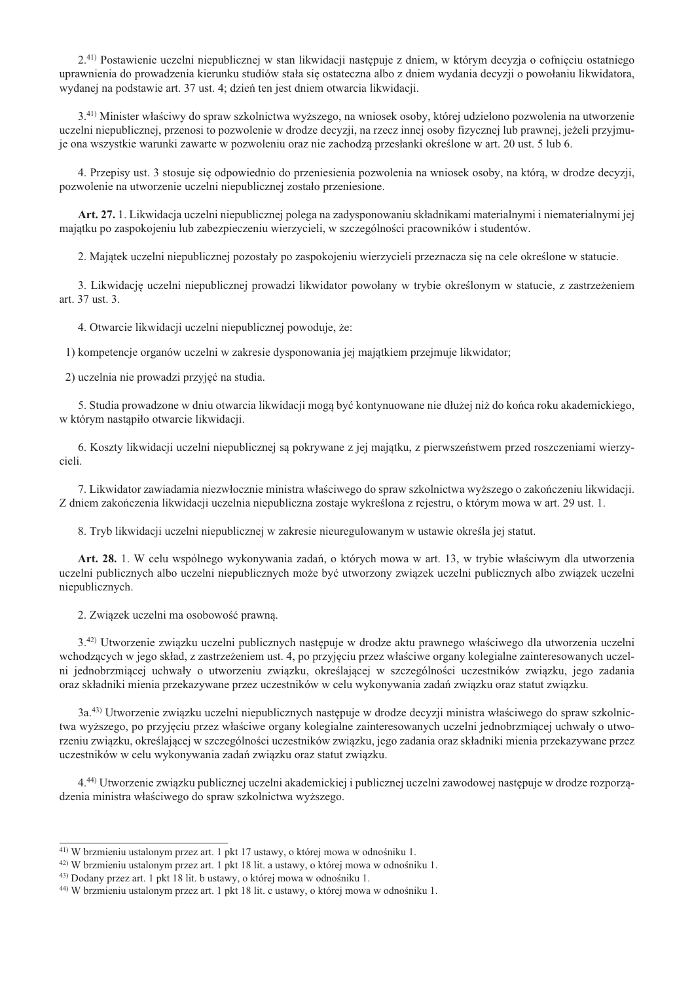2.41) Postawienie uczelni niepublicznej w stan likwidacji następuje z dniem, w którym decyzja o cofnięciu ostatniego uprawnienia do prowadzenia kierunku studiów stała się ostateczna albo z dniem wydania decyzji o powołaniu likwidatora, wydanej na podstawie art. 37 ust. 4; dzień ten jest dniem otwarcia likwidacji.

3.41) Minister właściwy do spraw szkolnictwa wyższego, na wniosek osoby, której udzielono pozwolenia na utworzenie uczelni niepublicznej, przenosi to pozwolenie w drodze decyzji, na rzecz innej osoby fizycznej lub prawnej, jeżeli przyjmuje ona wszystkie warunki zawarte w pozwoleniu oraz nie zachodza przesłanki określone w art. 20 ust. 5 lub 6.

4. Przepisy ust. 3 stosuje się odpowiednio do przeniesienia pozwolenia na wniosek osoby, na która, w drodze decyzji, pozwolenie na utworzenie uczelni niepublicznej zostało przeniesione.

Art. 27. 1. Likwidacja uczelni niepublicznej polega na zadysponowaniu składnikami materialnymi i niematerialnymi jej majątku po zaspokojeniu lub zabezpieczeniu wierzycieli, w szczególności pracowników i studentów.

2. Majątek uczelni niepublicznej pozostały po zaspokojeniu wierzycieli przeznacza się na cele określone w statucie.

3. Likwidację uczelni niepublicznej prowadzi likwidator powołany w trybie określonym w statucie, z zastrzeżeniem art. 37 ust. 3.

4. Otwarcie likwidacii uczelni niepublicznej powoduje, że:

1) kompetencje organów uczelni w zakresie dysponowania jej majatkiem przejmuje likwidator;

2) uczelnia nie prowadzi przyjęć na studia.

5. Studia prowadzone w dniu otwarcia likwidacii moga być kontynuowane nie dłużej niż do końca roku akademickiego. w którym nastapiło otwarcie likwidacji.

6. Koszty likwidacji uczelni niepublicznej są pokrywane z jej majątku, z pierwszeństwem przed roszczeniami wierzycieli.

7. Likwidator zawiadamia niezwłocznie ministra właściwego do spraw szkolnictwa wyższego o zakończeniu likwidacji. Z dniem zakończenia likwidacji uczelnia niepubliczna zostaje wykreślona z rejestru, o którym mowa w art. 29 ust. 1.

8. Tryb likwidacji uczelni niepublicznej w zakresie nieuregulowanym w ustawie określa jej statut.

Art. 28. 1. W celu wspólnego wykonywania zadań, o których mowa w art. 13, w trybie właściwym dla utworzenia uczelni publicznych albo uczelni niepublicznych może być utworzony związek uczelni publicznych albo związek uczelni niepublicznych.

2. Związek uczelni ma osobowość prawną.

3.42) Utworzenie związku uczelni publicznych następuje w drodze aktu prawnego właściwego dla utworzenia uczelni wchodzących w jego skład, z zastrzeżeniem ust. 4, po przyjęciu przez właściwe organy kolegialne zainteresowanych uczelni jednobrzmiącej uchwały o utworzeniu związku, określającej w szczególności uczestników związku, jego zadania oraz składniki mienia przekazywane przez uczestników w celu wykonywania zadań związku oraz statut związku.

3a.43) Utworzenie związku uczelni niepublicznych następuje w drodze decyzji ministra właściwego do spraw szkolnictwa wyższego, po przyjęciu przez właściwe organy kolegialne zainteresowanych uczelni jednobrzmiącej uchwały o utworzeniu związku, określającej w szczególności uczestników związku, jego zadania oraz składniki mienia przekazywane przez uczestników w celu wykonywania zadań związku oraz statut związku.

4.<sup>44</sup>) Utworzenie związku publicznej uczelni akademickiej i publicznej uczelni zawodowej następuje w drodze rozporządzenia ministra właściwego do spraw szkolnictwa wyższego.

<sup>&</sup>lt;sup>41)</sup> W brzmieniu ustalonym przez art. 1 pkt 17 ustawy, o której mowa w odnośniku 1.

<sup>&</sup>lt;sup>42</sup>) W brzmieniu ustalonym przez art. 1 pkt 18 lit. a ustawy, o której mowa w odnośniku 1.

<sup>&</sup>lt;sup>43)</sup> Dodany przez art. 1 pkt 18 lit. b ustawy, o której mowa w odnośniku 1.

<sup>&</sup>lt;sup>44)</sup> W brzmieniu ustalonym przez art. 1 pkt 18 lit. c ustawy, o której mowa w odnośniku 1.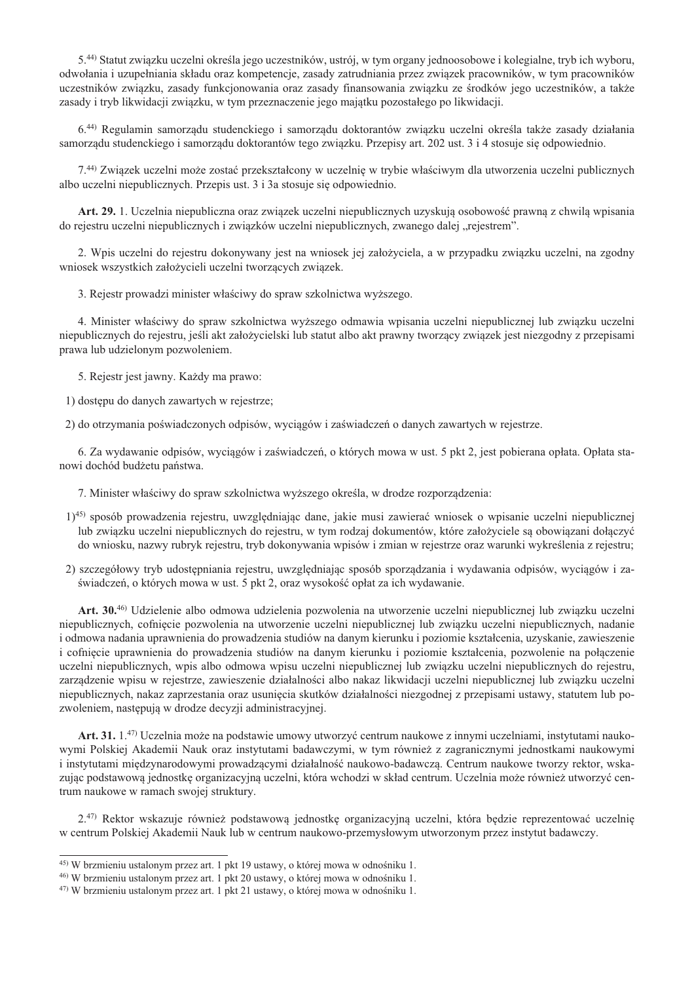5.<sup>44)</sup> Statut zwiazku uczelni określa jego uczestników, ustrój, w tym organy jednoosobowe i kolegialne, tryb ich wyboru, odwołania i uzupełniania składu oraz kompetencje, zasady zatrudniania przez zwiazek pracowników, w tym pracowników uczestników zwiazku, zasady funkcjonowania oraz zasady finansowania zwiazku ze środków jego uczestników, a także zasady i tryb likwidacji związku, w tym przeznaczenie jego majątku pozostałego po likwidacji.

6.44) Regulamin samorządu studenckiego i samorządu doktorantów związku uczelni określa także zasady działania samorządu studenckiego i samorządu doktorantów tego związku. Przepisy art. 202 ust. 3 i 4 stosuje się odpowiednio.

7.<sup>44)</sup> Zwiazek uczelni może zostać przekształcony w uczelnie w trybie właściwym dla utworzenia uczelni publicznych albo uczelni niepublicznych. Przepis ust. 3 i 3a stosuje się odpowiednio.

Art. 29. 1. Uczelnia niepubliczna oraz zwiazek uczelni niepublicznych uzyskują osobowość prawna z chwila wpisania do rejestru uczelni niepublicznych i zwiazków uczelni niepublicznych, zwanego dalej "rejestrem".

2. Wpis uczelni do rejestru dokonywany jest na wniosek jej założyciela, a w przypadku związku uczelni, na zgodny wniosek wszystkich założycieli uczelni tworzących związek.

3. Rejestr prowadzi minister właściwy do spraw szkolnictwa wyższego.

4. Minister właściwy do spraw szkolnictwa wyższego odmawia wpisania uczelni niepublicznej lub związku uczelni niepublicznych do rejestru, jeśli akt założycielski lub statut albo akt prawny tworzący związek jest niezgodny z przepisami prawa lub udzielonym pozwoleniem.

5. Rejestr jest jawny. Każdy ma prawo:

1) dostępu do danych zawartych w rejestrze;

2) do otrzymania poświadczonych odpisów, wyciągów i zaświadczeń o danych zawartych w rejestrze.

6. Za wydawanie odpisów, wyciągów i zaświadczeń, o których mowa w ust. 5 pkt 2, jest pobierana opłata. Opłata stanowi dochód budżetu państwa.

7. Minister właściwy do spraw szkolnictwa wyższego określa, w drodze rozporządzenia:

- 1)45) sposób prowadzenia rejestru, uwzględniając dane, jakie musi zawierać wniosek o wpisanie uczelni niepublicznej lub zwiazku uczelni niepublicznych do rejestru, w tym rodzaj dokumentów, które założyciele sa obowiazani dołaczyć do wniosku, nazwy rubryk rejestru, tryb dokonywania wpisów i zmian w rejestrze oraz warunki wykreślenia z rejestru;
- 2) szczegółowy tryb udostępniania rejestru, uwzględniając sposób sporządzania i wydawania odpisów, wyciagów i zaświadczeń, o których mowa w ust. 5 pkt 2, oraz wysokość opłat za ich wydawanie.

Art. 30.46) Udzielenie albo odmowa udzielenia pozwolenia na utworzenie uczelni niepublicznej lub związku uczelni niepublicznych, cofnięcie pozwolenia na utworzenie uczelni niepublicznej lub związku uczelni niepublicznych, nadanie i odmowa nadania uprawnienia do prowadzenia studiów na danym kierunku i poziomie kształcenia, uzyskanie, zawieszenie i cofniecie uprawnienia do prowadzenia studiów na danym kierunku i poziomie kształcenia, pozwolenie na połączenie uczelni niepublicznych, wpis albo odmowa wpisu uczelni niepublicznej lub związku uczelni niepublicznych do rejestru, zarządzenie wpisu w rejestrze, zawieszenie działalności albo nakaz likwidacji uczelni niepublicznej lub związku uczelni niepublicznych, nakaz zaprzestania oraz usunięcia skutków działalności niezgodnej z przepisami ustawy, statutem lub pozwoleniem, następują w drodze decyzji administracyjnej.

Art. 31. 1.<sup>47</sup>) Uczelnia może na podstawie umowy utworzyć centrum naukowe z innymi uczelniami, instytutami naukowymi Polskiej Akademii Nauk oraz instytutami badawczymi, w tym również z zagranicznymi jednostkami naukowymi i instytutami międzynarodowymi prowadzącymi działalność naukowo-badawczą. Centrum naukowe tworzy rektor, wskazując podstawową jednostkę organizacyjną uczelni, która wchodzi w skład centrum. Uczelnia może również utworzyć centrum naukowe w ramach swojej struktury.

2.<sup>47)</sup> Rektor wskazuje również podstawowa jednostke organizacyjna uczelni, która bedzie reprezentować uczelnie w centrum Polskiej Akademii Nauk lub w centrum naukowo-przemysłowym utworzonym przez instytut badawczy.

<sup>&</sup>lt;sup>45)</sup> W brzmieniu ustalonym przez art. 1 pkt 19 ustawy, o której mowa w odnośniku 1.

<sup>&</sup>lt;sup>46)</sup> W brzmieniu ustalonym przez art. 1 pkt 20 ustawy, o której mowa w odnośniku 1.

<sup>&</sup>lt;sup>47)</sup> W brzmieniu ustalonym przez art. 1 pkt 21 ustawy, o której mowa w odnośniku 1.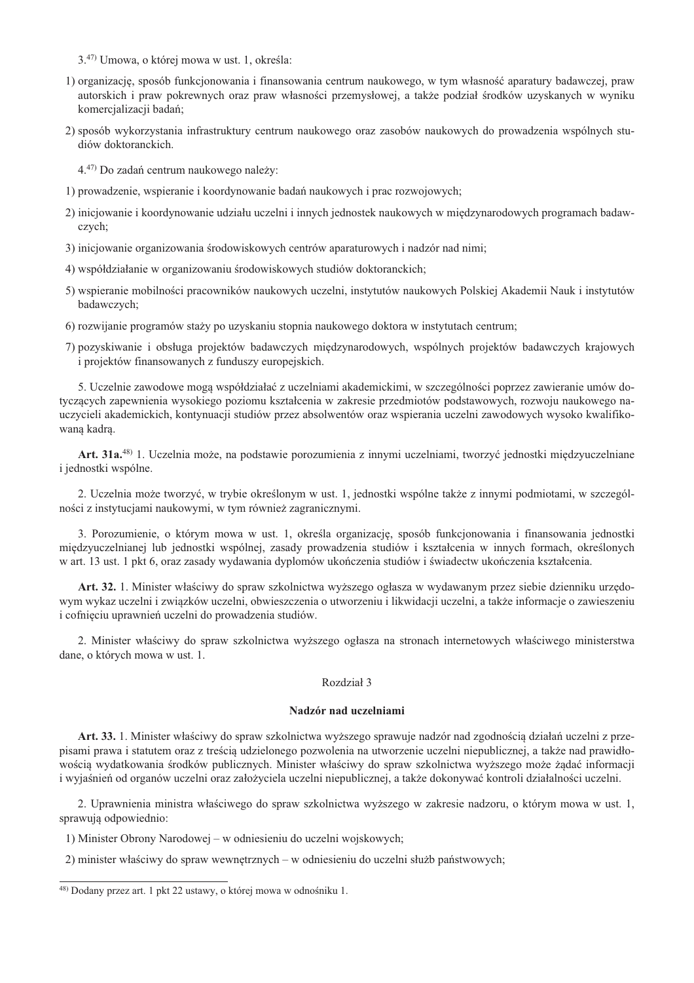- 3.<sup>47)</sup> Umowa, o której mowa w ust. 1, określa:
- 1) organizację, sposób funkcjonowania i finansowania centrum naukowego, w tym własność aparatury badawczej, praw autorskich i praw pokrewnych oraz praw własności przemysłowej, a także podział środków uzyskanych w wyniku komercjalizacji badań;
- 2) sposób wykorzystania infrastruktury centrum naukowego oraz zasobów naukowych do prowadzenia wspólnych studiów doktoranckich.

4.47) Do zadań centrum naukowego należy:

- 1) prowadzenie, wspieranie i koordynowanie badań naukowych i prac rozwojowych;
- 2) iniciowanie i koordynowanie udziału uczelni i innych jednostek naukowych w miedzynarodowych programach badawczych;
- 3) inicjowanie organizowania środowiskowych centrów aparaturowych i nadzór nad nimi;
- 4) współdziałanie w organizowaniu środowiskowych studiów doktoranckich;
- 5) wspieranie mobilności pracowników naukowych uczelni, instytutów naukowych Polskiej Akademii Nauk i instytutów badawczych:
- 6) rozwijanie programów staży po uzyskaniu stopnia naukowego doktora w instytutach centrum;
- 7) pozyskiwanie i obsługa projektów badawczych międzynarodowych, wspólnych projektów badawczych krajowych i projektów finansowanych z funduszy europejskich.

5. Uczelnie zawodowe mogą współdziałać z uczelniami akademickimi, w szczególności poprzez zawieranie umów dotyczących zapewnienia wysokiego poziomu kształcenia w zakresie przedmiotów podstawowych, rozwoju naukowego nauczycieli akademickich, kontynuacji studiów przez absolwentów oraz wspierania uczelni zawodowych wysoko kwalifikowana kadra.

Art. 31a.<sup>48)</sup> 1. Uczelnia może, na podstawie porozumienia z innymi uczelniami, tworzyć jednostki międzyuczelniane i jednostki wspólne.

2. Uczelnia może tworzyć, w trybie określonym w ust. 1, jednostki wspólne także z innymi podmiotami, w szczególności z instytucjami naukowymi, w tym również zagranicznymi.

3. Porozumienie, o którym mowa w ust. 1, określa organizacje, sposób funkcjonowania i finansowania jednostki międzyuczelnianej lub jednostki wspólnej, zasady prowadzenia studiów i kształcenia w innych formach, określonych w art. 13 ust. 1 pkt 6, oraz zasady wydawania dyplomów ukończenia studiów i świadectw ukończenia kształcenia.

Art. 32. 1. Minister właściwy do spraw szkolnictwa wyższego ogłasza w wydawanym przez siebie dzienniku urzędowym wykaz uczelni i związków uczelni, obwieszczenia o utworzeniu i likwidacji uczelni, a także informacje o zawieszeniu i cofnieciu uprawnień uczelni do prowadzenia studiów.

2. Minister właściwy do spraw szkolnictwa wyższego ogłasza na stronach internetowych właściwego ministerstwa dane, o których mowa w ust. 1.

#### Rozdział 3

#### Nadzór nad uczelniami

Art. 33. 1. Minister właściwy do spraw szkolnictwa wyższego sprawuje nadzór nad zgodnością działań uczelni z przepisami prawa i statutem oraz z treścią udzielonego pozwolenia na utworzenie uczelni niepublicznej, a także nad prawidłowością wydatkowania środków publicznych. Minister właściwy do spraw szkolnictwa wyższego może żądać informacji i wyjaśnień od organów uczelni oraz założyciela uczelni niepublicznej, a także dokonywać kontroli działalności uczelni.

2. Uprawnienia ministra właściwego do spraw szkolnictwa wyższego w zakresie nadzoru, o którym mowa w ust. 1, sprawują odpowiednio:

- 1) Minister Obrony Narodowej w odniesieniu do uczelni wojskowych;
- 2) minister właściwy do spraw wewnętrznych w odniesieniu do uczelni służb państwowych;

<sup>48)</sup> Dodany przez art. 1 pkt 22 ustawy, o której mowa w odnośniku 1.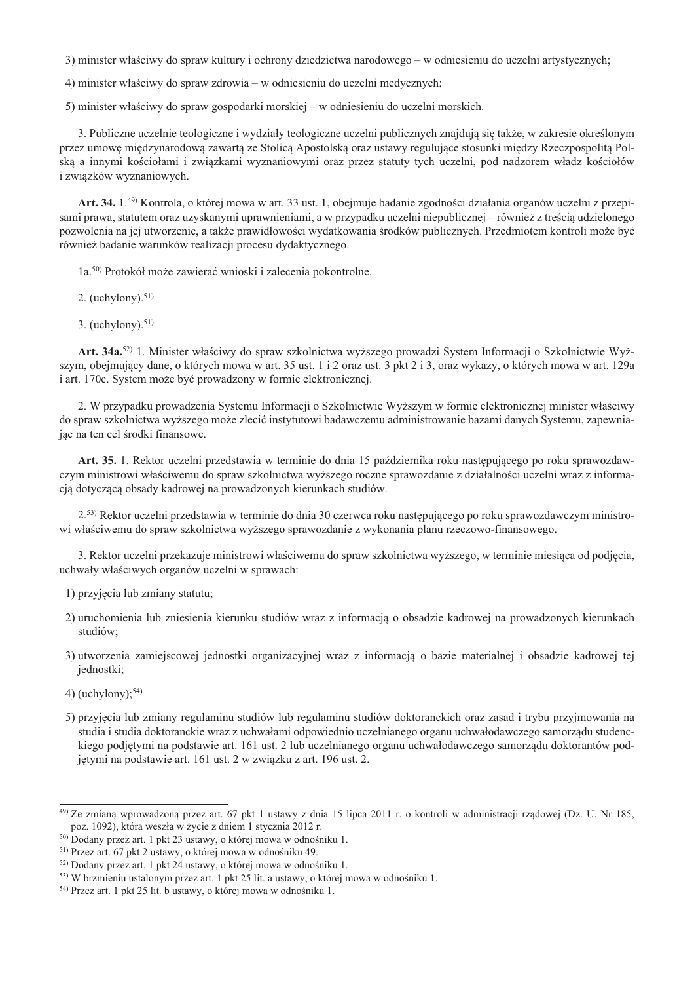3) minister właściwy do spraw kultury i ochrony dziedzictwa narodowego – w odniesieniu do uczelni artystycznych;

4) minister właściwy do spraw zdrowia – w odniesieniu do uczelni medycznych;

5) minister właściwy do spraw gospodarki morskiej – w odniesieniu do uczelni morskich.

3. Publiczne uczelnie teologiczne i wydziały teologiczne uczelni publicznych znajdują się także, w zakresie określonym przez umowę międzynarodową zawartą ze Stolicą Apostolską oraz ustawy regulujące stosunki między Rzeczpospolitą Polską a innymi kościołami i związkami wyznaniowymi oraz przez statuty tych uczelni, pod nadzorem władz kościołów i związków wyznaniowych.

Art. 34, 1.<sup>49</sup> Kontrola, o której mowa w art. 33 ust. 1. obejmuje badanie zgodności działania organów uczelni z przepisami prawa, statutem oraz uzyskanymi uprawnieniami, a w przypadku uczelni niepublicznej – również z treścią udzielonego pozwolenia na jej utworzenie, a także prawidłowości wydatkowania środków publicznych. Przedmiotem kontroli może być również badanie warunków realizacji procesu dydaktycznego.

1a.<sup>50)</sup> Protokół może zawierać wnioski i zalecenia pokontrolne.

- 2. (uchylony). $51$ )
- 3. (uchylony).  $51$ )

Art. 34a.<sup>52)</sup> 1. Minister właściwy do spraw szkolnictwa wyższego prowadzi System Informacji o Szkolnictwie Wyższym, obejmujący dane, o których mowa w art. 35 ust. 1 i 2 oraz ust. 3 pkt 2 i 3, oraz wykazy, o których mowa w art. 129a i art. 170c. System może być prowadzony w formie elektronicznej.

2. W przypadku prowadzenia Systemu Informacji o Szkolnictwie Wyższym w formie elektronicznej minister właściwy do spraw szkolnictwa wyższego może zlecić instytutowi badawczemu administrowanie bazami danych Systemu, zapewniajac na ten cel środki finansowe.

Art. 35. 1. Rektor uczelni przedstawia w terminie do dnia 15 października roku następującego po roku sprawozdawczym ministrowi właściwemu do spraw szkolnictwa wyższego roczne sprawozdanie z działalności uczelni wraz z informacją dotyczącą obsady kadrowej na prowadzonych kierunkach studiów.

2.53) Rektor uczelni przedstawia w terminie do dnia 30 czerwca roku następującego po roku sprawozdawczym ministrowi właściwemu do spraw szkolnictwa wyższego sprawozdanie z wykonania planu rzeczowo-finansowego.

3. Rektor uczelni przekazuje ministrowi właściwemu do spraw szkolnictwa wyższego, w terminie miesiąca od podjęcia, uchwały właściwych organów uczelni w sprawach:

- 1) przyjęcia lub zmiany statutu;
- 2) uruchomienia lub zniesienia kierunku studiów wraz z informacją o obsadzie kadrowej na prowadzonych kierunkach studiów;
- 3) utworzenia zamiejscowej jednostki organizacyjnej wraz z informacją o bazie materialnej i obsadzie kadrowej tej iednostki:
- 4) (uchylony); $54$ )
- 5) przyjęcia lub zmiany regulaminu studiów lub regulaminu studiów doktoranckich oraz zasad i trybu przyjmowania na studia i studia doktoranckie wraz z uchwałami odpowiednio uczelnianego organu uchwałodawczego samorządu studenckiego podjętymi na podstawie art. 161 ust. 2 lub uczelnianego organu uchwałodawczego samorządu doktorantów podjętymi na podstawie art. 161 ust. 2 w związku z art. 196 ust. 2.

<sup>49)</sup> Ze zmianą wprowadzoną przez art. 67 pkt 1 ustawy z dnia 15 lipca 2011 r. o kontroli w administracji rządowej (Dz. U. Nr 185, poz. 1092), która weszła w życie z dniem 1 stycznia 2012 r.

<sup>&</sup>lt;sup>50)</sup> Dodany przez art. 1 pkt 23 ustawy, o której mowa w odnośniku 1.

<sup>&</sup>lt;sup>51)</sup> Przez art. 67 pkt 2 ustawy, o której mowa w odnośniku 49.

<sup>&</sup>lt;sup>52)</sup> Dodany przez art. 1 pkt 24 ustawy, o której mowa w odnośniku 1.

<sup>&</sup>lt;sup>53)</sup> W brzmieniu ustalonym przez art. 1 pkt 25 lit. a ustawy, o której mowa w odnośniku 1.

<sup>&</sup>lt;sup>54)</sup> Przez art. 1 pkt 25 lit. b ustawy, o której mowa w odnośniku 1.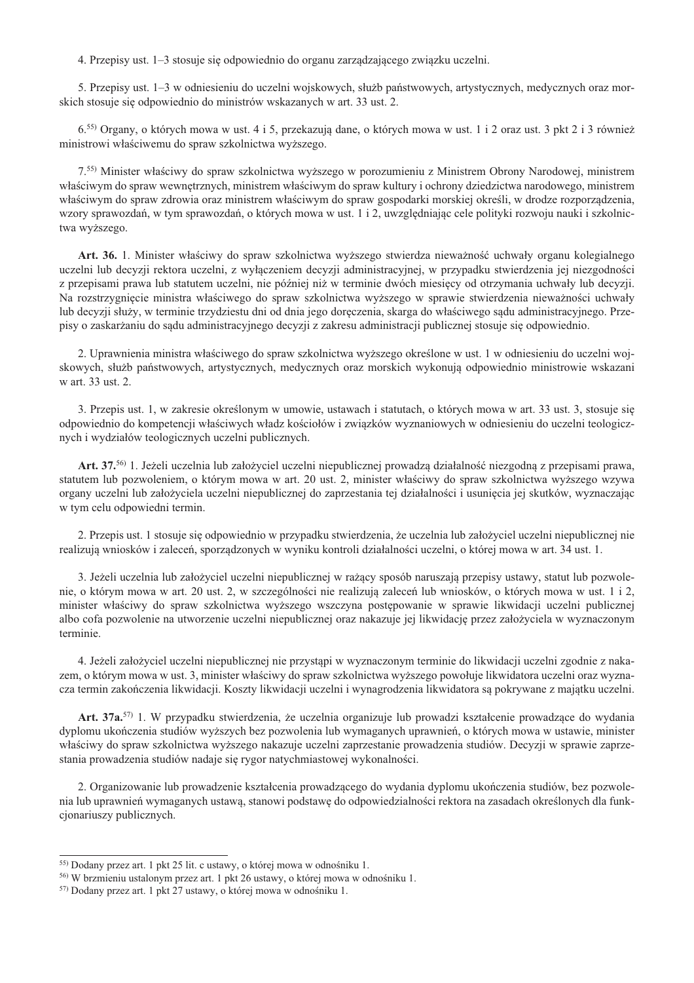4. Przepisy ust. 1–3 stosuje się odpowiednio do organu zarządzającego związku uczelni.

5. Przepisy ust. 1–3 w odniesieniu do uczelni wojskowych, służb państwowych, artystycznych, medycznych oraz morskich stosuje się odpowiednio do ministrów wskazanych w art. 33 ust. 2.

6.<sup>55)</sup> Organy, o których mowa w ust. 4 i 5, przekazują dane, o których mowa w ust. 1 i 2 oraz ust. 3 pkt 2 i 3 również ministrowi właściwemu do spraw szkolnictwa wyższego.

7.<sup>55)</sup> Minister właściwy do spraw szkolnictwa wyższego w porozumieniu z Ministrem Obrony Narodowej, ministrem właściwym do spraw wewnętrznych, ministrem właściwym do spraw kultury i ochrony dziedzictwa narodowego, ministrem właściwym do spraw zdrowia oraz ministrem właściwym do spraw gospodarki morskiej określi, w drodze rozporządzenia, wzory sprawozdań, w tym sprawozdań, o których mowa w ust. 1 i 2, uwzględniając cele polityki rozwoju nauki i szkolnictwa wyższego.

**Art. 36.** 1. Minister właściwy do spraw szkolnictwa wyższego stwierdza nieważność uchwały organu kolegialnego uczelni lub decyzji rektora uczelni, z wyłączeniem decyzji administracyjnej, w przypadku stwierdzenia jej niezgodności z przepisami prawa lub statutem uczelni, nie później niż w terminie dwóch miesięcy od otrzymania uchwały lub decyzji. Na rozstrzygnięcie ministra właściwego do spraw szkolnictwa wyższego w sprawie stwierdzenia nieważności uchwały lub decyzji służy, w terminie trzydziestu dni od dnia jego doręczenia, skarga do właściwego sądu administracyjnego. Przepisy o zaskarżaniu do sądu administracyjnego decyzji z zakresu administracji publicznej stosuje się odpowiednio.

2. Uprawnienia ministra właściwego do spraw szkolnictwa wyższego określone w ust. 1 w odniesieniu do uczelni wojskowych, służb państwowych, artystycznych, medycznych oraz morskich wykonują odpowiednio ministrowie wskazani w art. 33 ust. 2.

3. Przepis ust. 1, w zakresie określonym w umowie, ustawach i statutach, o których mowa w art. 33 ust. 3, stosuje sie  $\alpha$ odpowiednio do kompetencji właściwych władz kościołów i związków wyznaniowych w odniesieniu do uczelni teologicznych i wydziałów teologicznych uczelni publicznych.

**Art. 37.**<sup>56)</sup> 1. Jeżeli uczelnia lub założyciel uczelni niepublicznej prowadza działalność niezgodna z przepisami prawa, statutem lub pozwoleniem, o którym mowa w art. 20 ust. 2, minister właściwy do spraw szkolnictwa wyższego wzywa organy uczelni lub założyciela uczelni niepublicznej do zaprzestania tej działalności i usunięcia jej skutków, wyznaczając w tym celu odpowiedni termin.

2. Przepis ust. 1 stosuje się odpowiednio w przypadku stwierdzenia, że uczelnia lub założyciel uczelni niepublicznej nie realizują wniosków i zaleceń, sporządzonych w wyniku kontroli działalności uczelni, o której mowa w art. 34 ust. 1.

3. Jeżeli uczelnia lub założyciel uczelni niepublicznej w rażący sposób naruszają przepisy ustawy, statut lub pozwolenie, o którym mowa w art. 20 ust. 2, w szczególności nie realizują zaleceń lub wniosków, o których mowa w ust. 1 i 2, minister właściwy do spraw szkolnictwa wyższego wszczyna postępowanie w sprawie likwidacji uczelni publicznej albo cofa pozwolenie na utworzenie uczelni niepublicznej oraz nakazuje jej likwidację przez założyciela w wyznaczonym terminie.

4. Jeżeli założyciel uczelni niepublicznej nie przystapi w wyznaczonym terminie do likwidacji uczelni zgodnie z nakazem, o którym mowa w ust. 3, minister właściwy do spraw szkolnictwa wyższego powołuje likwidatora uczelni oraz wyznacza termin zakończenia likwidacji. Koszty likwidacji uczelni i wynagrodzenia likwidatora są pokrywane z majątku uczelni.

Art. 37a.<sup>57)</sup> 1. W przypadku stwierdzenia, że uczelnia organizuje lub prowadzi kształcenie prowadzące do wydania dyplomu ukończenia studiów wyższych bez pozwolenia lub wymaganych uprawnień, o których mowa w ustawie, minister właściwy do spraw szkolnictwa wyższego nakazuje uczelni zaprzestanie prowadzenia studiów. Decyzji w sprawie zaprzestania prowadzenia studiów nadaje się rygor natychmiastowej wykonalności.

2. Organizowanie lub prowadzenie kształcenia prowadzącego do wydania dyplomu ukończenia studiów, bez pozwolenia lub uprawnień wymaganych ustawą, stanowi podstawę do odpowiedzialności rektora na zasadach określonych dla funkcjonariuszy publicznych.

 $55$ ) Dodany przez art. 1 pkt 25 lit. c ustawy, o której mowa w odnośniku 1.

<sup>56)</sup> W brzmieniu ustalonym przez art. 1 pkt 26 ustawy, o której mowa w odnośniku 1.

 $57$ ) Dodany przez art. 1 pkt 27 ustawy, o której mowa w odnośniku 1.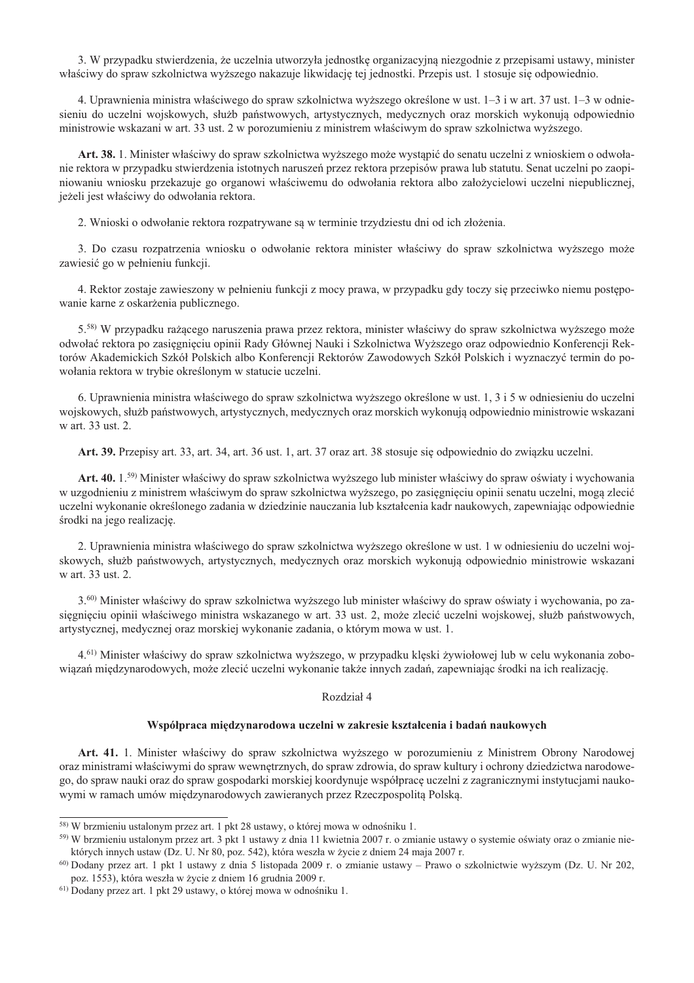3. W przypadku stwierdzenia, że uczelnia utworzyła jednostkę organizacyjną niezgodnie z przepisami ustawy, minister właściwy do spraw szkolnictwa wyższego nakazuje likwidację tej jednostki. Przepis ust. 1 stosuje się odpowiednio.

4. Uprawnienia ministra właściwego do spraw szkolnictwa wyższego określone w ust. 1–3 i w art. 37 ust. 1–3 w odniesieniu do uczelni wojskowych, służb państwowych, artystycznych, medycznych oraz morskich wykonują odpowiednio ministrowie wskazani w art. 33 ust. 2 w porozumieniu z ministrem właściwym do spraw szkolnictwa wyższego.

Art. 38. 1. Minister właściwy do spraw szkolnictwa wyższego może wystąpić do senatu uczelni z wnioskiem o odwołanie rektora w przypadku stwierdzenia istotnych naruszeń przez rektora przepisów prawa lub statutu. Senat uczelni po zaopiniowaniu wniosku przekazuje go organowi właściwemu do odwołania rektora albo założycielowi uczelni niepublicznej, jeżeli jest właściwy do odwołania rektora.

2. Wnioski o odwołanie rektora rozpatrywane są w terminie trzydziestu dni od ich złożenia.

3. Do czasu rozpatrzenia wniosku o odwołanie rektora minister właściwy do spraw szkolnictwa wyższego może zawiesić go w pełnieniu funkcji.

4. Rektor zostaje zawieszony w pełnieniu funkcji z mocy prawa, w przypadku gdy toczy się przeciwko niemu postępowanie karne z oskarżenia publicznego.

5.58) W przypadku rażącego naruszenia prawa przez rektora, minister właściwy do spraw szkolnictwa wyższego może odwołać rektora po zasiegnieciu opinii Rady Głównej Nauki i Szkolnictwa Wyższego oraz odpowiednio Konferencji Rektorów Akademickich Szkół Polskich albo Konferencji Rektorów Zawodowych Szkół Polskich i wyznaczyć termin do powołania rektora w trybie określonym w statucie uczelni.

6. Uprawnienia ministra właściwego do spraw szkolnictwa wyższego określone w ust. 1, 3 i 5 w odniesieniu do uczelni wojskowych, służb państwowych, artystycznych, medycznych oraz morskich wykonują odpowiednio ministrowie wskazani w art. 33 ust. 2.

Art. 39. Przepisy art. 33, art. 34, art. 36 ust. 1, art. 37 oraz art. 38 stosuje się odpowiednio do związku uczelni.

Art. 40. 1.59) Minister właściwy do spraw szkolnictwa wyższego lub minister właściwy do spraw oświaty i wychowania w uzgodnieniu z ministrem właściwym do spraw szkolnictwa wyższego, po zasięgnięciu opinii senatu uczelni, mogą zlecić uczelni wykonanie określonego zadania w dziedzinie nauczania lub kształcenia kadr naukowych, zapewniając odpowiednie środki na jego realizacje.

2. Uprawnienia ministra właściwego do spraw szkolnictwa wyższego określone w ust. 1 w odniesieniu do uczelni wojskowych, służb państwowych, artystycznych, medycznych oraz morskich wykonują odpowiednio ministrowie wskazani w art. 33 ust. 2.

3.<sup>60</sup>) Minister właściwy do spraw szkolnictwa wyższego lub minister właściwy do spraw oświaty i wychowania, po zasiegnieciu opinii właściwego ministra wskazanego w art. 33 ust. 2, może zlecić uczelni wojskowej, służb państwowych, artystycznej, medycznej oraz morskiej wykonanie zadania, o którym mowa w ust. 1.

4.<sup>61)</sup> Minister właściwy do spraw szkolnictwa wyższego, w przypadku klęski żywiołowej lub w celu wykonania zobowiązań międzynarodowych, może zlecić uczelni wykonanie także innych zadań, zapewniając środki na ich realizację.

#### Rozdział 4

#### Współpraca międzynarodowa uczelni w zakresie kształcenia i badań naukowych

Art. 41. 1. Minister właściwy do spraw szkolnictwa wyższego w porozumieniu z Ministrem Obrony Narodowej oraz ministrami właściwymi do spraw wewnetrznych, do spraw zdrowia, do spraw kultury i ochrony dziedzictwa narodowego, do spraw nauki oraz do spraw gospodarki morskiej koordynuje współpracę uczelni z zagranicznymi instytucjami naukowymi w ramach umów międzynarodowych zawieranych przez Rzeczpospolitą Polską.

<sup>&</sup>lt;sup>58)</sup> W brzmieniu ustalonym przez art. 1 pkt 28 ustawy, o której mowa w odnośniku 1.

<sup>&</sup>lt;sup>59)</sup> W brzmieniu ustalonym przez art. 3 pkt 1 ustawy z dnia 11 kwietnia 2007 r. o zmianie ustawy o systemie oświaty oraz o zmianie niektórych innych ustaw (Dz. U. Nr 80, poz. 542), która weszła w życie z dniem 24 maja 2007 r.

<sup>&</sup>lt;sup>60)</sup> Dodany przez art. 1 pkt 1 ustawy z dnia 5 listopada 2009 r. o zmianie ustawy – Prawo o szkolnictwie wyższym (Dz. U. Nr 202, poz. 1553), która weszła w życie z dniem 16 grudnia 2009 r.

<sup>&</sup>lt;sup>61)</sup> Dodany przez art. 1 pkt 29 ustawy, o której mowa w odnośniku 1.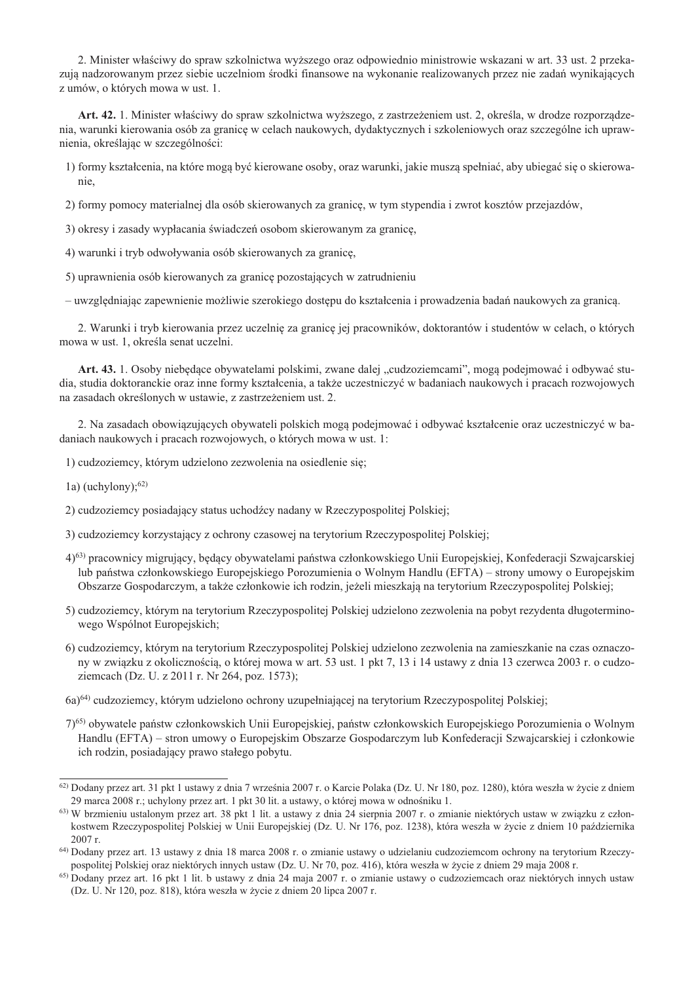2. Minister właściwy do spraw szkolnictwa wyższego oraz odpowiednio ministrowie wskazani w art. 33 ust. 2 przekazują nadzorowanym przez siębie uczelniom środki finansowe na wykonanie realizowanych przez nie zadań wynikających z umów, o których mowa w ust. 1.

Art. 42. 1. Minister właściwy do spraw szkolnictwa wyższego, z zastrzeżeniem ust. 2, określa, w drodze rozporządzenia, warunki kierowania osób za granicę w celach naukowych, dydaktycznych i szkoleniowych oraz szczególne ich uprawnienia, określając w szczególności:

1) formy kształcenia, na które moga być kierowane osoby, oraz warunki, jakie musza spełniać, aby ubiegać się o skierowanie

2) formy pomocy materialnej dla osób skierowanych za granicę, w tym stypendia i zwrot kosztów przejazdów,

- 3) okresy i zasady wypłacania świadczeń osobom skierowanym za granicę,
- 4) warunki i tryb odwoływania osób skierowanych za granice.
- 5) uprawnienia osób kierowanych za granicę pozostających w zatrudnieniu

- uwzględniając zapewnienie możliwie szerokiego dostępu do kształcenia i prowadzenia badań naukowych za granicą.

2. Warunki i tryb kierowania przez uczelnie za granice jej pracowników, doktorantów i studentów w celach, o których mowa w ust. 1, określa senat uczelni.

Art. 43. 1. Osoby niebędące obywatelami polskimi, zwane dalej "cudzoziemcami", mogą podejmować i odbywać studia, studia doktoranckie oraz inne formy kształcenia, a także uczestniczyć w badaniach naukowych i pracach rozwojowych na zasadach określonych w ustawie, z zastrzeżeniem ust. 2.

2. Na zasadach obowiązujących obywateli polskich mogą podejmować i odbywać kształcenie oraz uczestniczyć w badaniach naukowych i pracach rozwojowych, o których mowa w ust. 1:

1) cudzoziemcy, którym udzielono zezwolenia na osiedlenie się;

1a) (uchylony); $^{62)}$ 

- 2) cudzoziemcy posiadający status uchodźcy nadany w Rzeczypospolitej Polskiej;
- 3) cudzoziemcy korzystający z ochrony czasowej na terytorium Rzeczypospolitej Polskiej;
- 4)<sup>63</sup> pracownicy migrujący, będący obywatelami państwa członkowskiego Unii Europejskiej, Konfederacji Szwajcarskiej lub państwa członkowskiego Europejskiego Porozumienia o Wolnym Handlu (EFTA) – strony umowy o Europejskim Obszarze Gospodarczym, a także członkowie ich rodzin, jeżeli mieszkają na terytorium Rzeczypospolitej Polskiej;
- 5) cudzoziemcy, którym na terytorium Rzeczypospolitej Polskiej udzielono zezwolenia na pobyt rezydenta długoterminowego Wspólnot Europejskich;
- 6) cudzoziemcy, którym na terytorium Rzeczypospolitej Polskiej udzielono zezwolenia na zamieszkanie na czas oznaczony w zwiazku z okolicznościa, o której mowa w art. 53 ust. 1 pkt 7, 13 i 14 ustawy z dnia 13 czerwca 2003 r. o cudzoziemcach (Dz. U. z 2011 r. Nr 264, poz. 1573);
- 6a)<sup>64</sup> cudzoziemcy, którym udzielono ochrony uzupełniającej na terytorium Rzeczypospolitej Polskiej;
- 7)<sup>65)</sup> obywatele państw członkowskich Unii Europejskiej, państw członkowskich Europejskiego Porozumienia o Wolnym Handlu (EFTA) – stron umowy o Europejskim Obszarze Gospodarczym lub Konfederacji Szwajcarskiej i członkowie ich rodzin, posiadający prawo stałego pobytu.

<sup>62)</sup> Dodany przez art. 31 pkt 1 ustawy z dnia 7 września 2007 r. o Karcie Polaka (Dz. U. Nr 180, poz. 1280), która weszła w życie z dniem 29 marca 2008 r.; uchylony przez art. 1 pkt 30 lit. a ustawy, o której mowa w odnośniku 1.

<sup>63)</sup> W brzmieniu ustalonym przez art. 38 pkt 1 lit. a ustawy z dnia 24 sierpnia 2007 r. o zmianie niektórych ustaw w związku z członkostwem Rzeczypospolitej Polskiej w Unii Europejskiej (Dz. U. Nr 176, poz. 1238), która weszła w życie z dniem 10 października  $2007r$ .

<sup>64)</sup> Dodany przez art. 13 ustawy z dnia 18 marca 2008 r. o zmianie ustawy o udzielaniu cudzoziemcom ochrony na terytorium Rzeczypospolitej Polskiej oraz niektórych innych ustaw (Dz. U. Nr 70. poz. 416), która weszła w życie z dniem 29 maja 2008 r.

<sup>&</sup>lt;sup>65)</sup> Dodany przez art. 16 pkt 1 lit. b ustawy z dnia 24 maja 2007 r. o zmianie ustawy o cudzoziemcach oraz niektórych innych ustaw (Dz. U. Nr 120, poz. 818), która weszła w życie z dniem 20 lipca 2007 r.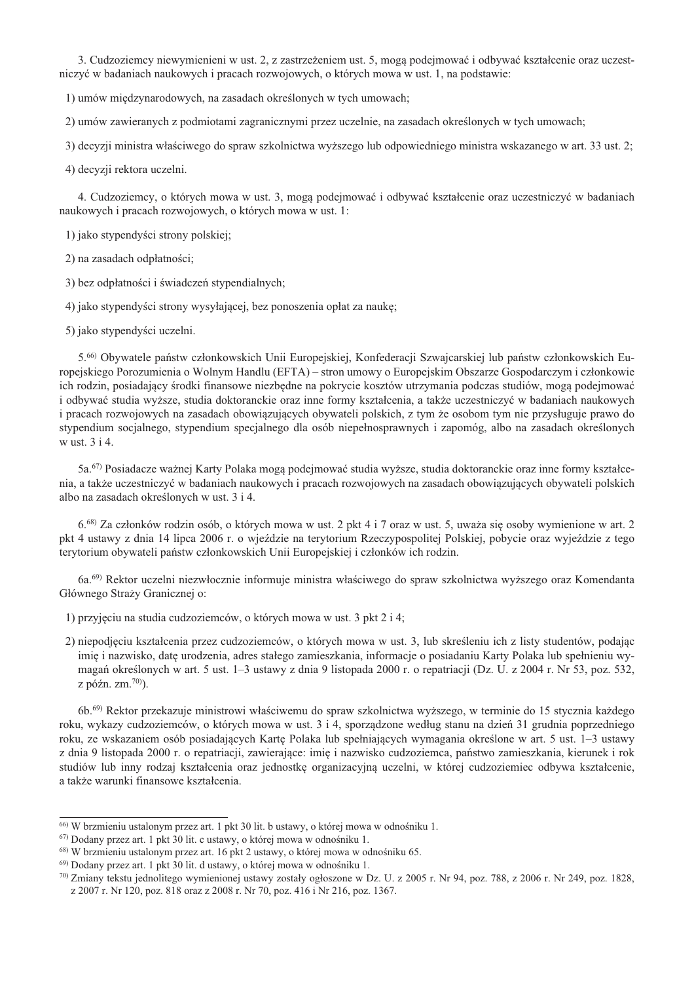3. Cudzoziemcy niewymienieni w ust. 2, z zastrzeżeniem ust. 5, mogą podejmować i odbywać kształcenie oraz uczestniczyć w badaniach naukowych i pracach rozwojowych, o których mowa w ust. 1, na podstawie:

1) umów międzynarodowych, na zasadach określonych w tych umowach;

2) umów zawieranych z podmiotami zagranicznymi przez uczelnie, na zasadach określonych w tych umowach;

3) decyzji ministra właściwego do spraw szkolnictwa wyższego lub odpowiedniego ministra wskazanego w art. 33 ust. 2;

4) decyzji rektora uczelni.

4. Cudzoziemcy, o których mowa w ust. 3, mogą podejmować i odbywać kształcenie oraz uczestniczyć w badaniach naukowych i pracach rozwojowych, o których mowa w ust. 1:

1) jako stypendyści strony polskiej;

2) na zasadach odpłatności;

3) bez odpłatności i świadczeń stypendialnych;

4) jako stypendyści strony wysyłającej, bez ponoszenia opłat za naukę;

5) jako stypendyści uczelni.

5.66) Obywatele państw członkowskich Unii Europejskiej, Konfederacji Szwajcarskiej lub państw członkowskich Europejskiego Porozumienia o Wolnym Handlu (EFTA) – stron umowy o Europejskim Obszarze Gospodarczym i członkowie ich rodzin, posiadający środki finansowe niezbędne na pokrycie kosztów utrzymania podczas studiów, mogą podejmować i odbywać studia wyższe, studia doktoranckie oraz inne formy kształcenia, a także uczestniczyć w badaniach naukowych i pracach rozwojowych na zasadach obowiązujących obywateli polskich, z tym że osobom tym nie przysługuje prawo do stypendium socjalnego, stypendium specjalnego dla osób niepełnosprawnych i zapomóg, albo na zasadach określonych w ust. 3 i 4.

5a.<sup>67)</sup> Posiadacze ważnej Karty Polaka moga podejmować studia wyższe, studia doktoranckie oraz inne formy kształcenia, a także uczestniczyć w badaniach naukowych i pracach rozwojowych na zasadach obowiazujących obywateli polskich albo na zasadach określonych w ust. 3 i 4.

6.68) Za członków rodzin osób, o których mowa w ust. 2 pkt 4 i 7 oraz w ust. 5, uważa się osoby wymienione w art. 2 pkt 4 ustawy z dnia 14 lipca 2006 r. o wjeździe na terytorium Rzeczypospolitej Polskiej, pobycie oraz wyjeździe z tego terytorium obywateli państw członkowskich Unii Europejskiej i członków ich rodzin.

6a.<sup>69)</sup> Rektor uczelni niezwłocznie informuje ministra właściwego do spraw szkolnictwa wyższego oraz Komendanta Głównego Straży Granicznej o:

1) przyjęciu na studia cudzoziemców, o których mowa w ust. 3 pkt 2 i 4;

2) niepodjęciu kształcenia przez cudzoziemców, o których mowa w ust. 3, lub skreśleniu ich z listy studentów, podając imie i nazwisko, date urodzenia, adres stałego zamieszkania, informacie o posiadaniu Karty Polaka lub spełnieniu wymagań określonych w art. 5 ust. 1–3 ustawy z dnia 9 listopada 2000 r. o repatriacji (Dz. U. z 2004 r. Nr 53, poz. 532, z późn. zm. $70$ ).

6b.<sup>69)</sup> Rektor przekazuje ministrowi właściwemu do spraw szkolnictwa wyższego, w terminie do 15 stycznia każdego roku, wykazy cudzoziemców, o których mowa w ust. 3 i 4, sporządzone według stanu na dzień 31 grudnia poprzedniego roku, ze wskazaniem osób posiadających Kartę Polaka lub spełniających wymagania określone w art. 5 ust. 1-3 ustawy z dnia 9 listopada 2000 r. o repatriacji, zawierające: imię i nazwisko cudzoziemca, państwo zamieszkania, kierunek i rok studiów lub inny rodzaj kształcenia oraz jednostkę organizacyjną uczelni, w której cudzoziemiec odbywa kształcenie, a także warunki finansowe kształcenia.

 $^{66}$  W brzmieniu ustalonym przez art. 1 pkt 30 lit. b ustawy, o której mowa w odnośniku 1.

 $^{67}$ ) Dodany przez art. 1 pkt 30 lit. c ustawy, o której mowa w odnośniku 1.

<sup>&</sup>lt;sup>68)</sup> W brzmieniu ustalonym przez art. 16 pkt 2 ustawy, o której mowa w odnośniku 65.

 $^{69}$  Dodany przez art. 1 pkt 30 lit. d ustawy, o której mowa w odnośniku 1.

 $^{70}$  Zmiany tekstu jednolitego wymienionej ustawy zostały ogłoszone w Dz. U. z 2005 r. Nr 94, poz. 788, z 2006 r. Nr 249, poz. 1828, z 2007 r. Nr 120, poz. 818 oraz z 2008 r. Nr 70, poz. 416 i Nr 216, poz. 1367.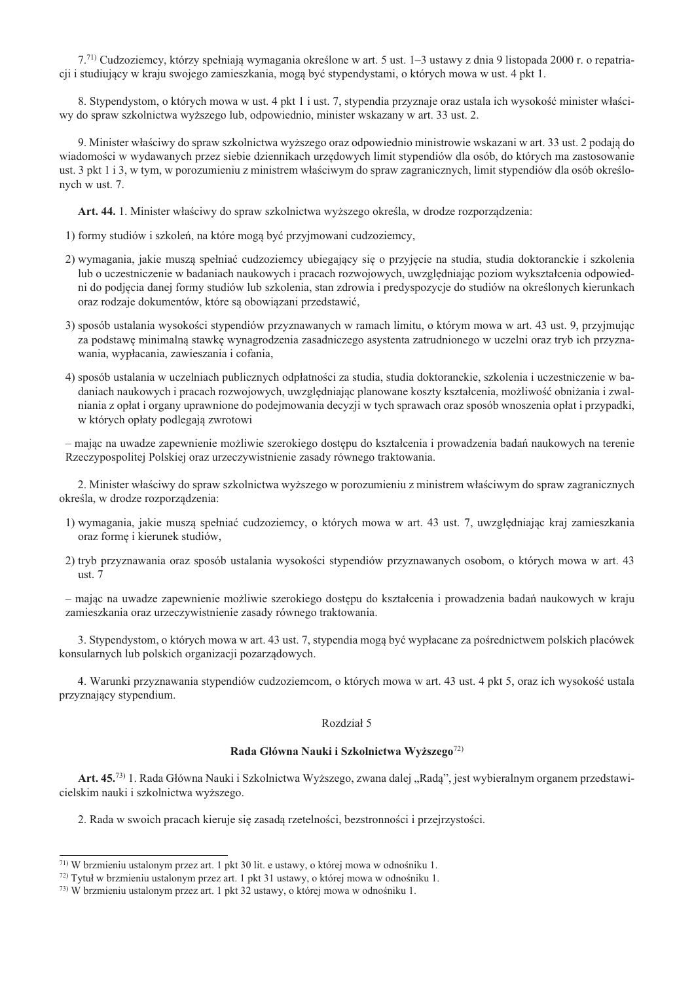7.<sup>71)</sup> Cudzoziemcy, którzy spełniają wymagania określone w art. 5 ust. 1–3 ustawy z dnia 9 listopada 2000 r. o repatriacji i studiujący w kraju swojego zamieszkania, mogą być stypendystami, o których mowa w ust. 4 pkt 1.

8. Stypendystom, o których mowa w ust. 4 pkt 1 i ust. 7, stypendia przyznaje oraz ustala ich wysokość minister właściwy do spraw szkolnictwa wyższego lub, odpowiednio, minister wskazany w art. 33 ust. 2.

9. Minister właściwy do spraw szkolnictwa wyższego oraz odpowiednio ministrowie wskazani w art. 33 ust. 2 podają do wiadomości w wydawanych przez siebie dziennikach urzędowych limit stypendiów dla osób, do których ma zastosowanie ust. 3 pkt 1 i 3, w tym, w porozumieniu z ministrem właściwym do spraw zagranicznych, limit stypendiów dla osób określonych w ust. 7.

Art. 44. 1. Minister właściwy do spraw szkolnictwa wyższego określa, w drodze rozporzadzenia:

- 1) formy studiów i szkoleń, na które mogą być przyjmowani cudzoziemcy,
- 2) wymagania, jakie muszą spełniać cudzoziemcy ubiegający się o przyjęcie na studia, studia doktoranckie i szkolenia lub o uczestniczenie w badaniach naukowych i pracach rozwojowych, uwzględniając poziom wykształcenia odpowiedni do podjęcia danej formy studiów lub szkolenia, stan zdrowia i predyspozycje do studiów na określonych kierunkach oraz rodzaje dokumentów, które sa obowiązani przedstawić,
- 3) sposób ustalania wysokości stypendiów przyznawanych w ramach limitu, o którym mowa w art. 43 ust. 9, przyjmując za podstawe minimalna stawke wynagrodzenia zasadniczego asystenta zatrudnionego w uczelni oraz tryb ich przyznawania, wypłacania, zawieszania i cofania,
- 4) sposób ustalania w uczelniach publicznych odpłatności za studia, studia doktoranckie, szkolenia i uczestniczenie w badaniach naukowych i pracach rozwojowych, uwzględniając planowane koszty kształcenia, możliwość obniżania i zwalniania z opłat i organy uprawnione do podejmowania decyzji w tych sprawach oraz sposób wnoszenia opłat i przypadki, w których opłaty podlegają zwrotowi

- mając na uwadze zapewnienie możliwie szerokiego dostępu do kształcenia i prowadzenia badań naukowych na terenie Rzeczypospolitej Polskiej oraz urzeczywistnienie zasady równego traktowania.

2. Minister właściwy do spraw szkolnictwa wyższego w porozumieniu z ministrem właściwym do spraw zagranicznych określa, w drodze rozporządzenia:

- 1) wymagania, jakie muszą spełniać cudzoziemcy, o których mowa w art. 43 ust. 7, uwzględniając kraj zamieszkania oraz forme i kierunek studiów,
- 2) tryb przyznawania oraz sposób ustalania wysokości stypendiów przyznawanych osobom, o których mowa w art. 43 ust.  $7$

- mając na uwadze zapewnienie możliwie szerokiego dostepu do kształcenia i prowadzenia badań naukowych w kraju zamieszkania oraz urzeczywistnienie zasady równego traktowania.

3. Stypendystom, o których mowa w art. 43 ust. 7, stypendia mogą być wypłacane za pośrednictwem polskich placówek konsularnych lub polskich organizacji pozarządowych.

4. Warunki przyznawania stypendiów cudzoziemcom, o których mowa w art. 43 ust. 4 pkt 5, oraz ich wysokość ustala przyznający stypendium.

#### Rozdział 5

#### Rada Główna Nauki i Szkolnictwa Wyższego<sup>72)</sup>

Art. 45.73) 1. Rada Główna Nauki i Szkolnictwa Wyższego, zwana dalej "Radą", jest wybieralnym organem przedstawicielskim nauki i szkolnictwa wyższego.

2. Rada w swoich pracach kieruje się zasadą rzetelności, bezstronności i przejrzystości.

<sup>&</sup>lt;sup>71)</sup> W brzmieniu ustalonym przez art. 1 pkt 30 lit. e ustawy, o której mowa w odnośniku 1.

<sup>72)</sup> Tytuł w brzmieniu ustalonym przez art. 1 pkt 31 ustawy, o której mowa w odnośniku 1.

<sup>73)</sup> W brzmieniu ustalonym przez art. 1 pkt 32 ustawy, o której mowa w odnośniku 1.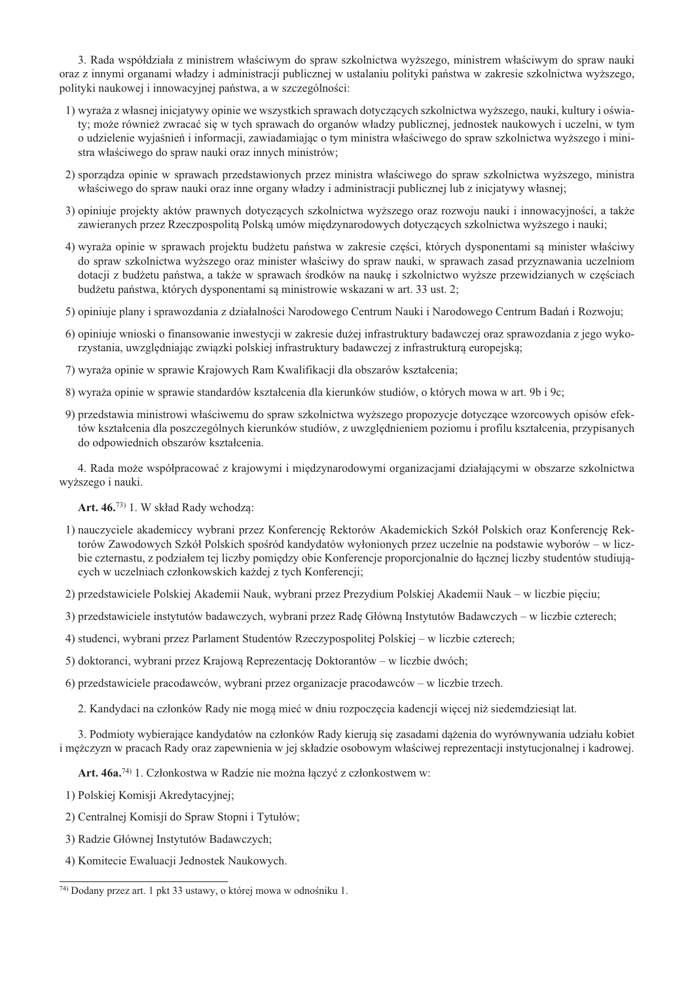3. Rada współdziała z ministrem właściwym do spraw szkolnictwa wyższego, ministrem właściwym do spraw nauki oraz z innymi organami władzy i administracji publicznej w ustalaniu polityki państwa w zakresie szkolnictwa wyższego, polityki naukowej i innowacyjnej państwa, a w szczególności:

- 1) wyraża z własnej inicjatywy opinie we wszystkich sprawach dotyczących szkolnictwa wyższego, nauki, kultury i oświaty: może również zwracać się w tych sprawach do organów władzy publicznej, jednostek naukowych i uczelni, w tym o udzielenie wyjaśnień i informacji, zawiadamiając o tym ministra właściwego do spraw szkolnictwa wyższego i ministra właściwego do spraw nauki oraz innych ministrów;
- 2) sporządza opinie w sprawach przedstawionych przez ministra właściwego do spraw szkolnictwa wyższego, ministra właściwego do spraw nauki oraz inne organy władzy i administracji publicznej lub z inicjatywy własnej;
- 3) opiniuje projekty aktów prawnych dotyczących szkolnictwa wyższego oraz rozwoju nauki i innowacyjności, a także zawieranych przez Rzeczpospolita Polska umów miedzynarodowych dotyczących szkolnictwa wyższego i nauki;
- 4) wyraża opinie w sprawach projektu budżetu państwa w zakresie części, których dysponentami są minister właściwy do spraw szkolnictwa wyższego oraz minister właściwy do spraw nauki, w sprawach zasad przyznawania uczelniom dotacji z budżetu państwa, a także w sprawach środków na naukę i szkolnictwo wyższe przewidzianych w częściach budżetu państwa, których dysponentami są ministrowie wskazani w art. 33 ust. 2;
- 5) opiniuje plany i sprawozdania z działalności Narodowego Centrum Nauki i Narodowego Centrum Badań i Rozwoju;
- 6) opiniuje wnioski o finansowanie inwestycji w zakresie dużej infrastruktury badawczej oraz sprawozdania z jego wykorzystania, uwzględniając związki polskiej infrastruktury badawczej z infrastrukturą europejską;
- 7) wyraża opinie w sprawie Krajowych Ram Kwalifikacji dla obszarów kształcenia;
- 8) wyraża opinie w sprawie standardów kształcenia dla kierunków studiów, o których mowa w art. 9b i 9c;
- 9) przedstawia ministrowi właściwemu do spraw szkolnictwa wyższego propozycje dotyczące wzorcowych opisów efektów kształcenia dla poszczególnych kierunków studiów, z uwzglednieniem poziomu i profilu kształcenia, przypisanych do odpowiednich obszarów kształcenia.

4. Rada może współpracować z krajowymi i miedzynarodowymi organizaciami działającymi w obszarze szkolnictwa wyższego i nauki.

Art. 46.<sup>73)</sup> 1. W skład Rady wchodza:

- 1) nauczyciele akademiccy wybrani przez Konferencję Rektorów Akademickich Szkół Polskich oraz Konferencję Rektorów Zawodowych Szkół Polskich spośród kandydatów wyłonionych przez uczelnie na podstawie wyborów – w liczbie czternastu, z podziałem tej liczby pomiędzy obie Konferencje proporcjonalnie do łącznej liczby studentów studiujących w uczelniach członkowskich każdej z tych Konferencji;
- 2) przedstawiciele Polskiej Akademii Nauk, wybrani przez Prezydium Polskiej Akademii Nauk w liczbie pięciu;
- 3) przedstawiciele instytutów badawczych, wybrani przez Radę Główną Instytutów Badawczych w liczbie czterech;
- 4) studenci, wybrani przez Parlament Studentów Rzeczypospolitej Polskiej w liczbie czterech;
- 5) doktoranci, wybrani przez Krajowa Reprezentacje Doktorantów w liczbie dwóch;
- 6) przedstawiciele pracodawców, wybrani przez organizacje pracodawców w liczbie trzech.
	- 2. Kandydaci na członków Rady nie mogą mieć w dniu rozpoczęcia kadencji więcej niż siedemdziesiąt lat.

3. Podmioty wybierające kandydatów na członków Rady kierują się zasadami dążenia do wyrównywania udziału kobiet i meżczyzn w pracach Rady oraz zapewnienia w jej składzie osobowym właściwej reprezentacji instytucjonalnej i kadrowej.

Art. 46a.<sup>74)</sup> 1. Członkostwa w Radzie nie można łączyć z członkostwem w:

1) Polskiej Komisji Akredytacyjnej;

- 2) Centralnej Komisji do Spraw Stopni i Tytułów;
- 3) Radzie Głównej Instytutów Badawczych;
- 4) Komitecie Ewaluacji Jednostek Naukowych.

<sup>74)</sup> Dodany przez art. 1 pkt 33 ustawy, o której mowa w odnośniku 1.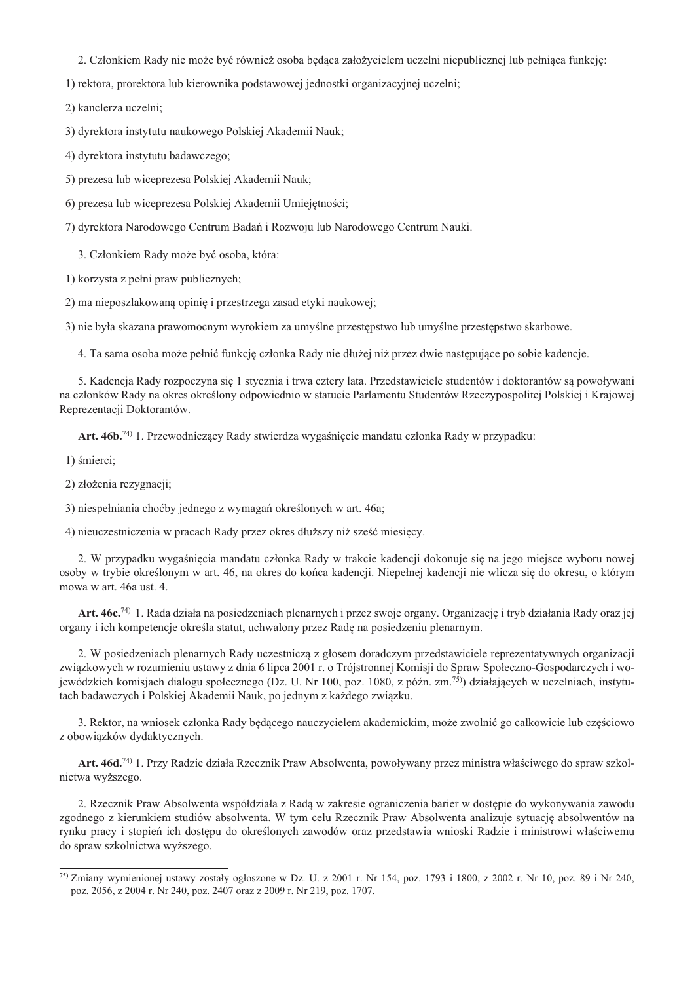2. Członkiem Rady nie może być również osoba będąca założycielem uczelni niepublicznej lub pełniąca funkcję:

1) rektora, prorektora lub kierownika podstawowej jednostki organizacyjnej uczelni;

2) kanclerza uczelni;

3) dyrektora instytutu naukowego Polskiej Akademii Nauk;

4) dyrektora instytutu badawczego;

5) prezesa lub wiceprezesa Polskiej Akademii Nauk;

6) prezesa lub wiceprezesa Polskiej Akademii Umiejętności;

7) dyrektora Narodowego Centrum Badań i Rozwoju lub Narodowego Centrum Nauki.

3. Członkiem Rady może być osoba, która:

1) korzysta z pełni praw publicznych;

2) ma nieposzlakowaną opinię i przestrzega zasad etyki naukowej;

3) nie była skazana prawomocnym wyrokiem za umyślne przestępstwo lub umyślne przestępstwo skarbowe.

4. Ta sama osoba może pełnić funkcję członka Rady nie dłużej niż przez dwie następujące po sobie kadencje.

5. Kadencja Rady rozpoczyna się 1 stycznia i trwa cztery lata. Przedstawiciele studentów i doktorantów są powoływani na członków Rady na okres określony odpowiednio w statucie Parlamentu Studentów Rzeczypospolitej Polskiej i Krajowej Reprezentacji Doktorantów.

Art. 46b.<sup>74)</sup> 1. Przewodniczący Rady stwierdza wygaśnięcie mandatu członka Rady w przypadku:

1) śmierci;

2) złożenia rezygnacji;

3) niespełniania choćby jednego z wymagań określonych w art. 46a;

4) nieuczestniczenia w pracach Rady przez okres dłuższy niż sześć miesięcy.

2. W przypadku wygaśnięcia mandatu członka Rady w trakcie kadencji dokonuje się na jego miejsce wyboru nowej osoby w trybie określonym w art. 46, na okres do końca kadencji. Niepełnej kadencji nie wlicza się do okresu, o którym mowa w art. 46a ust. 4.

Art. 46c.<sup>74)</sup> 1. Rada działa na posiedzeniach plenarnych i przez swoje organy. Organizację i tryb działania Rady oraz jej organy i ich kompetencje określa statut, uchwalony przez Radę na posiedzeniu plenarnym.

2. W posiedzeniach plenarnych Rady uczestniczą z głosem doradczym przedstawiciele reprezentatywnych organizacji związkowych w rozumieniu ustawy z dnia 6 lipca 2001 r. o Trójstronnej Komisji do Spraw Społeczno-Gospodarczych i wojewódzkich komisjach dialogu społecznego (Dz. U. Nr 100, poz. 1080, z późn. zm.<sup>75)</sup>) działających w uczelniach, instytutach badawczych i Polskiej Akademii Nauk, po jednym z każdego związku.

3. Rektor, na wniosek członka Rady będącego nauczycielem akademickim, może zwolnić go całkowicie lub częściowo z obowiązków dydaktycznych.

Art. 46d.<sup>74)</sup> 1. Przy Radzie działa Rzecznik Praw Absolwenta, powoływany przez ministra właściwego do spraw szkolnictwa wyższego.

2. Rzecznik Praw Absolwenta współdziała z Radą w zakresie ograniczenia barier w dostępie do wykonywania zawodu zgodnego z kierunkiem studiów absolwenta. W tym celu Rzecznik Praw Absolwenta analizuje sytuację absolwentów na rynku pracy i stopień ich dostępu do określonych zawodów oraz przedstawia wnioski Radzie i ministrowi właściwemu do spraw szkolnictwa wyższego.

<sup>75)</sup> Zmiany wymienionej ustawy zostały ogłoszone w Dz. U. z 2001 r. Nr 154, poz. 1793 i 1800, z 2002 r. Nr 10, poz. 89 i Nr 240, poz. 2056, z 2004 r. Nr 240, poz. 2407 oraz z 2009 r. Nr 219, poz. 1707.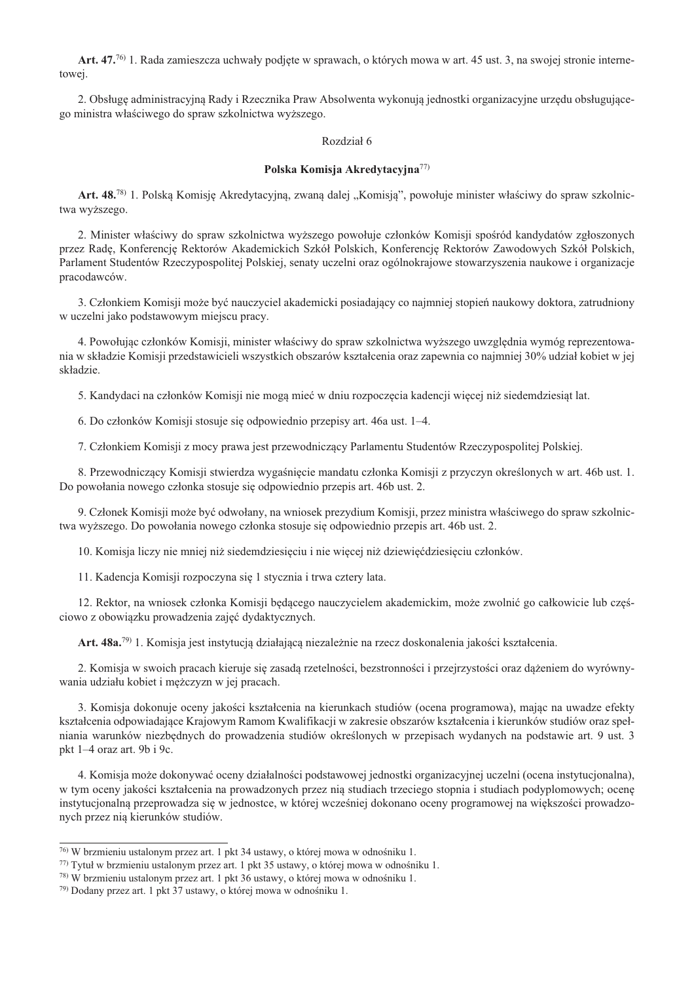Art. 47.7<sup>6</sup> 1. Rada zamieszcza uchwały podjete w sprawach, o których mowa w art. 45 ust. 3, na swojej stronie internetowej.

2. Obsługę administracyjną Rady i Rzecznika Praw Absolwenta wykonują jednostki organizacyjne urzędu obsługującego ministra właściwego do spraw szkolnictwa wyższego.

# Rozdział 6

#### Polska Komisja Akredytacyjna<sup>77)</sup>

Art. 48.<sup>78</sup> 1. Polską Komisię Akredytacyjną, zwaną dalej "Komisią", powołuje minister właściwy do spraw szkolnictwa wyższego.

2. Minister właściwy do spraw szkolnictwa wyższego powołuje członków Komisji spośród kandydatów zgłoszonych przez Radę, Konferencję Rektorów Akademickich Szkół Polskich, Konferencję Rektorów Zawodowych Szkół Polskich, Parlament Studentów Rzeczypospolitej Polskiej, senaty uczelni oraz ogólnokrajowe stowarzyszenia naukowe i organizacje pracodawców.

3. Członkiem Komisji może być nauczyciel akademicki posiadający co najmniej stopień naukowy doktora, zatrudniony w uczelni jako podstawowym miejscu pracy.

4. Powołując członków Komisji, minister właściwy do spraw szkolnictwa wyższego uwzględnia wymóg reprezentowania w składzie Komisji przedstawicieli wszystkich obszarów kształcenia oraz zapewnia co najmniej 30% udział kobiet w jej składzie.

5. Kandydaci na członków Komisji nie mogą mieć w dniu rozpoczęcia kadencji więcej niż siedemdziesiąt lat.

6. Do członków Komisji stosuje się odpowiednio przepisy art. 46a ust. 1–4.

7. Członkiem Komisji z mocy prawa jest przewodniczący Parlamentu Studentów Rzeczypospolitej Polskiej.

8. Przewodniczący Komisji stwierdza wygaśnięcie mandatu członka Komisji z przyczyn określonych w art. 46b ust. 1. Do powołania nowego członka stosuje się odpowiednio przepis art. 46b ust. 2.

9. Członek Komisji może być odwołany, na wniosek prezydium Komisji, przez ministra właściwego do spraw szkolnictwa wyższego. Do powołania nowego członka stosuje się odpowiednio przepis art. 46b ust. 2.

10. Komisja liczy nie mniej niż siedemdziesięciu i nie więcej niż dziewięćdziesięciu członków.

11. Kadencja Komisji rozpoczyna się 1 stycznia i trwa cztery lata.

12. Rektor, na wniosek członka Komisji będącego nauczycielem akademickim, może zwolnić go całkowicie lub częściowo z obowiązku prowadzenia zajęć dydaktycznych.

Art. 48a.<sup>79</sup> 1. Komisja jest instytucją działającą niezależnie na rzecz doskonalenia jakości kształcenia.

2. Komisja w swoich pracach kieruje się zasadą rzetelności, bezstronności i przejrzystości oraz dążeniem do wyrównywania udziału kobiet i mężczyzn w jej pracach.

3. Komisja dokonuje oceny jakości kształcenia na kierunkach studiów (ocena programowa), mając na uwadze efekty kształcenia odpowiadające Krajowym Ramom Kwalifikacji w zakresie obszarów kształcenia i kierunków studiów oraz spełniania warunków niezbędnych do prowadzenia studiów określonych w przepisach wydanych na podstawie art. 9 ust. 3 pkt 1–4 oraz art. 9b i 9c.

4. Komisja może dokonywać oceny działalności podstawowej jednostki organizacyjnej uczelni (ocena instytucjonalna), w tym oceny jakości kształcenia na prowadzonych przez nia studiach trzeciego stopnia i studiach podyplomowych; ocene instytucjonalną przeprowadza się w jednostce, w której wcześniej dokonano oceny programowej na większości prowadzonych przez nią kierunków studiów.

<sup>76)</sup> W brzmieniu ustalonym przez art. 1 pkt 34 ustawy, o której mowa w odnośniku 1.

<sup>77)</sup> Tytuł w brzmieniu ustalonym przez art. 1 pkt 35 ustawy, o której mowa w odnośniku 1.

<sup>78)</sup> W brzmieniu ustalonym przez art. 1 pkt 36 ustawy, o której mowa w odnośniku 1.

<sup>79)</sup> Dodany przez art. 1 pkt 37 ustawy, o której mowa w odnośniku 1.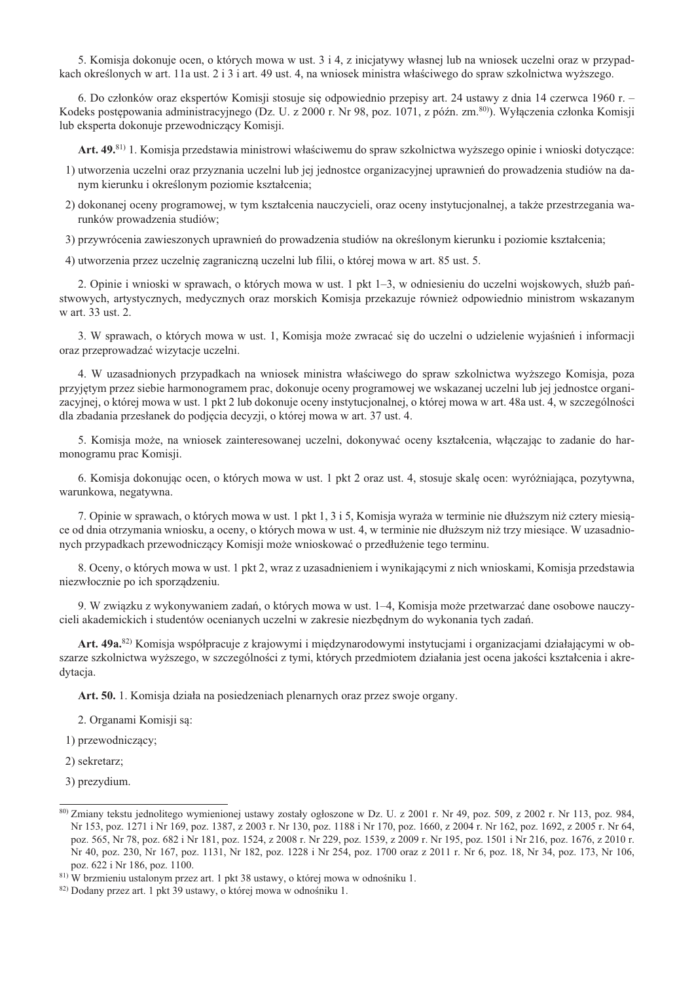5. Komisja dokonuje ocen, o których mowa w ust. 3 i 4, z iniciatywy własnej lub na wniosek uczelni oraz w przypadkach określonych w art. 11a ust. 2 i 3 i art. 49 ust. 4, na wniosek ministra właściwego do spraw szkolnictwa wyższego.

6. Do członków oraz ekspertów Komisii stosuje się odpowiednio przepisy art. 24 ustawy z dnia 14 czerwca 1960 r. – Kodeks postępowania administracyjnego (Dz. U. z 2000 r. Nr 98, poz. 1071, z późn. zm.<sup>80)</sup>). Wyłaczenia członka Komisji lub eksperta dokonuje przewodniczący Komisji.

Art. 49.<sup>81</sup> 1. Komisja przedstawia ministrowi właściwemu do spraw szkolnictwa wyższego opinie i wnioski dotyczące:

- 1) utworzenia uczelni oraz przyznania uczelni lub jej jednostce organizacyjnej uprawnień do prowadzenia studiów na danym kierunku i określonym poziomie kształcenia;
- 2) dokonanej oceny programowej, w tym kształcenia nauczycieli, oraz oceny instytucjonalnej, a także przestrzegania warunków prowadzenia studiów;
- 3) przywrócenia zawieszonych uprawnień do prowadzenia studiów na określonym kierunku i poziomie kształcenia:

4) utworzenia przez uczelnię zagraniczną uczelni lub filii, o której mowa w art. 85 ust. 5.

2. Opinie i wnioski w sprawach, o których mowa w ust. 1 pkt 1–3, w odniesieniu do uczelni wojskowych, służb państwowych, artystycznych, medycznych oraz morskich Komisja przekazuje również odpowiednio ministrom wskazanym w art. 33 ust. 2.

3. W sprawach, o których mowa w ust. 1, Komisja może zwracać się do uczelni o udzielenie wyjaśnień i informacji oraz przeprowadzać wizytacje uczelni.

4. W uzasadnionych przypadkach na wniosek ministra właściwego do spraw szkolnictwa wyższego Komisja, poza przyjętym przez siebie harmonogramem prac, dokonuje oceny programowej we wskazanej uczelni lub jej jednostce organizacyjnej, o której mowa w ust. 1 pkt 2 lub dokonuje oceny instytucjonalnej, o której mowa w art. 48a ust. 4, w szczególności dla zbadania przesłanek do podjecia decyzji, o której mowa w art. 37 ust. 4.

5. Komisja może, na wniosek zainteresowanej uczelni, dokonywać oceny kształcenia, włączając to zadanie do harmonogramu prac Komisji.

6. Komisja dokonując ocen, o których mowa w ust. 1 pkt 2 oraz ust. 4, stosuje skalę ocen: wyróżniająca, pozytywna, warunkowa, negatywna.

7. Opinie w sprawach, o których mowa w ust. 1 pkt 1, 3 i 5, Komisja wyraża w terminie nie dłuższym niż cztery miesiące od dnia otrzymania wniosku, a oceny, o których mowa w ust. 4, w terminie nie dłuższym niż trzy miesiące. W uzasadnionych przypadkach przewodniczący Komisji może wnioskować o przedłużenie tego terminu.

8. Oceny, o których mowa w ust. 1 pkt 2, wraz z uzasadnieniem i wynikającymi z nich wnioskami, Komisja przedstawia niezwłocznie po ich sporządzeniu.

9. W związku z wykonywaniem zadań, o których mowa w ust. 1–4, Komisja może przetwarzać dane osobowe nauczycieli akademickich i studentów ocenianych uczelni w zakresie niezbędnym do wykonania tych zadań.

Art. 49a.<sup>82)</sup> Komisja współpracuje z krajowymi i międzynarodowymi instytucjami i organizacjami działającymi w obszarze szkolnictwa wyższego, w szczególności z tymi, których przedmiotem działania jest ocena jakości kształcenia i akredytacja.

Art. 50. 1. Komisja działa na posiedzeniach plenarnych oraz przez swoje organy.

2. Organami Komisji są:

1) przewodniczacy;

2) sekretarz;

3) prezydium.

<sup>80)</sup> Zmiany tekstu jednolitego wymienionej ustawy zostały ogłoszone w Dz. U. z 2001 r. Nr 49, poz. 509, z 2002 r. Nr 113, poz. 984, Nr 153, poz. 1271 i Nr 169, poz. 1387, z 2003 r. Nr 130, poz. 1188 i Nr 170, poz. 1660, z 2004 r. Nr 162, poz. 1692, z 2005 r. Nr 64, poz. 565, Nr 78, poz. 682 i Nr 181, poz. 1524, z 2008 r. Nr 229, poz. 1539, z 2009 r. Nr 195, poz. 1501 i Nr 216, poz. 1676, z 2010 r. Nr 40, poz. 230, Nr 167, poz. 1131, Nr 182, poz. 1228 i Nr 254, poz. 1700 oraz z 2011 r. Nr 6, poz. 18, Nr 34, poz. 173, Nr 106, poz. 622 i Nr 186, poz. 1100.

<sup>81)</sup> W brzmieniu ustalonym przez art. 1 pkt 38 ustawy, o której mowa w odnośniku 1.

<sup>&</sup>lt;sup>82)</sup> Dodany przez art. 1 pkt 39 ustawy, o której mowa w odnośniku 1.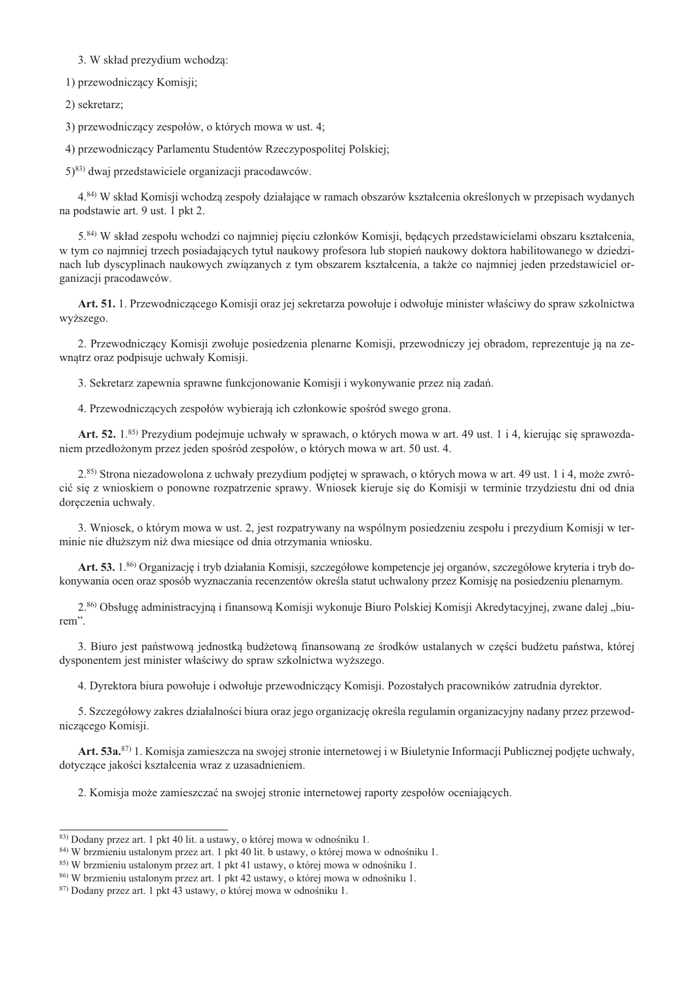## 3. W skład prezydium wchodza:

1) przewodniczący Komisji;

2) sekretarz;

3) przewodniczący zespołów, o których mowa w ust. 4;

4) przewodniczący Parlamentu Studentów Rzeczypospolitej Polskiej;

 $(5)^{83}$  dwaj przedstawiciele organizacji pracodawców.

4.<sup>84)</sup> W skład Komisii wchodza zespoły działające w ramach obszarów kształcenia określonych w przepisach wydanych na podstawie art. 9 ust. 1 pkt 2.

5.84) W skład zespołu wchodzi co najmniej pięciu członków Komisji, będących przedstawicielami obszaru kształcenia, w tym co najmniej trzech posiadających tytuł naukowy profesora lub stopień naukowy doktora habilitowanego w dziedzinach lub dyscyplinach naukowych związanych z tym obszarem kształcenia, a także co najmniej jeden przedstawiciel organizacji pracodawców.

Art. 51. 1. Przewodniczacego Komisii oraz jej sekretarza powołuje i odwołuje minister właściwy do spraw szkolnictwa wyższego.

2. Przewodniczący Komisii zwołuje posiedzenia plenarne Komisii, przewodniczy jej obradom, reprezentuje ja na zewnatrz oraz podpisuje uchwały Komisji.

3. Sekretarz zapewnia sprawne funkcionowanie Komisii i wykonywanie przez nia zadań.

4. Przewodniczących zespołów wybierają ich członkowie spośród swego grona.

Art. 52, 1.85) Prezydium podejmuje uchwały w sprawach, o których mowa w art. 49 ust. 1 i 4, kierując się sprawozdaniem przedłożonym przez jeden spośród zespołów, o których mowa w art. 50 ust. 4.

2.85) Strona niezadowolona z uchwały prezydium podjętej w sprawach, o których mowa w art. 49 ust. 1 i 4, może zwrócić się z wnioskiem o ponowne rozpatrzenie sprawy. Wniosek kieruje się do Komisji w terminie trzydziestu dni od dnia doręczenia uchwały.

3. Wniosek, o którym mowa w ust. 2, jest rozpatrywany na wspólnym posiedzeniu zespołu i prezydium Komisji w terminie nie dłuższym niż dwa miesiace od dnia otrzymania wniosku.

Art. 53. 1.86) Organizację i tryb działania Komisji, szczegółowe kompetencje jej organów, szczegółowe kryteria i tryb dokonywania ocen oraz sposób wyznaczania recenzentów określa statut uchwalony przez Komisję na posiedzeniu plenarnym.

2.86) Obsługę administracyjną i finansową Komisji wykonuje Biuro Polskiej Komisji Akredytacyjnej, zwane dalej "biurem".

3. Biuro jest państwowa jednostka budżetowa finansowana ze środków ustalanych w cześci budżetu państwa, której dysponentem jest minister właściwy do spraw szkolnictwa wyższego.

4. Dyrektora biura powołuje i odwołuje przewodniczacy Komisii. Pozostałych pracowników zatrudnia dyrektor.

5. Szczegółowy zakres działalności biura oraz jego organizację określa regulamin organizacyjny nadany przez przewodniczącego Komisji.

Art. 53a.<sup>87)</sup> 1. Komisja zamieszcza na swojej stronie internetowej i w Biuletynie Informacji Publicznej podjęte uchwały, dotyczące jakości kształcenia wraz z uzasadnieniem.

2. Komisia może zamieszczać na swojej stronie internetowej raporty zespołów oceniających.

<sup>83)</sup> Dodany przez art. 1 pkt 40 lit. a ustawy, o której mowa w odnośniku 1.

<sup>84)</sup> W brzmieniu ustalonym przez art. 1 pkt 40 lit. b ustawy, o której mowa w odnośniku 1.

<sup>85)</sup> W brzmieniu ustalonym przez art. 1 pkt 41 ustawy, o której mowa w odnośniku 1.

<sup>86)</sup> W brzmieniu ustalonym przez art. 1 pkt 42 ustawy, o której mowa w odnośniku 1.

<sup>87)</sup> Dodany przez art. 1 pkt 43 ustawy, o której mowa w odnośniku 1.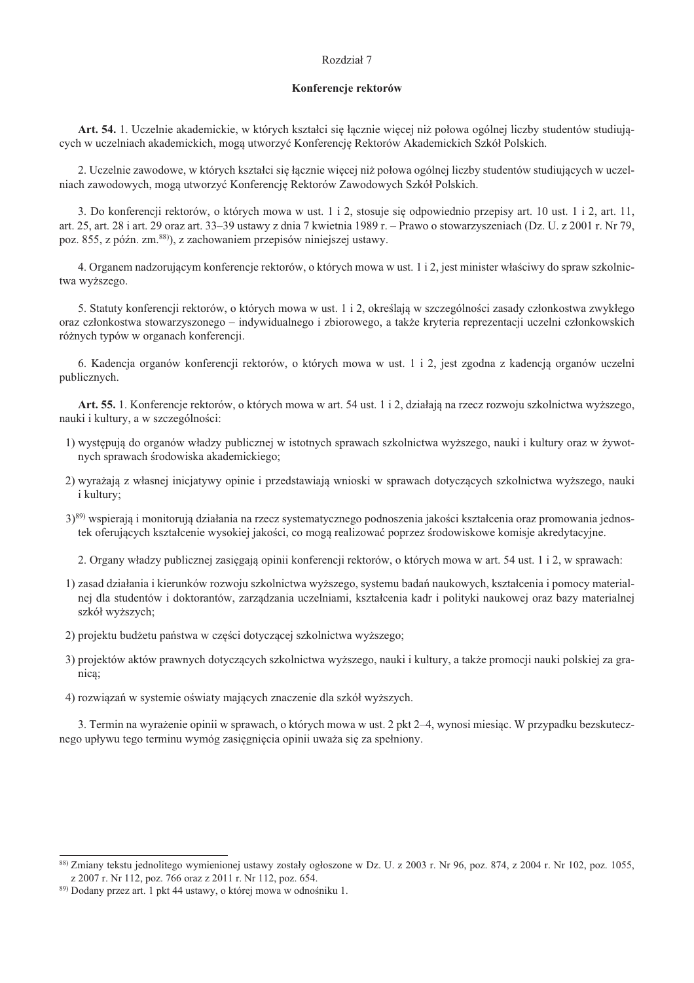## Rozdział 7

### Konferencje rektorów

Art. 54. 1. Uczelnie akademickie, w których kształci się łącznie więcej niż połowa ogólnej liczby studentów studiujących w uczelniach akademickich, mogą utworzyć Konferencję Rektorów Akademickich Szkół Polskich.

2. Uczelnie zawodowe, w których kształci się łącznie więcej niż połowa ogólnej liczby studentów studiujących w uczelniach zawodowych, mogą utworzyć Konferencję Rektorów Zawodowych Szkół Polskich.

3. Do konferencii rektorów, o których mowa w ust. 1 i 2, stosuje się odpowiednio przepisy art. 10 ust. 1 i 2, art. 11, art. 25, art. 28 i art. 29 oraz art. 33–39 ustawy z dnia 7 kwietnia 1989 r. – Prawo o stowarzyszeniach (Dz. U. z 2001 r. Nr 79, poz. 855, z późn, zm. 88), z zachowaniem przepisów niniejszej ustawy.

4. Organem nadzorującym konferencje rektorów, o których mowa w ust. 1 i 2, jest minister właściwy do spraw szkolnictwa wyższego.

5. Statuty konferencji rektorów, o których mowa w ust. 1 i 2, określają w szczególności zasady członkostwa zwykłego oraz członkostwa stowarzyszonego – indywidualnego i zbiorowego, a także kryteria reprezentacji uczelni członkowskich różnych typów w organach konferencji.

6. Kadencja organów konferencji rektorów, o których mowa w ust. 1 i 2, jest zgodna z kadencją organów uczelni publicznych.

Art. 55. 1. Konferencje rektorów, o których mowa w art. 54 ust. 1 i 2, działają na rzecz rozwoju szkolnictwa wyższego, nauki i kultury, a w szczególności:

- 1) występują do organów władzy publicznej w istotnych sprawach szkolnictwa wyższego, nauki i kultury oraz w żywotnych sprawach środowiska akademickiego;
- 2) wyrażają z własnej iniciatywy opinie i przedstawiają wnioski w sprawach dotyczących szkolnictwa wyższego, nauki *i* kultury;
- 3)89) wspierają i monitorują działania na rzecz systematycznego podnoszenia jakości kształcenia oraz promowania jednostek oferujących kształcenie wysokiej jakości, co mogą realizować poprzez środowiskowe komisje akredytacyjne.

2. Organy władzy publicznej zasięgają opinii konferencji rektorów, o których mowa w art. 54 ust. 1 i 2, w sprawach:

- 1) zasad działania i kierunków rozwoju szkolnictwa wyższego, systemu badań naukowych, kształcenia i pomocy materialnej dla studentów i doktorantów, zarządzania uczelniami, kształcenia kadr i polityki naukowej oraz bazy materialnej szkół wyższych;
- 2) projektu budżetu państwa w części dotyczącej szkolnictwa wyższego;
- 3) projektów aktów prawnych dotyczących szkolnictwa wyższego, nauki i kultury, a także promocji nauki polskiej za granica:
- 4) rozwiązań w systemie oświąty mających znaczenie dla szkół wyższych.

3. Termin na wyrażenie opinii w sprawach, o których mowa w ust. 2 pkt 2–4, wynosi miesiąc. W przypadku bezskutecznego upływu tego terminu wymóg zasięgnięcia opinii uważa się za spełniony.

<sup>&</sup>lt;sup>88)</sup> Zmiany tekstu jednolitego wymienionej ustawy zostały ogłoszone w Dz. U. z 2003 r. Nr 96, poz. 874, z 2004 r. Nr 102, poz. 1055, z 2007 r. Nr 112, poz. 766 oraz z 2011 r. Nr 112, poz. 654.

<sup>89)</sup> Dodany przez art. 1 pkt 44 ustawy, o której mowa w odnośniku 1.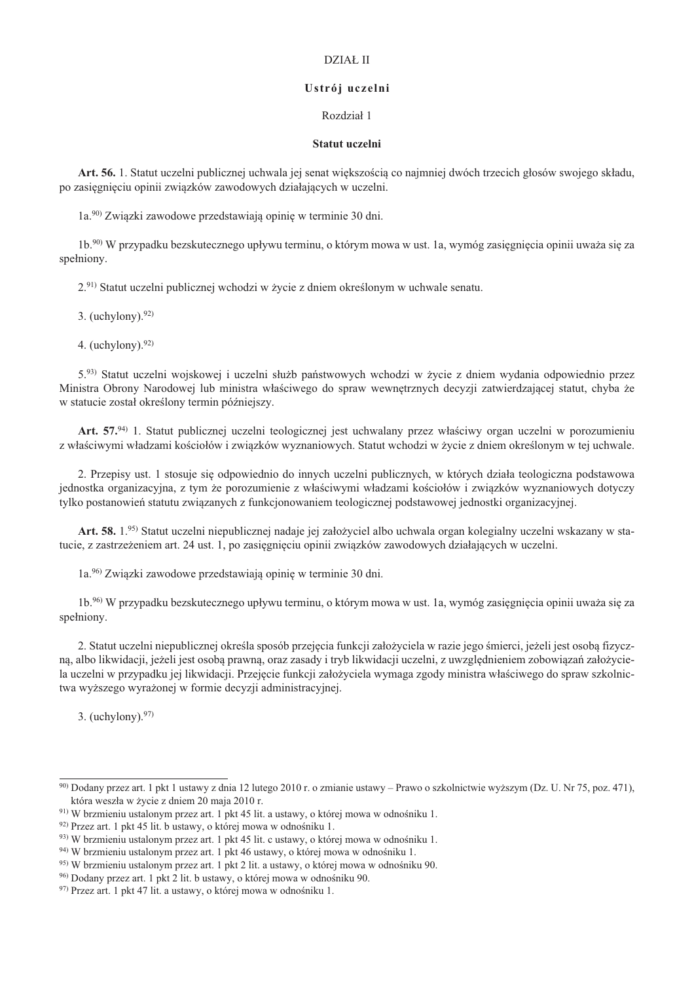# DZIAŁ II

### Ustrój uczelni

# Rozdział 1

#### Statut uczelni

Art. 56. 1. Statut uczelni publicznej uchwala jej senat większością co najmniej dwóch trzecich głosów swojego składu, po zasięgnięciu opinii związków zawodowych działających w uczelni.

1a.<sup>90</sup> Związki zawodowe przedstawiają opinię w terminie 30 dni.

1b.<sup>90)</sup> W przypadku bezskutecznego upływu terminu, o którym mowa w ust. 1a, wymóg zasięgnięcia opinii uważa się za spełniony.

2.91) Statut uczelni publicznej wchodzi w życie z dniem określonym w uchwale senatu.

3. (uchylony).  $92)$ 

4. (uchylony).  $92)$ 

5.93) Statut uczelni wojskowej i uczelni służb państwowych wchodzi w życie z dniem wydania odpowiednio przez Ministra Obrony Narodowej lub ministra właściwego do spraw wewnętrznych decyzji zatwierdzającej statut, chyba że w statucie został określony termin późniejszy.

Art. 57.94) 1. Statut publicznej uczelni teologicznej jest uchwalany przez właściwy organ uczelni w porozumieniu z właściwymi władzami kościołów i zwiazków wyznaniowych. Statut wchodzi w życie z dniem określonym w tej uchwale.

2. Przepisy ust. 1 stosuje się odpowiednio do innych uczelni publicznych, w których działa teologiczna podstawowa jednostka organizacyjna, z tym że porozumienie z właściwymi władzami kościołów i zwiazków wyznaniowych dotyczy tylko postanowień statutu związanych z funkcjonowaniem teologicznej podstawowej jednostki organizacyjnej.

Art. 58. 1.95) Statut uczelni niepublicznej nadaje jej założyciel albo uchwala organ kolegialny uczelni wskazany w statucie, z zastrzeżeniem art. 24 ust. 1, po zasięgnięciu opinii związków zawodowych działających w uczelni.

1a.<sup>96</sup> Związki zawodowe przedstawiają opinię w terminie 30 dni.

1b.<sup>96</sup> W przypadku bezskutecznego upływu terminu, o którym mowa w ust. 1a, wymóg zasiegniecia opinii uważa się za spełniony.

2. Statut uczelni niepublicznej określa sposób przejecia funkcji założyciela w razie jego śmierci, jeżeli jest osoba fizyczną, albo likwidacji, jeżeli jest osobą prawną, oraz zasady i tryb likwidacji uczelni, z uwzględnieniem zobowiązań założyciela uczelni w przypadku jej likwidacji. Przejecie funkcji założyciela wymaga zgody ministra właściwego do spraw szkolnictwa wyższego wyrażonej w formie decyzji administracyjnej.

3. (uchylony). $97$ )

<sup>&</sup>lt;sup>90)</sup> Dodany przez art. 1 pkt 1 ustawy z dnia 12 lutego 2010 r. o zmianie ustawy – Prawo o szkolnictwie wyższym (Dz. U. Nr 75, poz. 471), która weszła w życie z dniem 20 maja 2010 r.

<sup>&</sup>lt;sup>91)</sup> W brzmieniu ustalonym przez art. 1 pkt 45 lit. a ustawy, o której mowa w odnośniku 1.

<sup>92)</sup> Przez art. 1 pkt 45 lit. b ustawy, o której mowa w odnośniku 1.

<sup>93)</sup> W brzmieniu ustalonym przez art. 1 pkt 45 lit. c ustawy, o której mowa w odnośniku 1.

 $94)$  W brzmieniu ustalonym przez art. 1 pkt 46 ustawy, o której mowa w odnośniku 1.

<sup>95)</sup> W brzmieniu ustalonym przez art. 1 pkt 2 lit. a ustawy, o której mowa w odnośniku 90.

<sup>96)</sup> Dodany przez art. 1 pkt 2 lit. b ustawy, o której mowa w odnośniku 90.

<sup>97)</sup> Przez art. 1 pkt 47 lit. a ustawy, o której mowa w odnośniku 1.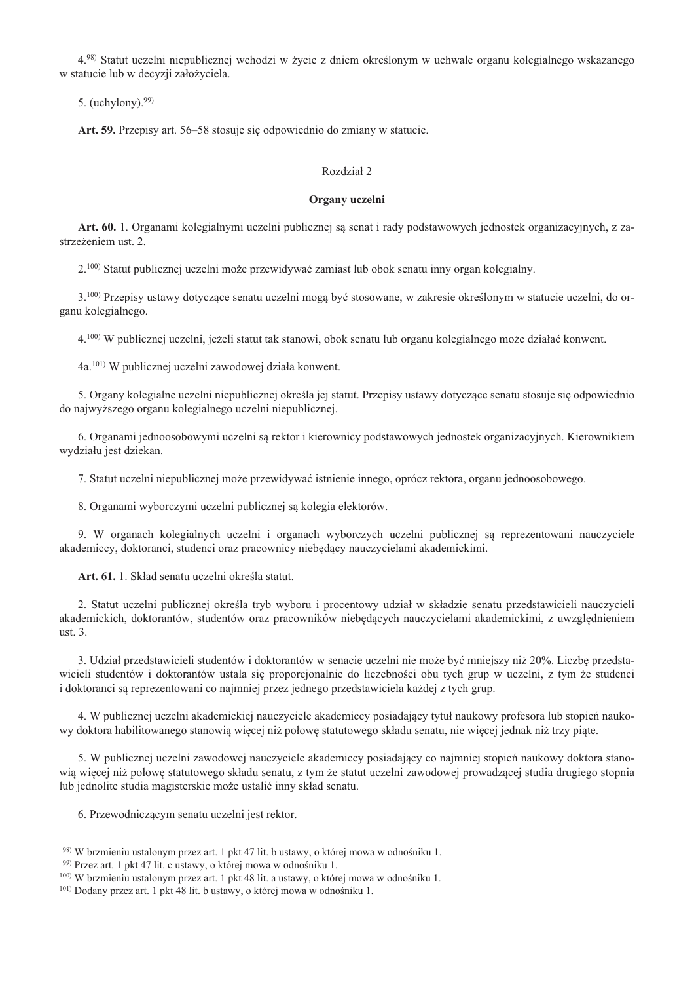4.98) Statut uczelni niepublicznej wchodzi w życie z dniem określonym w uchwale organu kolegialnego wskazanego w statucie lub w decyzji założyciela.

5. (uchylony).  $99$ )

Art. 59. Przepisy art. 56–58 stosuje się odpowiednio do zmiany w statucie.

# Rozdział 2

### Organy uczelni

Art. 60. 1. Organami kolegialnymi uczelni publicznej są senat i rady podstawowych jednostek organizacyjnych, z zastrzeżeniem ust. 2.

2.<sup>100)</sup> Statut publicznej uczelni może przewidywać zamiast lub obok senatu inny organ kolegialny.

3.<sup>100)</sup> Przepisy ustawy dotyczące senatu uczelni mogą być stosowane, w zakresie określonym w statucie uczelni, do organu kolegialnego.

4.<sup>100</sup>) W publicznej uczelni, jeżeli statut tak stanowi, obok senatu lub organu kolegialnego może działać konwent.

4a.<sup>101)</sup> W publicznej uczelni zawodowej działa konwent.

5. Organy kolegialne uczelni niepublicznej określa jej statut. Przepisy ustawy dotyczące senatu stosuje się odpowiednio do najwyższego organu kolegialnego uczelni niepublicznej.

6. Organami jednoosobowymi uczelni są rektor i kierownicy podstawowych jednostek organizacyjnych. Kierownikiem wydziału jest dziekan.

7. Statut uczelni niepublicznej może przewidywać istnienie innego, oprócz rektora, organu jednoosobowego.

8. Organami wyborczymi uczelni publicznej są kolegia elektorów.

9. W organach kolegialnych uczelni i organach wyborczych uczelni publicznej sa reprezentowani nauczyciele akademiccy, doktoranci, studenci oraz pracownicy niebędący nauczycielami akademickimi.

Art. 61. 1. Skład senatu uczelni określa statut.

2. Statut uczelni publicznej określa tryb wyboru i procentowy udział w składzie senatu przedstawicieli nauczycieli akademickich, doktorantów, studentów oraz pracowników niebędących nauczycielami akademickimi, z uwzględnieniem ust.  $3$ .

3. Udział przedstawicieli studentów i doktorantów w senacie uczelni nie może być mniejszy niż 20%. Liczbę przedstawicieli studentów i doktorantów ustala się proporcjonalnie do liczebności obu tych grup w uczelni, z tym że studenci i doktoranci sa reprezentowani co najmniej przez jednego przedstawiciela każdej z tych grup.

4. W publicznej uczelni akademickiej nauczyciele akademiccy posiadający tytuł naukowy profesora lub stopień naukowy doktora habilitowanego stanowią więcej niż połowę statutowego składu senatu, nie więcej jednak niż trzy piąte.

5. W publicznej uczelni zawodowej nauczyciele akademiccy posiadający co najmniej stopień naukowy doktora stanowią więcej niż połowę statutowego składu senatu, z tym że statut uczelni zawodowej prowadzącej studia drugiego stopnia lub jednolite studia magisterskie może ustalić inny skład senatu.

6. Przewodniczacym senatu uczelni jest rektor.

<sup>98)</sup> W brzmieniu ustalonym przez art. 1 pkt 47 lit. b ustawy, o której mowa w odnośniku 1.

<sup>99)</sup> Przez art. 1 pkt 47 lit. c ustawy, o której mowa w odnośniku 1.

<sup>&</sup>lt;sup>100</sup>) W brzmieniu ustalonym przez art. 1 pkt 48 lit. a ustawy, o której mowa w odnośniku 1.

<sup>&</sup>lt;sup>101</sup>) Dodany przez art. 1 pkt 48 lit. b ustawy, o której mowa w odnośniku 1.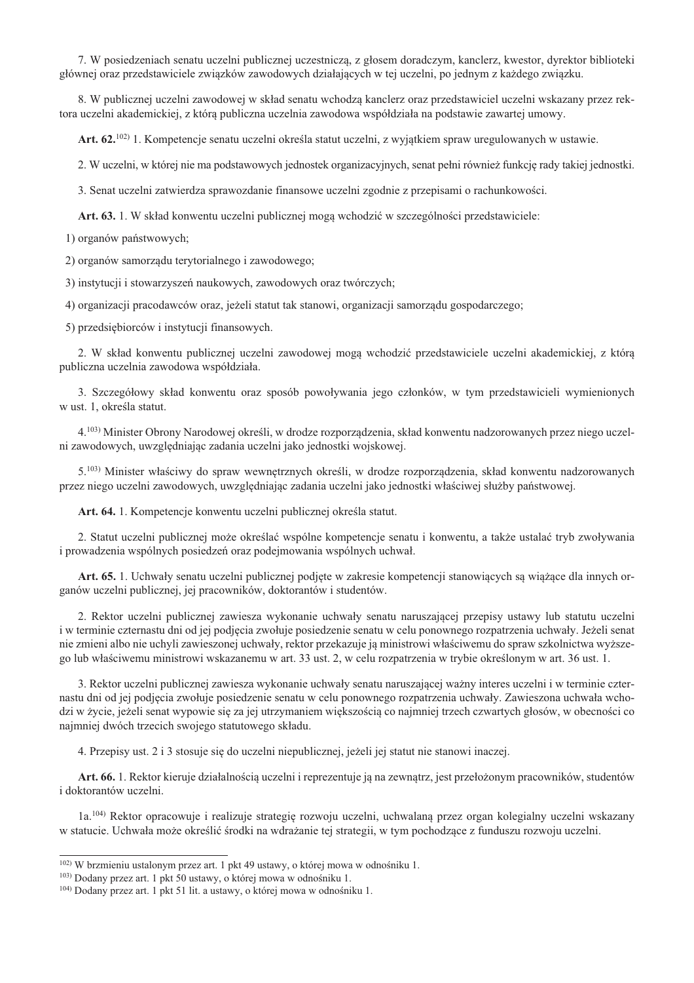7. W posiedzeniach senatu uczelni publicznej uczestniczą, z głosem doradczym, kanclerz, kwestor, dyrektor biblioteki głównej oraz przedstawiciele związków zawodowych działających w tej uczelni, po jednym z każdego związku.

8. W publicznej uczelni zawodowej w skład senatu wchodzą kanclerz oraz przedstawiciel uczelni wskazany przez rektora uczelni akademickiej, z którą publiczna uczelnia zawodowa współdziała na podstawie zawartej umowy.

Art. 62.<sup>102)</sup> 1. Kompetencje senatu uczelni określa statut uczelni, z wyjątkiem spraw uregulowanych w ustawie.

2. W uczelni, w której nie ma podstawowych jednostek organizacyjnych, senat pełni również funkcję rady takiej jednostki.

3. Senat uczelni zatwierdza sprawozdanie finansowe uczelni zgodnie z przepisami o rachunkowości.

Art. 63. 1. W skład konwentu uczelni publicznej moga wchodzić w szczególności przedstawiciele:

1) organów państwowych;

2) organów samorządu terytorialnego i zawodowego;

3) instytucji i stowarzyszeń naukowych, zawodowych oraz twórczych;

4) organizacji pracodawców oraz, jeżeli statut tak stanowi, organizacji samorządu gospodarczego;

5) przedsiebiorców i instytucii finansowych.

2. W skład konwentu publicznej uczelni zawodowej mogą wchodzić przedstawiciele uczelni akademickiej, z którą publiczna uczelnia zawodowa współdziała.

3. Szczegółowy skład konwentu oraz sposób powoływania jego członków, w tym przedstawicieli wymienionych w ust. 1, określa statut.

4.<sup>103</sup>) Minister Obrony Narodowej określi, w drodze rozporzadzenia, skład konwentu nadzorowanych przez niego uczelni zawodowych, uwzględniając zadania uczelni jako jednostki wojskowej.

5.<sup>103)</sup> Minister właściwy do spraw wewnetrznych określi, w drodze rozporzadzenia, skład konwentu nadzorowanych przez niego uczelni zawodowych, uwzględniając zadania uczelni jako jednostki właściwej służby państwowej.

Art. 64. 1. Kompetencje konwentu uczelni publicznej określa statut.

2. Statut uczelni publicznej może określać wspólne kompetencje senatu i konwentu, a także ustalać tryb zwoływania i prowadzenia wspólnych posiedzeń oraz podejmowania wspólnych uchwał.

Art. 65. 1. Uchwały senatu uczelni publicznej podjęte w zakresie kompetencji stanowiących są wiążące dla innych organów uczelni publicznej, jej pracowników, doktorantów i studentów.

2. Rektor uczelni publicznej zawiesza wykonanie uchwały senatu naruszającej przepisy ustawy lub statutu uczelni i w terminie czternastu dni od jej podjęcia zwołuje posiedzenie senatu w celu ponownego rozpatrzenia uchwały. Jeżeli senat nie zmieni albo nie uchyli zawieszonej uchwały, rektor przekazuje ją ministrowi właściwemu do spraw szkolnictwa wyższego lub właściwemu ministrowi wskazanemu w art. 33 ust. 2, w celu rozpatrzenia w trybie określonym w art. 36 ust. 1.

3. Rektor uczelni publicznej zawiesza wykonanie uchwały senatu naruszającej ważny interes uczelni i w terminie czternastu dni od jej podjecia zwołuje posiedzenie senatu w celu ponownego rozpatrzenia uchwały. Zawieszona uchwała wchodzi w życie, jeżeli senat wypowie się za jej utrzymaniem większością co najmniej trzech czwartych głosów, w obecności co najmniej dwóch trzecich swojego statutowego składu.

4. Przepisy ust. 2 i 3 stosuje się do uczelni niepublicznej, jeżeli jej statut nie stanowi inaczej.

Art. 66. 1. Rektor kieruje działalnością uczelni i reprezentuje ją na zewnątrz, jest przełożonym pracowników, studentów i doktorantów uczelni.

1a.<sup>104)</sup> Rektor opracowuje i realizuje strategię rozwoju uczelni, uchwalaną przez organ kolegialny uczelni wskazany w statucie. Uchwała może określić środki na wdrażanie tej strategii, w tym pochodzące z funduszu rozwoju uczelni.

<sup>&</sup>lt;sup>102)</sup> W brzmieniu ustalonym przez art. 1 pkt 49 ustawy, o której mowa w odnośniku 1.

<sup>&</sup>lt;sup>103</sup>) Dodany przez art. 1 pkt 50 ustawy, o której mowa w odnośniku 1.

<sup>&</sup>lt;sup>104)</sup> Dodany przez art. 1 pkt 51 lit. a ustawy, o której mowa w odnośniku 1.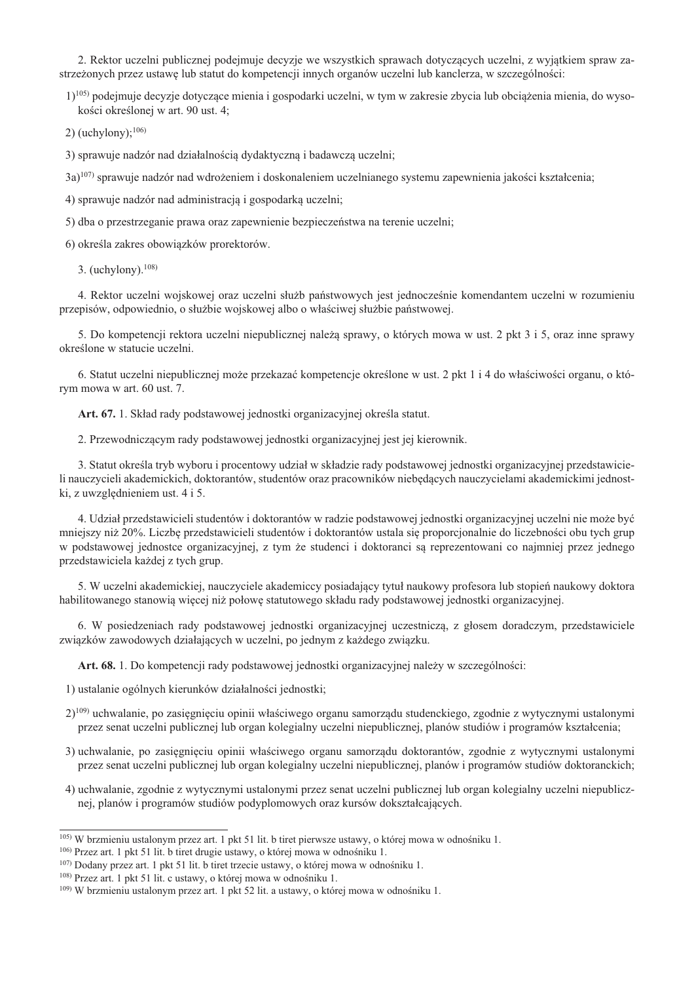2. Rektor uczelni publicznej podejmuje decyzje we wszystkich sprawach dotyczących uczelni, z wyjatkiem spraw zastrzeżonych przez ustawę lub statut do kompetencji innych organów uczelni lub kanclerza, w szczególności:

1)<sup>105</sup> podejmuje decyzje dotyczące mienia i gospodarki uczelni, w tym w zakresie zbycia lub obciążenia mienia, do wysokości określonej w art. 90 ust. 4;

2) (uchylony); $^{106}$ )

3) sprawuje nadzór nad działalnościa dydaktyczna i badawcza uczelni;

3a)<sup>107</sup>) sprawuje nadzór nad wdrożeniem i doskonaleniem uczelnianego systemu zapewnienia jakości kształcenia;

4) sprawuje nadzór nad administracja i gospodarka uczelni;

5) dba o przestrzeganie prawa oraz zapewnienie bezpieczeństwa na terenie uczelni;

6) określa zakres obowiązków prorektorów.

3. (uchylony).  $108$ )

4. Rektor uczelni wojskowej oraz uczelni służb państwowych jest jednocześnie komendantem uczelni w rozumieniu przepisów, odpowiednio, o służbie wojskowej albo o właściwej służbie państwowej.

5. Do kompetencji rektora uczelni niepublicznej należą sprawy, o których mowa w ust. 2 pkt 3 i 5, oraz inne sprawy określone w statucie uczelni.

6. Statut uczelni niepublicznej może przekazać kompetencje określone w ust. 2 pkt 1 i 4 do właściwości organu, o którym mowa w art. 60 ust. 7.

Art. 67. 1. Skład rady podstawowej jednostki organizacyjnej określa statut.

2. Przewodniczącym rady podstawowej jednostki organizacyjnej jest jej kierownik.

3. Statut określa tryb wyboru i procentowy udział w składzie rady podstawowej jednostki organizacyjnej przedstawicieli nauczycieli akademickich, doktorantów, studentów oraz pracowników niebędących nauczycielami akademickimi jednostki, z uwzględnieniem ust. 4 i 5.

4. Udział przedstawicieli studentów i doktorantów w radzie podstawowej jednostki organizacyjnej uczelni nie może być mniejszy niż 20%. Liczbe przedstawicieli studentów i doktorantów ustala się proporcionalnie do liczebności obu tych grup w podstawowej jednostce organizacyjnej, z tym że studenci i doktoranci sa reprezentowani co najmniej przez jednego przedstawiciela każdej z tych grup.

5. W uczelni akademickiej, nauczyciele akademiccy posiadający tytuł naukowy profesora lub stopień naukowy doktora habilitowanego stanowią więcej niż połowę statutowego składu rady podstawowej jednostki organizacyjnej.

6. W posiedzeniach rady podstawowej jednostki organizacyjnej uczestnicza, z głosem doradczym, przedstawiciele związków zawodowych działających w uczelni, po jednym z każdego związku.

Art. 68. 1. Do kompetencji rady podstawowej jednostki organizacyjnej należy w szczególności:

1) ustalanie ogólnych kierunków działalności jednostki;

- 2)<sup>109)</sup> uchwalanie, po zasięgnięciu opinii właściwego organu samorządu studenckiego, zgodnie z wytycznymi ustalonymi przez senat uczelni publicznej lub organ kolegialny uczelni niepublicznej, planów studiów i programów kształcenia:
- 3) uchwalanie, po zasięgnięciu opinii właściwego organu samorządu doktorantów, zgodnie z wytycznymi ustalonymi przez senat uczelni publicznej lub organ kolegialny uczelni niepublicznej, planów i programów studiów doktoranckich;
- 4) uchwalanie, zgodnie z wytycznymi ustalonymi przez senat uczelni publicznej lub organ kolegialny uczelni niepublicznej, planów i programów studiów podyplomowych oraz kursów dokształcających.

 $^{105}$  W brzmieniu ustalonym przez art. 1 pkt 51 lit. b tiret pierwsze ustawy, o której mowa w odnośniku 1.

 $106$ ) Przez art. 1 pkt 51 lit. b tiret drugie ustawy, o której mowa w odnośniku 1.

<sup>&</sup>lt;sup>107</sup>) Dodany przez art. 1 pkt 51 lit, b tiret trzecie ustawy, o której mowa w odnośniku 1.

<sup>&</sup>lt;sup>108)</sup> Przez art. 1 pkt 51 lit. c ustawy, o której mowa w odnośniku 1.

<sup>&</sup>lt;sup>109</sup>) W brzmieniu ustalonym przez art. 1 pkt 52 lit. a ustawy, o której mowa w odnośniku 1.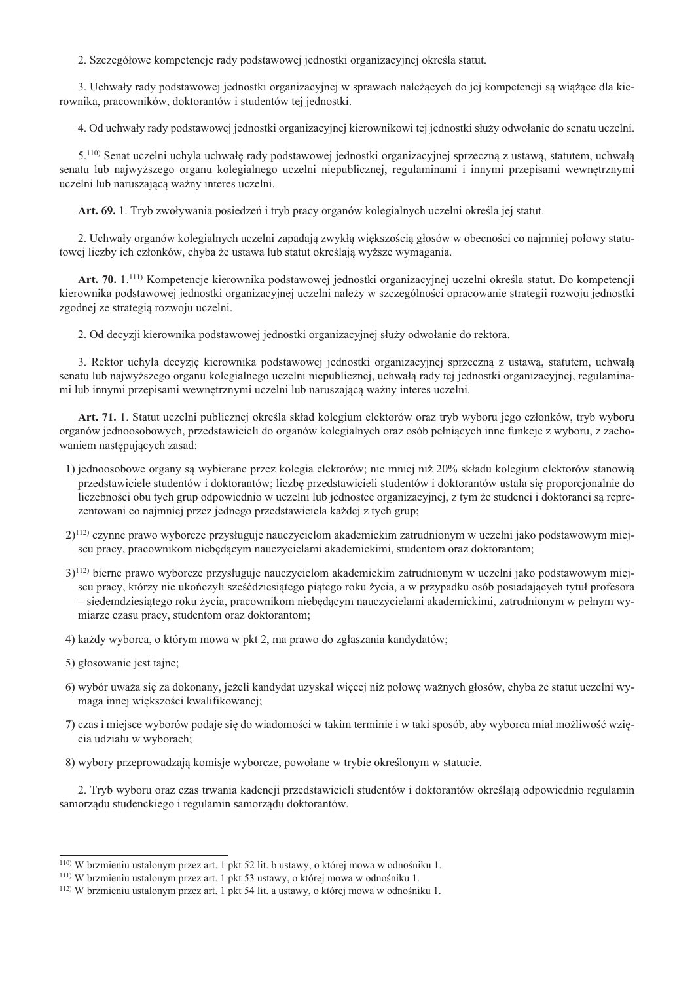2. Szczegółowe kompetencje rady podstawowej jednostki organizacyjnej określa statut.

3. Uchwały rady podstawowej jednostki organizacyjnej w sprawach należących do jej kompetencji są wiążące dla kierownika, pracowników, doktorantów i studentów tej jednostki.

4. Od uchwały rady podstawowej jednostki organizacyjnej kierownikowi tej jednostki służy odwołanie do senatu uczelni.

5.<sup>110</sup>) Senat uczelni uchyla uchwałę rady podstawowej jednostki organizacyjnej sprzeczną z ustawą, statutem, uchwałą senatu lub najwyższego organu kolegialnego uczelni niepublicznej, regulaminami i innymi przepisami wewnętrznymi uczelni lub naruszającą ważny interes uczelni.

Art. 69. 1. Tryb zwoływania posiedzeń i tryb pracy organów kolegialnych uczelni określa jej statut.

2. Uchwały organów kolegialnych uczelni zapadają zwykłą większością głosów w obecności co najmniej połowy statutowej liczby ich członków, chyba że ustawa lub statut określają wyższe wymagania.

Art. 70. 1.<sup>111)</sup> Kompetencje kierownika podstawowej jednostki organizacyjnej uczelni określa statut. Do kompetencji kierownika podstawowej jednostki organizacyjnej uczelni należy w szczególności opracowanie strategii rozwoju jednostki zgodnej ze strategia rozwoju uczelni.

2. Od decyzji kierownika podstawowej jednostki organizacyjnej służy odwołanie do rektora.

3. Rektor uchyla decyzję kierownika podstawowej jednostki organizacyjnej sprzeczną z ustawą, statutem, uchwałą senatu lub najwyższego organu kolegialnego uczelni niepublicznej, uchwałą rady tej jednostki organizacyjnej, regulaminami lub innymi przepisami wewnętrznymi uczelni lub naruszającą ważny interes uczelni.

Art. 71. 1. Statut uczelni publicznej określa skład kolegium elektorów oraz tryb wyboru jego członków, tryb wyboru organów jednoosobowych, przedstawicieli do organów kolegialnych oraz osób pełniących inne funkcje z wyboru, z zachowaniem następujących zasad:

- 1) jednoosobowe organy sa wybierane przez kolegia elektorów; nie mniej niż 20% składu kolegium elektorów stanowia przedstawiciele studentów i doktorantów; liczbę przedstawicieli studentów i doktorantów ustala się proporcjonalnie do liczebności obu tych grup odpowiednio w uczelni lub jednostce organizacyjnej, z tym że studenci i doktoranci są reprezentowani co najmniej przez jednego przedstawiciela każdej z tych grup:
- 2)<sup>112)</sup> czynne prawo wyborcze przysługuje nauczycielom akademickim zatrudnionym w uczelni jako podstawowym miejscu pracy, pracownikom niebędącym nauczycielami akademickimi, studentom oraz doktorantom;
- 3)<sup>112</sup> bierne prawo wyborcze przysługuje nauczycielom akademickim zatrudnionym w uczelni jako podstawowym miejscu pracy, którzy nie ukończyli sześćdziesiątego piątego roku życia, a w przypadku osób posiadających tytuł profesora - siedemdziesiątego roku życia, pracownikom niebędącym nauczycielami akademickimi, zatrudnionym w pełnym wymiarze czasu pracy, studentom oraz doktorantom;
- 4) każdy wyborca, o którym mowa w pkt 2, ma prawo do zgłaszania kandydatów;
- 5) głosowanie jest tajne;
- 6) wybór uważa się za dokonany, jeżeli kandydat uzyskał więcej niż połowe ważnych głosów, chyba że statut uczelni wymaga innej większości kwalifikowanej;
- 7) czas i miejsce wyborów podaje się do wiadomości w takim terminie i w taki sposób, aby wyborca miał możliwość wziecia udziału w wyborach:
- 8) wybory przeprowadzają komisje wyborcze, powołane w trybie określonym w statucie.

2. Tryb wyboru oraz czas trwania kadencji przedstawicieli studentów i doktorantów określają odpowiednio regulamin samorządu studenckiego i regulamin samorządu doktorantów.

<sup>&</sup>lt;sup>110</sup>) W brzmieniu ustalonym przez art. 1 pkt 52 lit. b ustawy, o której mowa w odnośniku 1.

<sup>&</sup>lt;sup>111</sup>) W brzmieniu ustalonym przez art. 1 pkt 53 ustawy, o której mowa w odnośniku 1.

<sup>&</sup>lt;sup>112</sup>) W brzmieniu ustalonym przez art. 1 pkt 54 lit. a ustawy, o której mowa w odnośniku 1.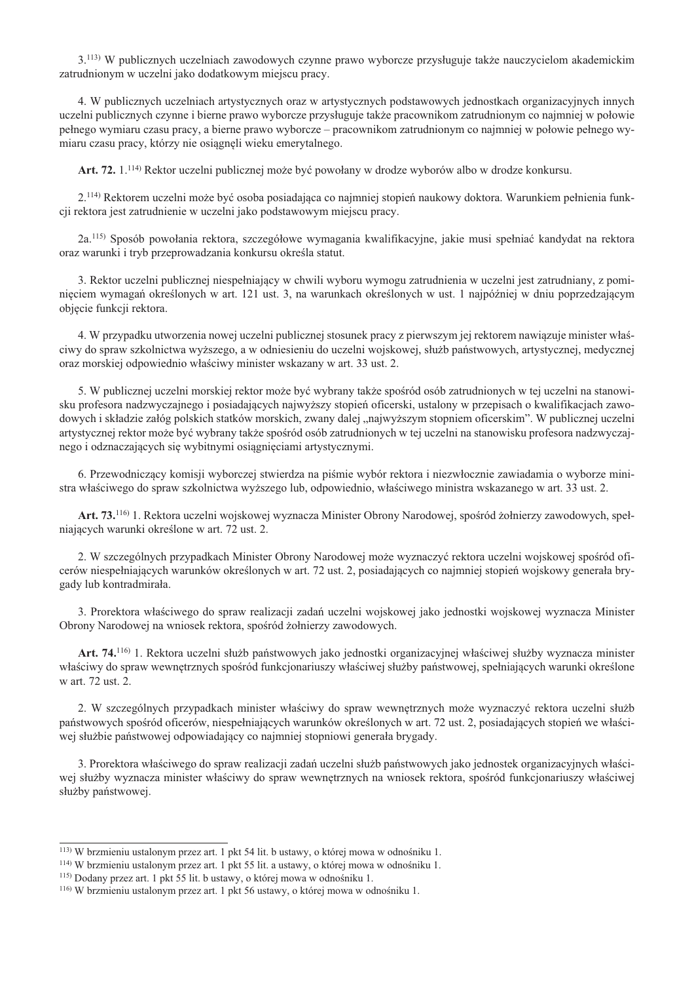3.<sup>113</sup>) W publicznych uczelniach zawodowych czynne prawo wyborcze przysługuje także nauczycielom akademickim zatrudnionym w uczelni jako dodatkowym miejscu pracy.

4. W publicznych uczelniach artystycznych oraz w artystycznych podstawowych jednostkach organizacyjnych innych uczelni publicznych czynne i bierne prawo wyborcze przysługuje także pracownikom zatrudnionym co najmniej w połowie pełnego wymiaru czasu pracy, a bierne prawo wyborcze – pracownikom zatrudnionym co najmniej w połowie pełnego wymiaru czasu pracy, którzy nie osiągnęli wieku emerytalnego.

Art. 72. 1.<sup>114</sup> Rektor uczelni publicznej może być powołany w drodze wyborów albo w drodze konkursu.

2.<sup>114)</sup> Rektorem uczelni może być osoba posiadająca co najmniej stopień naukowy doktora. Warunkiem pełnienia funkcii rektora jest zatrudnienie w uczelni jako podstawowym miejscu pracy.

2a.<sup>115</sup>) Sposób powołania rektora, szczegółowe wymagania kwalifikacyjne, jakie musi spełniać kandydat na rektora oraz warunki i tryb przeprowadzania konkursu określa statut.

3. Rektor uczelni publicznej niespełniający w chwili wyboru wymogu zatrudnienia w uczelni jest zatrudniany, z pominięciem wymagań określonych w art. 121 ust. 3, na warunkach określonych w ust. 1 najpóźniej w dniu poprzedzającym objęcie funkcji rektora.

4. W przypadku utworzenia nowej uczelni publicznej stosunek pracy z pierwszym jej rektorem nawiązuje minister właściwy do spraw szkolnictwa wyższego, a w odniesieniu do uczelni wojskowej, służb państwowych, artystycznej, medycznej oraz morskiej odpowiednio właściwy minister wskazany w art. 33 ust. 2.

5. W publicznej uczelni morskiej rektor może być wybrany także spośród osób zatrudnionych w tej uczelni na stanowisku profesora nadzwyczajnego i posiadających najwyższy stopień oficerski, ustalony w przepisach o kwalifikacjach zawodowych i składzie załóg polskich statków morskich, zwany dalej "najwyższym stopniem oficerskim". W publicznej uczelni artystycznej rektor może być wybrany także spośród osób zatrudnionych w tej uczelni na stanowisku profesora nadzwyczajnego i odznaczających się wybitnymi osiągnięciami artystycznymi.

6. Przewodniczący komisji wyborczej stwierdza na piśmie wybór rektora i niezwłocznie zawiadamia o wyborze ministra właściwego do spraw szkolnictwa wyższego lub, odpowiednio, właściwego ministra wskazanego w art. 33 ust. 2.

Art. 73.<sup>116)</sup> 1. Rektora uczelni wojskowej wyznacza Minister Obrony Narodowej, spośród żołnierzy zawodowych, spełniających warunki określone w art. 72 ust. 2.

2. W szczególnych przypadkach Minister Obrony Narodowej może wyznaczyć rektora uczelni wojskowej spośród oficerów niespełniających warunków określonych w art. 72 ust. 2, posiadających co najmniej stopień wojskowy generała brygady lub kontradmirała.

3. Prorektora właściwego do spraw realizacji zadań uczelni wojskowej jako jednostki wojskowej wyznacza Minister Obrony Narodowej na wniosek rektora, spośród żołnierzy zawodowych.

Art. 74.<sup>116)</sup> 1. Rektora uczelni służb państwowych jako jednostki organizacyjnej właściwej służby wyznacza minister właściwy do spraw wewnętrznych spośród funkcjonariuszy właściwej służby państwowej, spełniających warunki określone w art. 72 ust. 2.

2. W szczególnych przypadkach minister właściwy do spraw wewnętrznych może wyznaczyć rektora uczelni służb państwowych spośród oficerów, niespełniających warunków określonych w art. 72 ust. 2, posiadających stopień we właściwej służbie państwowej odpowiadający co najmniej stopniowi generała brygady.

3. Prorektora właściwego do spraw realizacji zadań uczelni służb państwowych jako jednostek organizacyjnych właściwej służby wyznacza minister właściwy do spraw wewnętrznych na wniosek rektora, spośród funkcjonariuszy właściwej służby państwowej.

<sup>&</sup>lt;sup>113</sup>) W brzmieniu ustalonym przez art. 1 pkt 54 lit. b ustawy, o której mowa w odnośniku 1.

<sup>&</sup>lt;sup>114</sup>) W brzmieniu ustalonym przez art. 1 pkt 55 lit. a ustawy, o której mowa w odnośniku 1.

<sup>&</sup>lt;sup>115</sup>) Dodany przez art. 1 pkt 55 lit. b ustawy, o której mowa w odnośniku 1.

<sup>&</sup>lt;sup>116</sup>) W brzmieniu ustalonym przez art. 1 pkt 56 ustawy, o której mowa w odnośniku 1.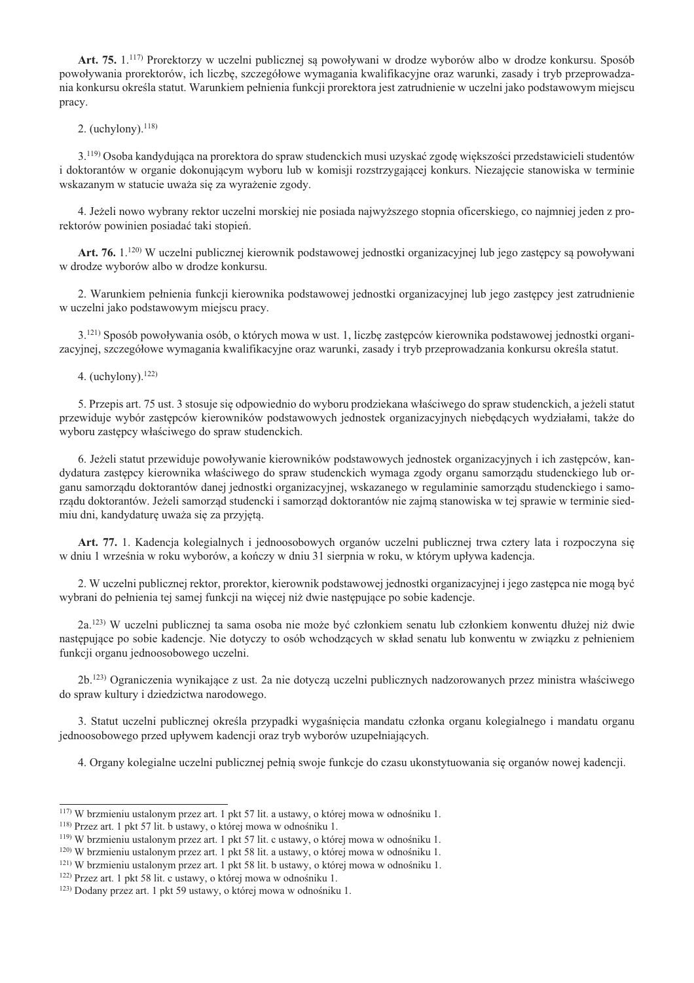Art. 75. 1.<sup>117)</sup> Prorektorzy w uczelni publicznej są powoływani w drodze wyborów albo w drodze konkursu. Sposób powoływania prorektorów, ich liczbę, szczegółowe wymagania kwalifikacyjne oraz warunki, zasady i tryb przeprowadzania konkursu określa statut. Warunkiem pełnienia funkcji prorektora jest zatrudnienie w uczelni jako podstawowym miejscu pracy.

2. (uchylony).  $118$ )

3.<sup>119</sup> Osoba kandydująca na prorektora do spraw studenckich musi uzyskać zgodę większości przedstawicieli studentów i doktorantów w organie dokonującym wyboru lub w komisji rozstrzygającej konkurs. Niezajęcie stanowiska w terminie wskazanym w statucie uważa się za wyrażenie zgody.

4. Jeżeli nowo wybrany rektor uczelni morskiej nie posiada najwyższego stopnia oficerskiego, co najmniej jeden z prorektorów powinien posiadać taki stopień.

Art. 76, 1.<sup>120</sup> W uczelni publicznej kierownik podstawowej jednostki organizacyjnej lub jego zastepcy sa powoływani w drodze wyborów albo w drodze konkursu.

2. Warunkiem pełnienia funkcji kierownika podstawowej jednostki organizacyjnej lub jego zastępcy jest zatrudnienie w uczelni jako podstawowym miejscu pracy.

3.<sup>121)</sup> Sposób powoływania osób, o których mowa w ust. 1, liczbę zastępców kierownika podstawowej jednostki organizacyjnej, szczegółowe wymagania kwalifikacyjne oraz warunki, zasady i tryb przeprowadzania konkursu określa statut.

4. (uchylony).  $122$ )

5. Przepis art. 75 ust. 3 stosuje się odpowiednio do wyboru prodziekana właściwego do spraw studenckich, a jeżeli statut przewiduje wybór zastępców kierowników podstawowych jednostek organizacyjnych niebędących wydziałami, także do wyboru zastępcy właściwego do spraw studenckich.

6. Jeżeli statut przewiduje powoływanie kierowników podstawowych jednostek organizacyjnych i ich zastępców, kandydatura zastępcy kierownika właściwego do spraw studenckich wymaga zgody organu samorządu studenckiego lub organu samorządu doktorantów danej jednostki organizacyjnej, wskazanego w regulaminie samorządu studenckiego i samorządu doktorantów. Jeżeli samorząd studencki i samorząd doktorantów nie zajmą stanowiska w tej sprawie w terminie siedmiu dni, kandydaturę uważa się za przyjętą.

Art. 77. 1. Kadencja kolegialnych i jednoosobowych organów uczelni publicznej trwa cztery lata i rozpoczyna się w dniu 1 września w roku wyborów, a kończy w dniu 31 sierpnia w roku, w którym upływa kadencja.

2. W uczelni publicznej rektor, prorektor, kierownik podstawowej jednostki organizacyjnej i jego zastępca nie mogą być wybrani do pełnienia tej samej funkcji na więcej niż dwie następujące po sobie kadencje.

2a.<sup>123)</sup> W uczelni publicznej ta sama osoba nie może być członkiem senatu lub członkiem konwentu dłużej niż dwie nastepujące po sobie kadencie. Nie dotyczy to osób wchodzących w skład senatu lub konwentu w związku z pełnieniem funkcji organu jednoosobowego uczelni.

2b.<sup>123</sup>) Ograniczenia wynikające z ust. 2a nie dotyczą uczelni publicznych nadzorowanych przez ministra właściwego do spraw kultury i dziedzictwa narodowego.

3. Statut uczelni publicznej określa przypadki wygaśnięcia mandatu członka organu kolegialnego i mandatu organu jednoosobowego przed upływem kadencji oraz tryb wyborów uzupełniających.

4. Organy kolegialne uczelni publicznej pełnią swoje funkcje do czasu ukonstytuowania się organów nowej kadencji.

<sup>&</sup>lt;sup>117</sup>) W brzmieniu ustalonym przez art. 1 pkt 57 lit. a ustawy, o której mowa w odnośniku 1.

<sup>&</sup>lt;sup>118</sup>) Przez art. 1 pkt 57 lit. b ustawy, o której mowa w odnośniku 1.

<sup>&</sup>lt;sup>119</sup>) W brzmieniu ustalonym przez art. 1 pkt 57 lit. c ustawy, o której mowa w odnośniku 1.

<sup>&</sup>lt;sup>120</sup>) W brzmieniu ustalonym przez art. 1 pkt 58 lit. a ustawy, o której mowa w odnośniku 1.

<sup>&</sup>lt;sup>121)</sup> W brzmieniu ustalonym przez art. 1 pkt 58 lit. b ustawy, o której mowa w odnośniku 1.

<sup>&</sup>lt;sup>122)</sup> Przez art. 1 pkt 58 lit. c ustawy, o której mowa w odnośniku 1.

<sup>&</sup>lt;sup>123)</sup> Dodany przez art. 1 pkt 59 ustawy, o której mowa w odnośniku 1.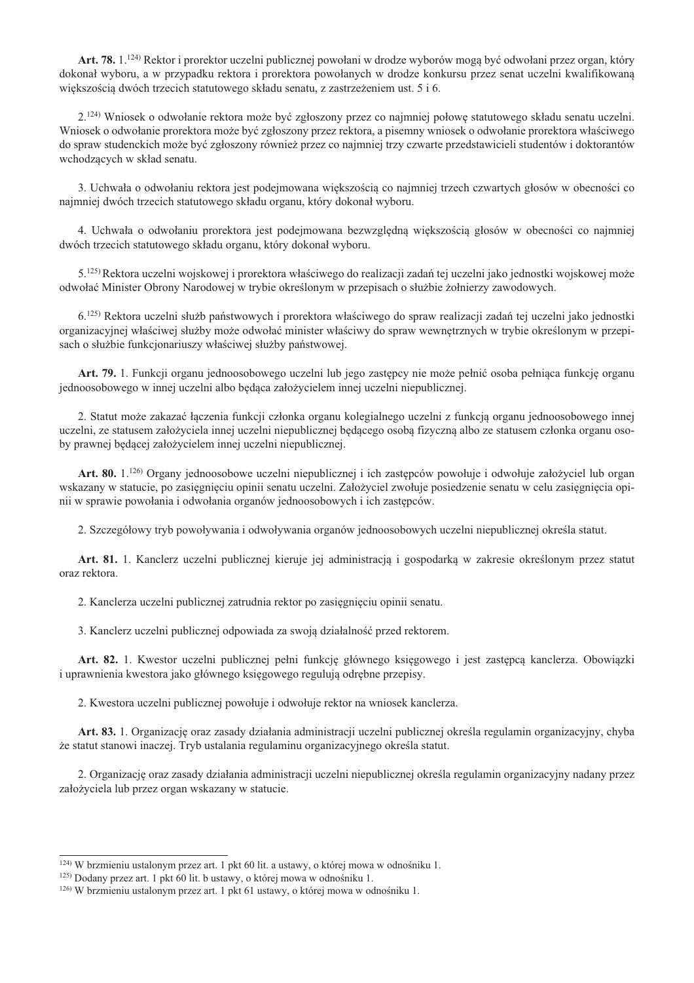Art. 78. 1.<sup>124)</sup> Rektor i prorektor uczelni publicznej powołani w drodze wyborów mogą być odwołani przez organ, który dokonał wyboru, a w przypadku rektora i prorektora powołanych w drodze konkursu przez senat uczelni kwalifikowana wiekszościa dwóch trzecich statutowego składu senatu, z zastrzeżeniem ust. 5 i 6.

2.<sup>124)</sup> Wniosek o odwołanie rektora może być zgłoszony przez co najmniej połowę statutowego składu senatu uczelni. Wniosek o odwołanie prorektora może być zgłoszony przez rektora, a pisemny wniosek o odwołanie prorektora właściwego do spraw studenckich może być zgłoszony również przez co najmniej trzy czwarte przedstawicieli studentów i doktorantów wchodzących w skład senatu.

3. Uchwała o odwołaniu rektora jest podejmowana większością co najmniej trzech czwartych głosów w obecności co najmniej dwóch trzecich statutowego składu organu, który dokonał wyboru.

4. Uchwała o odwołaniu prorektora jest podejmowana bezwzględną większością głosów w obecności co najmniej dwóch trzecich statutowego składu organu, który dokonał wyboru.

5.<sup>125)</sup> Rektora uczelni wojskowej i prorektora właściwego do realizacji zadań tej uczelni jako jednostki wojskowej może odwołać Minister Obrony Narodowej w trybie określonym w przepisach o służbie żołnierzy zawodowych.

6.<sup>125)</sup> Rektora uczelni służb państwowych i prorektora właściwego do spraw realizacji zadań tej uczelni jako jednostki organizacyjnej właściwej służby może odwołać minister właściwy do spraw wewnetrznych w trybie określonym w przepisach o służbie funkcjonariuszy właściwej służby państwowej.

Art. 79. 1. Funkcji organu jednoosobowego uczelni lub jego zastepcy nie może pełnić osoba pełniaca funkcje organu jednoosobowego w innej uczelni albo będąca założycielem innej uczelni niepublicznej.

2. Statut może zakazać łaczenia funkcji członka organu kolegialnego uczelni z funkcja organu jednoosobowego innej uczelni, ze statusem założyciela innej uczelni niepublicznej będącego osobą fizyczną albo ze statusem członka organu osoby prawnej będącej założycielem innej uczelni niepublicznej.

Art. 80. 1.<sup>126)</sup> Organy jednoosobowe uczelni niepublicznej i ich zastępców powołuje i odwołuje założyciel lub organ wskazany w statucie, po zasięgnięciu opinii senatu uczelni. Założyciel zwołuje posiedzenie senatu w celu zasięgnięcia opinii w sprawie powołania i odwołania organów jednoosobowych i ich zastępców.

2. Szczegółowy tryb powoływania i odwoływania organów jednoosobowych uczelni niepublicznej określa statut.

Art. 81. 1. Kanclerz uczelni publicznej kieruje jej administracją i gospodarką w zakresie określonym przez statut oraz rektora.

2. Kanclerza uczelni publicznej zatrudnia rektor po zasięgnięciu opinii senatu.

3. Kanclerz uczelni publicznej odpowiada za swoją działalność przed rektorem.

Art. 82. 1. Kwestor uczelni publicznej pełni funkcję głównego księgowego i jest zastępcą kanclerza. Obowiązki i uprawnienia kwestora jako głównego księgowego regulują odrebne przepisy.

2. Kwestora uczelni publicznej powołuje i odwołuje rektor na wniosek kanclerza.

Art. 83. 1. Organizację oraz zasady działania administracji uczelni publicznej określa regulamin organizacyjny, chyba że statut stanowi inaczej. Tryb ustalania regulaminu organizacyjnego określa statut.

2. Organizacie oraz zasady działania administracii uczelni niepublicznei określa regulamin organizacyjny nadany przez założyciela lub przez organ wskazany w statucie.

<sup>&</sup>lt;sup>124)</sup> W brzmieniu ustalonym przez art. 1 pkt 60 lit. a ustawy, o której mowa w odnośniku 1.

<sup>&</sup>lt;sup>125)</sup> Dodany przez art. 1 pkt 60 lit. b ustawy, o której mowa w odnośniku 1.

<sup>&</sup>lt;sup>126)</sup> W brzmieniu ustalonym przez art. 1 pkt 61 ustawy, o której mowa w odnośniku 1.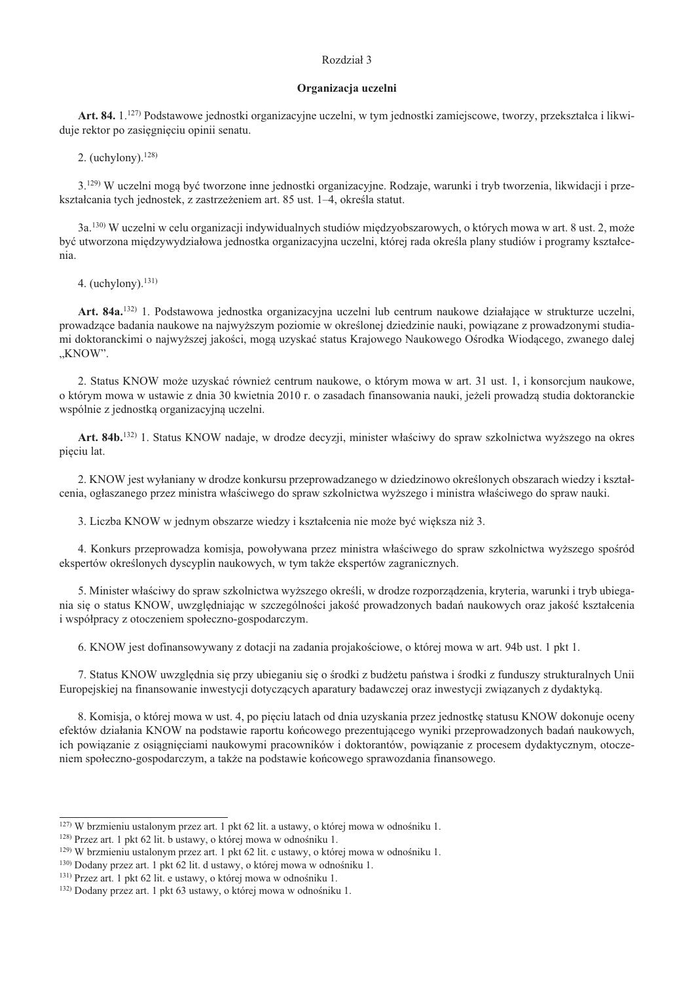## Rozdział 3

#### Organizacja uczelni

Art. 84. 1.<sup>127)</sup> Podstawowe jednostki organizacyjne uczelni, w tym jednostki zamiejscowe, tworzy, przekształca i likwiduje rektor po zasięgnięciu opinii senatu.

2. (uchylony).  $128$ )

3.<sup>129)</sup> W uczelni mogą być tworzone inne jednostki organizacyjne. Rodzaje, warunki i tryb tworzenia, likwidacji i przekształcania tych jednostek, z zastrzeżeniem art. 85 ust. 1–4. określa statut.

3a.<sup>130</sup>) W uczelni w celu organizacji indywidualnych studiów międzyobszarowych, o których mowa w art. 8 ust. 2, może bvé utworzona miedzywydziałowa jednostka organizacyjna uczelni, której rada określa plany studiów i programy kształcenia.

4. (uchylony).  $131$ )

Art. 84a.<sup>132</sup>) 1. Podstawowa jednostka organizacyjna uczelni lub centrum naukowe działające w strukturze uczelni, prowadzące badania naukowe na najwyższym poziomie w określonej dziedzinie nauki, powiązane z prowadzonymi studiami doktoranckimi o najwyższej jakości, mogą uzyskać status Krajowego Naukowego Ośrodka Wiodacego, zwanego dalej "KNOW".

2. Status KNOW może uzyskać również centrum naukowe, o którym mowa w art. 31 ust. 1, i konsorcjum naukowe, o którym mowa w ustawie z dnia 30 kwietnia 2010 r. o zasadach finansowania nauki, jeżeli prowadzą studia doktoranckie wspólnie z jednostką organizacyjną uczelni.

Art. 84b.<sup>132)</sup> 1. Status KNOW nadaje, w drodze decyzji, minister właściwy do spraw szkolnictwa wyższego na okres pięciu lat.

2. KNOW jest wyłaniany w drodze konkursu przeprowadzanego w dziedzinowo określonych obszarach wiedzy i kształcenia, ogłaszanego przez ministra właściwego do spraw szkolnictwa wyższego i ministra właściwego do spraw nauki.

3. Liczba KNOW w jednym obszarze wiedzy i kształcenia nie może być większa niż 3.

4. Konkurs przeprowadza komisja, powoływana przez ministra właściwego do spraw szkolnictwa wyższego spośród ekspertów określonych dyscyplin naukowych, w tym także ekspertów zagranicznych.

5. Minister właściwy do spraw szkolnictwa wyższego określi, w drodze rozporządzenia, kryteria, warunki i tryb ubiegania się o status KNOW, uwzględniając w szczególności jakość prowadzonych badań naukowych oraz jakość kształcenia i współpracy z otoczeniem społeczno-gospodarczym.

6. KNOW jest dofinansowywany z dotacji na zadania projakościowe, o której mowa w art. 94b ust. 1 pkt 1.

7. Status KNOW uwzglednia się przy ubieganiu się o środki z budżetu państwa i środki z funduszy strukturalnych Unii Europeiskiej na finansowanie inwestvcji dotyczących aparatury badawczej oraz inwestycji zwiazanych z dydaktyka.

8. Komisja, o której mowa w ust. 4, po pięciu latach od dnia uzyskania przez jednostkę statusu KNOW dokonuje oceny efektów działania KNOW na podstawie raportu końcowego prezentującego wyniki przeprowadzonych badań naukowych, ich powiązanie z osiągnięciami naukowymi pracowników i doktorantów, powiązanie z procesem dydaktycznym, otoczeniem społeczno-gospodarczym, a także na podstawie końcowego sprawozdania finansowego.

<sup>&</sup>lt;sup>127)</sup> W brzmieniu ustalonym przez art. 1 pkt 62 lit. a ustawy, o której mowa w odnośniku 1.

<sup>&</sup>lt;sup>128)</sup> Przez art. 1 pkt 62 lit. b ustawy, o której mowa w odnośniku 1.

 $(129)$  W brzmieniu ustalonym przez art. 1 pkt 62 lit. c ustawy, o której mowa w odnośniku 1.

<sup>&</sup>lt;sup>130</sup> Dodany przez art. 1 pkt 62 lit. d ustawy, o której mowa w odnośniku 1.

<sup>&</sup>lt;sup>131)</sup> Przez art. 1 pkt 62 lit. e ustawy, o której mowa w odnośniku 1.

<sup>&</sup>lt;sup>132</sup>) Dodany przez art. 1 pkt 63 ustawy, o której mowa w odnośniku 1.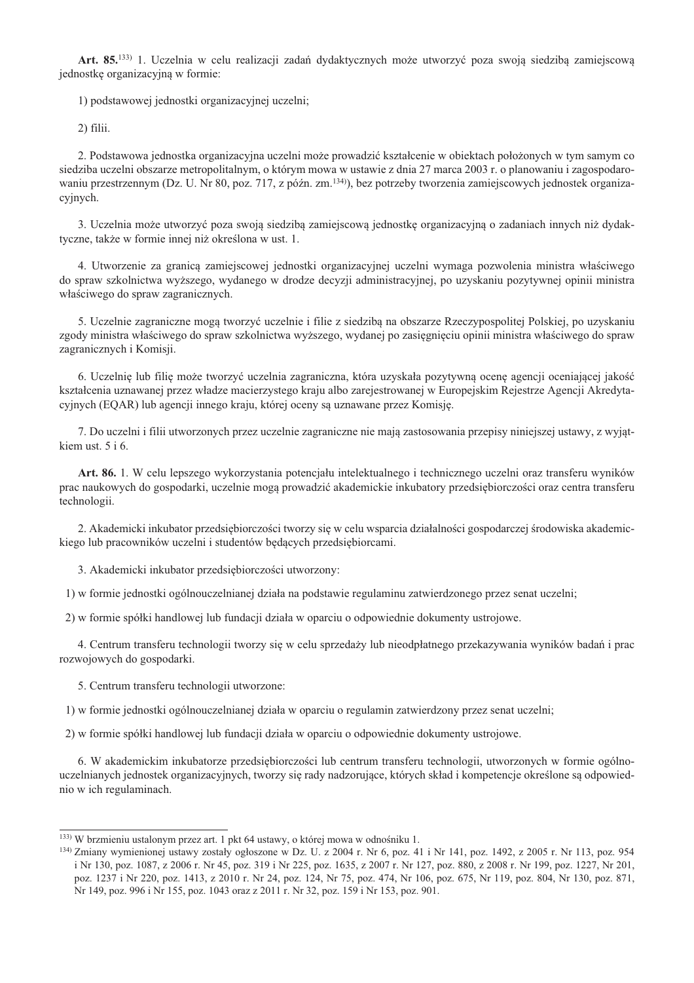Art. 85.<sup>133)</sup> 1. Uczelnia w celu realizacji zadań dydaktycznych może utworzyć poza swoją siedzibą zamiejscową jednostkę organizacyjną w formie:

1) podstawowej jednostki organizacyjnej uczelni;

 $2)$  filii.

2. Podstawowa jednostka organizacyjna uczelni może prowadzić kształcenie w obiektach położonych w tym samym co siedziba uczelni obszarze metropolitalnym, o którym mowa w ustawie z dnia 27 marca 2003 r. o planowaniu i zagospodarowaniu przestrzennym (Dz. U. Nr 80, poz. 717, z późn. zm.<sup>134)</sup>), bez potrzeby tworzenia zamiejscowych jednostek organizacyjnych.

3. Uczelnia może utworzyć poza swoją siedzibą zamiejscową jednostkę organizacyjną o zadaniach innych niż dydaktyczne, także w formie innej niż określona w ust. 1.

4. Utworzenie za granicą zamiejscowej jednostki organizacyjnej uczelni wymaga pozwolenia ministra właściwego do spraw szkolnictwa wyższego, wydanego w drodze decyzji administracyjnej, po uzyskaniu pozytywnej opinii ministra właściwego do spraw zagranicznych.

5. Uczelnie zagraniczne mogą tworzyć uczelnie i filie z siedziba na obszarze Rzeczypospolitej Polskiej, po uzyskaniu zgody ministra właściwego do spraw szkolnictwa wyższego, wydanej po zasięgnięciu opinii ministra właściwego do spraw zagranicznych i Komisji.

6. Uczelnię lub filię może tworzyć uczelnia zagraniczna, która uzyskała pozytywną ocenę agencji oceniającej jakość kształcenia uznawanej przez władze macierzystego kraju albo zarejestrowanej w Europejskim Rejestrze Agencji Akredytacyjnych (EQAR) lub agencji innego kraju, której oceny są uznawane przez Komisję.

7. Do uczelni i filii utworzonych przez uczelnie zagraniczne nie mają zastosowania przepisy niniejszej ustawy, z wyjątkiem ust.  $5 i 6$ .

Art. 86. 1. W celu lepszego wykorzystania potencjału intelektualnego i technicznego uczelni oraz transferu wyników prac naukowych do gospodarki, uczelnie mogą prowadzić akademickie inkubatory przedsiębiorczości oraz centra transferu technologii.

2. Akademicki inkubator przedsiębiorczości tworzy się w celu wsparcia działalności gospodarczej środowiska akademickiego lub pracowników uczelni i studentów będących przedsiębiorcami.

3. Akademicki inkubator przedsiębiorczości utworzony:

1) w formie jednostki ogólnouczelnianej działa na podstawie regulaminu zatwierdzonego przez senat uczelni;

2) w formie spółki handlowej lub fundacji działa w oparciu o odpowiednie dokumenty ustrojowe.

4. Centrum transferu technologii tworzy się w celu sprzedaży lub nieodpłatnego przekazywania wyników badań i prac rozwojowych do gospodarki.

5. Centrum transferu technologii utworzone:

1) w formie jednostki ogólnouczelnianej działa w oparciu o regulamin zatwierdzony przez senat uczelni;

2) w formie spółki handlowej lub fundacji działa w oparciu o odpowiednie dokumenty ustrojowe.

6. W akademickim inkubatorze przedsiębiorczości lub centrum transferu technologii, utworzonych w formie ogólnouczelnianych jednostek organizacyjnych, tworzy się rady nadzorujące, których skład i kompetencje określone są odpowiednio w ich regulaminach.

<sup>&</sup>lt;sup>133</sup>) W brzmieniu ustalonym przez art. 1 pkt 64 ustawy, o której mowa w odnośniku 1.

 $^{134}$  Zmiany wymienionej ustawy zostały ogłoszone w Dz. U. z 2004 r. Nr 6, poz. 41 i Nr 141, poz. 1492, z 2005 r. Nr 113, poz. 954 i Nr 130, poz. 1087, z 2006 r. Nr 45, poz. 319 i Nr 225, poz. 1635, z 2007 r. Nr 127, poz. 880, z 2008 r. Nr 199, poz. 1227, Nr 201, poz. 1237 i Nr 220, poz. 1413, z 2010 r. Nr 24, poz. 124, Nr 75, poz. 474, Nr 106, poz. 675, Nr 119, poz. 804, Nr 130, poz. 871, Nr 149, poz. 996 i Nr 155, poz. 1043 oraz z 2011 r. Nr 32, poz. 159 i Nr 153, poz. 901.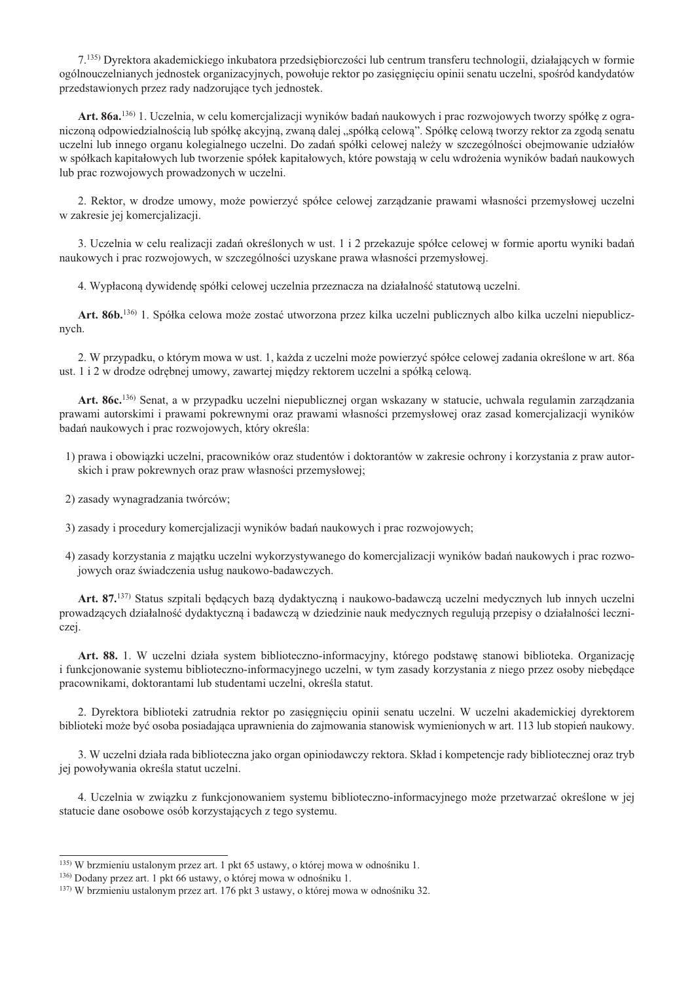7.<sup>135</sup>) Dyrektora akademickiego inkubatora przedsiębiorczości lub centrum transferu technologii, działających w formie ogólnouczelnianych jednostek organizacyjnych, powołuje rektor po zasiegniecju opinii senatu uczelni, spośród kandydatów przedstawionych przez rady nadzorujące tych jednostek.

Art. 86a.<sup>136</sup> 1. Uczelnia, w celu komercjalizacji wyników badań naukowych i prac rozwojowych tworzy spółkę z ograniczoną odpowiedzialnością lub spółkę akcyjną, zwaną dalej "spółką celową". Spółkę celową tworzy rektor za zgodą senatu uczelni lub innego organu kolegialnego uczelni. Do zadań spółki celowej należy w szczególności obejmowanie udziałów w spółkach kapitałowych lub tworzenie spółek kapitałowych, które powstają w celu wdrożenia wyników badań naukowych lub prac rozwojowych prowadzonych w uczelni.

2. Rektor, w drodze umowy, może powierzyć spółce celowej zarządzanie prawami własności przemysłowej uczelni w zakresie jej komercjalizacji.

3. Uczelnia w celu realizacji zadań określonych w ust. 1 i 2 przekazuje spółce celowej w formie aportu wyniki badań naukowych i prac rozwojowych, w szczególności uzyskane prawa własności przemysłowej.

4. Wypłacona dywidende spółki celowej uczelnia przeznacza na działalność statutowa uczelni.

Art. 86b.<sup>136</sup> 1. Spółka celowa może zostać utworzona przez kilka uczelni publicznych albo kilka uczelni niepublicznych.

2. W przypadku, o którym mowa w ust. 1, każda z uczelni może powierzyć spółce celowej zadania określone w art. 86a ust. 1 i 2 w drodze odrębnej umowy, zawartej między rektorem uczelni a spółką celową.

Art. 86c.<sup>136)</sup> Senat, a w przypadku uczelni niepublicznej organ wskazany w statucie, uchwala regulamin zarządzania prawami autorskimi i prawami pokrewnymi oraz prawami własności przemysłowej oraz zasad komercjalizacji wyników badań naukowych i prac rozwojowych, który określa:

- 1) prawa i obowiązki uczelni, pracowników oraz studentów i doktorantów w zakresie ochrony i korzystania z praw autorskich i praw pokrewnych oraz praw własności przemysłowej;
- 2) zasady wynagradzania twórców;
- 3) zasady i procedury komercjalizacji wyników badań naukowych i prac rozwojowych;
- 4) zasady korzystania z majatku uczelni wykorzystywanego do komercjalizacji wyników badań naukowych i prac rozwojowych oraz świadczenia usług naukowo-badawczych.

Art. 87.<sup>137)</sup> Status szpitali będących bazą dydaktyczną i naukowo-badawczą uczelni medycznych lub innych uczelni prowadzących działalność dydaktyczną i badawczą w dziedzinie nauk medycznych regulują przepisy o działalności leczniczej.

Art. 88. 1. W uczelni działa system biblioteczno-informacyjny, którego podstawe stanowi biblioteka. Organizacje i funkcjonowanie systemu biblioteczno-informacyjnego uczelni, w tym zasady korzystania z niego przez osoby niebędące pracownikami, doktorantami lub studentami uczelni, określa statut.

2. Dyrektora biblioteki zatrudnia rektor po zasięgnięciu opinii senatu uczelni. W uczelni akademickiej dyrektorem biblioteki może być osoba posiadająca uprawnienia do zajmowania stanowisk wymienionych w art. 113 lub stopień naukowy.

3. W uczelni działa rada biblioteczna jako organ opiniodawczy rektora. Skład i kompetencje rady bibliotecznej oraz tryb jej powoływania określa statut uczelni.

4. Uczelnia w związku z funkcjonowaniem systemu biblioteczno-informacyjnego może przetwarzać określone w jej statucie dane osobowe osób korzystających z tego systemu.

<sup>&</sup>lt;sup>135)</sup> W brzmieniu ustalonym przez art. 1 pkt 65 ustawy, o której mowa w odnośniku 1.

<sup>&</sup>lt;sup>136</sup>) Dodany przez art. 1 pkt 66 ustawy, o której mowa w odnośniku 1.

<sup>&</sup>lt;sup>137)</sup> W brzmieniu ustalonym przez art. 176 pkt 3 ustawy, o której mowa w odnośniku 32.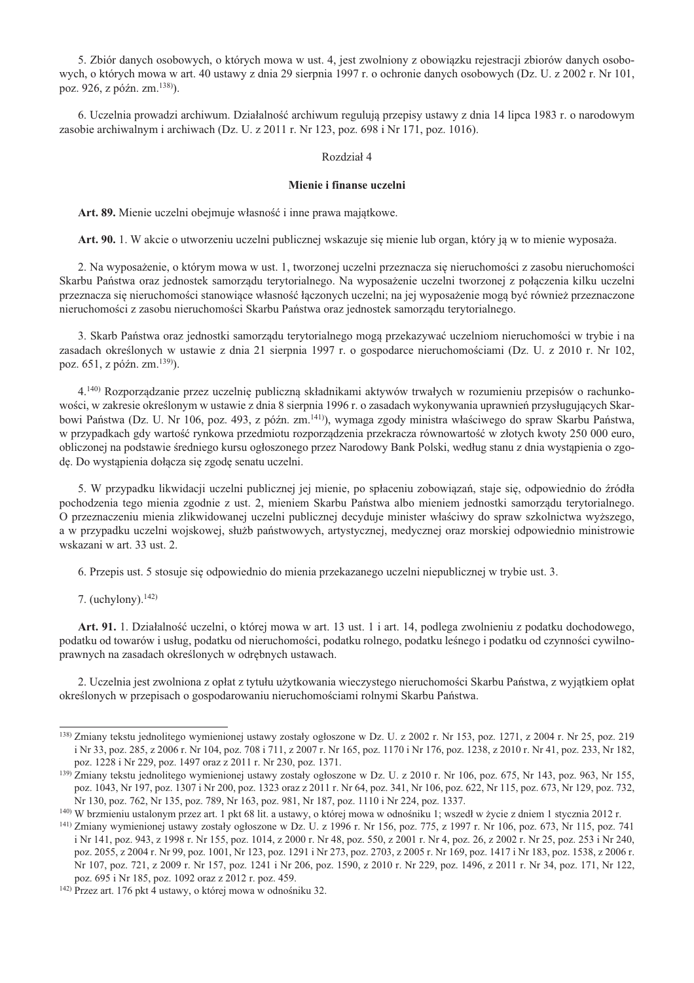5. Zbiór danych osobowych, o których mowa w ust. 4, jest zwolniony z obowiązku rejestracji zbiorów danych osobowych, o których mowa w art. 40 ustawy z dnia 29 sierpnia 1997 r. o ochronie danych osobowych (Dz. U. z 2002 r. Nr 101, poz. 926, z późn. zm. 138).

6. Uczelnia prowadzi archiwum. Działalność archiwum regulują przepisy ustawy z dnia 14 lipca 1983 r. o narodowym zasobie archiwalnym i archiwach (Dz. U. z 2011 r. Nr 123, poz. 698 i Nr 171, poz. 1016).

#### Rozdział 4

### Mienie i finanse uczelni

Art. 89. Mienie uczelni obejmuje własność i inne prawa majatkowe.

Art. 90. 1. W akcie o utworzeniu uczelni publicznej wskazuje się mienie lub organ, który ja w to mienie wyposaża.

2. Na wyposażenie, o którym mowa w ust. 1, tworzonej uczelni przeznacza się nieruchomości z zasobu nieruchomości Skarbu Państwa oraz jednostek samorządu terytorialnego. Na wyposażenie uczelni tworzonej z połączenia kilku uczelni przeznacza się nieruchomości stanowiące własność łączonych uczelni; na jej wyposażenie mogą być również przeznaczone nieruchomości z zasobu nieruchomości Skarbu Państwa oraz jednostek samorządu terytorialnego.

3. Skarb Państwa oraz jednostki samorządu terytorialnego mogą przekazywać uczelniom nieruchomości w trybie i na zasadach określonych w ustawie z dnia 21 sierpnia 1997 r. o gospodarce nieruchomościami (Dz. U. z 2010 r. Nr 102, poz. 651, z późn. zm. 139).

4.<sup>140)</sup> Rozporządzanie przez uczelnię publiczną składnikami aktywów trwałych w rozumieniu przepisów o rachunkowości, w zakresie określonym w ustawie z dnia 8 sierpnia 1996 r. o zasadach wykonywania uprawnień przysługujących Skarbowi Państwa (Dz. U. Nr 106, poz. 493, z późn. zm.<sup>141)</sup>), wymaga zgody ministra właściwego do spraw Skarbu Państwa, w przypadkach gdy wartość rynkowa przedmiotu rozporządzenia przekracza równowartość w złotych kwoty 250 000 euro, obliczonej na podstawie średniego kursu ogłoszonego przez Narodowy Bank Polski, według stanu z dnia wystąpienia o zgodę. Do wystąpienia dołącza się zgodę senatu uczelni.

5. W przypadku likwidacji uczelni publicznej jej mienie, po spłaceniu zobowiązań, staje się, odpowiednio do źródła pochodzenia tego mienia zgodnie z ust. 2, mieniem Skarbu Państwa albo mieniem jednostki samorządu terytorialnego. O przeznaczeniu mienia zlikwidowanej uczelni publicznej decyduje minister właściwy do spraw szkolnictwa wyższego, a w przypadku uczelni wojskowej, służb państwowych, artystycznej, medycznej oraz morskiej odpowiednio ministrowie wskazani w art. 33 ust. 2.

6. Przepis ust. 5 stosuje się odpowiednio do mienia przekazanego uczelni niepublicznej w trybie ust. 3.

7. (uchylony).  $142$ )

Art. 91. 1. Działalność uczelni, o której mowa w art. 13 ust. 1 i art. 14, podlega zwolnieniu z podatku dochodowego, podatku od towarów i usług, podatku od nieruchomości, podatku rolnego, podatku leśnego i podatku od czynności cywilnoprawnych na zasadach określonych w odrębnych ustawach.

2. Uczelnia jest zwolniona z opłat z tytułu użytkowania wieczystego nieruchomości Skarbu Państwa, z wyjątkiem opłat określonych w przepisach o gospodarowaniu nieruchomościami rolnymi Skarbu Państwa.

<sup>&</sup>lt;sup>138</sup>) Zmiany tekstu jednolitego wymienionej ustawy zostały ogłoszone w Dz. U. z 2002 r. Nr 153, poz. 1271, z 2004 r. Nr 25, poz. 219 i Nr 33, poz. 285, z 2006 r. Nr 104, poz. 708 i 711, z 2007 r. Nr 165, poz. 1170 i Nr 176, poz. 1238, z 2010 r. Nr 41, poz. 233, Nr 182, poz. 1228 i Nr 229, poz. 1497 oraz z 2011 r. Nr 230, poz. 1371.

<sup>&</sup>lt;sup>139)</sup> Zmiany tekstu jednolitego wymienionej ustawy zostały ogłoszone w Dz. U. z 2010 r. Nr 106, poz. 675, Nr 143, poz. 963, Nr 155, poz. 1043, Nr 197, poz. 1307 i Nr 200, poz. 1323 oraz z 2011 r. Nr 64, poz. 341, Nr 106, poz. 622, Nr 115, poz. 673, Nr 129, poz. 732, Nr 130, poz. 762, Nr 135, poz. 789, Nr 163, poz. 981, Nr 187, poz. 1110 i Nr 224, poz. 1337.

<sup>140)</sup> W brzmieniu ustalonym przez art. 1 pkt 68 lit. a ustawy, o której mowa w odnośniku 1; wszedł w życie z dniem 1 stycznia 2012 r.

<sup>141)</sup> Zmiany wymienionej ustawy zostały ogłoszone w Dz. U. z 1996 r. Nr 156, poz. 775, z 1997 r. Nr 106, poz. 673, Nr 115, poz. 741 i Nr 141, poz. 943, z 1998 r. Nr 155, poz. 1014, z 2000 r. Nr 48, poz. 550, z 2001 r. Nr 4, poz. 26, z 2002 r. Nr 25, poz. 253 i Nr 240, poz. 2055, z 2004 r. Nr 99, poz. 1001, Nr 123, poz. 1291 i Nr 273, poz. 2703, z 2005 r. Nr 169, poz. 1417 i Nr 183, poz. 1538, z 2006 r. Nr 107, poz. 721, z 2009 r. Nr 157, poz. 1241 i Nr 206, poz. 1590, z 2010 r. Nr 229, poz. 1496, z 2011 r. Nr 34, poz. 171, Nr 122, poz. 695 i Nr 185, poz. 1092 oraz z 2012 r. poz. 459.

<sup>&</sup>lt;sup>142)</sup> Przez art. 176 pkt 4 ustawy, o której mowa w odnośniku 32.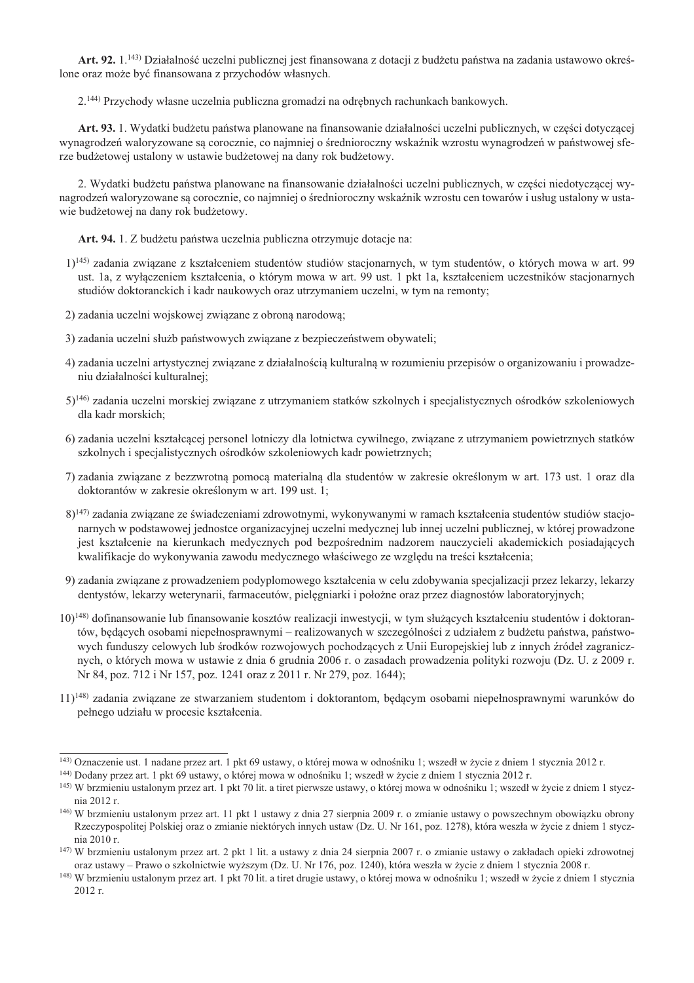Art. 92, 1.<sup>143</sup>) Działalność uczelni publicznej jest finansowana z dotacji z budżetu państwa na zadania ustawowo określone oraz może być finansowana z przychodów własnych.

2.<sup>144)</sup> Przychody własne uczelnia publiczna gromadzi na odrebnych rachunkach bankowych.

Art. 93. 1. Wydatki budżetu państwa planowane na finansowanie działalności uczelni publicznych, w cześci dotyczacej wynagrodzeń waloryzowane są corocznie, co najmniej o średnioroczny wskaźnik wzrostu wynagrodzeń w państwowej sferze budżetowej ustalony w ustawie budżetowej na dany rok budżetowy.

2. Wydatki budżetu państwa planowane na finansowanie działalności uczelni publicznych, w cześci niedotyczacej wynagrodzeń waloryzowane są corocznie, co najmniej o średnioroczny wskaźnik wzrostu cen towarów i usług ustalony w ustawie budżetowej na dany rok budżetowy.

Art. 94. 1. Z budżetu państwa uczelnia publiczna otrzymuje dotacje na:

- 1)<sup>145</sup> zadania związane z kształceniem studentów studiów stacjonarnych, w tym studentów, o których mowa w art. 99 ust. 1a, z wyłączeniem kształcenia, o którym mowa w art. 99 ust. 1 pkt 1a, kształceniem uczestników stacjonarnych studiów doktoranckich i kadr naukowych oraz utrzymaniem uczelni, w tym na remonty;
- 2) zadania uczelni wojskowej związane z obroną narodową;
- 3) zadania uczelni służb państwowych związane z bezpieczeństwem obywateli;
- 4) zadania uczelni artystycznej związane z działalnością kulturalną w rozumieniu przepisów o organizowaniu i prowadzeniu działalności kulturalnej;
- 5)<sup>146</sup> zadania uczelni morskiej związane z utrzymaniem statków szkolnych i specjalistycznych ośrodków szkoleniowych dla kadr morskich;
- 6) zadania uczelni kształcącej personel lotniczy dla lotnictwa cywilnego, związane z utrzymaniem powietrznych statków szkolnych i specjalistycznych ośrodków szkoleniowych kadr powietrznych;
- 7) zadania związane z bezzwrotną pomocą materialną dla studentów w zakresie określonym w art. 173 ust. 1 oraz dla doktorantów w zakresie określonym w art. 199 ust. 1;
- 8)<sup>147</sup>) zadania związane ze świadczeniami zdrowotnymi, wykonywanymi w ramach kształcenia studentów studiów stacjonarnych w podstawowej jednostce organizacyjnej uczelni medycznej lub innej uczelni publicznej, w której prowadzone jest kształcenie na kierunkach medycznych pod bezpośrednim nadzorem nauczycieli akademickich posiadających kwalifikacje do wykonywania zawodu medycznego właściwego ze wzgledu na treści kształcenia;
- 9) zadania związane z prowadzeniem podyplomowego kształcenia w celu zdobywania specjalizacji przez lekarzy, lekarzy dentystów, lekarzy weterynarii, farmaceutów, pielegniarki i położne oraz przez diagnostów laboratoryjnych;
- 10)<sup>148)</sup> dofinansowanie lub finansowanie kosztów realizacji inwestycji, w tym służących kształceniu studentów i doktorantów, będących osobami niepełnosprawnymi – realizowanych w szczególności z udziałem z budżetu państwa, państwowych funduszy celowych lub środków rozwojowych pochodzących z Unii Europejskiej lub z innych źródeł zagranicznych, o których mowa w ustawie z dnia 6 grudnia 2006 r. o zasadach prowadzenia polityki rozwoju (Dz. U. z 2009 r. Nr 84, poz. 712 i Nr 157, poz. 1241 oraz z 2011 r. Nr 279, poz. 1644);
- $11$ <sup>148</sup>) zadania zwiazane ze stwarzaniem studentom i doktorantom, bedacym osobami niepełnosprawnymi warunków do pełnego udziału w procesie kształcenia.

<sup>&</sup>lt;sup>143)</sup> Oznaczenie ust. 1 nadane przez art. 1 pkt 69 ustawy, o której mowa w odnośniku 1; wszedł w życie z dniem 1 stycznia 2012 r.

<sup>&</sup>lt;sup>144</sup>) Dodany przez art. 1 pkt 69 ustawy, o której mowa w odnośniku 1; wszedł w życie z dniem 1 stycznia 2012 r.

<sup>145)</sup> W brzmieniu ustalonym przez art. 1 pkt 70 lit. a tiret pierwsze ustawy, o której mowa w odnośniku 1; wszedł w życie z dniem 1 stycznia 2012 r.

<sup>&</sup>lt;sup>146</sup>) W brzmieniu ustalonym przez art. 11 pkt 1 ustawy z dnia 27 sierpnia 2009 r. o zmianie ustawy o powszechnym obowiązku obrony Rzeczypospolitej Polskiej oraz o zmianie niektórych innych ustaw (Dz. U. Nr 161, poz. 1278), która weszła w życie z dniem 1 stycznia 2010 r.

 $147)$  W brzmieniu ustalonym przez art. 2 pkt 1 lit. a ustawy z dnia 24 sierpnia 2007 r. o zmianie ustawy o zakładach opieki zdrowotnej oraz ustawy – Prawo o szkolnictwie wyższym (Dz. U. Nr 176, poz. 1240), która weszła w życie z dniem 1 stycznia 2008 r.

<sup>&</sup>lt;sup>148)</sup> W brzmieniu ustalonym przez art. 1 pkt 70 lit. a tiret drugie ustawy, o której mowa w odnośniku 1; wszedł w życie z dniem 1 stycznia 2012 r.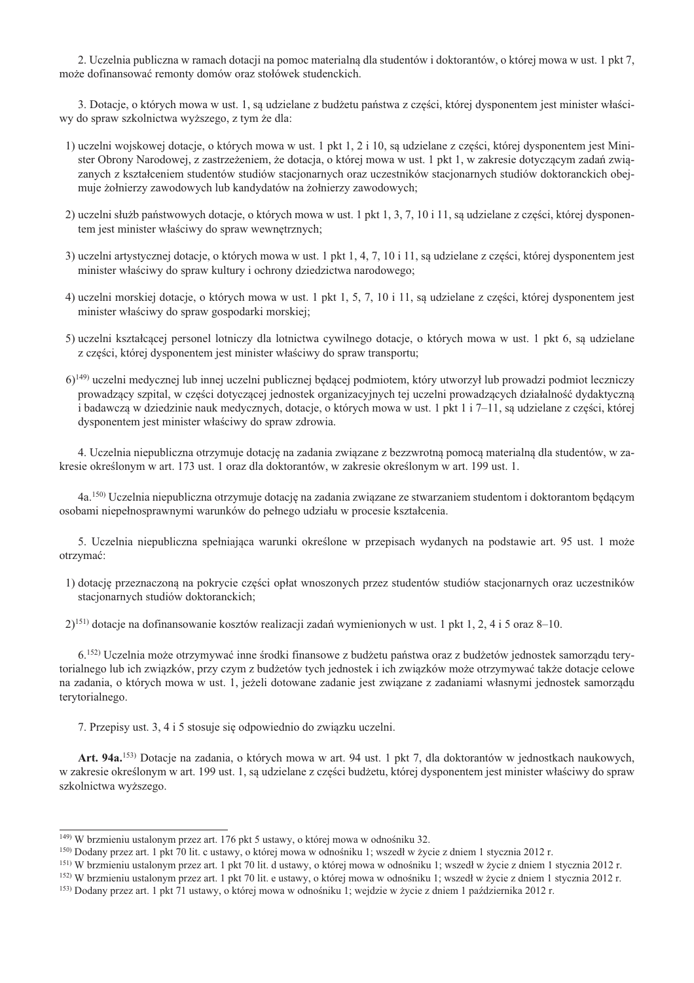2. Uczelnia publiczna w ramach dotacji na pomoc materialna dla studentów i doktorantów, o której mowa w ust. 1 pkt 7, może dofinansować remonty domów oraz stołówek studenckich.

3. Dotacje, o których mowa w ust. 1, sa udzielane z budżetu państwa z cześci, której dysponentem jest minister właściwy do spraw szkolnictwa wyższego, z tym że dla:

- 1) uczelni wojskowej dotacje, o których mowa w ust. 1 pkt 1, 2 i 10, są udzielane z części, której dysponentem jest Minister Obrony Narodowej, z zastrzeżeniem, że dotacja, o której mowa w ust. 1 pkt 1, w zakresie dotyczącym zadań związanych z kształceniem studentów studiów stacjonarnych oraz uczestników stacjonarnych studiów doktoranckich obejmuje żołnierzy zawodowych lub kandydatów na żołnierzy zawodowych;
- 2) uczelni służb państwowych dotacje, o których mowa w ust. 1 pkt 1, 3, 7, 10 i 11, są udzielane z części, której dysponentem jest minister właściwy do spraw wewnętrznych;
- 3) uczelni artystycznej dotacje, o których mowa w ust. 1 pkt 1, 4, 7, 10 i 11, są udzielane z części, której dysponentem jest minister właściwy do spraw kultury i ochrony dziedzictwa narodowego;
- 4) uczelni morskiej dotacje, o których mowa w ust. 1 pkt 1, 5, 7, 10 i 11, są udzielane z części, której dysponentem jest minister właściwy do spraw gospodarki morskiej;
- 5) uczelni kształcącej personel lotniczy dla lotnictwa cywilnego dotacje, o których mowa w ust. 1 pkt 6, są udzielane z cześci, której dysponentem jest minister właściwy do spraw transportu:
- 6)<sup>149)</sup> uczelni medycznej lub innej uczelni publicznej będącej podmiotem, który utworzył lub prowadzi podmiot leczniczy prowadzący szpital, w części dotyczącej jednostek organizacyjnych tej uczelni prowadzących działalność dydaktyczną i badawczą w dziedzinie nauk medycznych, dotacje, o których mowa w ust. 1 pkt 1 i 7–11, są udzielane z części, której dysponentem jest minister właściwy do spraw zdrowia.

4. Uczelnia niepubliczna otrzymuje dotację na zadania związane z bezzwrotną pomocą materialną dla studentów, w zakresie określonym w art. 173 ust. 1 oraz dla doktorantów, w zakresie określonym w art. 199 ust. 1.

4a.<sup>150)</sup> Uczelnia niepubliczna otrzymuje dotację na zadania związane ze stwarzaniem studentom i doktorantom będącym osobami niepełnosprawnymi warunków do pełnego udziału w procesie kształcenia.

5. Uczelnia niepubliczna spełniająca warunki określone w przepisach wydanych na podstawie art. 95 ust. 1 może otrzymać:

1) dotacie przeznaczona na pokrycie cześci opłat wnoszonych przez studentów studiów stacionarnych oraz uczestników stacionarnych studiów doktoranckich:

2)<sup>151)</sup> dotacje na dofinansowanie kosztów realizacji zadań wymienionych w ust. 1 pkt 1, 2, 4 i 5 oraz 8-10.

6.<sup>[52]</sup> Uczelnia może otrzymywać inne środki finansowe z budżetu państwa oraz z budżetów jednostek samorządu terytorialnego lub ich związków, przy czym z budżetów tych jednostek i ich związków może otrzymywać także dotacje celowe na zadania, o których mowa w ust. 1, jeżeli dotowane zadanie jest związane z zadaniami własnymi jednostek samorządu terytorialnego.

7. Przepisy ust. 3, 4 i 5 stosuje się odpowiednio do związku uczelni.

Art. 94a.<sup>153</sup>) Dotacje na zadania, o których mowa w art. 94 ust. 1 pkt 7, dla doktorantów w jednostkach naukowych, w zakresie określonym w art. 199 ust. 1, są udzielane z części budżetu, której dysponentem jest minister właściwy do spraw szkolnictwa wyższego.

<sup>&</sup>lt;sup>149</sup>) W brzmieniu ustalonym przez art. 176 pkt 5 ustawy, o której mowa w odnośniku 32.

<sup>&</sup>lt;sup>150</sup>) Dodany przez art. 1 pkt 70 lit. c ustawy, o której mowa w odnośniku 1; wszedł w życie z dniem 1 stycznia 2012 r.

<sup>&</sup>lt;sup>151)</sup> W brzmieniu ustalonym przez art. 1 pkt 70 lit. d ustawy, o której mowa w odnośniku 1; wszedł w życie z dniem 1 stycznia 2012 r.

<sup>&</sup>lt;sup>152</sup>) W brzmieniu ustalonym przez art. 1 pkt 70 lit. e ustawy, o której mowa w odnośniku 1; wszedł w życie z dniem 1 stycznia 2012 r.

<sup>&</sup>lt;sup>153</sup>) Dodany przez art. 1 pkt 71 ustawy, o której mowa w odnośniku 1; wejdzie w życie z dniem 1 października 2012 r.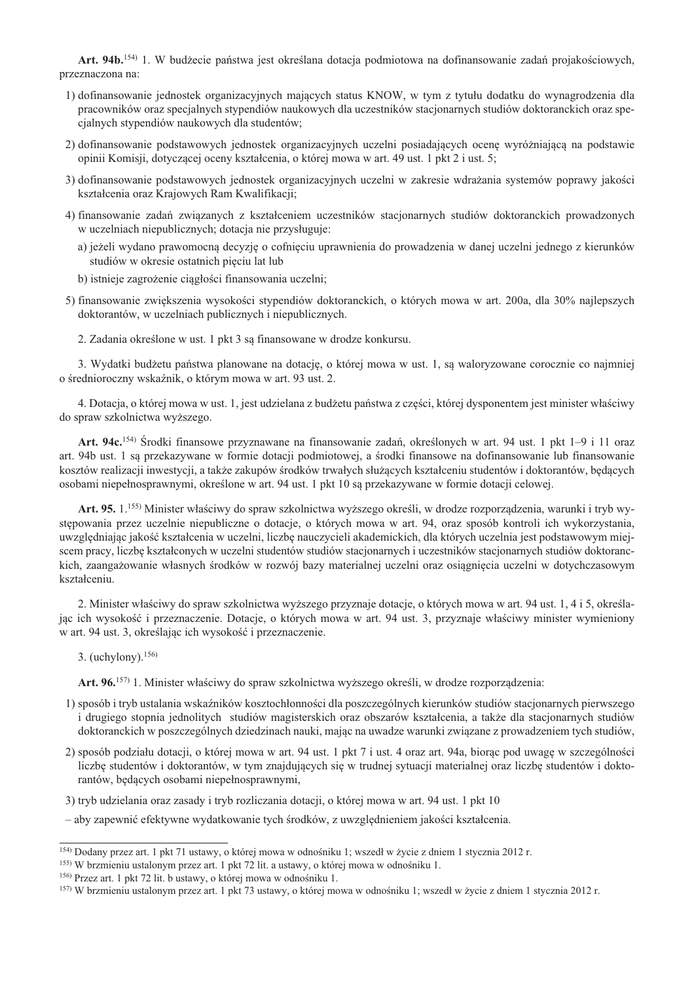Art. 94b.<sup>154</sup>) 1. W budżecie państwa jest określana dotacja podmiotowa na dofinansowanie zadań projakościowych, przeznaczona na:

- 1) dofinansowanie jednostek organizacyjnych mających status KNOW, w tym z tytułu dodatku do wynagrodzenia dla pracowników oraz specjalnych stypendiów naukowych dla uczestników stacjonarnych studiów doktoranckich oraz specialnych stypendiów naukowych dla studentów;
- 2) dofinansowanie podstawowych jednostek organizacyjnych uczelni posiadających ocenę wyróżniającą na podstawie opinii Komisji, dotyczącej oceny kształcenia, o której mowa w art. 49 ust. 1 pkt 2 i ust. 5;
- 3) dofinansowanie podstawowych jednostek organizacyjnych uczelni w zakresie wdrażania systemów poprawy jakości kształcenia oraz Krajowych Ram Kwalifikacji;
- 4) finansowanie zadań związanych z kształceniem uczestników stacjonarnych studiów doktoranckich prowadzonych w uczelniach niepublicznych; dotacja nie przysługuje:
	- a) jeżeli wydano prawomocną decyzję o cofnięciu uprawnienia do prowadzenia w danej uczelni jednego z kierunków studiów w okresie ostatnich pięciu lat lub
	- b) istnieje zagrożenie ciagłości finansowania uczelni:
- 5) finansowanie zwiększenia wysokości stypendiów doktoranckich, o których mowa w art. 200a, dla 30% najlepszych doktorantów, w uczelniach publicznych i niepublicznych.
	- 2. Zadania określone w ust. 1 pkt 3 są finansowane w drodze konkursu.

3. Wydatki budżetu państwa planowane na dotację, o której mowa w ust. 1, są waloryzowane corocznie co najmniej o średnioroczny wskaźnik, o którym mowa w art. 93 ust. 2.

4. Dotacia, o której mowa w ust. 1, jest udzielana z budżetu państwa z cześci, której dysponentem jest minister właściwy do spraw szkolnictwa wyższego.

Art. 94c.<sup>154)</sup> Środki finansowe przyznawane na finansowanie zadań, określonych w art. 94 ust. 1 pkt 1-9 i 11 oraz art. 94b ust. 1 są przekazywane w formie dotacji podmiotowej, a środki finansowe na dofinansowanie lub finansowanie kosztów realizacji inwestycji, a także zakupów środków trwałych służących kształceniu studentów i doktorantów, będących osobami niepełnosprawnymi, określone w art. 94 ust. 1 pkt 10 są przekazywane w formie dotacji celowej.

Art. 95. 1.<sup>155</sup>) Minister właściwy do spraw szkolnictwa wyższego określi, w drodze rozporządzenia, warunki i tryb występowania przez uczelnie niepubliczne o dotacje, o których mowa w art. 94, oraz sposób kontroli ich wykorzystania, uwzględniając jakość kształcenia w uczelni, liczbę nauczycieli akademickich, dla których uczelnia jest podstawowym miejscem pracy, liczbę kształconych w uczelni studentów studiów stacjonarnych i uczestników stacjonarnych studiów doktoranckich, zaangażowanie własnych środków w rozwój bazy materialnej uczelni oraz osiągnięcia uczelni w dotychczasowym kształceniu.

2. Minister właściwy do spraw szkolnictwa wyższego przyznaje dotacje, o których mowa w art. 94 ust. 1, 4 i 5, określając ich wysokość i przeznaczenie. Dotacje, o których mowa w art. 94 ust. 3, przyznaje właściwy minister wymieniony w art. 94 ust. 3, określając ich wysokość i przeznaczenie.

3. (uchylony).  $156$ )

Art. 96.<sup>157)</sup> 1. Minister właściwy do spraw szkolnictwa wyższego określi, w drodze rozporządzenia:

- 1) sposób i tryb ustalania wskaźników kosztochłonności dla poszczególnych kierunków studiów stacjonarnych pierwszego i drugiego stopnia jednolitych studiów magisterskich oraz obszarów kształcenia, a także dla stacjonarnych studiów doktoranckich w poszczególnych dziedzinach nauki, mając na uwadze warunki związane z prowadzeniem tych studiów,
- 2) sposób podziału dotacji, o której mowa w art. 94 ust. 1 pkt 7 i ust. 4 oraz art. 94a, biorąc pod uwagę w szczególności liczbę studentów i doktorantów, w tym znajdujących się w trudnej sytuacji materialnej oraz liczbę studentów i doktorantów, będących osobami niepełnosprawnymi,
- 3) tryb udzielania oraz zasady i tryb rozliczania dotacji, o której mowa w art. 94 ust. 1 pkt 10
- aby zapewnić efektywne wydatkowanie tych środków, z uwzględnieniem jakości kształcenia.

<sup>154)</sup> Dodany przez art. 1 pkt 71 ustawy, o której mowa w odnośniku 1; wszedł w życie z dniem 1 stycznia 2012 r.

<sup>&</sup>lt;sup>155)</sup> W brzmieniu ustalonym przez art. 1 pkt 72 lit. a ustawy, o której mowa w odnośniku 1.

<sup>&</sup>lt;sup>156)</sup> Przez art. 1 pkt 72 lit. b ustawy, o której mowa w odnośniku 1.

<sup>&</sup>lt;sup>157)</sup> W brzmieniu ustalonym przez art. 1 pkt 73 ustawy, o której mowa w odnośniku 1; wszedł w życie z dniem 1 stycznia 2012 r.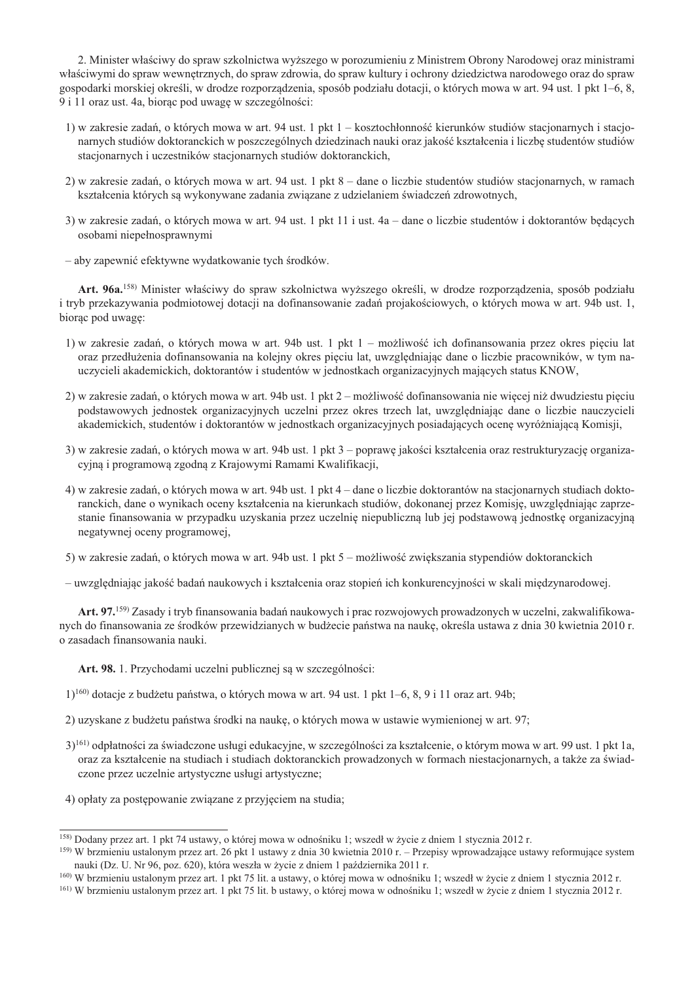2. Minister właściwy do spraw szkolnictwa wyższego w porozumieniu z Ministrem Obrony Narodowej oraz ministrami właściwymi do spraw wewnetrznych, do spraw zdrowia, do spraw kultury i ochrony dziedzictwa narodowego oraz do spraw gospodarki morskiej określi, w drodze rozporzadzenia, sposób podziału dotacji, o których mowa w art. 94 ust. 1 pkt 1–6, 8, 9 i 11 oraz ust. 4a, biorąc pod uwagę w szczególności:

- 1) w zakresie zadań, o których mowa w art. 94 ust. 1 pkt 1 kosztochłonność kierunków studiów stacjonarnych i stacjonarnych studiów doktoranckich w poszczególnych dziedzinach nauki oraz jakość kształcenia i liczbę studentów studiów stacjonarnych i uczestników stacjonarnych studiów doktoranckich,
- 2) w zakresie zadań, o których mowa w art. 94 ust. 1 pkt 8 dane o liczbie studentów studiów stacjonarnych, w ramach kształcenia których są wykonywane zadania związane z udzielaniem świadczeń zdrowotnych,
- 3) w zakresie zadań, o których mowa w art. 94 ust. 1 pkt 11 i ust. 4a dane o liczbie studentów i doktorantów będących osobami niepełnosprawnymi
- aby zapewnić efektywne wydatkowanie tych środków.

Art. 96a.<sup>158)</sup> Minister właściwy do spraw szkolnictwa wyższego określi, w drodze rozporządzenia, sposób podziału i tryb przekazywania podmiotowej dotacji na dofinansowanie zadań projakościowych, o których mowa w art. 94b ust. 1, biorac pod uwage:

- 1) w zakresie zadań, o których mowa w art. 94b ust. 1 pkt 1 możliwość ich dofinansowania przez okres pięciu lat oraz przedłużenia dofinansowania na kolejny okres pięciu lat, uwzględniając dane o liczbie pracowników, w tym nauczycieli akademickich, doktorantów i studentów w jednostkach organizacyjnych mających status KNOW,
- 2) w zakresie zadań, o których mowa w art. 94b ust. 1 pkt 2 możliwość dofinansowania nie wiecej niż dwudziestu pieciu podstawowych jednostek organizacyjnych uczelni przez okres trzech lat, uwzględniając dane o liczbie nauczycieli akademickich, studentów i doktorantów w jednostkach organizacyjnych posiadających ocenę wyróżniającą Komisji,
- 3) w zakresie zadań, o których mowa w art. 94b ust. 1 pkt 3 poprawę jakości kształcenia oraz restrukturyzację organizacyjną i programową zgodną z Krajowymi Ramami Kwalifikacji,
- 4) w zakresie zadań, o których mowa w art. 94b ust. 1 pkt 4 dane o liczbie doktorantów na stacjonarnych studiach doktoranckich, dane o wynikach oceny kształcenia na kierunkach studiów, dokonanej przez Komisję, uwzględniając zaprzestanie finansowania w przypadku uzyskania przez uczelnie niepubliczną lub jej podstawową jednostkę organizacyjną negatywnej oceny programowej,

5) w zakresie zadań, o których mowa w art. 94b ust. 1 pkt 5 – możliwość zwiekszania stypendiów doktoranckich

– uwzgledniając jakość badań naukowych i kształcenia oraz stopień ich konkurencyjności w skali miedzynarodowej.

Art. 97.<sup>159)</sup> Zasady i tryb finansowania badań naukowych i prac rozwojowych prowadzonych w uczelni, zakwalifikowanych do finansowania ze środków przewidzianych w budżecie państwa na nauke, określa ustawa z dnia 30 kwietnia 2010 r. o zasadach finansowania nauki.

Art. 98. 1. Przychodami uczelni publicznej są w szczególności:

- 1)<sup>160)</sup> dotacje z budżetu państwa, o których mowa w art. 94 ust. 1 pkt 1-6, 8, 9 i 11 oraz art. 94b;
- 2) uzyskane z budżetu państwa środki na naukę, o których mowa w ustawie wymienionej w art. 97;
- 3)<sup>161</sup>) odpłatności za świadczone usługi edukacyjne, w szczególności za kształcenie, o którym mowa w art. 99 ust. 1 pkt 1a, oraz za kształcenie na studiach i studiach doktoranckich prowadzonych w formach niestacjonarnych, a także za świadczone przez uczelnie artystyczne usługi artystyczne;
- 4) opłaty za postepowanie zwiazane z przyjeciem na studia:

<sup>160</sup>) W brzmieniu ustalonym przez art. 1 pkt 75 lit. a ustawy, o której mowa w odnośniku 1; wszedł w życie z dniem 1 stycznia 2012 r.

<sup>&</sup>lt;sup>158</sup>) Dodany przez art. 1 pkt 74 ustawy, o której mowa w odnośniku 1; wszedł w życie z dniem 1 stycznia 2012 r.

 $^{159}$  W brzmieniu ustalonym przez art. 26 pkt 1 ustawy z dnia 30 kwietnia 2010 r. – Przepisy wprowadzające ustawy reformujące system nauki (Dz. U. Nr 96, poz. 620), która weszła w życie z dniem 1 października 2011 r.

 $^{161}$  W brzmieniu ustalonym przez art. 1 pkt 75 lit. b ustawy, o której mowa w odnośniku 1; wszedł w życie z dniem 1 stycznia 2012 r.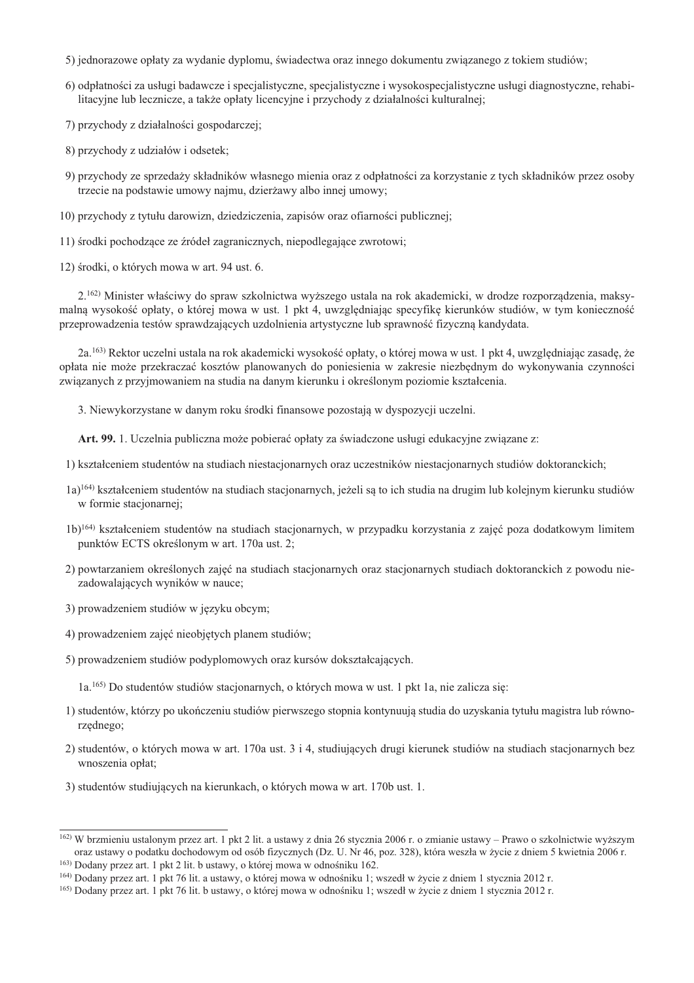- 5) jednorazowe opłaty za wydanie dyplomu, świadectwa oraz innego dokumentu zwiazanego z tokiem studiów;
- 6) odpłatności za usługi badawcze i specjalistyczne, specjalistyczne i wysokospecjalistyczne usługi diagnostyczne, rehabilitacyjne lub lecznicze, a także opłaty licencyjne i przychody z działalności kulturalnej;
- 7) przychody z działalności gospodarczej:
- 8) przychody z udziałów i odsetek;
- 9) przychody ze sprzedaży składników własnego mienia oraz z odpłatności za korzystanie z tych składników przez osoby trzecie na podstawie umowy najmu, dzierżawy albo innej umowy;
- 10) przychody z tytułu darowizn, dziedziczenia, zapisów oraz ofiarności publicznej:
- 11) środki pochodzące ze źródeł zagranicznych, niepodlegające zwrotowi;
- 12) środki, o których mowa w art. 94 ust. 6.

2.<sup>162</sup>) Minister właściwy do spraw szkolnictwa wyższego ustala na rok akademicki, w drodze rozporządzenia, maksymalną wysokość opłaty, o której mowa w ust. 1 pkt 4, uwzględniając specyfikę kierunków studiów, w tym konieczność przeprowadzenia testów sprawdzających uzdolnienia artystyczne lub sprawność fizyczną kandydata.

2a.<sup>163</sup>) Rektor uczelni ustala na rok akademicki wysokość opłaty, o której mowa w ust. 1 pkt 4, uwzględniając zasadę, że opłata nie może przekraczać kosztów planowanych do poniesienia w zakresie niezbędnym do wykonywania czynności związanych z przyjmowaniem na studia na danym kierunku i określonym poziomie kształcenia.

3. Niewykorzystane w danym roku środki finansowe pozostają w dyspozycji uczelni.

Art. 99. 1. Uczelnia publiczna może pobierać opłaty za świadczone usługi edukacyjne związane z:

- 1) kształceniem studentów na studiach niestacjonarnych oraz uczestników niestacjonarnych studiów doktoranckich;
- $(a)$ <sup>164</sup>) kształceniem studentów na studiach stacjonarnych, jeżeli są to ich studia na drugim lub kolejnym kierunku studiów w formie stacjonarnej;
- 1b)<sup>164)</sup> kształceniem studentów na studiach stacjonarnych, w przypadku korzystania z zajęć poza dodatkowym limitem punktów ECTS określonym w art. 170a ust. 2;
- 2) powtarzaniem określonych zajęć na studiach stacjonarnych oraz stacjonarnych studiach doktoranckich z powodu niezadowalających wyników w nauce;
- 3) prowadzeniem studiów w języku obcym;
- 4) prowadzeniem zajęć nieobjętych planem studiów;
- 5) prowadzeniem studiów podyplomowych oraz kursów dokształcających.

1a.<sup>165</sup>) Do studentów studiów stacionarnych, o których mowa w ust. 1 pkt 1a, nie zalicza sie:

- 1) studentów, którzy po ukończeniu studiów pierwszego stopnia kontynuują studia do uzyskania tytułu magistra lub równorzędnego;
- 2) studentów, o których mowa w art. 170a ust. 3 i 4, studiujących drugi kierunek studiów na studiach stacionarnych bez wnoszenia opłat;
- 3) studentów studiujących na kierunkach, o których mowa w art. 170b ust. 1.

<sup>&</sup>lt;sup>162</sup>) W brzmieniu ustalonym przez art. 1 pkt 2 lit. a ustawy z dnia 26 stycznia 2006 r. o zmianie ustawy – Prawo o szkolnictwie wyższym oraz ustawy o podatku dochodowym od osób fizycznych (Dz. U. Nr 46, poz. 328), która weszła w życie z dniem 5 kwietnia 2006 r. <sup>163</sup>) Dodany przez art. 1 pkt 2 lit. b ustawy, o której mowa w odnośniku 162.

<sup>&</sup>lt;sup>164)</sup> Dodany przez art. 1 pkt 76 lit, a ustawy, o której mowa w odnośniku 1; wszedł w życie z dniem 1 stycznia 2012 r.

<sup>&</sup>lt;sup>165</sup>) Dodany przez art. 1 pkt 76 lit. b ustawy, o której mowa w odnośniku 1; wszedł w życie z dniem 1 stycznia 2012 r.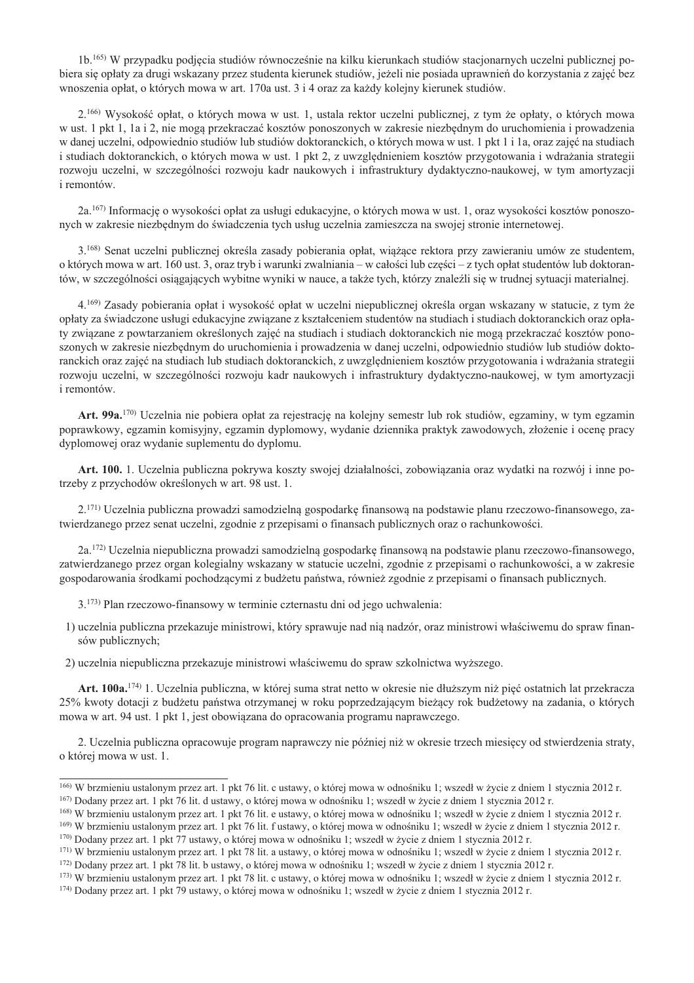1b.<sup>165)</sup> W przypadku podjecia studiów równocześnie na kilku kierunkach studiów stacjonarnych uczelni publicznej pobiera sie opłaty za drugi wskazany przez studenta kierunek studiów, jeżeli nie posiada uprawnień do korzystania z zajęć bez wnoszenia opłat, o których mowa w art. 170a ust. 3 i 4 oraz za każdy kolejny kierunek studiów.

2.<sup>166</sup> Wysokość opłat, o których mowa w ust. 1, ustala rektor uczelni publicznej, z tym że opłaty, o których mowa w ust. 1 pkt 1, 1a i 2, nie mogą przekraczać kosztów ponoszonych w zakresie niezbednym do uruchomienia i prowadzenia w danej uczelni, odpowiednio studiów lub studiów doktoranckich, o których mowa w ust. 1 pkt 1 i 1a, oraz zajęć na studiach i studiach doktoranckich, o których mowa w ust. 1 pkt 2, z uwzględnieniem kosztów przygotowania i wdrażania strategii rozwoju uczelni, w szczególności rozwoju kadr naukowych i infrastruktury dydaktyczno-naukowej, w tym amortyzacji i remontów.

2a.<sup>167)</sup> Informację o wysokości opłat za usługi edukacyjne, o których mowa w ust. 1, oraz wysokości kosztów ponoszonych w zakresie niezbędnym do świadczenia tych usług uczelnia zamieszcza na swojej stronie internetowej.

3.<sup>168)</sup> Senat uczelni publicznej określa zasady pobierania opłat, wiażace rektora przy zawieraniu umów ze studentem, o których mowa w art. 160 ust. 3, oraz tryb i warunki zwalniania – w całości lub cześci – z tych opłat studentów lub doktorantów, w szczególności osiągających wybitne wyniki w nauce, a także tych, którzy znaleźli się w trudnej sytuacji materialnej.

4.<sup>169)</sup> Zasady pobierania opłat i wysokość opłat w uczelni niepublicznej określa organ wskazany w statucie, z tym że opłaty za świadczone usługi edukacyjne związane z kształceniem studentów na studiach i studiach doktoranckich oraz opłaty związane z powtarzaniem określonych zajęć na studiach i studiach doktoranckich nie mogą przekraczać kosztów ponoszonych w zakresie niezbednym do uruchomienia i prowadzenia w danej uczelni, odpowiednio studiów lub studiów doktoranckich oraz zajęć na studiach lub studiach doktoranckich, z uwzględnieniem kosztów przygotowania i wdrażania strategii rozwoju uczelni, w szczególności rozwoju kadr naukowych i infrastruktury dydaktyczno-naukowej, w tym amortyzacji i remontów.

Art. 99a.<sup>170</sup> Uczelnia nie pobiera opłat za rejestrację na kolejny semestr lub rok studiów, egzaminy, w tym egzamin poprawkowy, egzamin komisyjny, egzamin dyplomowy, wydanie dziennika praktyk zawodowych, złożenie i ocene pracy dyplomowej oraz wydanie suplementu do dyplomu.

Art. 100. 1. Uczelnia publiczna pokrywa koszty swojej działalności, zobowiązania oraz wydatki na rozwój i inne potrzeby z przychodów określonych w art. 98 ust. 1.

2.<sup>171)</sup> Uczelnia publiczna prowadzi samodzielna gospodarke finansowa na podstawie planu rzeczowo-finansowego, zatwierdzanego przez senat uczelni, zgodnie z przepisami o finansach publicznych oraz o rachunkowości.

2a.<sup>172</sup>) Uczelnia niepubliczna prowadzi samodzielna gospodarke finansowa na podstawie planu rzeczowo-finansowego, zatwierdzanego przez organ kolegialny wskazany w statucie uczelni, zgodnie z przepisami o rachunkowości, a w zakresie gospodarowania środkami pochodzącymi z budżetu państwa, również zgodnie z przepisami o finansach publicznych.

3.<sup>173)</sup> Plan rzeczowo-finansowy w terminie czternastu dni od jego uchwalenia:

- 1) uczelnia publiczna przekazuje ministrowi, który sprawuje nad nia nadzór, oraz ministrowi właściwemu do spraw finansów publicznych:
- 2) uczelnia niepubliczna przekazuje ministrowi właściwemu do spraw szkolnictwa wyższego.

Art. 100a.<sup>174</sup> 1. Uczelnia publiczna, w której suma strat netto w okresie nie dłuższym niż pieć ostatnich lat przekracza 25% kwoty dotacji z budżetu państwa otrzymanej w roku poprzedzającym bieżący rok budżetowy na zadania, o których mowa w art. 94 ust. 1 pkt 1, jest obowiązana do opracowania programu naprawczego.

2. Uczelnia publiczna opracowuje program naprawczy nie później niż w okresie trzech miesięcy od stwierdzenia straty, o której mowa w ust. 1.

<sup>169)</sup> W brzmieniu ustalonym przez art. 1 pkt 76 lit. f ustawy, o której mowa w odnośniku 1; wszedł w życie z dniem 1 stycznia 2012 r.

 $^{166}$  W brzmieniu ustalonym przez art. 1 pkt 76 lit. c ustawy, o której mowa w odnośniku 1; wszedł w życie z dniem 1 stycznia 2012 r.  $167$ ) Dodany przez art. 1 pkt 76 lit. d ustawy, o której mowa w odnośniku 1; wszedł w życie z dniem 1 stycznia 2012 r.

<sup>&</sup>lt;sup>168</sup>) W brzmieniu ustalonym przez art. 1 pkt 76 lit. e ustawy, o której mowa w odnośniku 1; wszedł w życie z dniem 1 stycznia 2012 r.

<sup>&</sup>lt;sup>170</sup>) Dodany przez art. 1 pkt 77 ustawy, o której mowa w odnośniku 1; wszedł w życie z dniem 1 stycznia 2012 r.

 $^{171}$ ) W brzmieniu ustalonym przez art. 1 pkt 78 lit. a ustawy, o której mowa w odnośniku 1; wszedł w życie z dniem 1 stycznia 2012 r. <sup>172</sup>) Dodany przez art. 1 pkt 78 lit. b ustawy, o której mowa w odnośniku 1: wszedł w życie z dniem 1 stycznia 2012 r.

<sup>173)</sup> W brzmieniu ustalonym przez art. 1 pkt 78 lit. c ustawy, o której mowa w odnośniku 1; wszedł w życie z dniem 1 stycznia 2012 r.

<sup>&</sup>lt;sup>174</sup>) Dodany przez art. 1 pkt 79 ustawy, o której mowa w odnośniku 1; wszedł w życie z dniem 1 stycznia 2012 r.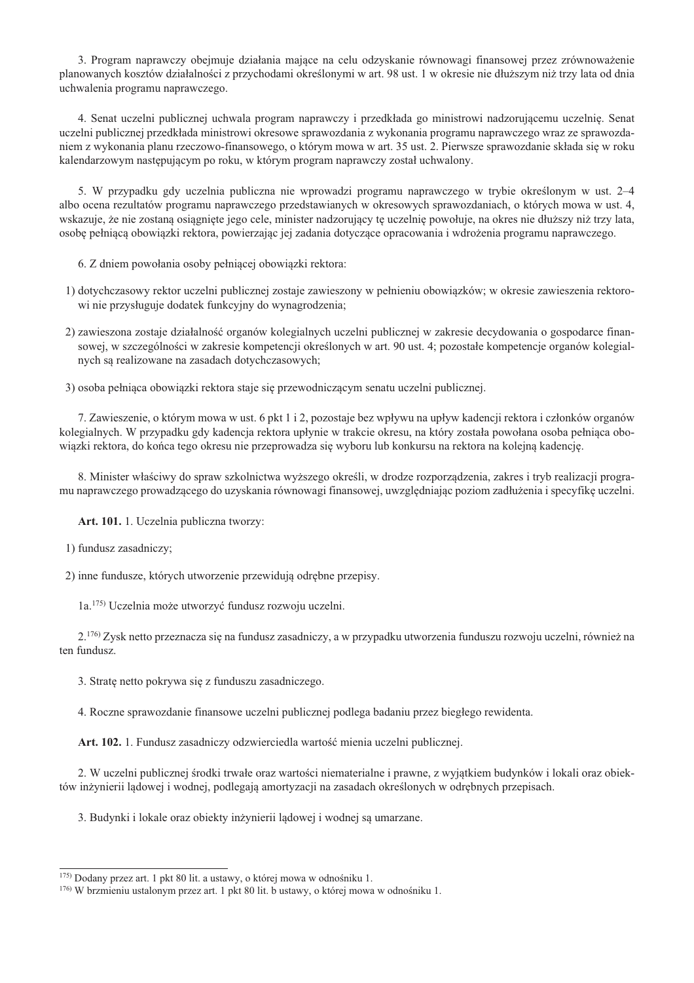3. Program naprawczy obejmuje działania mające na celu odzyskanie równowagi finansowej przez zrównoważenie planowanych kosztów działalności z przychodami określonymi w art. 98 ust. 1 w okresie nie dłuższym niż trzy lata od dnia uchwalenia programu naprawczego.

4. Senat uczelni publicznej uchwala program naprawczy i przedkłada go ministrowi nadzorującemu uczelnię. Senat uczelni publicznej przedkłada ministrowi okresowe sprawozdania z wykonania programu naprawczego wraz ze sprawozdaniem z wykonania planu rzeczowo-finansowego, o którym mowa w art. 35 ust. 2. Pierwsze sprawozdanie składa się w roku kalendarzowym następującym po roku, w którym program naprawczy został uchwalony.

5. W przypadku gdy uczelnia publiczna nie wprowadzi programu naprawczego w trybie określonym w ust. 2–4 albo ocena rezultatów programu naprawczego przedstawianych w okresowych sprawozdaniach, o których mowa w ust. 4, wskazuje, że nie zostaną osiągnięte jego cele, minister nadzorujący tę uczelnię powołuje, na okres nie dłuższy niż trzy lata, osobę pełniącą obowiązki rektora, powierzając jej zadania dotyczące opracowania i wdrożenia programu naprawczego.

- 6. Z dniem powołania osoby pełniącej obowiązki rektora:
- 1) dotychczasowy rektor uczelni publicznej zostaje zawieszony w pełnieniu obowiązków; w okresie zawieszenia rektorowi nie przysługuje dodatek funkcyjny do wynagrodzenia;
- 2) zawieszona zostaje działalność organów kolegialnych uczelni publicznej w zakresie decydowania o gospodarce finansowej, w szczególności w zakresie kompetencji określonych w art. 90 ust. 4; pozostałe kompetencje organów kolegialnych są realizowane na zasadach dotychczasowych;
- 3) osoba pełniąca obowiązki rektora staje się przewodniczącym senatu uczelni publicznej.

7. Zawieszenie, o którym mowa w ust. 6 pkt 1 i 2, pozostaje bez wpływu na upływ kadencji rektora i członków organów kolegialnych. W przypadku gdy kadencja rektora upłynie w trakcie okresu, na który została powołana osoba pełniaca obowiązki rektora, do końca tego okresu nie przeprowadza się wyboru lub konkursu na rektora na kolejną kadencję.

8. Minister właściwy do spraw szkolnictwa wyższego określi, w drodze rozporządzenia, zakres i tryb realizacji programu naprawczego prowadzącego do uzyskania równowagi finansowej, uwzględniając poziom zadłużenia i specyfikę uczelni.

Art. 101. 1. Uczelnia publiczna tworzy:

1) fundusz zasadniczy;

2) inne fundusze, których utworzenie przewidują odrębne przepisy.

1a.<sup>175)</sup> Uczelnia może utworzyć fundusz rozwoju uczelni.

2.<sup>176</sup> Zysk netto przeznacza się na fundusz zasadniczy, a w przypadku utworzenia funduszu rozwoju uczelni, również na ten fundusz.

3. Stratę netto pokrywa się z funduszu zasadniczego.

4. Roczne sprawozdanie finansowe uczelni publicznej podlega badaniu przez biegłego rewidenta.

Art. 102. 1. Fundusz zasadniczy odzwierciedla wartość mienia uczelni publicznej.

2. W uczelni publicznej środki trwałe oraz wartości niematerialne i prawne, z wyjątkiem budynków i lokali oraz obiektów inżynierii ladowej i wodnej, podlegają amortyzacji na zasadach określonych w odrebnych przepisach.

3. Budynki i lokale oraz obiekty inżynierii lądowej i wodnej są umarzane.

<sup>&</sup>lt;sup>175</sup>) Dodany przez art. 1 pkt 80 lit. a ustawy, o której mowa w odnośniku 1.

<sup>&</sup>lt;sup>176</sup>) W brzmieniu ustalonym przez art. 1 pkt 80 lit. b ustawy, o której mowa w odnośniku 1.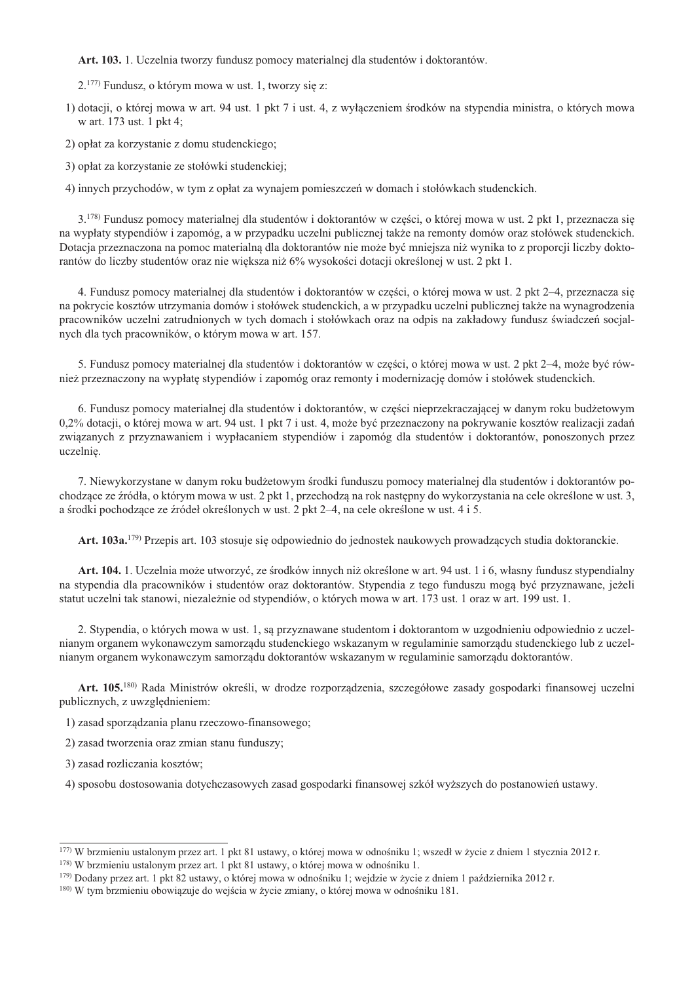Art. 103. 1. Uczelnia tworzy fundusz pomocy materialnej dla studentów i doktorantów.

2.<sup>177)</sup> Fundusz, o którym mowa w ust. 1, tworzy się z:

1) dotacji, o której mowa w art. 94 ust. 1 pkt 7 i ust. 4, z wyłączeniem środków na stypendia ministra, o których mowa w art. 173 ust. 1 pkt 4;

2) opłat za korzystanie z domu studenckiego;

3) opłat za korzystanie ze stołówki studenckiej;

4) innych przychodów, w tym z opłat za wynajem pomieszczeń w domach i stołówkach studenckich.

3.<sup>178)</sup> Fundusz pomocy materialnej dla studentów i doktorantów w cześci, o której mowa w ust. 2 pkt 1, przeznacza się na wypłaty stypendiów i zapomóg, a w przypadku uczelni publicznej także na remonty domów oraz stołówek studenckich. Dotacja przeznaczona na pomoc materialną dla doktorantów nie może być mniejsza niż wynika to z proporcji liczby doktorantów do liczby studentów oraz nie większa niż 6% wysokości dotacji określonej w ust. 2 pkt 1.

4. Fundusz pomocy materialnej dla studentów i doktorantów w części, o której mowa w ust. 2 pkt 2–4, przeznacza się na pokrycie kosztów utrzymania domów i stołówek studenckich, a w przypadku uczelni publicznej także na wynagrodzenia pracowników uczelni zatrudnionych w tych domach i stołówkach oraz na odpis na zakładowy fundusz świadczeń socjalnych dla tych pracowników, o którym mowa w art. 157.

5. Fundusz pomocy materialnej dla studentów i doktorantów w części, o której mowa w ust. 2 pkt 2–4, może być również przeznaczony na wypłatę stypendiów i zapomóg oraz remonty i modernizację domów i stołówek studenckich.

6. Fundusz pomocy materialnej dla studentów i doktorantów, w części nieprzekraczającej w danym roku budżetowym 0,2% dotacji, o której mowa w art. 94 ust. 1 pkt 7 i ust. 4, może być przeznaczony na pokrywanie kosztów realizacji zadań związanych z przyznawaniem i wypłacaniem stypendiów i zapomóg dla studentów i doktorantów, ponoszonych przez uczelnię.

7. Niewykorzystane w danym roku budżetowym środki funduszu pomocy materialnej dla studentów i doktorantów pochodzące ze źródła, o którym mowa w ust. 2 pkt 1, przechodzą na rok następny do wykorzystania na cele określone w ust. 3, a środki pochodzące ze źródeł określonych w ust. 2 pkt 2–4, na cele określone w ust. 4 i 5.

Art. 103a.<sup>179</sup>) Przepis art. 103 stosuje się odpowiednio do jednostek naukowych prowadzących studia doktoranckie.

Art. 104. 1. Uczelnia może utworzyć, ze środków innych niż określone w art. 94 ust. 1 i 6. własny fundusz stypendialny na stypendia dla pracowników i studentów oraz doktorantów. Stypendia z tego funduszu mogą być przyznawane, jeżeli statut uczelni tak stanowi, niezależnie od stypendiów, o których mowa w art. 173 ust. 1 oraz w art. 199 ust. 1.

2. Stypendia, o których mowa w ust. 1, są przyznawane studentom i doktorantom w uzgodnieniu odpowiednio z uczelnianym organem wykonawczym samorządu studenckiego wskazanym w regulaminie samorządu studenckiego lub z uczelnianym organem wykonawczym samorządu doktorantów wskazanym w regulaminie samorządu doktorantów.

Art. 105.<sup>180)</sup> Rada Ministrów określi, w drodze rozporzadzenia, szczegółowe zasady gospodarki finansowej uczelni publicznych, z uwzględnieniem:

1) zasad sporządzania planu rzeczowo-finansowego;

2) zasad tworzenia oraz zmian stanu funduszy;

3) zasad rozliczania kosztów;

4) sposobu dostosowania dotychczasowych zasad gospodarki finansowej szkół wyższych do postanowień ustawy.

<sup>177)</sup> W brzmieniu ustalonym przez art. 1 pkt 81 ustawy, o której mowa w odnośniku 1; wszedł w życie z dniem 1 stycznia 2012 r. <sup>178</sup>) W brzmieniu ustalonym przez art. 1 pkt 81 ustawy, o której mowa w odnośniku 1.

<sup>&</sup>lt;sup>179</sup>) Dodany przez art. 1 pkt 82 ustawy, o której mowa w odnośniku 1; wejdzie w życie z dniem 1 października 2012 r.

<sup>&</sup>lt;sup>180</sup>) W tym brzmieniu obowiązuje do wejścia w życie zmiany, o której mowa w odnośniku 181.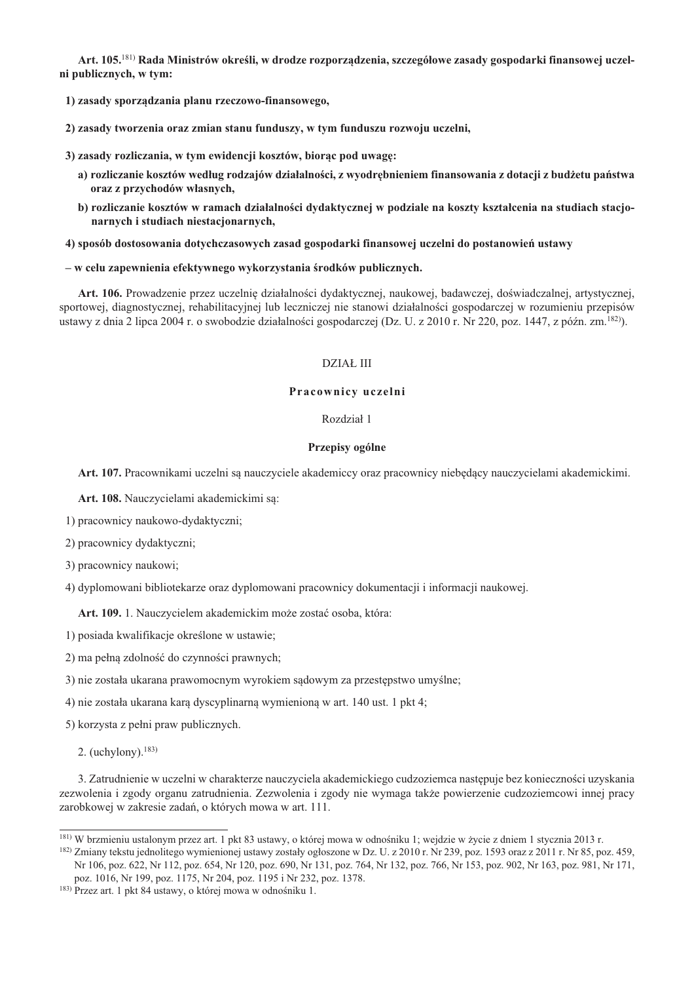Art. 105.<sup>181)</sup> Rada Ministrów określi, w drodze rozporządzenia, szczegółowe zasady gospodarki finansowej uczelni publicznych, w tym:

1) zasady sporządzania planu rzeczowo-finansowego,

2) zasady tworzenia oraz zmian stanu funduszy, w tym funduszu rozwoju uczelni,

3) zasady rozliczania, w tym ewidencji kosztów, biorąc pod uwagę:

- a) rozliczanie kosztów według rodzajów działalności, z wyodrębnieniem finansowania z dotacji z budżetu państwa oraz z przychodów własnych,
- b) rozliczanie kosztów w ramach działalności dydaktycznej w podziale na koszty kształcenia na studiach stacjonarnych i studiach niestacjonarnych,

4) sposób dostosowania dotychczasowych zasad gospodarki finansowej uczelni do postanowień ustawy

### - w celu zapewnienia efektywnego wykorzystania środków publicznych.

Art. 106. Prowadzenie przez uczelnie działalności dydaktycznej, naukowej, badawczej, doświadczalnej, artystycznej, sportowej, diagnostycznej, rehabilitacyjnej lub leczniczej nie stanowi działalności gospodarczej w rozumieniu przepisów ustawy z dnia 2 lipca 2004 r. o swobodzie działalności gospodarczej (Dz. U. z 2010 r. Nr 220, poz. 1447, z późn. zm. <sup>182</sup>).

## **DZIAŁ III**

# Pracownicy uczelni

## Rozdział 1

## Przepisy ogólne

Art. 107. Pracownikami uczelni są nauczyciele akademiccy oraz pracownicy niebędący nauczycielami akademickimi.

Art. 108. Nauczycielami akademickimi sa:

1) pracownicy naukowo-dydaktyczni:

2) pracownicy dydaktyczni;

3) pracownicy naukowi;

4) dyplomowani bibliotekarze oraz dyplomowani pracownicy dokumentacji i informacji naukowej.

Art. 109. 1. Nauczycielem akademickim może zostać osoba, która:

1) posiada kwalifikacie określone w ustawie:

2) ma pełną zdolność do czynności prawnych;

3) nie została ukarana prawomocnym wyrokiem sądowym za przestępstwo umyślne;

4) nie została ukarana karą dyscyplinarną wymienioną w art. 140 ust. 1 pkt 4;

5) korzysta z pełni praw publicznych.

2. (uchylony).  $183$ )

3. Zatrudnienie w uczelni w charakterze nauczyciela akademickiego cudzoziemca następuje bez konieczności uzyskania zezwolenia i zgody organu zatrudnienia. Zezwolenia i zgody nie wymaga także powierzenie cudzoziemcowi innej pracy zarobkowej w zakresie zadań, o których mowa w art. 111.

<sup>&</sup>lt;sup>181)</sup> W brzmieniu ustalonym przez art. 1 pkt 83 ustawy, o której mowa w odnośniku 1; wejdzie w życie z dniem 1 stycznia 2013 r.

<sup>&</sup>lt;sup>182</sup>) Zmiany tekstu jednolitego wymienionej ustawy zostały ogłoszone w Dz. U. z 2010 r. Nr 239, poz. 1593 oraz z 2011 r. Nr 85, poz. 459, Nr 106, poz. 622, Nr 112, poz. 654, Nr 120, poz. 690, Nr 131, poz. 764, Nr 132, poz. 766, Nr 153, poz. 902, Nr 163, poz. 981, Nr 171, poz. 1016, Nr 199, poz. 1175, Nr 204, poz. 1195 i Nr 232, poz. 1378.

<sup>&</sup>lt;sup>183)</sup> Przez art. 1 pkt 84 ustawy, o której mowa w odnośniku 1.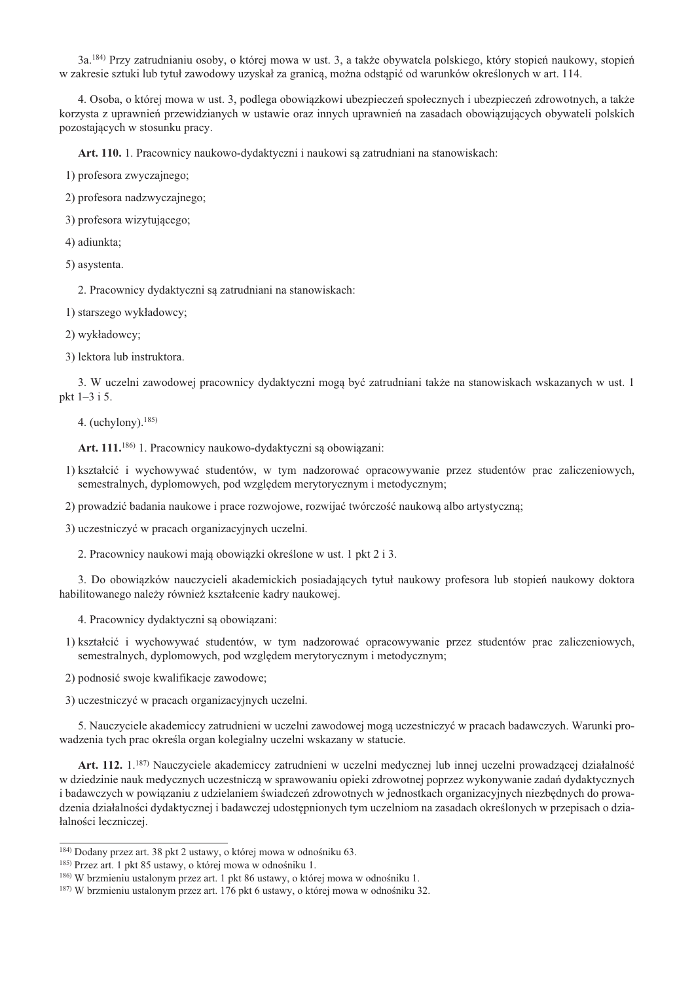3a.<sup>184)</sup> Przy zatrudnianiu osoby, o której mowa w ust. 3, a także obywatela polskiego, który stopień naukowy, stopień w zakresie sztuki lub tytuł zawodowy uzyskał za granica, można odstapić od warunków określonych w art. 114.

4. Osoba, o której mowa w ust. 3, podlega obowiązkowi ubezpieczeń społecznych i ubezpieczeń zdrowotnych, a także korzysta z uprawnień przewidzianych w ustawie oraz innych uprawnień na zasadach obowiązujących obywateli polskich pozostających w stosunku pracy.

Art. 110. 1. Pracownicy naukowo-dydaktyczni i naukowi są zatrudniani na stanowiskach:

1) profesora zwyczajnego;

2) profesora nadzwyczajnego;

3) profesora wizytującego;

4) adiunkta;

5) asystenta.

2. Pracownicy dydaktyczni są zatrudniani na stanowiskach:

1) starszego wykładowcy;

2) wykładowcy;

3) lektora lub instruktora.

3. W uczelni zawodowej pracownicy dydaktyczni mogą być zatrudniani także na stanowiskach wskazanych w ust. 1 pkt 1-3 i 5.

4. (uchylony).  $185$ )

Art. 111.<sup>186)</sup> 1. Pracownicy naukowo-dydaktyczni są obowiązani:

1) kształcić i wychowywać studentów, w tym nadzorować opracowywanie przez studentów prac zaliczeniowych. semestralnych, dyplomowych, pod względem merytorycznym i metodycznym;

2) prowadzić badania naukowe i prace rozwojowe, rozwijać twórczość naukową albo artystyczną;

3) uczestniczyć w pracach organizacyjnych uczelni.

2. Pracownicy naukowi mają obowiązki określone w ust. 1 pkt 2 i 3.

3. Do obowiązków nauczycieli akademickich posiadających tytuł naukowy profesora lub stopień naukowy doktora habilitowanego należy również kształcenie kadry naukowej.

4. Pracownicy dydaktyczni są obowiązani:

1) kształcić i wychowywać studentów, w tym nadzorować opracowywanie przez studentów prac zaliczeniowych, semestralnych, dyplomowych, pod względem merytorycznym i metodycznym;

2) podnosić swoje kwalifikacje zawodowe;

3) uczestniczyć w pracach organizacyjnych uczelni.

5. Nauczyciele akademiccy zatrudnieni w uczelni zawodowej mogą uczestniczyć w pracach badawczych. Warunki prowadzenia tych prac określa organ kolegialny uczelni wskazany w statucie.

Art. 112. 1.<sup>187)</sup> Nauczyciele akademiccy zatrudnieni w uczelni medycznej lub innej uczelni prowadzącej działalność w dziedzinie nauk medycznych uczestnicza w sprawowaniu opieki zdrowotnej poprzez wykonywanie zadań dydaktycznych i badawczych w powiązaniu z udzielaniem świadczeń zdrowotnych w jednostkach organizacyjnych niezbędnych do prowadzenia działalności dydaktycznej i badawczej udostępnionych tym uczelniom na zasadach określonych w przepisach o działalności leczniczej.

<sup>&</sup>lt;sup>184)</sup> Dodany przez art. 38 pkt 2 ustawy, o której mowa w odnośniku 63.

<sup>&</sup>lt;sup>185</sup>) Przez art. 1 pkt 85 ustawy, o której mowa w odnośniku 1.

<sup>&</sup>lt;sup>186</sup>) W brzmieniu ustalonym przez art. 1 pkt 86 ustawy, o której mowa w odnośniku 1.

<sup>&</sup>lt;sup>187)</sup> W brzmieniu ustalonym przez art. 176 pkt 6 ustawy, o której mowa w odnośniku 32.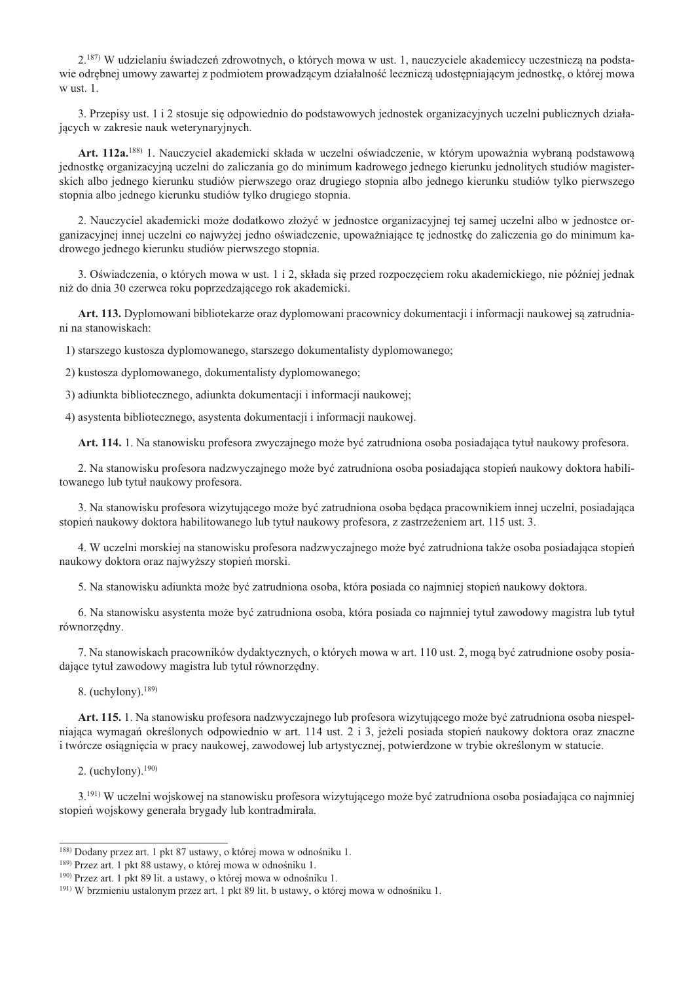2.<sup>187)</sup> W udzielaniu świadczeń zdrowotnych, o których mowa w ust. 1, nauczyciele akademiccy uczestnicza na podstawie odrebnej umowy zawartej z podmiotem prowadzacym działalność lecznicza udostepniającym jednostke, o której mowa  $w$  ust. 1.

3. Przepisy ust. 1 i 2 stosuje się odpowiednio do podstawowych jednostek organizacyjnych uczelni publicznych działajacych w zakresie nauk weterynaryjnych.

Art. 112a.<sup>188)</sup> 1. Nauczyciel akademicki składa w uczelni oświadczenie, w którym upoważnia wybraną podstawową jednostke organizacyjna uczelni do zaliczania go do minimum kadrowego jednego kierunku jednolitych studiów magisterskich albo jednego kierunku studiów pierwszego oraz drugiego stopnia albo jednego kierunku studiów tylko pierwszego stopnia albo jednego kierunku studiów tylko drugiego stopnia.

2. Nauczyciel akademicki może dodatkowo złożyć w jednostce organizacyjnej tej samej uczelni albo w jednostce organizacyjnej innej uczelni co najwyżej jedno oświadczenie, upoważniające tę jednostkę do zaliczenia go do minimum kadrowego jednego kierunku studiów pierwszego stopnia.

3. Oświadczenia, o których mowa w ust. 1 i 2, składa się przed rozpoczęciem roku akademickiego, nie później jednak niż do dnia 30 czerwca roku poprzedzającego rok akademicki.

Art. 113. Dyplomowani bibliotekarze oraz dyplomowani pracownicy dokumentacji i informacji naukowej sa zatrudniani na stanowiskach:

1) starszego kustosza dyplomowanego, starszego dokumentalisty dyplomowanego;

2) kustosza dyplomowanego, dokumentalisty dyplomowanego;

3) adiunkta bibliotecznego, adiunkta dokumentacji i informacji naukowej;

4) asystenta bibliotecznego, asystenta dokumentacji i informacji naukowej.

Art. 114. 1. Na stanowisku profesora zwyczajnego może być zatrudniona osoba posiadająca tytuł naukowy profesora.

2. Na stanowisku profesora nadzwyczajnego może być zatrudniona osoba posiadająca stopień naukowy doktora habilitowanego lub tytuł naukowy profesora.

3. Na stanowisku profesora wizytującego może być zatrudniona osoba będąca pracownikiem innej uczelni, posiadająca stopień naukowy doktora habilitowanego lub tytuł naukowy profesora, z zastrzeżeniem art. 115 ust. 3.

4. W uczelni morskiej na stanowisku profesora nadzwyczajnego może być zatrudniona także osoba posiadająca stopień naukowy doktora oraz najwyższy stopień morski.

5. Na stanowisku adjunkta może być zatrudniona osoba, która posiada co najmniej stopień naukowy doktora.

6. Na stanowisku asystenta może być zatrudniona osoba, która posiada co najmniej tytuł zawodowy magistra lub tytuł równorzędny.

7. Na stanowiskach pracowników dydaktycznych, o których mowa w art. 110 ust. 2, mogą być zatrudnione osoby posiadające tytuł zawodowy magistra lub tytuł równorzędny.

8. (uchylony).  $189$ )

Art. 115. 1. Na stanowisku profesora nadzwyczajnego lub profesora wizytującego może być zatrudniona osoba niespełniająca wymagań określonych odpowiednio w art. 114 ust. 2 i 3, jeżeli posiada stopień naukowy doktora oraz znaczne i twórcze osiągnięcia w pracy naukowej, zawodowej lub artystycznej, potwierdzone w trybie określonym w statucie.

2. (uchylony).  $190$ )

3.<sup>191)</sup> W uczelni wojskowej na stanowisku profesora wizytującego może być zatrudniona osoba posiadająca co najmniej stopień wojskowy generała brygady lub kontradmirała.

<sup>&</sup>lt;sup>188</sup>) Dodany przez art. 1 pkt 87 ustawy, o której mowa w odnośniku 1.

<sup>&</sup>lt;sup>189)</sup> Przez art. 1 pkt 88 ustawy, o której mowa w odnośniku 1.

<sup>&</sup>lt;sup>190</sup>) Przez art. 1 pkt 89 lit. a ustawy, o której mowa w odnośniku 1.

<sup>&</sup>lt;sup>191</sup>) W brzmieniu ustalonym przez art. 1 pkt 89 lit. b ustawy, o której mowa w odnośniku 1.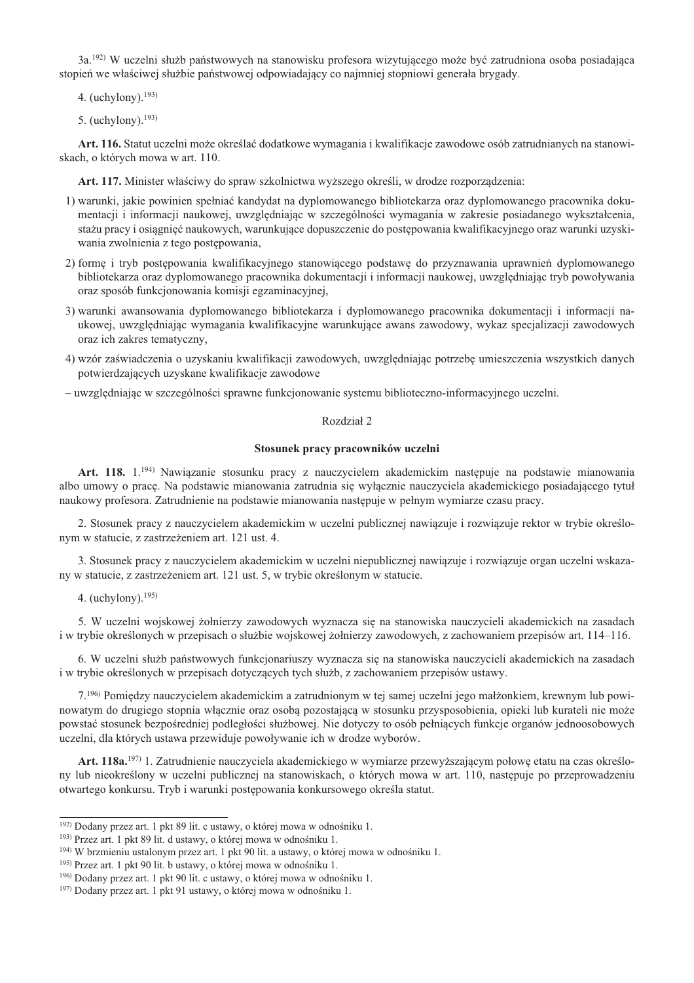3a.<sup>192)</sup> W uczelni służb państwowych na stanowisku profesora wizytującego może być zatrudniona osoba posiadająca stopień we właściwej służbie państwowej odpowiadający co najmniej stopniowi generała brygady.

- 4. (uchylony). $193$ )
- 5. (uchylony).  $193$ )

Art. 116. Statut uczelni może określać dodatkowe wymagania i kwalifikacje zawodowe osób zatrudnianych na stanowiskach, o których mowa w art. 110.

Art. 117. Minister właściwy do spraw szkolnictwa wyższego określi, w drodze rozporządzenia:

- 1) warunki, jakie powinien spełniać kandydat na dyplomowanego bibliotekarza oraz dyplomowanego pracownika dokumentacji i informacji naukowej, uwzględniając w szczególności wymagania w zakresie posiadanego wykształcenia, stażu pracy i osiągnięć naukowych, warunkujące dopuszczenie do postępowania kwalifikacyjnego oraz warunki uzyskiwania zwolnienia z tego postępowania,
- 2) formę i tryb postępowania kwalifikacyjnego stanowiącego podstawę do przyznawania uprawnień dyplomowanego bibliotekarza oraz dyplomowanego pracownika dokumentacji i informacji naukowej, uwzględniając tryb powoływania oraz sposób funkcjonowania komisji egzaminacyjnej,
- 3) warunki awansowania dyplomowanego bibliotekarza i dyplomowanego pracownika dokumentacji i informacji naukowej, uwzględniając wymagania kwalifikacyjne warunkujące awans zawodowy, wykaz specjalizacji zawodowych oraz ich zakres tematyczny,
- 4) wzór zaświadczenia o uzyskaniu kwalifikacji zawodowych, uwzględniając potrzebę umieszczenia wszystkich danych potwierdzających uzyskane kwalifikacje zawodowe
- uwzgledniając w szczególności sprawne funkcionowanie systemu biblioteczno-informacyjnego uczelni.

## Rozdział 2

### Stosunek pracy pracowników uczelni

Art. 118. 1.<sup>194)</sup> Nawiązanie stosunku pracy z nauczycielem akademickim następuje na podstawie mianowania albo umowy o pracę. Na podstawie mianowania zatrudnia się wyłącznie nauczyciela akademickiego posiadającego tytuł naukowy profesora. Zatrudnienie na podstawie mianowania następuje w pełnym wymiarze czasu pracy.

2. Stosunek pracy z nauczycielem akademickim w uczelni publicznej nawiązuje i rozwiązuje rektor w trybie określonym w statucie, z zastrzeżeniem art. 121 ust. 4.

3. Stosunek pracy z nauczycielem akademickim w uczelni niepublicznej nawiązuje i rozwiązuje organ uczelni wskazany w statucie, z zastrzeżeniem art. 121 ust. 5, w trybie określonym w statucie.

4. (uchylony). $195$ )

5. W uczelni wojskowej żołnierzy zawodowych wyznacza się na stanowiska nauczycieli akademickich na zasadach i w trybie określonych w przepisach o służbie wojskowej żołnierzy zawodowych, z zachowaniem przepisów art. 114–116.

6. W uczelni służb państwowych funkcjonariuszy wyznacza się na stanowiska nauczycieli akademickich na zasadach i w trybie określonych w przepisach dotyczących tych służb, z zachowaniem przepisów ustawy.

7.<sup>196)</sup> Pomiędzy nauczycielem akademickim a zatrudnionym w tej samej uczelni jego małżonkiem, krewnym lub powinowatym do drugiego stopnia włącznie oraz osobą pozostającą w stosunku przysposobienia, opieki lub kurateli nie może powstać stosunek bezpośredniej podległości służbowej. Nie dotyczy to osób pełniących funkcje organów jednoosobowych uczelni, dla których ustawa przewiduje powoływanie ich w drodze wyborów.

Art. 118a.<sup>197)</sup> 1. Zatrudnienie nauczyciela akademickiego w wymiarze przewyższającym połowę etatu na czas określony lub nieokreślony w uczelni publicznej na stanowiskach, o których mowa w art. 110, następuje po przeprowadzeniu otwartego konkursu. Tryb i warunki postepowania konkursowego określa statut.

<sup>&</sup>lt;sup>192)</sup> Dodany przez art. 1 pkt 89 lit. c ustawy, o której mowa w odnośniku 1.

<sup>&</sup>lt;sup>193</sup>) Przez art. 1 pkt 89 lit. d ustawy, o której mowa w odnośniku 1.

<sup>&</sup>lt;sup>194</sup>) W brzmieniu ustalonym przez art. 1 pkt 90 lit. a ustawy, o której mowa w odnośniku 1.

<sup>&</sup>lt;sup>195</sup>) Przez art. 1 pkt 90 lit. b ustawy, o której mowa w odnośniku 1.

<sup>&</sup>lt;sup>196</sup> Dodany przez art. 1 pkt 90 lit. c ustawy, o której mowa w odnośniku 1.

<sup>&</sup>lt;sup>197</sup>) Dodany przez art. 1 pkt 91 ustawy, o której mowa w odnośniku 1.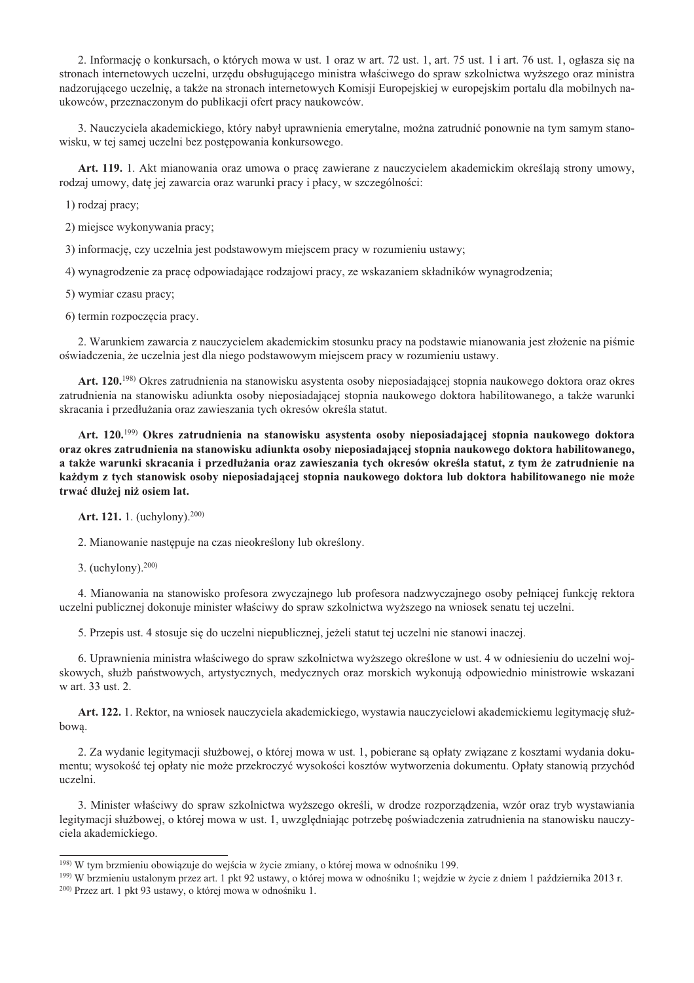2. Informacje o konkursach, o których mowa w ust. 1 oraz w art. 72 ust. 1, art. 75 ust. 1 i art. 76 ust. 1, ogłasza się na stronach internetowych uczelni, urzędu obsługującego ministra właściwego do spraw szkolnictwa wyższego oraz ministra nadzorującego uczelnie, a także na stronach internetowych Komisji Europejskiej w europejskim portalu dla mobilnych naukowców, przeznaczonym do publikacji ofert pracy naukowców.

3. Nauczyciela akademickiego, który nabył uprawnienia emerytalne, można zatrudnić ponownie na tym samym stanowisku, w tej samej uczelni bez postępowania konkursowego.

Art. 119. 1. Akt mianowania oraz umowa o pracę zawierane z nauczycielem akademickim określają strony umowy, rodzaj umowy, datę jej zawarcia oraz warunki pracy i płacy, w szczególności:

1) rodzaj pracy;

2) miejsce wykonywania pracy;

3) informację, czy uczelnia jest podstawowym miejscem pracy w rozumieniu ustawy;

4) wynagrodzenie za pracę odpowiadające rodzajowi pracy, ze wskazaniem składników wynagrodzenia;

5) wymiar czasu pracy;

6) termin rozpoczęcia pracy.

2. Warunkiem zawarcia z nauczycielem akademickim stosunku pracy na podstawie mianowania jest złożenie na piśmie oświadczenia, że uczelnia jest dla niego podstawowym miejscem pracy w rozumieniu ustawy.

Art. 120.<sup>198)</sup> Okres zatrudnienia na stanowisku asystenta osoby nieposiadającej stopnia naukowego doktora oraz okres zatrudnienia na stanowisku adiunkta osoby nieposiadającej stopnia naukowego doktora habilitowanego, a także warunki skracania i przedłużania oraz zawieszania tych okresów określa statut.

Art. 120.<sup>199</sup>) Okres zatrudnienia na stanowisku asystenta osoby nieposiadającej stopnia naukowego doktora oraz okres zatrudnienia na stanowisku adiunkta osoby nieposiadającej stopnia naukowego doktora habilitowanego, a także warunki skracania i przedłużania oraz zawieszania tych okresów określa statut, z tym że zatrudnienie na każdym z tych stanowisk osoby nieposiadającej stopnia naukowego doktora lub doktora habilitowanego nie może trwać dłużej niż osiem lat.

Art. 121. 1. (uchylony).<sup>200)</sup>

2. Mianowanie następuje na czas nieokreślony lub określony.

3. (uchylony).  $200$ )

4. Mianowania na stanowisko profesora zwyczajnego lub profesora nadzwyczajnego osoby pełniącej funkcję rektora uczelni publicznej dokonuje minister właściwy do spraw szkolnictwa wyższego na wniosek senatu tej uczelni.

5. Przepis ust. 4 stosuje się do uczelni niepublicznej, jeżeli statut tej uczelni nie stanowi inaczej.

6. Uprawnienia ministra właściwego do spraw szkolnictwa wyższego określone w ust. 4 w odniesieniu do uczelni wojskowych, służb państwowych, artystycznych, medycznych oraz morskich wykonują odpowiednio ministrowie wskazani w art. 33 ust. 2.

Art. 122. 1. Rektor, na wniosek nauczyciela akademickiego, wystawia nauczycielowi akademickiemu legitymację służbowa.

2. Za wydanie legitymacji służbowej, o której mowa w ust. 1, pobierane sa opłaty związane z kosztami wydania dokumentu; wysokość tej opłaty nie może przekroczyć wysokości kosztów wytworzenia dokumentu. Opłaty stanowią przychód uczelni.

3. Minister właściwy do spraw szkolnictwa wyższego określi, w drodze rozporządzenia, wzór oraz tryb wystawiania legitymacji służbowej, o której mowa w ust. 1, uwzględniając potrzebę poświadczenia zatrudnienia na stanowisku nauczyciela akademickiego.

<sup>198)</sup> W tym brzmieniu obowiązuje do wejścia w życie zmiany, o której mowa w odnośniku 199.

<sup>199)</sup> W brzmieniu ustalonym przez art. 1 pkt 92 ustawy, o której mowa w odnośniku 1; wejdzie w życie z dniem 1 października 2013 r.

<sup>&</sup>lt;sup>200)</sup> Przez art. 1 pkt 93 ustawy, o której mowa w odnośniku 1.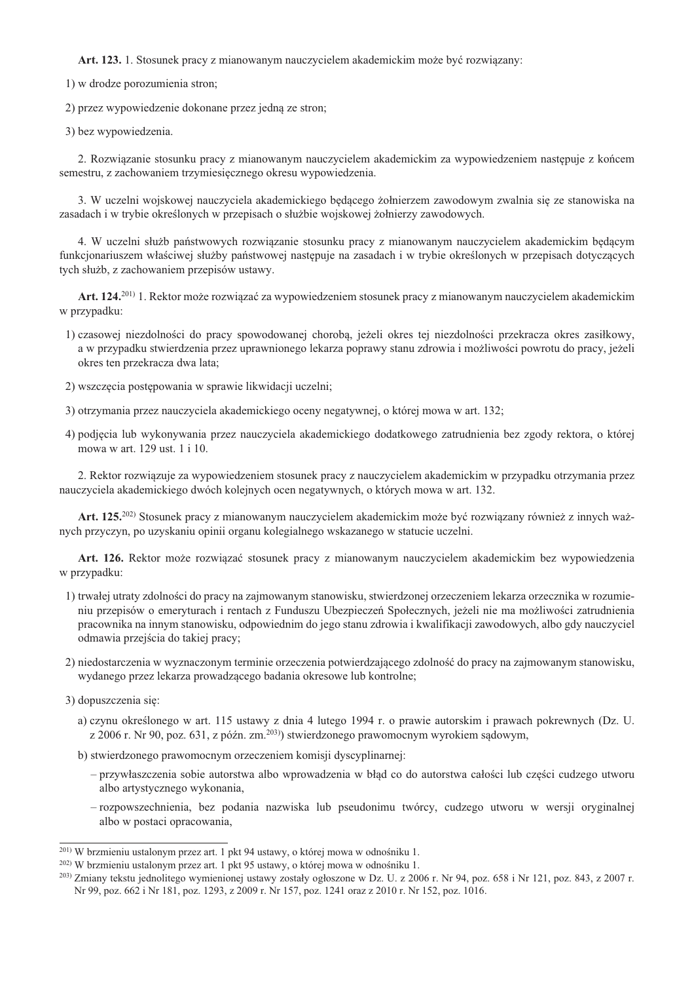Art. 123. 1. Stosunek pracy z mianowanym nauczycielem akademickim może być rozwiazany:

1) w drodze porozumienia stron;

2) przez wypowiedzenie dokonane przez jedną ze stron;

3) bez wypowiedzenia.

2. Rozwiązanie stosunku pracy z mianowanym nauczycielem akademickim za wypowiedzeniem następuje z końcem semestru, z zachowaniem trzymiesięcznego okresu wypowiedzenia.

3. W uczelni wojskowej nauczyciela akademickiego bedacego żołnierzem zawodowym zwalnia się ze stanowiska na zasadach i w trybie określonych w przepisach o służbie wojskowej żołnierzy zawodowych.

4. W uczelni służb państwowych rozwiązanie stosunku pracy z mianowanym nauczycielem akademickim będącym funkcionariuszem właściwej służby państwowej nastepuje na zasadach i w trybie określonych w przepisach dotyczacych tych służb, z zachowaniem przepisów ustawy.

Art. 124.<sup>201)</sup> 1. Rektor może rozwiązać za wypowiedzeniem stosunek pracy z mianowanym nauczycielem akademickim w przypadku:

- 1) czasowej niezdolności do pracy spowodowanej chorobą, jeżeli okres tej niezdolności przekracza okres zasiłkowy, a w przypadku stwierdzenia przez uprawnionego lekarza poprawy stanu zdrowia i możliwości powrotu do pracy, jeżeli okres ten przekracza dwa lata;
- 2) wszczęcia postępowania w sprawie likwidacji uczelni;
- 3) otrzymania przez nauczyciela akademickiego oceny negatywnej, o której mowa w art. 132;
- 4) podjęcia lub wykonywania przez nauczyciela akademickiego dodatkowego zatrudnienia bez zgody rektora, o której mowa w art. 129 ust. 1 i 10.

2. Rektor rozwiązuje za wypowiedzeniem stosunek pracy z nauczycielem akademickim w przypadku otrzymania przez nauczyciela akademickiego dwóch kolejnych ocen negatywnych, o których mowa w art. 132.

Art. 125.<sup>202)</sup> Stosunek pracy z mianowanym nauczycielem akademickim może być rozwiązany również z innych ważnych przyczyn, po uzyskaniu opinii organu kolegialnego wskazanego w statucie uczelni.

Art. 126. Rektor może rozwiązać stosunek pracy z mianowanym nauczycielem akademickim bez wypowiedzenia w przypadku:

- 1) trwałej utraty zdolności do pracy na zajmowanym stanowisku, stwierdzonej orzeczeniem lekarza orzecznika w rozumieniu przepisów o emeryturach i rentach z Funduszu Ubezpieczeń Społecznych, jeżeli nie ma możliwości zatrudnienia pracownika na innym stanowisku, odpowiednim do jego stanu zdrowia i kwalifikacji zawodowych, albo gdy nauczyciel odmawia przejścia do takiej pracy;
- 2) niedostarczenia w wyznaczonym terminie orzeczenia potwierdzającego zdolność do pracy na zajmowanym stanowisku, wydanego przez lekarza prowadzącego badania okresowe lub kontrolne;
- 3) dopuszczenia się:
	- a) czynu określonego w art. 115 ustawy z dnia 4 lutego 1994 r. o prawie autorskim i prawach pokrewnych (Dz. U. z 2006 r. Nr 90, poz. 631, z późn. zm.<sup>203)</sup>) stwierdzonego prawomocnym wyrokiem sądowym,
	- b) stwierdzonego prawomocnym orzeczeniem komisji dyscyplinarnej:
		- przywłaszczenia sobie autorstwa albo wprowadzenia w błąd co do autorstwa całości lub części cudzego utworu albo artystycznego wykonania,
		- rozpowszechnienia, bez podania nazwiska lub pseudonimu twórcy, cudzego utworu w wersji oryginalnej albo w postaci opracowania,

<sup>&</sup>lt;sup>201)</sup> W brzmieniu ustalonym przez art. 1 pkt 94 ustawy, o której mowa w odnośniku 1.

<sup>&</sup>lt;sup>202)</sup> W brzmieniu ustalonym przez art. 1 pkt 95 ustawy, o której mowa w odnośniku 1.

 $^{203}$  Zmiany tekstu jednolitego wymienionej ustawy zostały ogłoszone w Dz. U. z 2006 r. Nr 94, poz. 658 i Nr 121, poz. 843, z 2007 r. Nr 99, poz. 662 i Nr 181, poz. 1293, z 2009 r. Nr 157, poz. 1241 oraz z 2010 r. Nr 152, poz. 1016.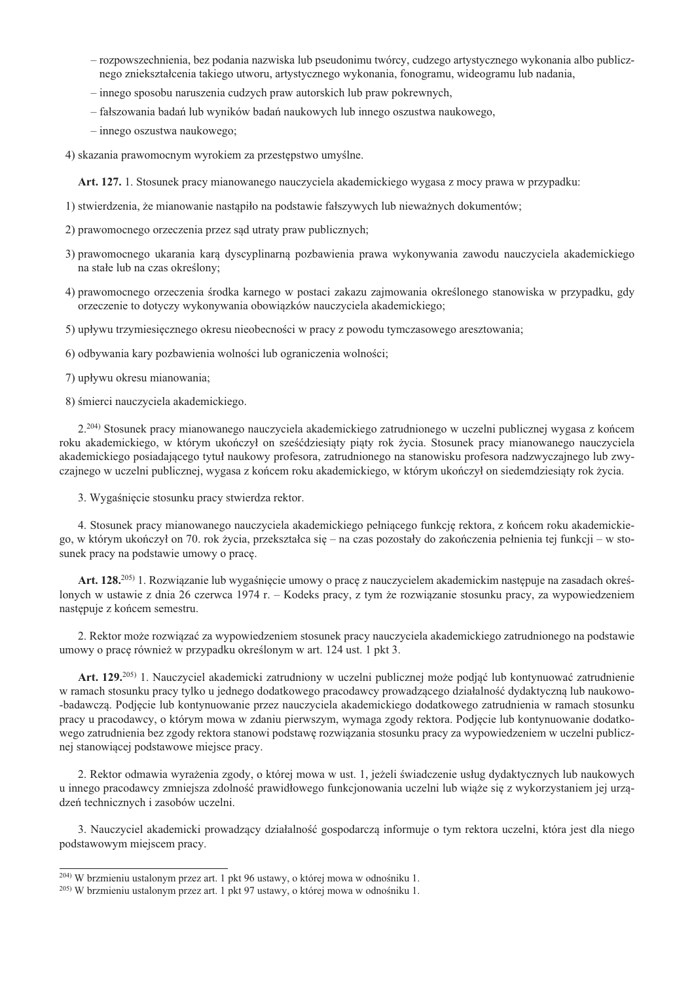- rozpowszechnienia, bez podania nazwiska lub pseudonimu twórcy, cudzego artystycznego wykonania albo publicznego zniekształcenia takiego utworu, artystycznego wykonania, fonogramu, wideogramu lub nadania,
- innego sposobu naruszenia cudzych praw autorskich lub praw pokrewnych,
- fałszowania badań lub wyników badań naukowych lub innego oszustwa naukowego,
- innego oszustwa naukowego;

4) skazania prawomocnym wyrokiem za przestępstwo umyślne.

Art. 127. 1. Stosunek pracy mianowanego nauczyciela akademickiego wygasa z mocy prawa w przypadku:

- 1) stwierdzenia, że mianowanie nastąpiło na podstawie fałszywych lub nieważnych dokumentów;
- 2) prawomocnego orzeczenia przez sąd utraty praw publicznych;
- 3) prawomocnego ukarania kara dyscyplinarna pozbawienia prawa wykonywania zawodu nauczyciela akademickiego na stałe lub na czas określony;
- 4) prawomocnego orzeczenia środka karnego w postaci zakazu zajmowania określonego stanowiska w przypadku, gdy orzeczenie to dotyczy wykonywania obowiązków nauczyciela akademickiego;
- 5) upływu trzymiesięcznego okresu nieobecności w pracy z powodu tymczasowego aresztowania;
- 6) odbywania kary pozbawienia wolności lub ograniczenia wolności:
- 7) upływu okresu mianowania;

8) śmierci nauczyciela akademickiego.

2.<sup>204)</sup> Stosunek pracy mianowanego nauczyciela akademickiego zatrudnionego w uczelni publicznej wygasa z końcem roku akademickiego, w którym ukończył on sześćdziesiaty piaty rok życia. Stosunek pracy mianowanego nauczyciela akademickiego posiadającego tytuł naukowy profesora, zatrudnionego na stanowisku profesora nadzwyczajnego lub zwyczajnego w uczelni publicznej, wygasa z końcem roku akademickiego, w którym ukończył on siedemdziesiąty rok życia.

3. Wygaśniecie stosunku pracy stwierdza rektor.

4. Stosunek pracy mianowanego nauczyciela akademickiego pełniącego funkcję rektora, z końcem roku akademickiego, w którym ukończył on 70. rok życia, przekształca się – na czas pozostały do zakończenia pełnienia tej funkcji – w stosunek pracy na podstawie umowy o pracę.

Art. 128.<sup>205)</sup> 1. Rozwiązanie lub wygaśnięcie umowy o pracę z nauczycielem akademickim następuje na zasadach określonych w ustawie z dnia 26 czerwca 1974 r. – Kodeks pracy, z tym że rozwiązanie stosunku pracy, za wypowiedzeniem następuje z końcem semestru.

2. Rektor może rozwiazać za wypowiedzeniem stosunek pracy nauczyciela akademickiego zatrudnionego na podstawie umowy o pracę również w przypadku określonym w art. 124 ust. 1 pkt 3.

Art. 129.<sup>205)</sup> 1. Nauczyciel akademicki zatrudniony w uczelni publicznej może podjąć lub kontynuować zatrudnienie w ramach stosunku pracy tylko u jednego dodatkowego pracodawcy prowadzacego działalność dydaktyczna lub naukowo--badawczą. Podjęcie lub kontynuowanie przez nauczyciela akademickiego dodatkowego zatrudnienia w ramach stosunku pracy u pracodawcy, o którym mowa w zdaniu pierwszym, wymaga zgody rektora. Podjęcie lub kontynuowanie dodatkowego zatrudnienia bez zgody rektora stanowi podstawę rozwiązania stosunku pracy za wypowiedzeniem w uczelni publicznej stanowiącej podstawowe miejsce pracy.

2. Rektor odmawia wyrażenia zgody, o której mowa w ust. 1, jeżeli świadczenie usług dydaktycznych lub naukowych u innego pracodawcy zmniejsza zdolność prawidłowego funkcjonowania uczelni lub wiaże się z wykorzystaniem jej urządzeń technicznych i zasobów uczelni.

3. Nauczyciel akademicki prowadzący działalność gospodarczą informuje o tym rektora uczelni, która jest dla niego podstawowym miejscem pracy.

<sup>&</sup>lt;sup>204)</sup> W brzmieniu ustalonym przez art. 1 pkt 96 ustawy, o której mowa w odnośniku 1.

<sup>&</sup>lt;sup>205)</sup> W brzmieniu ustalonym przez art. 1 pkt 97 ustawy, o której mowa w odnośniku 1.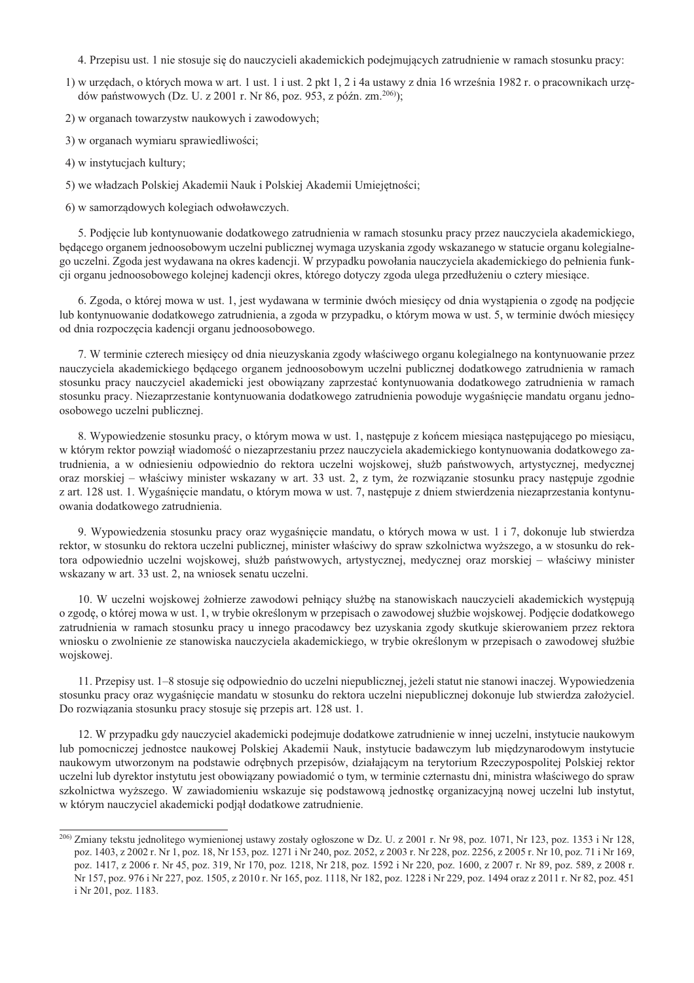- 4. Przepisu ust. 1 nie stosuje się do nauczycieli akademickich podejmujących zatrudnienie w ramach stosunku pracy:
- 1) w urzedach, o których mowa w art. 1 ust. 1 i ust. 2 pkt 1, 2 i 4a ustawy z dnia 16 września 1982 r. o pracownikach urzedów państwowych (Dz. U. z 2001 r. Nr 86, poz. 953, z późn. zm.<sup>206)</sup>);
- 2) w organach towarzystw naukowych i zawodowych;
- 3) w organach wymiaru sprawiedliwości;
- 4) w instytucjach kultury;
- 5) we władzach Polskiej Akademii Nauk i Polskiej Akademii Umiejętności;
- 6) w samorządowych kolegiach odwoławczych.

5. Podjęcie lub kontynuowanie dodatkowego zatrudnienia w ramach stosunku pracy przez nauczyciela akademickiego, będącego organem jednoosobowym uczelni publicznej wymaga uzyskania zgody wskazanego w statucie organu kolegialnego uczelni. Zgoda jest wydawana na okres kadencji. W przypadku powołania nauczyciela akademickiego do pełnienia funkcji organu jednoosobowego kolejnej kadencji okres, którego dotyczy zgoda ulega przedłużeniu o cztery miesiące.

6. Zgoda, o której mowa w ust. 1, jest wydawana w terminie dwóch miesięcy od dnia wystąpienia o zgodę na podjęcie lub kontynuowanie dodatkowego zatrudnienia, a zgoda w przypadku, o którym mowa w ust. 5, w terminie dwóch miesięcy od dnia rozpoczęcia kadencji organu jednoosobowego.

7. W terminie czterech miesiecy od dnia nieuzyskania zgody właściwego organu kolegialnego na kontynuowanie przez nauczyciela akademickiego będącego organem jędnoosobowym uczelni publicznej dodatkowego zatrudnienia w ramach stosunku pracy nauczyciel akademicki jest obowiązany zaprzestać kontynuowania dodatkowego zatrudnienia w ramach stosunku pracy. Niezaprzestanie kontynuowania dodatkowego zatrudnienia powoduje wygaśnięcie mandatu organu jednoosobowego uczelni publicznej.

8. Wypowiedzenie stosunku pracy, o którym mowa w ust. 1, następuje z końcem miesiąca następującego po miesiącu, w którym rektor powziął wiadomość o niezaprzestaniu przez nauczyciela akademickiego kontynuowania dodatkowego zatrudnienia, a w odniesieniu odpowiednio do rektora uczelni wojskowej, służb państwowych, artystycznej, medycznej oraz morskiej – właściwy minister wskazany w art. 33 ust. 2, z tym, że rozwiązanie stosunku pracy następuje zgodnie z art. 128 ust. 1. Wygaśnięcie mandatu, o którym mowa w ust. 7, następuje z dniem stwierdzenia niezaprzestania kontynuowania dodatkowego zatrudnienia.

9. Wypowiedzenia stosunku pracy oraz wygaśnięcie mandatu, o których mowa w ust. 1 i 7, dokonuje lub stwierdza rektor, w stosunku do rektora uczelni publicznej, minister właściwy do spraw szkolnictwa wyższego, a w stosunku do rektora odpowiednio uczelni wojskowej, służb państwowych, artystycznej, medycznej oraz morskiej – właściwy minister wskazany w art. 33 ust. 2, na wniosek senatu uczelni.

10. W uczelni wojskowej żołnierze zawodowi pełniacy służbe na stanowiskach nauczycieli akademickich wystepuja o zgodę, o której mowa w ust. 1, w trybie określonym w przepisach o zawodowej służbie wojskowej. Podjęcie dodatkowego zatrudnienia w ramach stosunku pracy u innego pracodawcy bez uzyskania zgody skutkuje skierowaniem przez rektora wniosku o zwolnienie ze stanowiska nauczyciela akademickiego, w trybie określonym w przepisach o zawodowej służbie wojskowej.

11. Przepisy ust. 1–8 stosuje się odpowiednio do uczelni niepublicznej, jeżeli statut nie stanowi inaczej. Wypowiedzenia stosunku pracy oraz wygaśnięcie mandatu w stosunku do rektora uczelni niepublicznej dokonuje lub stwierdza założyciel. Do rozwiązania stosunku pracy stosuje się przepis art. 128 ust. 1.

12. W przypadku gdy nauczyciel akademicki podejmuje dodatkowe zatrudnienie w innej uczelni, instytucie naukowym lub pomocniczej jednostce naukowej Polskiej Akademii Nauk, instytucie badawczym lub międzynarodowym instytucie naukowym utworzonym na podstawie odrębnych przepisów, działającym na terytorium Rzeczypospolitej Polskiej rektor uczelni lub dyrektor instytutu jest obowiązany powiadomić o tym, w terminie czternastu dni, ministra właściwego do spraw szkolnictwa wyższego. W zawiadomieniu wskazuje się podstawową jednostkę organizacyjną nowej uczelni lub instytut, w którym nauczyciel akademicki podjął dodatkowe zatrudnienie.

<sup>&</sup>lt;sup>206</sup> Zmiany tekstu jednolitego wymienionej ustawy zostały ogłoszone w Dz. U. z 2001 r. Nr 98, poz. 1071, Nr 123, poz. 1353 i Nr 128, poz. 1403, z 2002 r. Nr 1, poz. 18, Nr 153, poz. 1271 i Nr 240, poz. 2052, z 2003 r. Nr 228, poz. 2256, z 2005 r. Nr 10, poz. 71 i Nr 169, poz. 1417, z 2006 r. Nr 45, poz. 319, Nr 170, poz. 1218, Nr 218, poz. 1592 i Nr 220, poz. 1600, z 2007 r. Nr 89, poz. 589, z 2008 r. Nr 157, poz. 976 i Nr 227, poz. 1505, z 2010 r. Nr 165, poz. 1118, Nr 182, poz. 1228 i Nr 229, poz. 1494 oraz z 2011 r. Nr 82, poz. 451 i Nr 201, poz. 1183.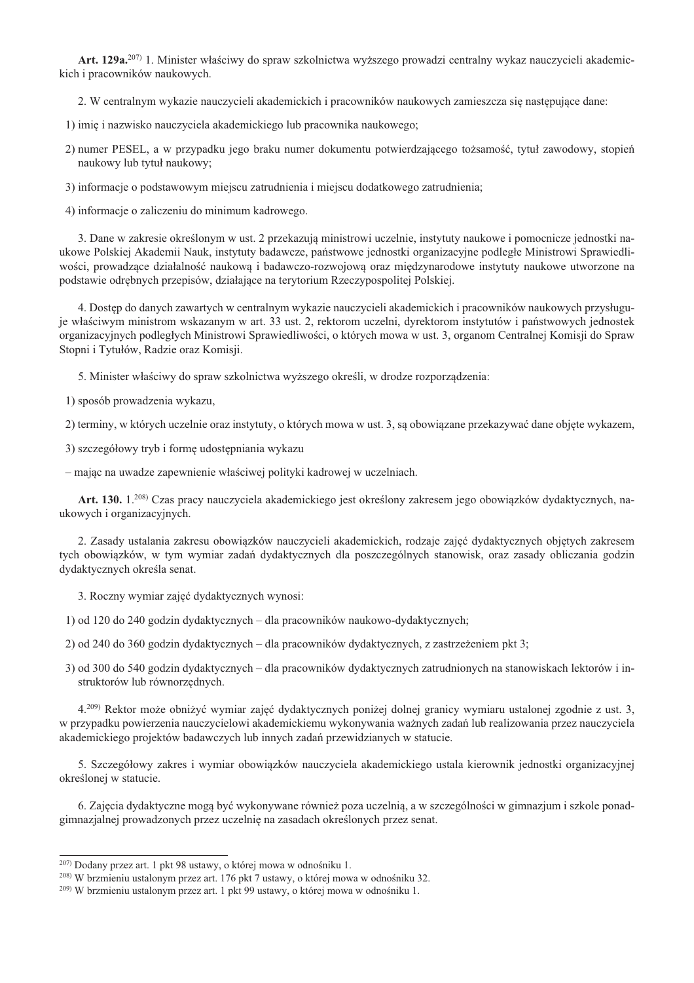Art. 129a.<sup>207)</sup> 1. Minister właściwy do spraw szkolnictwa wyższego prowadzi centralny wykaz nauczycieli akademickich i pracowników naukowych.

2. W centralnym wykazie nauczycieli akademickich i pracowników naukowych zamieszcza się następujące dane:

1) imie i nazwisko nauczyciela akademickiego lub pracownika naukowego:

2) numer PESEL, a w przypadku jego braku numer dokumentu potwierdzającego tożsamość, tytuł zawodowy, stopień naukowy lub tytuł naukowy;

3) informacje o podstawowym miejscu zatrudnienia i miejscu dodatkowego zatrudnienia;

4) informacje o zaliczeniu do minimum kadrowego.

3. Dane w zakresie określonym w ust. 2 przekazują ministrowi uczelnie, instytuty naukowe i pomocnicze jednostki naukowe Polskiej Akademii Nauk, instytuty badawcze, państwowe jednostki organizacyjne podległe Ministrowi Sprawiedliwości, prowadzące działalność naukową i badawczo-rozwojową oraz międzynarodowe instytuty naukowe utworzone na podstawie odrębnych przepisów, działające na terytorium Rzeczypospolitej Polskiej.

4. Dostęp do danych zawartych w centralnym wykazie nauczycieli akademickich i pracowników naukowych przysługuje właściwym ministrom wskazanym w art. 33 ust. 2, rektorom uczelni, dyrektorom instytutów i państwowych jednostek organizacyjnych podległych Ministrowi Sprawiedliwości, o których mowa w ust. 3, organom Centralnej Komisji do Spraw Stopni i Tytułów, Radzie oraz Komisji.

5. Minister właściwy do spraw szkolnictwa wyższego określi, w drodze rozporządzenia:

1) sposób prowadzenia wykazu,

2) terminy, w których uczelnie oraz instytuty, o których mowa w ust. 3, są obowiązane przekazywać dane objęte wykazem,

3) szczegółowy tryb i formę udostępniania wykazu

- mając na uwadze zapewnienie właściwej polityki kadrowej w uczelniach.

Art. 130. 1.<sup>208)</sup> Czas pracy nauczyciela akademickiego jest określony zakresem jego obowiązków dydaktycznych, naukowych i organizacyjnych.

2. Zasady ustalania zakresu obowiazków nauczycieli akademickich, rodzaje zajeć dydaktycznych objetych zakresem tych obowiązków, w tym wymiar zadań dydaktycznych dla poszczególnych stanowisk, oraz zasady obliczania godzin dydaktycznych określa senat.

3. Roczny wymiar zajęć dydaktycznych wynosi:

1) od 120 do 240 godzin dydaktycznych – dla pracowników naukowo-dydaktycznych;

2) od 240 do 360 godzin dydaktycznych – dla pracowników dydaktycznych, z zastrzeżeniem pkt 3;

3) od 300 do 540 godzin dydaktycznych – dla pracowników dydaktycznych zatrudnionych na stanowiskach lektorów i instruktorów lub równorzędnych.

4.<sup>209)</sup> Rektor może obniżyć wymiar zajęć dydaktycznych poniżej dolnej granicy wymiaru ustalonej zgodnie z ust. 3, w przypadku powierzenia nauczycielowi akademickiemu wykonywania ważnych zadań lub realizowania przez nauczyciela akademickiego projektów badawczych lub innych zadań przewidzianych w statucie.

5. Szczegółowy zakres i wymiar obowiązków nauczyciela akademickiego ustala kierownik jednostki organizacyjnej określonej w statucie.

6. Zajęcia dydaktyczne mogą być wykonywane również poza uczelnią, a w szczególności w gimnazjum i szkole ponadgimnazjalnej prowadzonych przez uczelnię na zasadach określonych przez senat.

<sup>&</sup>lt;sup>207)</sup> Dodany przez art. 1 pkt 98 ustawy, o której mowa w odnośniku 1.

<sup>&</sup>lt;sup>208)</sup> W brzmieniu ustalonym przez art. 176 pkt 7 ustawy, o której mowa w odnośniku 32.

<sup>&</sup>lt;sup>209)</sup> W brzmieniu ustalonym przez art. 1 pkt 99 ustawy, o której mowa w odnośniku 1.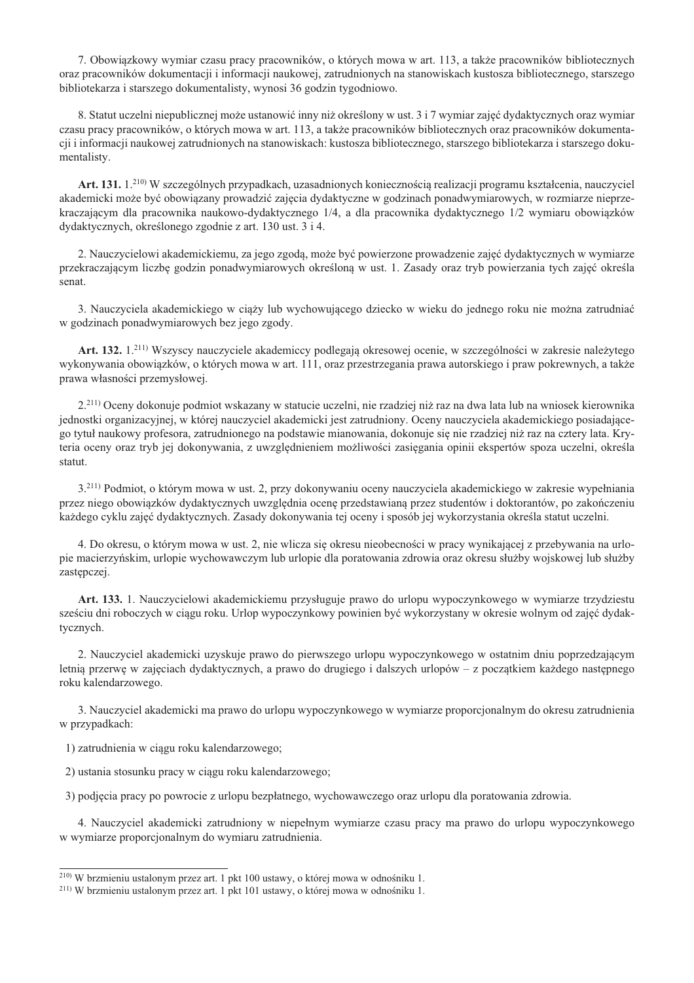7. Obowiązkowy wymiar czasu pracy pracowników, o których mowa w art. 113, a także pracowników bibliotecznych oraz pracowników dokumentacji i informacji naukowej, zatrudnionych na stanowiskach kustosza bibliotecznego, starszego bibliotekarza i starszego dokumentalisty, wynosi 36 godzin tygodniowo.

8. Statut uczelni niepublicznej może ustanowić inny niż określony w ust. 3 i 7 wymiar zajęć dydaktycznych oraz wymiar czasu pracy pracowników, o których mowa w art. 113, a także pracowników bibliotecznych oraz pracowników dokumentacji i informacji naukowej zatrudnionych na stanowiskach: kustosza bibliotecznego, starszego bibliotekarza i starszego dokumentalisty.

Art. 131. 1.<sup>210)</sup> W szczególnych przypadkach, uzasadnionych koniecznością realizacji programu kształcenia, nauczyciel akademicki może być obowiązany prowadzić zajęcia dydaktyczne w godzinach ponadwymiarowych, w rozmiarze nieprzekraczającym dla pracownika naukowo-dydaktycznego 1/4, a dla pracownika dydaktycznego 1/2 wymiaru obowiązków dydaktycznych, określonego zgodnie z art. 130 ust. 3 i 4.

2. Nauczycielowi akademickiemu, za jego zgodą, może być powierzone prowadzenie zajęć dydaktycznych w wymiarze przekraczającym liczbę godzin ponadwymiarowych określoną w ust. 1. Zasady oraz tryb powierzania tych zajęć określa senat

3. Nauczyciela akademickiego w ciąży lub wychowującego dziecko w wieku do jednego roku nie można zatrudniać w godzinach ponadwymiarowych bez jego zgody.

Art. 132. 1.<sup>211)</sup> Wszyscy nauczyciele akademiccy podlegają okresowej ocenie, w szczególności w zakresie należytego wykonywania obowiązków, o których mowa w art. 111, oraz przestrzegania prawa autorskiego i praw pokrewnych, a także prawa własności przemysłowej.

2.<sup>211</sup> Oceny dokonuje podmiot wskazany w statucie uczelni, nie rzadziej niż raz na dwa lata lub na wniosek kierownika jednostki organizacyjnej, w której nauczyciel akademicki jest zatrudniony. Oceny nauczyciela akademickiego posiadającego tytuł naukowy profesora, zatrudnionego na podstawie mianowania, dokonuje się nie rzadziej niż raz na cztery lata. Kryteria oceny oraz tryb jej dokonywania, z uwzględnieniem możliwości zasięgania opinii ekspertów spoza uczelni, określa statut.

3.<sup>211)</sup> Podmiot, o którym mowa w ust. 2, przy dokonywaniu oceny nauczyciela akademickiego w zakresie wypełniania przez niego obowiązków dydaktycznych uwzględnia ocenę przedstawianą przez studentów i doktorantów, po zakończeniu każdego cyklu zajęć dydaktycznych. Zasady dokonywania tej oceny i sposób jej wykorzystania określa statut uczelni.

4. Do okresu, o którym mowa w ust. 2, nie wlicza się okresu nieobecności w pracy wynikającej z przebywania na urlopie macierzyńskim, urlopie wychowawczym lub urlopie dla poratowania zdrowia oraz okresu służby wojskowej lub służby zastępczej.

Art. 133. 1. Nauczycielowi akademickiemu przysługuje prawo do urlopu wypoczynkowego w wymiarze trzydziestu sześciu dni roboczych w ciągu roku. Urlop wypoczynkowy powinien być wykorzystany w okresie wolnym od zajęć dydaktycznych.

2. Nauczyciel akademicki uzyskuje prawo do pierwszego urlopu wypoczynkowego w ostatnim dniu poprzedzającym letnią przerwę w zajęciach dydaktycznych, a prawo do drugiego i dalszych urlopów – z początkiem każdego następnego roku kalendarzowego.

3. Nauczyciel akademicki ma prawo do urlopu wypoczynkowego w wymiarze proporcionalnym do okresu zatrudnienia w przypadkach:

1) zatrudnienia w ciągu roku kalendarzowego;

2) ustania stosunku pracy w ciągu roku kalendarzowego;

3) podjęcia pracy po powrocie z urlopu bezpłatnego, wychowawczego oraz urlopu dla poratowania zdrowia.

4. Nauczyciel akademicki zatrudniony w niepełnym wymiarze czasu pracy ma prawo do urlopu wypoczynkowego w wymiarze proporcjonalnym do wymiaru zatrudnienia.

<sup>&</sup>lt;sup>210)</sup> W brzmieniu ustalonym przez art. 1 pkt 100 ustawy, o której mowa w odnośniku 1.

<sup>&</sup>lt;sup>211)</sup> W brzmieniu ustalonym przez art. 1 pkt 101 ustawy, o której mowa w odnośniku 1.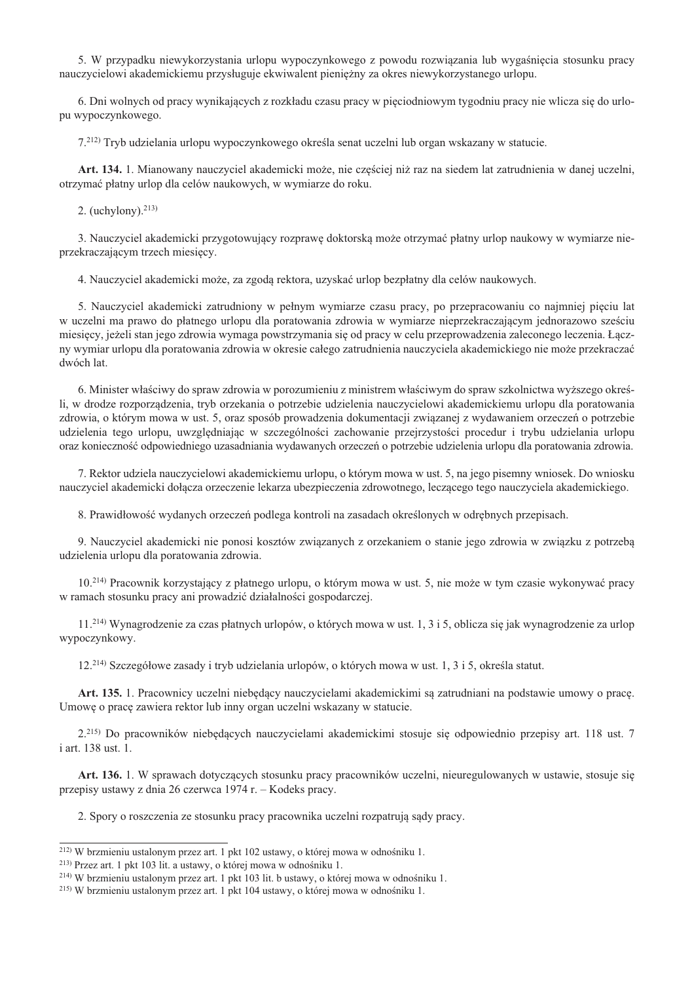5. W przypadku niewykorzystania urlopu wypoczynkowego z powodu rozwiązania lub wygaśnięcia stosunku pracy nauczycielowi akademickiemu przysługuje ekwiwalent pieniężny za okres niewykorzystanego urlopu.

6. Dni wolnych od pracy wynikających z rozkładu czasu pracy w pieciodniowym tygodniu pracy nie wlicza się do urlopu wypoczynkowego.

7.<sup>212)</sup> Tryb udzielania urlopu wypoczynkowego określa senat uczelni lub organ wskazany w statucie.

Art. 134. 1. Mianowany nauczyciel akademicki może, nie częściej niż raz na siedem lat zatrudnienia w danej uczelni, otrzymać płatny urlop dla celów naukowych, w wymiarze do roku.

2. (uchylony). $213$ )

3. Nauczyciel akademicki przygotowujący rozprawę doktorską może otrzymać płatny urlop naukowy w wymiarze nieprzekraczającym trzech miesięcy.

4. Nauczyciel akademicki może, za zgodą rektora, uzyskać urlop bezpłatny dla celów naukowych.

5. Nauczyciel akademicki zatrudniony w pełnym wymiarze czasu pracy, po przepracowaniu co najmniej pięciu lat w uczelni ma prawo do płatnego urlopu dla poratowania zdrowia w wymiarze nieprzekraczającym jednorazowo sześciu miesięcy, jeżeli stan jego zdrowia wymaga powstrzymania się od pracy w celu przeprowadzenia zaleconego leczenia. Łączny wymiar urlopu dla poratowania zdrowia w okresie całego zatrudnienia nauczyciela akademickiego nie może przekraczać dwóch lat.

6. Minister właściwy do spraw zdrowia w porozumieniu z ministrem właściwym do spraw szkolnictwa wyższego określi, w drodze rozporządzenia, tryb orzekania o potrzebie udzielenia nauczycielowi akademickiemu urlopu dla poratowania zdrowia, o którym mowa w ust. 5, oraz sposób prowadzenia dokumentacji zwiazanej z wydawaniem orzeczeń o potrzebie udzielenia tego urlopu, uwzgledniając w szczególności zachowanie przejrzystości procedur i trybu udzielania urlopu oraz konieczność odpowiedniego uzasadniania wydawanych orzeczeń o potrzebie udzielenia urlopu dla poratowania zdrowia.

7. Rektor udziela nauczycielowi akademickiemu urlopu, o którym mowa w ust. 5, na jego pisemny wniosek. Do wniosku nauczyciel akademicki dołącza orzeczenie lekarza ubezpieczenia zdrowotnego, leczącego tego nauczyciela akademickiego.

8. Prawidłowość wydanych orzeczeń podlega kontroli na zasadach określonych w odrębnych przepisach.

9. Nauczyciel akademicki nie ponosi kosztów związanych z orzekaniem o stanie jego zdrowia w związku z potrzebą udzielenia urlopu dla poratowania zdrowia.

10.<sup>214)</sup> Pracownik korzystający z płatnego urlopu, o którym mowa w ust. 5, nie może w tym czasie wykonywać pracy w ramach stosunku pracy ani prowadzić działalności gospodarczej.

11.<sup>214)</sup> Wynagrodzenie za czas płatnych urlopów, o których mowa w ust. 1, 3 i 5, oblicza się jak wynagrodzenie za urlop wypoczynkowy.

12.<sup>214)</sup> Szczegółowe zasady i tryb udzielania urlopów, o których mowa w ust. 1, 3 i 5, określa statut.

Art. 135. 1. Pracownicy uczelni niebędący nauczycielami akademickimi są zatrudniani na podstawie umowy o pracę. Umowę o pracę zawiera rektor lub inny organ uczelni wskazany w statucie.

2.<sup>215)</sup> Do pracowników niebędących nauczycielami akademickimi stosuje się odpowiednio przepisy art. 118 ust. 7 *i* art. 138 ust. 1.

Art. 136. 1. W sprawach dotyczących stosunku pracy pracowników uczelni, nieuregulowanych w ustawie, stosuje się przepisy ustawy z dnia 26 czerwca 1974 r. – Kodeks pracy.

2. Spory o roszczenia ze stosunku pracy pracownika uczelni rozpatrują sądy pracy.

<sup>&</sup>lt;sup>212)</sup> W brzmieniu ustalonym przez art. 1 pkt 102 ustawy, o której mowa w odnośniku 1.

<sup>&</sup>lt;sup>213)</sup> Przez art. 1 pkt 103 lit. a ustawy, o której mowa w odnośniku 1.

<sup>&</sup>lt;sup>214)</sup> W brzmieniu ustalonym przez art. 1 pkt 103 lit. b ustawy, o której mowa w odnośniku 1.

<sup>&</sup>lt;sup>215)</sup> W brzmieniu ustalonym przez art. 1 pkt 104 ustawy, o której mowa w odnośniku 1.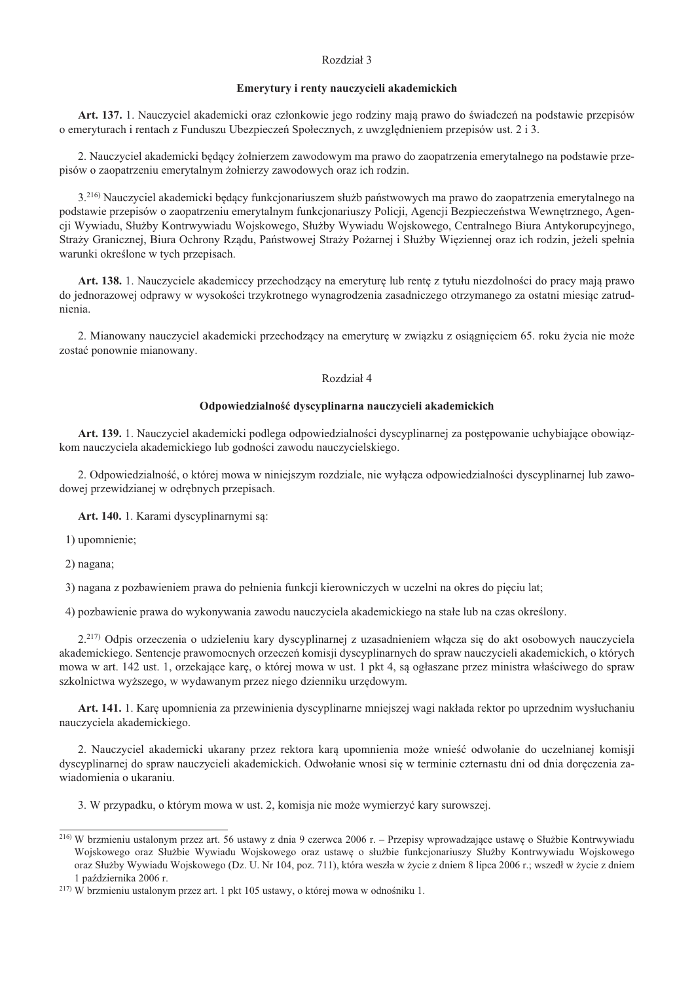## Rozdział 3

#### Emerytury i renty nauczycieli akademickich

Art. 137. 1. Nauczyciel akademicki oraz członkowie jego rodziny mają prawo do świadczeń na podstawie przepisów o emeryturach i rentach z Funduszu Ubezpieczeń Społecznych, z uwzględnieniem przepisów ust. 2 i 3.

2. Nauczyciel akademicki będący żołnierzem zawodowym ma prawo do zaopatrzenia emerytalnego na podstawie przepisów o zaopatrzeniu emerytalnym żołnierzy zawodowych oraz ich rodzin.

3.<sup>216</sup>) Nauczyciel akademicki będący funkcjonariuszem służb państwowych ma prawo do zaopatrzenia emerytalnego na podstawie przepisów o zaopatrzeniu emerytalnym funkcionariuszy Policii. Agencii Bezpieczeństwa Wewnetrznego, Agencji Wywiadu, Służby Kontrwywiadu Wojskowego, Służby Wywiadu Wojskowego, Centralnego Biura Antykorupcyjnego, Straży Granicznej, Biura Ochrony Rzadu, Państwowej Straży Pożarnej i Służby Wieziennej oraz ich rodzin, jeżeli spełnia warunki określone w tych przepisach.

Art. 138. 1. Nauczyciele akademiccy przechodzący na emeryturę lub rentę z tytułu niezdolności do pracy mają prawo do jednorazowej odprawy w wysokości trzykrotnego wynagrodzenia zasadniczego otrzymanego za ostatni miesiąc zatrudnienia.

2. Mianowany nauczyciel akademicki przechodzący na emeryturę w związku z osiągnięciem 65. roku życia nie może zostać ponownie mianowany.

## Rozdział 4

# Odpowiedzialność dyscyplinarna nauczycieli akademickich

Art. 139. 1. Nauczyciel akademicki podlega odpowiedzialności dyscyplinarnej za postępowanie uchybiające obowiązkom nauczyciela akademickiego lub godności zawodu nauczycielskiego.

2. Odpowiedzialność, o której mowa w niniejszym rozdziale, nie wyłącza odpowiedzialności dyscyplinarnej lub zawodowej przewidzianej w odrębnych przepisach.

Art. 140. 1. Karami dyscyplinarnymi są:

1) upomnienie;

2) nagana;

3) nagana z pozbawieniem prawa do pełnienia funkcji kierowniczych w uczelni na okres do pięciu lat;

4) pozbawienie prawa do wykonywania zawodu nauczyciela akademickiego na stałe lub na czas określony.

 $2^{217}$ ) Odpis orzeczenia o udzieleniu kary dyscyplinarnej z uzasadnieniem włacza się do akt osobowych nauczyciela akademickiego. Sentencje prawomocnych orzeczeń komisji dyscyplinarnych do spraw nauczycieli akademickich, o których mowa w art. 142 ust. 1, orzekające karę, o której mowa w ust. 1 pkt 4, są ogłaszane przez ministra właściwego do spraw szkolnictwa wyższego, w wydawanym przez niego dzienniku urzędowym.

Art. 141. 1. Karę upomnienia za przewinienia dyscyplinarne mniejszej wagi nakłada rektor po uprzednim wysłuchaniu nauczyciela akademickiego.

2. Nauczyciel akademicki ukarany przez rektora karą upomnienia może wnieść odwołanie do uczelnianej komisji dyscyplinarnej do spraw nauczycieli akademickich. Odwołanie wnosi się w terminie czternastu dni od dnia doreczenia zawiadomienia o ukaraniu.

3. W przypadku, o którym mowa w ust. 2, komisja nie może wymierzyć kary surowszej.

<sup>&</sup>lt;sup>216)</sup> W brzmieniu ustalonym przez art. 56 ustawy z dnia 9 czerwca 2006 r. – Przepisy wprowadzające ustawę o Służbie Kontrwywiadu Wojskowego oraz Służbie Wywiadu Wojskowego oraz ustawe o służbie funkcionariuszy Służby Kontrwywiadu Wojskowego oraz Służby Wywiadu Wojskowego (Dz. U. Nr 104. poz. 711), która weszła w życie z dniem 8 lipca 2006 r.: wszedł w życie z dniem 1 października 2006 r.

<sup>&</sup>lt;sup>217)</sup> W brzmieniu ustalonym przez art. 1 pkt 105 ustawy, o której mowa w odnośniku 1.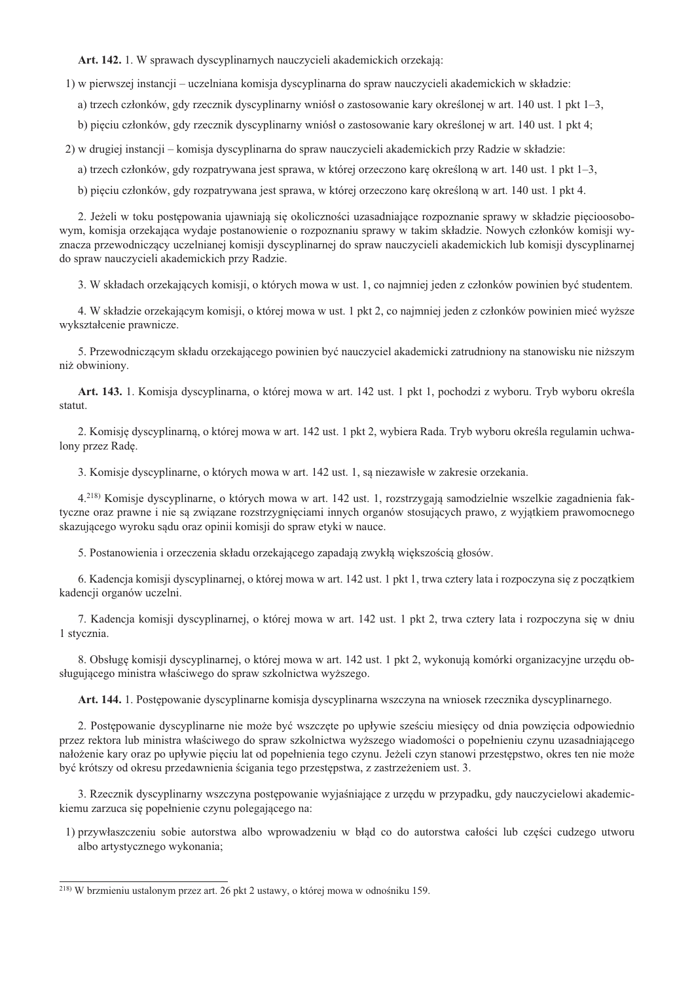Art. 142. 1. W sprawach dyscyplinarnych nauczycieli akademickich orzekaja:

1) w pierwszej instancji – uczelniana komisja dyscyplinarna do spraw nauczycieli akademickich w składzie:

a) trzech członków, gdy rzecznik dyscyplinarny wniósł o zastosowanie kary określonej w art. 140 ust. 1 pkt 1–3,

b) pieciu członków, gdy rzecznik dyscyplinarny wniósł o zastosowanie kary określonej w art. 140 ust. 1 pkt 4:

2) w drugiej instancji – komisja dyscyplinarna do spraw nauczycieli akademickich przy Radzie w składzie:

a) trzech członków, gdy rozpatrywana jest sprawa, w której orzeczono karę określoną w art. 140 ust. 1 pkt 1–3,

b) pięciu członków, gdy rozpatrywana jest sprawa, w której orzeczono karę określoną w art. 140 ust. 1 pkt 4.

2. Jeżeli w toku postępowania ujawniają się okoliczności uzasadniające rozpoznanie sprawy w składzie pięcioosobowym, komisja orzekająca wydaje postanowienie o rozpoznaniu sprawy w takim składzie. Nowych członków komisji wyznacza przewodniczący uczelnianej komisji dyscyplinarnej do spraw nauczycieli akademickich lub komisji dyscyplinarnej do spraw nauczycieli akademickich przy Radzie.

3. W składach orzekających komisji, o których mowa w ust. 1, co najmniej jeden z członków powinien być studentem.

4. W składzie orzekającym komisji, o której mowa w ust. 1 pkt 2, co najmniej jeden z członków powinien mieć wyższe wykształcenie prawnicze.

5. Przewodniczącym składu orzekającego powinien być nauczyciel akademicki zatrudniony na stanowisku nie niższym niż obwiniony.

Art. 143. 1. Komisja dyscyplinarna, o której mowa w art. 142 ust. 1 pkt 1, pochodzi z wyboru. Tryb wyboru określa statut

2. Komisje dyscyplinarna, o której mowa w art. 142 ust. 1 pkt 2, wybiera Rada. Tryb wyboru określa regulamin uchwalony przez Radę.

3. Komisje dyscyplinarne, o których mowa w art. 142 ust. 1, są niezawisłe w zakresie orzekania.

4.<sup>218)</sup> Komisje dyscyplinarne, o których mowa w art. 142 ust. 1, rozstrzygają samodzielnie wszelkie zagadnienia faktyczne oraz prawne i nie są związane rozstrzygnięciami innych organów stosujących prawo, z wyjątkiem prawomocnego skazującego wyroku sądu oraz opinii komisji do spraw etyki w nauce.

5. Postanowienia i orzeczenia składu orzekającego zapadają zwykłą większością głosów.

6. Kadencja komisji dyscyplinarnej, o której mowa w art. 142 ust. 1 pkt 1, trwa cztery lata i rozpoczyna się z początkiem kadencji organów uczelni.

7. Kadencja komisji dyscyplinarnej, o której mowa w art. 142 ust. 1 pkt 2, trwa cztery lata i rozpoczyna się w dniu 1 stycznia.

8. Obsługę komisji dyscyplinarnej, o której mowa w art. 142 ust. 1 pkt 2, wykonują komórki organizacyjne urzędu obsługującego ministra właściwego do spraw szkolnictwa wyższego.

Art. 144. 1. Postępowanie dyscyplinarne komisja dyscyplinarna wszczyna na wniosek rzecznika dyscyplinarnego.

2. Postępowanie dyscyplinarne nie może być wszczęte po upływie sześciu miesięcy od dnia powzięcia odpowiednio przez rektora lub ministra właściwego do spraw szkolnictwa wyższego wiadomości o popełnieniu czynu uzasadniającego nałożenie kary oraz po upływie pięciu lat od popełnienia tego czynu. Jeżeli czyn stanowi przestępstwo, okres ten nie może być krótszy od okresu przedawnienia ścigania tego przestępstwa, z zastrzeżeniem ust. 3.

3. Rzecznik dyscyplinarny wszczyna postępowanie wyjaśniające z urzędu w przypadku, gdy nauczycielowi akademickiemu zarzuca się popełnienie czynu polegającego na:

1) przywłaszczeniu sobie autorstwa albo wprowadzeniu w bład co do autorstwa całości lub cześci cudzego utworu albo artystycznego wykonania;

<sup>&</sup>lt;sup>218)</sup> W brzmieniu ustalonym przez art. 26 pkt 2 ustawy, o której mowa w odnośniku 159.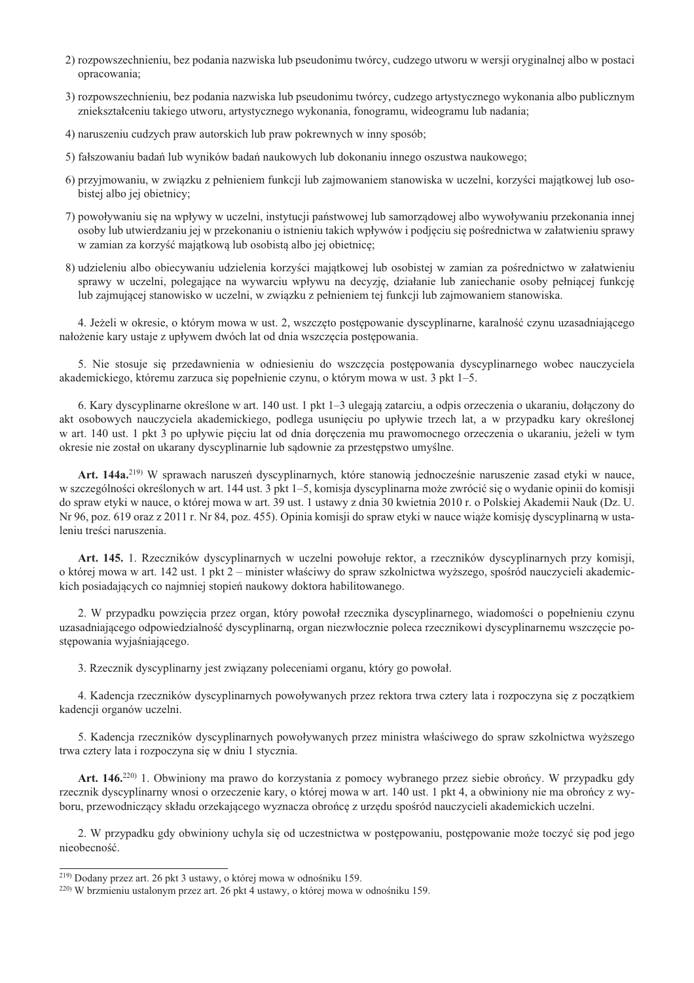- 2) rozpowszechnieniu, bez podania nazwiska lub pseudonimu twórcy, cudzego utworu w wersji oryginalnej albo w postaci opracowania;
- 3) rozpowszechnieniu, bez podania nazwiska lub pseudonimu twórcy, cudzego artystycznego wykonania albo publicznym zniekształceniu takiego utworu, artystycznego wykonania, fonogramu, wideogramu lub nadania;
- 4) naruszeniu cudzych praw autorskich lub praw pokrewnych w inny sposób;
- 5) fałszowaniu badań lub wyników badań naukowych lub dokonaniu innego oszustwa naukowego;
- 6) przyjmowaniu, w związku z pełnieniem funkcji lub zajmowaniem stanowiska w uczelni, korzyści majątkowej lub osobistej albo jej obietnicy;
- 7) powoływaniu się na wpływy w uczelni, instytucji państwowej lub samorządowej albo wywoływaniu przekonania innej osoby lub utwierdzaniu jej w przekonaniu o istnieniu takich wpływów i podjęciu się pośrednictwa w załatwieniu sprawy w zamian za korzyść majątkową lub osobistą albo jej obietnicę;
- 8) udzieleniu albo obiecywaniu udzielenia korzyści majątkowej lub osobistej w zamian za pośrednictwo w załatwieniu sprawy w uczelni, polegające na wywarciu wpływu na decyzję, działanie lub zaniechanie osoby pełniącej funkcje lub zajmującej stanowisko w uczelni, w związku z pełnieniem tej funkcji lub zajmowaniem stanowiska.

4. Jeżeli w okresie, o którym mowa w ust. 2, wszczęto postępowanie dyscyplinarne, karalność czynu uzasadniającego nałożenie kary ustaje z upływem dwóch lat od dnia wszczęcia postępowania.

5. Nie stosuje się przedawnienia w odniesieniu do wszczęcia postępowania dyscyplinarnego wobec nauczyciela akademickiego, któremu zarzuca się popełnienie czynu, o którym mowa w ust. 3 pkt 1–5.

6. Kary dyscyplinarne określone w art. 140 ust. 1 pkt 1–3 ulegają zatarciu, a odpis orzeczenia o ukaraniu, dołączony do akt osobowych nauczyciela akademickiego, podlega usunięciu po upływie trzech lat, a w przypadku kary określonej w art. 140 ust. 1 pkt 3 po upływie pięciu lat od dnia doręczenia mu prawomocnego orzeczenia o ukaraniu, jeżeli w tym okresie nie został on ukarany dyscyplinarnie lub sądownie za przestępstwo umyślne.

Art. 144a.<sup>219)</sup> W sprawach naruszeń dyscyplinarnych, które stanowią jednocześnie naruszenie zasad etyki w nauce, w szczególności określonych w art. 144 ust. 3 pkt 1–5, komisja dyscyplinarna może zwrócić się o wydanie opinii do komisji do spraw etyki w nauce, o której mowa w art. 39 ust. 1 ustawy z dnia 30 kwietnia 2010 r. o Polskiej Akademii Nauk (Dz. U. Nr 96, poz. 619 oraz z 2011 r. Nr 84, poz. 455). Opinia komisji do spraw etyki w nauce wiąże komisję dyscyplinarną w ustaleniu treści naruszenia.

Art. 145. 1. Rzeczników dyscyplinarnych w uczelni powołuje rektor, a rzeczników dyscyplinarnych przy komisji, o której mowa w art. 142 ust. 1 pkt 2 – minister właściwy do spraw szkolnictwa wyższego, spośród nauczycieli akademickich posiadających co najmniej stopień naukowy doktora habilitowanego.

2. W przypadku powzięcia przez organ, który powołał rzecznika dyscyplinarnego, wiadomości o popełnieniu czynu uzasadniającego odpowiedzialność dyscyplinarną, organ niezwłocznie poleca rzecznikowi dyscyplinarnemu wszczęcie postępowania wyjaśniającego.

3. Rzecznik dyscyplinarny jest związany poleceniami organu, który go powołał.

4. Kadencja rzeczników dyscyplinarnych powoływanych przez rektora trwa cztery lata i rozpoczyna się z początkiem kadencii organów uczelni.

5. Kadencja rzeczników dyscyplinarnych powoływanych przez ministra właściwego do spraw szkolnictwa wyższego trwa cztery lata i rozpoczyna się w dniu 1 stycznia.

Art. 146.<sup>220)</sup> 1. Obwiniony ma prawo do korzystania z pomocy wybranego przez siebie obrońcy. W przypadku gdy rzecznik dyscyplinarny wnosi o orzeczenie kary, o której mowa w art. 140 ust. 1 pkt 4, a obwiniony nie ma obrońcy z wyboru, przewodniczący składu orzekającego wyznacza obrońcę z urzędu spośród nauczycieli akademickich uczelni.

2. W przypadku gdy obwiniony uchyla się od uczestnictwa w postępowaniu, postępowanie może toczyć się pod jego nieobecność.

<sup>&</sup>lt;sup>219)</sup> Dodany przez art. 26 pkt 3 ustawy, o której mowa w odnośniku 159.

<sup>&</sup>lt;sup>220)</sup> W brzmieniu ustalonym przez art. 26 pkt 4 ustawy, o której mowa w odnośniku 159.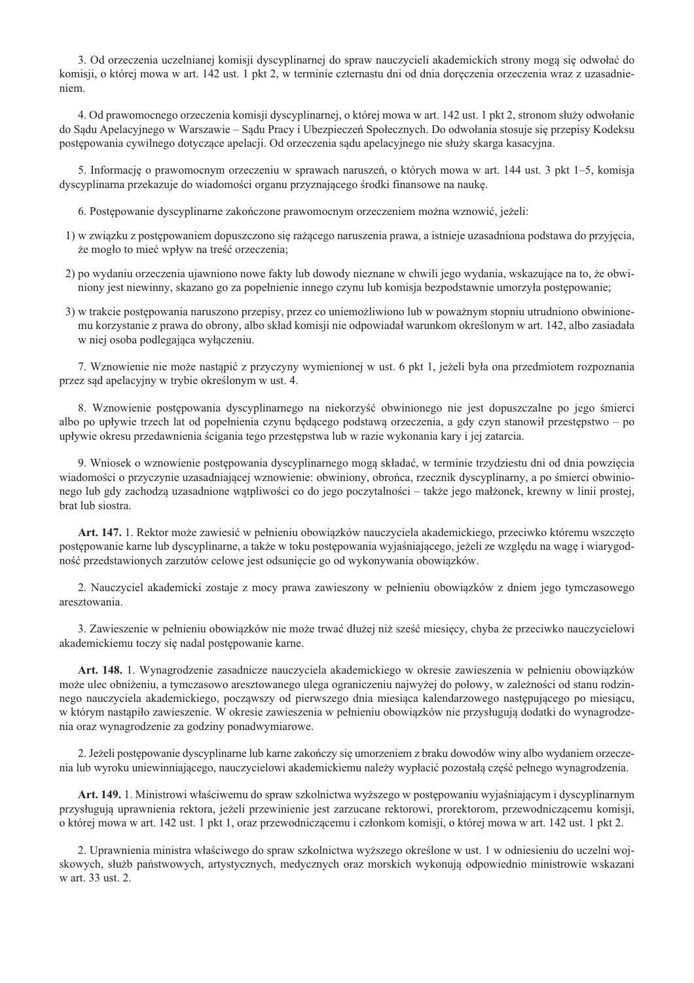3. Od orzeczenia uczelnianej komisji dyscyplinarnej do spraw nauczycieli akademickich strony mogą się odwołać do komisji, o której mowa w art. 142 ust. 1 pkt 2, w terminie czternastu dni od dnia doręczenia orzeczenia wraz z uzasadnieniem.

4. Od prawomocnego orzeczenia komisji dyscyplinarnej, o której mowa w art. 142 ust. 1 pkt 2, stronom służy odwołanie do Sądu Apelacyjnego w Warszawie – Sądu Pracy i Ubezpieczeń Społecznych. Do odwołania stosuje się przepisy Kodeksu postępowania cywilnego dotyczące apelacji. Od orzeczenia sądu apelacyjnego nie służy skarga kasacyjna.

5. Informację o prawomocnym orzeczeniu w sprawach naruszeń, o których mowa w art. 144 ust. 3 pkt 1–5, komisja dyscyplinarna przekazuje do wiadomości organu przyznającego środki finansowe na naukę.

6. Postępowanie dyscyplinarne zakończone prawomocnym orzeczeniem można wznowić, jeżeli:

- 1) w związku z postępowaniem dopuszczono się rażącego naruszenia prawa, a istnieje uzasadniona podstawa do przyjęcia, że mogło to mieć wpływ na treść orzeczenia;
- 2) po wydaniu orzeczenia ujawniono nowe fakty lub dowody nieznane w chwili jego wydania, wskazujące na to, że obwiniony jest niewinny, skazano go za popełnienie innego czynu lub komisja bezpodstawnie umorzyła postępowanie;
- 3) w trakcie postępowania naruszono przepisy, przez co uniemożliwiono lub w poważnym stopniu utrudniono obwinionemu korzystanie z prawa do obrony, albo skład komisji nie odpowiadał warunkom określonym w art. 142, albo zasiadała w niej osoba podlegająca wyłączeniu.

7. Wznowienie nie może nastapić z przyczyny wymienionej w ust. 6 pkt 1, jeżeli była ona przedmiotem rozpoznania przez sąd apelacyjny w trybie określonym w ust. 4.

8. Wznowienie postępowania dyscyplinarnego na niekorzyść obwinionego nie jest dopuszczalne po jego śmierci albo po upływie trzech lat od popełnienia czynu będącego podstawą orzeczenia, a gdy czyn stanowił przestępstwo – po upływie okresu przedawnienia ścigania tego przestępstwa lub w razie wykonania kary i jej zatarcia.

9. Wniosek o wznowienie postępowania dyscyplinarnego mogą składać, w terminie trzydziestu dni od dnia powzięcia wiadomości o przyczynie uzasadniającej wznowienie: obwiniony, obrońca, rzecznik dyscyplinarny, a po śmierci obwinionego lub gdy zachodzą uzasadnione wątpliwości co do jego poczytalności – także jego małżonek, krewny w linii prostej, brat lub siostra.

Art. 147. 1. Rektor może zawiesić w pełnieniu obowiązków nauczyciela akademickiego, przeciwko któremu wszczęto postepowanie karne lub dyscyplinarne, a także w toku postepowania wyjaśniającego, jeżeli ze wzgledu na wage i wiarygodność przedstawionych zarzutów celowe jest odsunięcie go od wykonywania obowiązków.

2. Nauczyciel akademicki zostaje z mocy prawa zawieszony w pełnieniu obowiązków z dniem jego tymczasowego aresztowania.

3. Zawieszenie w pełnieniu obowiązków nie może trwać dłużej niż sześć miesięcy, chyba że przeciwko nauczycielowi akademickiemu toczy się nadal postępowanie karne.

Art. 148. 1. Wynagrodzenie zasadnicze nauczyciela akademickiego w okresie zawieszenia w pełnieniu obowiązków może ulec obniżeniu, a tymczasowo aresztowanego ulega ograniczeniu najwyżej do połowy, w zależności od stanu rodzinnego nauczyciela akademickiego, poczawszy od pierwszego dnia miesiąca kalendarzowego następującego po miesiącu, w którym nastąpiło zawieszenie. W okresie zawieszenia w pełnieniu obowiązków nie przysługują dodatki do wynagrodzenia oraz wynagrodzenie za godziny ponadwymiarowe.

2. Jeżeli postepowanie dyscyplinarne lub karne zakończy się umorzeniem z braku dowodów winy albo wydaniem orzeczenia lub wyroku uniewinniającego, nauczycielowi akademickiemu należy wypłacić pozostała część pełnego wynagrodzenia.

Art. 149. 1. Ministrowi właściwemu do spraw szkolnictwa wyższego w postępowaniu wyjaśniającym i dyscyplinarnym przysługują uprawnienia rektora, jeżeli przewinienie jest zarzucane rektorowi, prorektorom, przewodniczącemu komisji, o której mowa w art. 142 ust. 1 pkt 1, oraz przewodniczącemu i członkom komisji, o której mowa w art. 142 ust. 1 pkt 2.

2. Uprawnienia ministra właściwego do spraw szkolnictwa wyższego określone w ust. 1 w odniesieniu do uczelni wojskowych, służb państwowych, artystycznych, medycznych oraz morskich wykonują odpowiednio ministrowie wskazani w art. 33 ust. 2.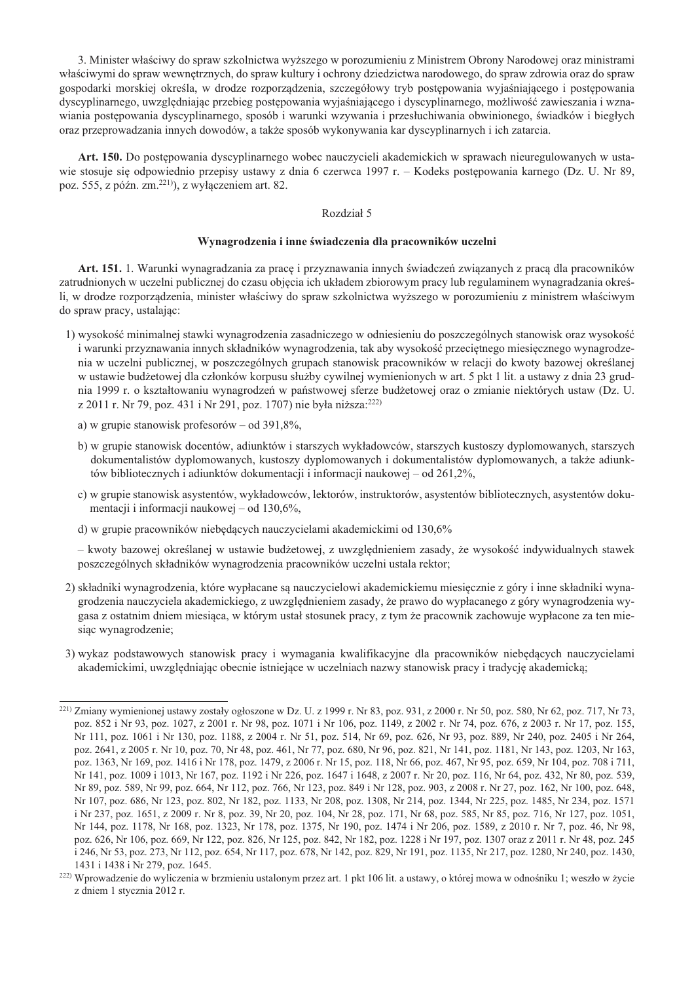3. Minister właściwy do spraw szkolnictwa wyższego w porozumieniu z Ministrem Obrony Narodowej oraz ministrami właściwymi do spraw wewnetrznych, do spraw kultury i ochrony dziedzictwa narodowego, do spraw zdrowia oraz do spraw gospodarki morskiej określa, w drodze rozporzadzenia, szczegółowy tryb postepowania wyjaśniającego i postepowania dyscyplinarnego, uwzględniając przebieg postępowania wyjaśniającego i dyscyplinarnego, możliwość zawieszania i wznawiania postępowania dyscyplinarnego, sposób i warunki wzywania i przesłuchiwania obwinionego, świadków i biegłych oraz przeprowadzania innych dowodów, a także sposób wykonywania kar dyscyplinarnych i ich zatarcia.

Art. 150. Do postępowania dyscyplinarnego wobec nauczycieli akademickich w sprawach nieuregulowanych w ustawie stosuje się odpowiednio przepisy ustawy z dnia 6 czerwca 1997 r. – Kodeks postępowania karnego (Dz. U. Nr 89, poz. 555, z późn. zm.<sup>221)</sup>), z wyłączeniem art. 82.

# Rozdział 5

#### Wynagrodzenia i inne świadczenia dla pracowników uczelni

Art. 151. 1. Warunki wynagradzania za pracę i przyznawania innych świadczeń związanych z pracą dla pracowników zatrudnionych w uczelni publicznej do czasu objęcia ich układem zbiorowym pracy lub regulaminem wynagradzania określi, w drodze rozporządzenia, minister właściwy do spraw szkolnictwa wyższego w porozumieniu z ministrem właściwym do spraw pracy, ustalając:

- 1) wysokość minimalnej stawki wynagrodzenia zasadniczego w odniesieniu do poszczególnych stanowisk oraz wysokość i warunki przyznawania innych składników wynagrodzenia, tak aby wysokość przeciętnego miesięcznego wynagrodzenia w uczelni publicznej, w poszczególnych grupach stanowisk pracowników w relacji do kwoty bazowej określanej w ustawie budżetowej dla członków korpusu służby cywilnej wymienionych w art. 5 pkt 1 lit. a ustawy z dnia 23 grudnia 1999 r. o kształtowaniu wynagrodzeń w państwowej sferze budżetowej oraz o zmianie niektórych ustaw (Dz. U. z 2011 r. Nr 79, poz. 431 i Nr 291, poz. 1707) nie była niższa:<sup>222)</sup>
	- a) w grupie stanowisk profesorów od 391,8%.
	- b) w grupie stanowisk docentów, adiunktów i starszych wykładowców, starszych kustoszy dyplomowanych, starszych dokumentalistów dyplomowanych, kustoszy dyplomowanych i dokumentalistów dyplomowanych, a także adiunktów bibliotecznych i adiunktów dokumentacji i informacji naukowej – od 261,2%,
	- c) w grupie stanowisk asystentów, wykładowców, lektorów, instruktorów, asystentów bibliotecznych, asystentów dokumentacji i informacji naukowej – od 130,6%,
	- d) w grupie pracowników niebędących nauczycielami akademickimi od 130,6%

– kwoty bazowej określanej w ustawie budżetowej, z uwzględnieniem zasady, że wysokość indywidualnych stawek poszczególnych składników wynagrodzenia pracowników uczelni ustala rektor;

- 2) składniki wynagrodzenia, które wypłacane są nauczycielowi akademickiemu miesięcznie z góry i inne składniki wynagrodzenia nauczyciela akademickiego, z uwzględnieniem zasady, że prawo do wypłacanego z góry wynagrodzenia wygasa z ostatnim dniem miesiąca, w którym ustał stosunek pracy, z tym że pracownik zachowuje wypłacone za ten miesiąc wynagrodzenie;
- 3) wykaz podstawowych stanowisk pracy i wymagania kwalifikacyjne dla pracowników niebędących nauczycielami akademickimi, uwzględniając obecnie istniejące w uczelniach nazwy stanowisk pracy i tradycję akademicką;

<sup>&</sup>lt;sup>221)</sup> Zmiany wymienionej ustawy zostały ogłoszone w Dz. U. z 1999 r. Nr 83, poz. 931, z 2000 r. Nr 50, poz. 580, Nr 62, poz. 717, Nr 73, poz. 852 i Nr 93, poz. 1027, z 2001 r. Nr 98, poz. 1071 i Nr 106, poz. 1149, z 2002 r. Nr 74, poz. 676, z 2003 r. Nr 17, poz. 155, Nr 111, poz. 1061 i Nr 130, poz. 1188, z 2004 r. Nr 51, poz. 514, Nr 69, poz. 626, Nr 93, poz. 889, Nr 240, poz. 2405 i Nr 264, poz. 2641, z 2005 r. Nr 10, poz. 70, Nr 48, poz. 461, Nr 77, poz. 680, Nr 96, poz. 821, Nr 141, poz. 1181, Nr 143, poz. 1203, Nr 163, poz. 1363, Nr 169, poz. 1416 i Nr 178, poz. 1479, z 2006 r. Nr 15, poz. 118, Nr 66, poz. 467, Nr 95, poz. 659, Nr 104, poz. 708 i 711, Nr 141, poz. 1009 i 1013, Nr 167, poz. 1192 i Nr 226, poz. 1647 i 1648, z 2007 r. Nr 20, poz. 116, Nr 64, poz. 432, Nr 80, poz. 539, Nr 89, poz. 589, Nr 99, poz. 664, Nr 112, poz. 766, Nr 123, poz. 849 i Nr 128, poz. 903, z 2008 r. Nr 27, poz. 162, Nr 100, poz. 648, Nr 107, poz. 686, Nr 123, poz. 802, Nr 182, poz. 1133, Nr 208, poz. 1308, Nr 214, poz. 1344, Nr 225, poz. 1485, Nr 234, poz. 1571 i Nr 237, poz. 1651, z 2009 r. Nr 8, poz. 39, Nr 20, poz. 104, Nr 28, poz. 171, Nr 68, poz. 585, Nr 85, poz. 716, Nr 127, poz. 1051, Nr 144, poz. 1178, Nr 168, poz. 1323, Nr 178, poz. 1375, Nr 190, poz. 1474 i Nr 206, poz. 1589, z 2010 r. Nr 7, poz. 46, Nr 98, poz. 626, Nr 106, poz. 669, Nr 122, poz. 826, Nr 125, poz. 842, Nr 182, poz. 1228 i Nr 197, poz. 1307 oraz z 2011 r. Nr 48, poz. 245 i 246, Nr 53, poz. 273, Nr 112, poz. 654, Nr 117, poz. 678, Nr 142, poz. 829, Nr 191, poz. 1135, Nr 217, poz. 1280, Nr 240, poz. 1430, 1431 i 1438 i Nr 279, poz. 1645.

<sup>&</sup>lt;sup>222)</sup> Wprowadzenie do wyliczenia w brzmieniu ustalonym przez art. 1 pkt 106 lit. a ustawy, o której mowa w odnośniku 1; weszło w życie z dniem 1 stycznia 2012 r.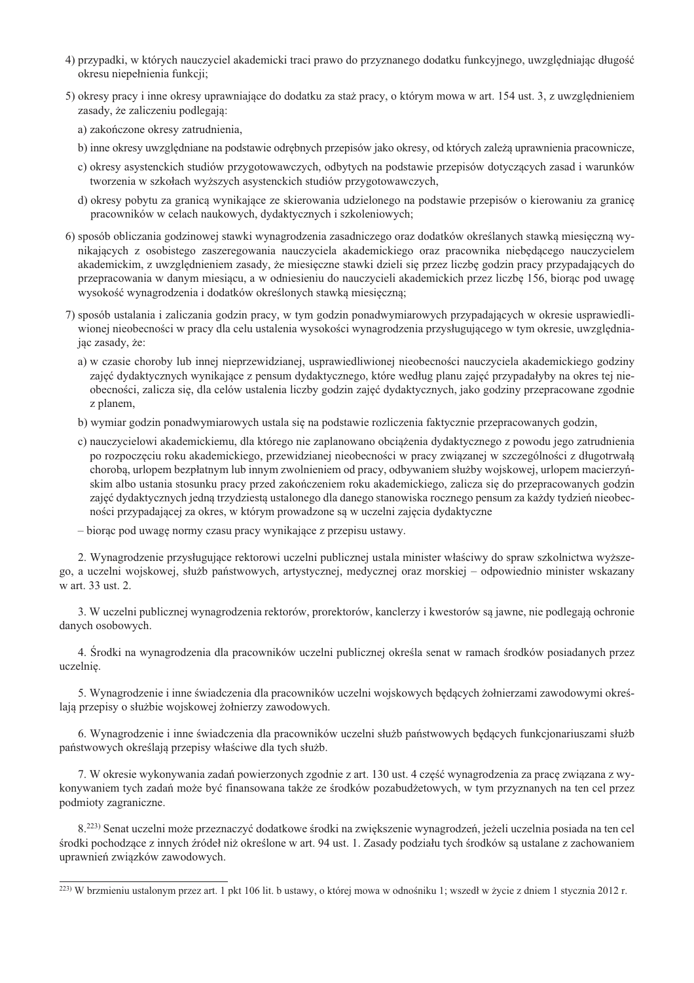- 4) przypadki, w których nauczyciel akademicki traci prawo do przyznanego dodatku funkcyjnego, uwzględniając długość okresu niepełnienia funkcji;
- 5) okresy pracy i inne okresy uprawniające do dodatku za staż pracy, o którym mowa w art. 154 ust. 3, z uwzględnieniem zasady, że zaliczeniu podlegaja:
	- a) zakończone okresy zatrudnienia,
	- b) inne okresy uwzględniane na podstawie odrębnych przepisów jako okresy, od których zależą uprawnienia pracownicze,
	- c) okresy asystenckich studiów przygotowawczych, odbytych na podstawie przepisów dotyczących zasad i warunków tworzenia w szkołach wyższych asystenckich studiów przygotowawczych,
	- d) okresy pobytu za granica wynikające ze skierowania udzielonego na podstawie przepisów o kierowaniu za granice pracowników w celach naukowych, dydaktycznych i szkoleniowych;
- 6) sposób obliczania godzinowej stawki wynagrodzenia zasadniczego oraz dodatków określanych stawka miesięczna wynikających z osobistego zaszeregowania nauczyciela akademickiego oraz pracownika niebędącego nauczycielem akademickim, z uwzględnieniem zasady, że miesięczne stawki dzieli się przez liczbę godzin pracy przypadających do przepracowania w danym miesiącu, a w odniesieniu do nauczycieli akademickich przez liczbę 156, biorąc pod uwagę wysokość wynagrodzenia i dodatków określonych stawką miesięczną;
- 7) sposób ustalania i zaliczania godzin pracy, w tym godzin ponadwymiarowych przypadających w okresie usprawiedliwionej nieobecności w pracy dla celu ustalenia wysokości wynagrodzenia przysługującego w tym okresie, uwzględniając zasady, że:
	- a) w czasie choroby lub innej nieprzewidzianej, usprawiedliwionej nieobecności nauczyciela akademickiego godziny zajęć dydaktycznych wynikające z pensum dydaktycznego, które według planu zajęć przypadałyby na okres tej nieobecności, zalicza się, dla celów ustalenia liczby godzin zajęć dydaktycznych, jako godziny przepracowane zgodnie z planem,
	- b) wymiar godzin ponadwymiarowych ustala się na podstawie rozliczenia faktycznie przepracowanych godzin,
	- c) nauczycielowi akademickiemu, dla którego nie zaplanowano obciążenia dydaktycznego z powodu jego zatrudnienia po rozpoczęciu roku akademickiego, przewidzianej nieobecności w pracy związanej w szczególności z długotrwałą chorobą, urlopem bezpłatnym lub innym zwolnieniem od pracy, odbywaniem służby wojskowej, urlopem macierzyńskim albo ustania stosunku pracy przed zakończeniem roku akademickiego, zalicza się do przepracowanych godzin zajęć dydaktycznych jedną trzydziestą ustalonego dla danego stanowiska rocznego pensum za każdy tydzień nieobecności przypadającej za okres, w którym prowadzone są w uczelni zajęcia dydaktyczne
	- biorac pod uwagę normy czasu pracy wynikające z przepisu ustawy.

2. Wynagrodzenie przysługujące rektorowi uczelni publicznej ustala minister właściwy do spraw szkolnictwa wyższego, a uczelni wojskowej, służb państwowych, artystycznej, medycznej oraz morskiej – odpowiednio minister wskazany w art. 33 ust. 2.

3. W uczelni publicznej wynagrodzenia rektorów, prorektorów, kanclerzy i kwestorów są jawne, nie podlegają ochronie danych osobowych.

4. Środki na wynagrodzenia dla pracowników uczelni publicznej określa senat w ramach środków posiadanych przez uczelnię.

5. Wynagrodzenie i inne świadczenia dla pracowników uczelni wojskowych będących żołnierzami zawodowymi określają przepisy o służbie wojskowej żołnierzy zawodowych.

6. Wynagrodzenie i inne świadczenia dla pracowników uczelni służb państwowych będących funkcjonariuszami służb państwowych określają przepisy właściwe dla tych służb.

7. W okresie wykonywania zadań powierzonych zgodnie z art. 130 ust. 4 część wynagrodzenia za pracę związana z wykonywaniem tych zadań może być finansowana także ze środków pozabudżetowych, w tym przyznanych na ten cel przez podmioty zagraniczne.

8.<sup>223)</sup> Senat uczelni może przeznaczyć dodatkowe środki na zwiekszenie wynagrodzeń, jeżeli uczelnia posiada na ten cel środki pochodzące z innych źródeł niż określone w art. 94 ust. 1. Zasady podziału tych środków są ustalane z zachowaniem uprawnień związków zawodowych.

<sup>&</sup>lt;sup>223)</sup> W brzmieniu ustalonym przez art. 1 pkt 106 lit. b ustawy, o której mowa w odnośniku 1; wszedł w życie z dniem 1 stycznia 2012 r.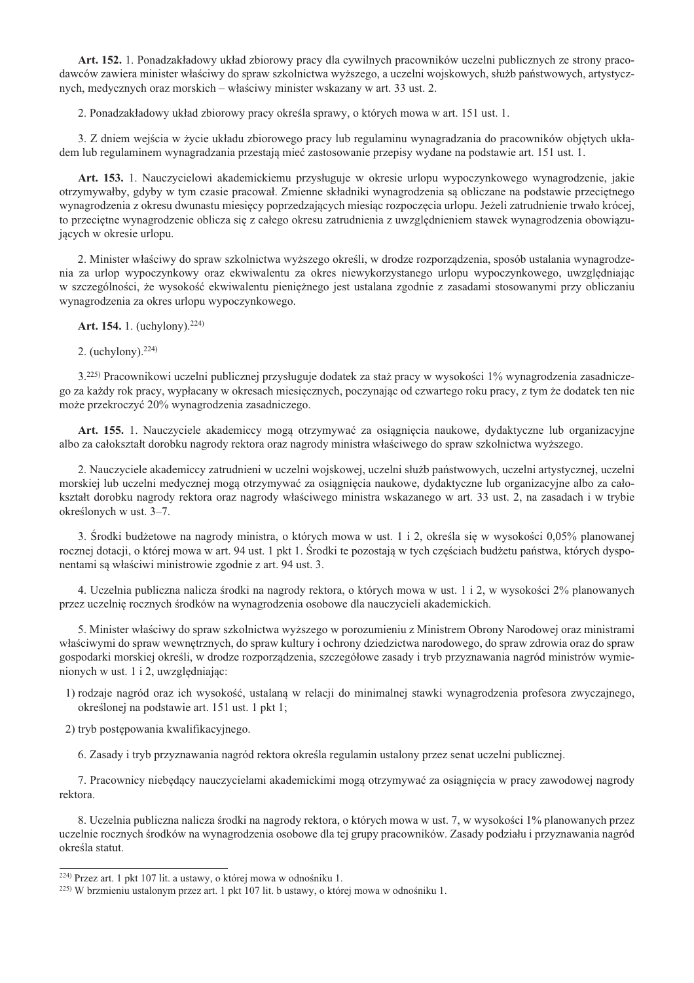Art. 152. 1. Ponadzakładowy układ zbiorowy pracy dla cywilnych pracowników uczelni publicznych ze strony pracodawców zawiera minister właściwy do spraw szkolnictwa wyższego, a uczelni wojskowych, służb państwowych, artystycznych, medycznych oraz morskich – właściwy minister wskazany w art. 33 ust. 2.

2. Ponadzakładowy układ zbiorowy pracy określa sprawy, o których mowa w art. 151 ust. 1.

3. Z dniem wejścia w życie układu zbiorowego pracy lub regulaminu wynagradzania do pracowników objętych układem lub regulaminem wynagradzania przestają mieć zastosowanie przepisy wydane na podstawie art. 151 ust. 1.

Art. 153. 1. Nauczycielowi akademickiemu przysługuje w okresie urlopu wypoczynkowego wynagrodzenie, jakie otrzymywałby, gdyby w tym czasie pracował. Zmienne składniki wynagrodzenia są obliczane na podstawie przeciętnego wynagrodzenia z okresu dwunastu miesięcy poprzedzających miesiąc rozpoczęcia urlopu. Jeżeli zatrudnienie trwało krócej, to przeciętne wynagrodzenie oblicza się z całego okresu zatrudnienia z uwzględnieniem stawek wynagrodzenia obowiązujących w okresie urlopu.

2. Minister właściwy do spraw szkolnictwa wyższego określi, w drodze rozporządzenia, sposób ustalania wynagrodzenia za urlop wypoczynkowy oraz ekwiwalentu za okres niewykorzystanego urlopu wypoczynkowego, uwzględniając w szczególności, że wysokość ekwiwalentu pieniężnego jest ustalana zgodnie z zasadami stosowanymi przy obliczaniu wynagrodzenia za okres urlopu wypoczynkowego.

Art. 154. 1. (uchylony).<sup>224)</sup>

2. (uchylony).  $224$ )

3.<sup>225)</sup> Pracownikowi uczelni publicznej przysługuje dodatek za staż pracy w wysokości 1% wynagrodzenia zasadniczego za każdy rok pracy, wypłacany w okresach miesięcznych, poczynając od czwartego roku pracy, z tym że dodatek ten nie może przekroczyć 20% wynagrodzenia zasadniczego.

Art. 155. 1. Nauczyciele akademiccy mogą otrzymywać za osiągnięcia naukowe, dydaktyczne lub organizacyjne albo za całokształt dorobku nagrody rektora oraz nagrody ministra właściwego do spraw szkolnictwa wyższego.

2. Nauczyciele akademiccy zatrudnieni w uczelni wojskowej, uczelni służb państwowych, uczelni artystycznej, uczelni morskiej lub uczelni medycznej mogą otrzymywać za osiągnięcia naukowe, dydaktyczne lub organizacyjne albo za całokształt dorobku nagrody rektora oraz nagrody właściwego ministra wskazanego w art. 33 ust. 2, na zasadach i w trybie określonych w ust. 3–7.

3. Srodki budżetowe na nagrody ministra, o których mowa w ust. 1 i 2, określa się w wysokości 0,05% planowanej rocznej dotacji, o której mowa w art. 94 ust. 1 pkt 1. Srodki te pozostają w tych częściach budżetu państwa, których dysponentami są właściwi ministrowie zgodnie z art. 94 ust. 3.

4. Uczelnia publiczna nalicza środki na nagrody rektora, o których mowa w ust. 1 i 2, w wysokości 2% planowanych przez uczelnię rocznych środków na wynagrodzenia osobowe dla nauczycieli akademickich.

5. Minister właściwy do spraw szkolnictwa wyższego w porozumieniu z Ministrem Obrony Narodowej oraz ministrami właściwymi do spraw wewnętrznych, do spraw kultury i ochrony dziedzictwa narodowego, do spraw zdrowia oraz do spraw gospodarki morskiej określi, w drodze rozporządzenia, szczegółowe zasady i tryb przyznawania nagród ministrów wymienionych w ust. 1 i 2, uwzględniając:

1) rodzaje nagród oraz ich wysokość, ustalaną w relacji do minimalnej stawki wynagrodzenia profesora zwyczajnego, określonej na podstawie art. 151 ust. 1 pkt 1;

2) tryb postępowania kwalifikacyjnego.

6. Zasady i tryb przyznawania nagród rektora określa regulamin ustalony przez senat uczelni publicznej.

7. Pracownicy niebędący nauczycielami akademickimi mogą otrzymywać za osiągnięcia w pracy zawodowej nagrody rektora.

8. Uczelnia publiczna nalicza środki na nagrody rektora, o których mowa w ust. 7, w wysokości 1% planowanych przez uczelnie rocznych środków na wynagrodzenia osobowe dla tej grupy pracowników. Zasady podziału i przyznawania nagród określa statut.

<sup>&</sup>lt;sup>224)</sup> Przez art. 1 pkt 107 lit. a ustawy, o której mowa w odnośniku 1.

<sup>&</sup>lt;sup>225)</sup> W brzmieniu ustalonym przez art. 1 pkt 107 lit. b ustawy, o której mowa w odnośniku 1.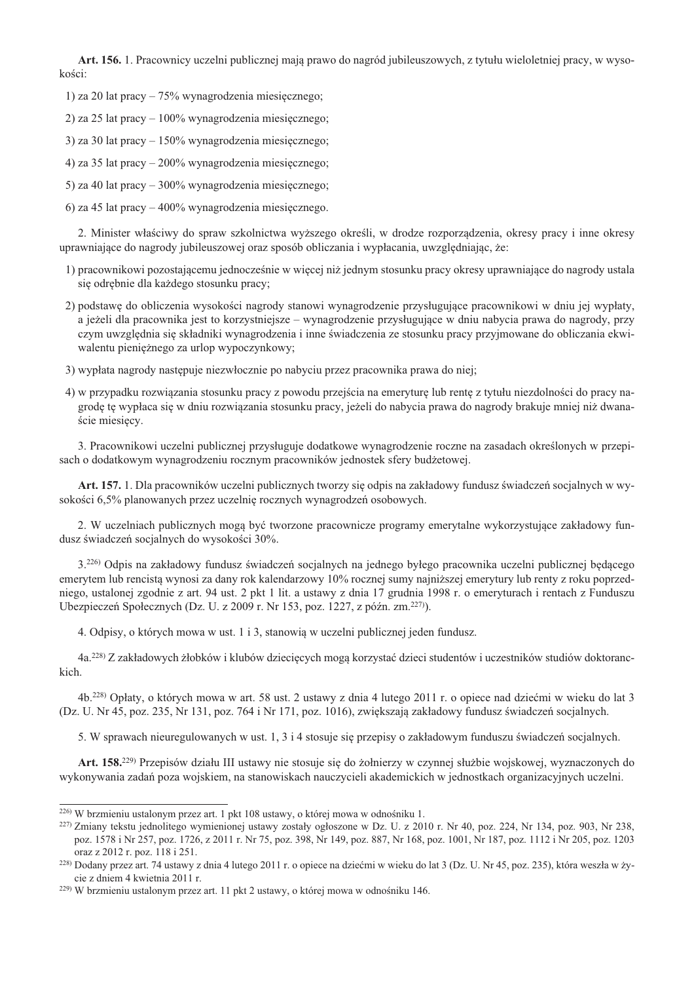Art. 156. 1. Pracownicy uczelni publicznej mają prawo do nagród jubileuszowych, z tytułu wieloletniej pracy, w wysokości:

- 1) za 20 lat pracy  $-75\%$  wynagrodzenia miesięcznego;
- 2) za 25 lat pracy  $-100\%$  wynagrodzenia miesięcznego;
- 3) za 30 lat pracy  $-150\%$  wynagrodzenia miesięcznego;
- 4) za 35 lat pracy  $-200\%$  wynagrodzenia miesięcznego;
- 5) za 40 lat pracy 300% wynagrodzenia miesięcznego;
- 6) za 45 lat pracy  $-400\%$  wynagrodzenia miesięcznego.

2. Minister właściwy do spraw szkolnictwa wyższego określi, w drodze rozporządzenia, okresy pracy i inne okresy uprawniające do nagrody jubileuszowej oraz sposób obliczania i wypłacania, uwzględniając, że:

- 1) pracownikowi pozostającemu jednocześnie w więcej niż jednym stosunku pracy okresy uprawniające do nagrody ustala się odrębnie dla każdego stosunku pracy;
- 2) podstawę do obliczenia wysokości nagrody stanowi wynagrodzenie przysługujące pracownikowi w dniu jej wypłaty, a jeżeli dla pracownika jest to korzystniejsze – wynagrodzenie przysługujące w dniu nabycia prawa do nagrody, przy czym uwzględnia się składniki wynagrodzenia i inne świadczenia ze stosunku pracy przyjmowane do obliczania ekwiwalentu pieniężnego za urlop wypoczynkowy;
- 3) wypłata nagrody nastepuje niezwłocznie po nabycju przez pracownika prawa do niej:
- 4) w przypadku rozwiązania stosunku pracy z powodu przejścia na emeryturę lub rentę z tytułu niezdolności do pracy nagrodę tę wypłaca się w dniu rozwiązania stosunku pracy, jeżeli do nabycia prawa do nagrody brakuje mniej niż dwanaście miesięcy.

3. Pracownikowi uczelni publicznej przysługuje dodatkowe wynagrodzenie roczne na zasadach określonych w przepisach o dodatkowym wynagrodzeniu rocznym pracowników jednostek sfery budżetowej.

Art. 157. 1. Dla pracowników uczelni publicznych tworzy się odpis na zakładowy fundusz świadczeń socjalnych w wysokości 6,5% planowanych przez uczelnię rocznych wynagrodzeń osobowych.

2. W uczelniach publicznych mogą być tworzone pracownicze programy emerytalne wykorzystujące zakładowy fundusz świadczeń socjalnych do wysokości 30%.

3.<sup>226</sup> Odpis na zakładowy fundusz świadczeń socjalnych na jednego byłego pracownika uczelni publicznej będącego emerytem lub rencistą wynosi za dany rok kalendarzowy 10% rocznej sumy najniższej emerytury lub renty z roku poprzedniego, ustalonej zgodnie z art. 94 ust. 2 pkt 1 lit. a ustawy z dnia 17 grudnia 1998 r. o emeryturach i rentach z Funduszu Ubezpieczeń Społecznych (Dz. U. z 2009 r. Nr 153, poz. 1227, z późn. zm.<sup>227)</sup>).

4. Odpisy, o których mowa w ust. 1 i 3, stanowią w uczelni publicznej jeden fundusz.

4a.<sup>228)</sup> Z zakładowych żłobków i klubów dziecięcych mogą korzystać dzieci studentów i uczestników studiów doktoranckich.

4b,<sup>228)</sup> Opłaty, o których mowa w art. 58 ust. 2 ustawy z dnia 4 lutego 2011 r, o opiece nad dziećmi w wieku do lat 3 (Dz. U. Nr 45, poz. 235, Nr 131, poz. 764 i Nr 171, poz. 1016), zwiekszają zakładowy fundusz świadczeń socialnych.

5. W sprawach nieuregulowanych w ust. 1, 3 i 4 stosuje się przepisy o zakładowym funduszu świadczeń socjalnych.

Art. 158.<sup>229)</sup> Przepisów działu III ustawy nie stosuje się do żołnierzy w czynnej służbie wojskowej, wyznaczonych do wykonywania zadań poza wojskiem, na stanowiskach nauczycieli akademickich w jednostkach organizacyjnych uczelni.

<sup>&</sup>lt;sup>226)</sup> W brzmieniu ustalonym przez art. 1 pkt 108 ustawy, o której mowa w odnośniku 1.

<sup>&</sup>lt;sup>227</sup>) Zmiany tekstu jednolitego wymienionej ustawy zostały ogłoszone w Dz. U. z 2010 r. Nr 40, poz. 224, Nr 134, poz. 903, Nr 238, poz. 1578 i Nr 257, poz. 1726, z 2011 r. Nr 75, poz. 398, Nr 149, poz. 887, Nr 168, poz. 1001, Nr 187, poz. 1112 i Nr 205, poz. 1203 oraz z 2012 r. poz. 118 i 251.

<sup>&</sup>lt;sup>228</sup>) Dodany przez art. 74 ustawy z dnia 4 lutego 2011 r. o opiece na dziećmi w wieku do lat 3 (Dz. U. Nr 45, poz. 235), która weszła w życie z dniem 4 kwietnia 2011 r.

<sup>&</sup>lt;sup>229</sup>) W brzmieniu ustalonym przez art. 11 pkt 2 ustawy, o której mowa w odnośniku 146.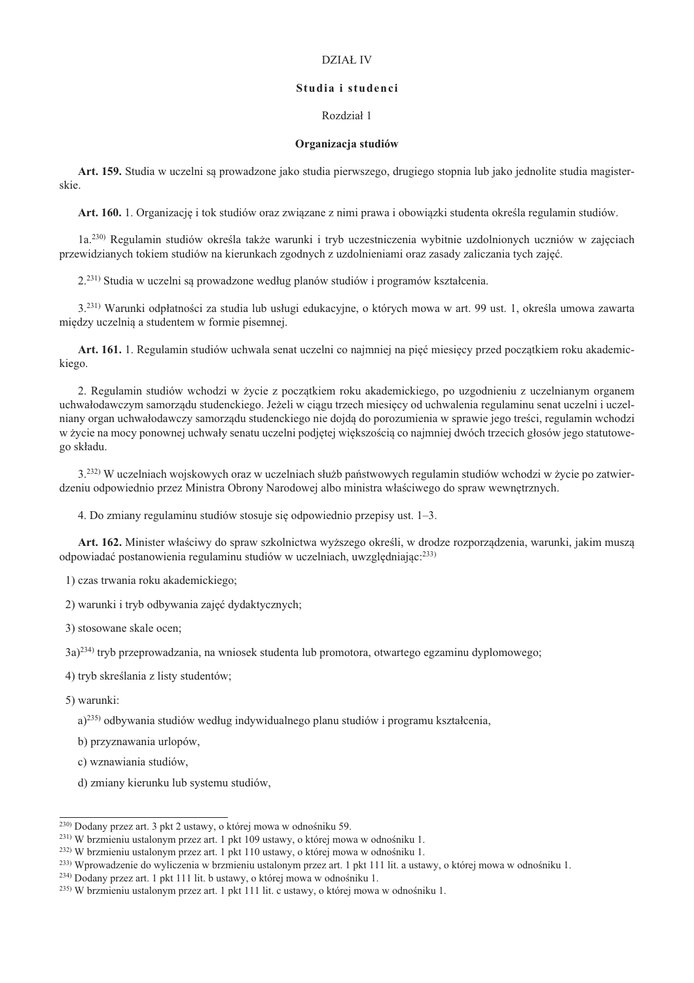# DZIAŁ IV

### Studia i studenci

# Rozdział 1

#### Organizacja studiów

Art. 159. Studia w uczelni są prowadzone jako studia pierwszego, drugiego stopnia lub jako jednolite studia magisterskie.

Art. 160. 1. Organizacje i tok studiów oraz zwiazane z nimi prawa i obowiazki studenta określa regulamin studiów.

1a.<sup>230)</sup> Regulamin studiów określa także warunki i tryb uczestniczenia wybitnie uzdolnionych uczniów w zajeciach przewidzianych tokiem studiów na kierunkach zgodnych z uzdolnieniami oraz zasady zaliczania tych zajeć.

2.<sup>231)</sup> Studia w uczelni sa prowadzone według planów studiów i programów kształcenia.

3.<sup>231)</sup> Warunki odpłatności za studia lub usługi edukacyjne, o których mowa w art. 99 ust. 1, określa umowa zawarta między uczelnią a studentem w formie pisemnej.

Art. 161. 1. Regulamin studiów uchwala senat uczelni co najmniej na pięć miesięcy przed początkiem roku akademickiego.

2. Regulamin studiów wchodzi w życie z początkiem roku akademickiego, po uzgodnieniu z uczelnianym organem uchwałodawczym samorzadu studenckiego. Jeżeli w ciągu trzech miesiecy od uchwalenia regulaminu senat uczelni i uczelniany organ uchwałodawczy samorzadu studenckiego nie dojda do porozumienia w sprawie jego treści, regulamin wchodzi w życie na mocy ponownej uchwały senatu uczelni podjetej wiekszościa co najmniej dwóch trzecich głosów jego statutowego składu.

3.<sup>232)</sup> W uczelniach wojskowych oraz w uczelniach służb państwowych regulamin studiów wchodzi w życie po zatwierdzeniu odpowiednio przez Ministra Obrony Narodowej albo ministra właściwego do spraw wewnetrznych.

4. Do zmiany regulaminu studiów stosuje się odpowiednio przepisy ust. 1–3.

Art. 162. Minister właściwy do spraw szkolnictwa wyższego określi, w drodze rozporządzenia, warunki, jakim muszą odpowiadać postanowienia regulaminu studiów w uczelniach, uwzględniając:<sup>233)</sup>

1) czas trwania roku akademickiego;

2) warunki i tryb odbywania zajęć dydaktycznych;

3) stosowane skale ocen;

3a)<sup>234)</sup> tryb przeprowadzania, na wniosek studenta lub promotora, otwartego egzaminu dyplomowego;

4) tryb skreślania z listy studentów;

5) warunki:

a)<sup>235)</sup> odbywania studiów według indywidualnego planu studiów i programu kształcenia,

b) przyznawania urlopów.

c) wznawiania studiów,

d) zmiany kierunku lub systemu studiów,

<sup>&</sup>lt;sup>230</sup> Dodany przez art. 3 pkt 2 ustawy, o której mowa w odnośniku 59.

<sup>&</sup>lt;sup>231)</sup> W brzmieniu ustalonym przez art. 1 pkt 109 ustawy, o której mowa w odnośniku 1.

<sup>&</sup>lt;sup>232)</sup> W brzmieniu ustalonym przez art. 1 pkt 110 ustawy, o której mowa w odnośniku 1.

<sup>&</sup>lt;sup>233)</sup> Wprowadzenie do wyliczenia w brzmieniu ustalonym przez art. 1 pkt 111 lit. a ustawy, o której mowa w odnośniku 1.

<sup>&</sup>lt;sup>234)</sup> Dodany przez art. 1 pkt 111 lit. b ustawy, o której mowa w odnośniku 1.

<sup>&</sup>lt;sup>235</sup>) W brzmieniu ustalonym przez art. 1 pkt 111 lit. c ustawy, o której mowa w odnośniku 1.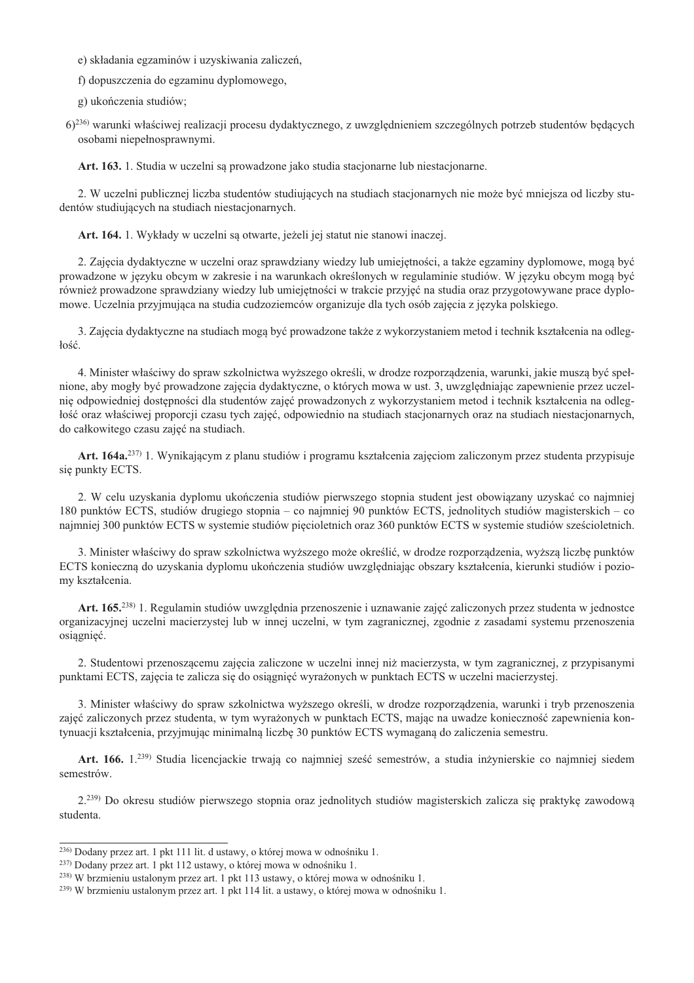e) składania egzaminów i uzyskiwania zaliczeń,

f) dopuszczenia do egzaminu dyplomowego,

g) ukończenia studiów;

6)<sup>236</sup> warunki właściwej realizacji procesu dydaktycznego, z uwzglednieniem szczególnych potrzeb studentów bedacych osobami niepełnosprawnymi.

Art. 163. 1. Studia w uczelni są prowadzone jako studia stacjonarne lub niestacjonarne.

2. W uczelni publicznej liczba studentów studiujących na studiach stacjonarnych nie może być mniejsza od liczby studentów studiujących na studiach niestacjonarnych.

Art. 164. 1. Wykłady w uczelni są otwarte, jeżeli jej statut nie stanowi inaczej.

2. Zajęcia dydaktyczne w uczelni oraz sprawdziany wiedzy lub umiejętności, a także egzaminy dyplomowe, mogą być prowadzone w języku obcym w zakresie i na warunkach określonych w regulaminie studiów. W języku obcym mogą być również prowadzone sprawdziany wiedzy lub umiejętności w trakcie przyjęć na studia oraz przygotowywane prace dyplomowe. Uczelnia przyjmująca na studia cudzoziemców organizuje dla tych osób zajecia z jezyka polskiego.

3. Zajęcia dydaktyczne na studiach mogą być prowadzone także z wykorzystaniem metod i technik kształcenia na odległość.

4. Minister właściwy do spraw szkolnictwa wyższego określi, w drodze rozporządzenia, warunki, jakie muszą być spełnione, aby mogły być prowadzone zajecia dydaktyczne, o których mowa w ust. 3, uwzgledniając zapewnienie przez uczelnie odpowiedniej dostępności dla studentów zajęć prowadzonych z wykorzystaniem metod i technik kształcenia na odległość oraz właściwej proporcji czasu tych zajęć, odpowiednio na studiach stacjonarnych oraz na studiach niestacjonarnych, do całkowitego czasu zajęć na studiach.

Art. 164a.<sup>237)</sup> 1. Wynikającym z planu studiów i programu kształcenia zajęciom zaliczonym przez studenta przypisuje się punkty ECTS.

2. W celu uzyskania dyplomu ukończenia studiów pierwszego stopnia student jest obowiązany uzyskać co najmniej 180 punktów ECTS, studiów drugiego stopnia – co naimniej 90 punktów ECTS, jednolitych studiów magisterskich – co najmniej 300 punktów ECTS w systemie studiów pięcioletnich oraz 360 punktów ECTS w systemie studiów sześcioletnich.

3. Minister właściwy do spraw szkolnictwa wyższego może określić, w drodze rozporządzenia, wyższą liczbę punktów ECTS konieczną do uzyskania dyplomu ukończenia studiów uwzględniając obszary kształcenia, kierunki studiów i poziomy kształcenia.

Art. 165.<sup>238)</sup> 1. Regulamin studiów uwzględnia przenoszenie i uznawanie zajęć zaliczonych przez studenta w jednostce organizacyjnej uczelni macierzystej lub w innej uczelni, w tym zagranicznej, zgodnie z zasadami systemu przenoszenia osiągnięć.

2. Studentowi przenoszącemu zajęcia zaliczone w uczelni innej niż macierzysta, w tym zagranicznej, z przypisanymi punktami ECTS, zajęcia te zalicza się do osiągnięć wyrażonych w punktach ECTS w uczelni macierzystej.

3. Minister właściwy do spraw szkolnictwa wyższego określi, w drodze rozporządzenia, warunki i tryb przenoszenia zajęć zaliczonych przez studenta, w tym wyrażonych w punktach ECTS, mając na uwadze konieczność zapewnienia kontynuacji kształcenia, przyjmując minimalną liczbę 30 punktów ECTS wymaganą do zaliczenia semestru.

Art. 166. 1.<sup>239)</sup> Studia licencjackie trwają co najmniej sześć semestrów, a studia inżynierskie co najmniej siedem semestrów.

2.<sup>239)</sup> Do okresu studiów pierwszego stopnia oraz jednolitych studiów magisterskich zalicza się praktykę zawodową studenta.

<sup>&</sup>lt;sup>236</sup> Dodany przez art. 1 pkt 111 lit. d ustawy, o której mowa w odnośniku 1.

<sup>&</sup>lt;sup>237)</sup> Dodany przez art. 1 pkt 112 ustawy, o której mowa w odnośniku 1.

<sup>&</sup>lt;sup>238</sup>) W brzmieniu ustalonym przez art. 1 pkt 113 ustawy, o której mowa w odnośniku 1.

<sup>&</sup>lt;sup>239</sup>) W brzmieniu ustalonym przez art. 1 pkt 114 lit. a ustawy, o której mowa w odnośniku 1.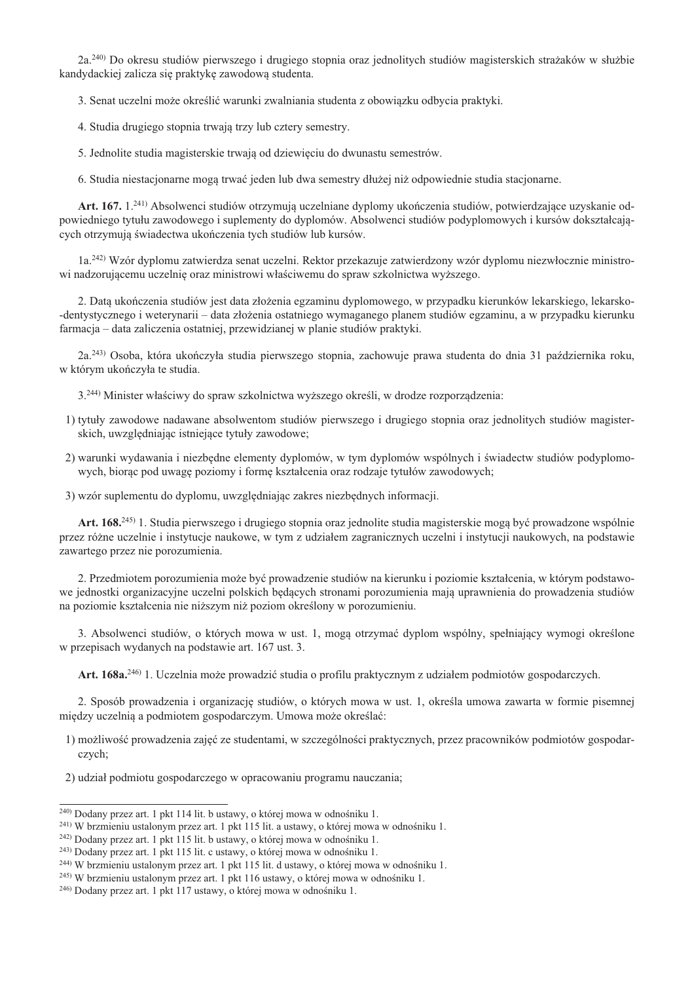2a.<sup>240</sup>) Do okresu studiów pierwszego i drugiego stopnia oraz jednolitych studiów magisterskich strażaków w służbie kandydackiej zalicza się praktykę zawodowa studenta.

3. Senat uczelni może określić warunki zwalniania studenta z obowiazku odbycia praktyki.

4. Studia drugiego stopnia trwają trzy lub cztery semestry.

5. Jednolite studia magisterskie trwają od dziewięciu do dwunastu semestrów.

6. Studia niestacjonarne mogą trwać jeden lub dwa semestry dłużej niż odpowiednie studia stacjonarne.

Art. 167. 1.<sup>241)</sup> Absolwenci studiów otrzymują uczelniane dyplomy ukończenia studiów, potwierdzające uzyskanie odpowiedniego tytułu zawodowego i suplementy do dyplomów. Absolwenci studiów podyplomowych i kursów dokształcających otrzymują świadectwa ukończenia tych studiów lub kursów.

1a.<sup>242)</sup> Wzór dyplomu zatwierdza senat uczelni. Rektor przekazuje zatwierdzony wzór dyplomu niezwłocznie ministrowi nadzorującemu uczelnię oraz ministrowi właściwemu do spraw szkolnictwa wyższego.

2. Datą ukończenia studiów jest data złożenia egzaminu dyplomowego, w przypadku kierunków lekarskiego, lekarsko--dentystycznego i weterynarii – data złożenia ostatniego wymaganego planem studiów egzaminu, a w przypadku kierunku farmacja – data zaliczenia ostatniej, przewidzianej w planie studiów praktyki.

2a.<sup>243)</sup> Osoba, która ukończyła studia pierwszego stopnia, zachowuje prawa studenta do dnia 31 października roku, w którym ukończyła te studia.

3.<sup>244)</sup> Minister właściwy do spraw szkolnictwa wyższego określi, w drodze rozporządzenia:

- 1) tytuły zawodowe nadawane absolwentom studiów pierwszego i drugiego stopnia oraz jednolitych studiów magisterskich, uwzględniając istniejące tytuły zawodowe;
- 2) warunki wydawania i niezbędne elementy dyplomów, w tym dyplomów wspólnych i świadectw studiów podyplomowych, biorac pod uwagę poziomy i formę kształcenia oraz rodzaję tytułów zawodowych;
- 3) wzór suplementu do dyplomu, uwzględniając zakres niezbędnych informacji.

Art. 168.<sup>245)</sup> 1. Studia pierwszego i drugiego stopnia oraz jednolite studia magisterskie mogą być prowadzone wspólnie przez różne uczelnie i instytucje naukowe, w tym z udziałem zagranicznych uczelni i instytucji naukowych, na podstawie zawartego przez nie porozumienia.

2. Przedmiotem porozumienia może być prowadzenie studiów na kierunku i poziomie kształcenia, w którym podstawowe jednostki organizacyjne uczelni polskich będących stronami porozumienia mają uprawnienia do prowadzenia studiów na poziomie kształcenia nie niższym niż poziom określony w porozumieniu.

3. Absolwenci studiów, o których mowa w ust. 1, moga otrzymać dyplom wspólny, spełniający wymogi określone w przepisach wydanych na podstawie art. 167 ust. 3.

Art. 168a.<sup>246)</sup> 1. Uczelnia może prowadzić studia o profilu praktycznym z udziałem podmiotów gospodarczych.

2. Sposób prowadzenia i organizacje studiów, o których mowa w ust. 1, określa umowa zawarta w formie pisemnej między uczelnią a podmiotem gospodarczym. Umowa może określać:

- 1) możliwość prowadzenia zajęć ze studentami, w szczególności praktycznych, przez pracowników podmiotów gospodarczych;
- 2) udział podmiotu gospodarczego w opracowaniu programu nauczania;

<sup>&</sup>lt;sup>240)</sup> Dodany przez art. 1 pkt 114 lit. b ustawy, o której mowa w odnośniku 1.

<sup>&</sup>lt;sup>241)</sup> W brzmieniu ustalonym przez art. 1 pkt 115 lit. a ustawy, o której mowa w odnośniku 1.

<sup>&</sup>lt;sup>242)</sup> Dodany przez art. 1 pkt 115 lit. b ustawy, o której mowa w odnośniku 1.

<sup>&</sup>lt;sup>243)</sup> Dodany przez art. 1 pkt 115 lit. c ustawy, o której mowa w odnośniku 1.

<sup>&</sup>lt;sup>244</sup>) W brzmieniu ustalonym przez art. 1 pkt 115 lit. d ustawy, o której mowa w odnośniku 1.

<sup>&</sup>lt;sup>245)</sup> W brzmieniu ustalonym przez art. 1 pkt 116 ustawy, o której mowa w odnośniku 1.

<sup>&</sup>lt;sup>246</sup> Dodany przez art. 1 pkt 117 ustawy, o której mowa w odnośniku 1.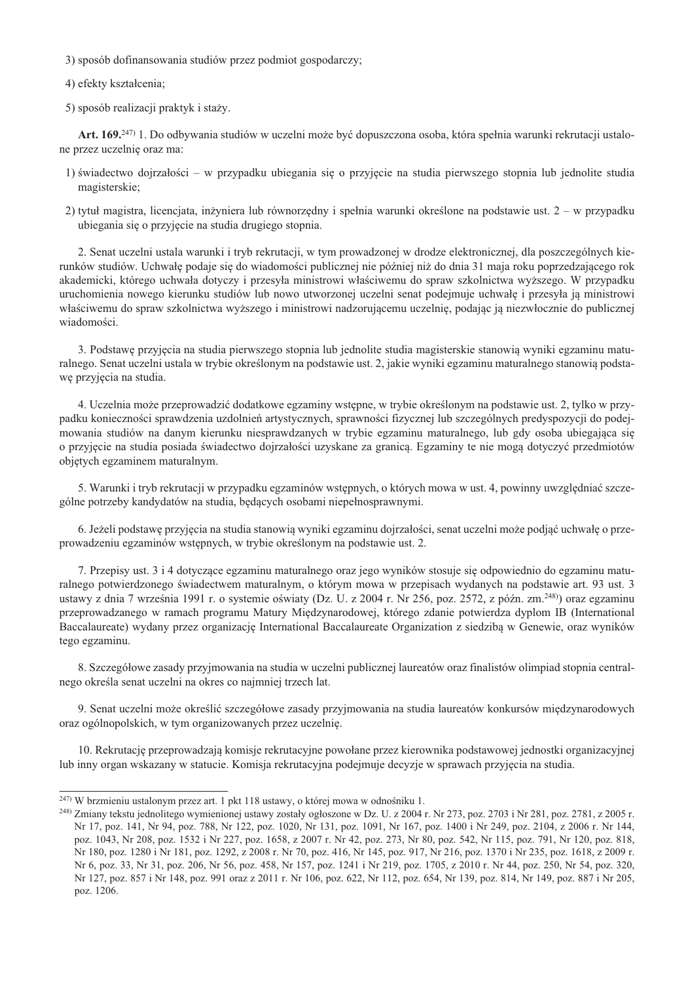3) sposób dofinansowania studiów przez podmiot gospodarczy;

4) efekty kształcenia;

5) sposób realizacji praktyk i staży.

Art. 169.<sup>247)</sup> 1. Do odbywania studiów w uczelni może być dopuszczona osoba, która spełnia warunki rekrutacji ustalone przez uczelnię oraz ma:

- 1) świadectwo dojrzałości w przypadku ubiegania się o przyjęcie na studia pierwszego stopnia lub jednolite studia magisterskie:
- 2) tytuł magistra, licencjata, inżyniera lub równorzędny i spełnia warunki określone na podstawie ust. 2 w przypadku ubiegania się o przyjęcie na studia drugiego stopnia.

2. Senat uczelni ustala warunki i tryb rekrutacji, w tym prowadzonej w drodze elektronicznej, dla poszczególnych kierunków studiów. Uchwałę podaje się do wiadomości publicznej nie później niż do dnia 31 maja roku poprzedzającego rok akademicki, którego uchwała dotyczy i przesyła ministrowi właściwemu do spraw szkolnictwa wyższego. W przypadku uruchomienia nowego kierunku studiów lub nowo utworzonej uczelni senat podejmuje uchwałę i przesyła ją ministrowi właściwemu do spraw szkolnictwa wyższego i ministrowi nadzorującemu uczelnię, podając ją niezwłocznie do publicznej wiadomości.

3. Podstawę przyjęcia na studia pierwszego stopnia lub jednolite studia magisterskie stanowią wyniki egzaminu maturalnego. Senat uczelni ustala w trybie określonym na podstawie ust. 2, jakie wyniki egzaminu maturalnego stanowią podstawę przyjęcia na studia.

4. Uczelnia może przeprowadzić dodatkowe egzaminy wstępne, w trybie określonym na podstawie ust. 2, tylko w przypadku konieczności sprawdzenia uzdolnień artystycznych, sprawności fizycznej lub szczególnych predyspozycji do podejmowania studiów na danym kierunku niesprawdzanych w trybie egzaminu maturalnego, lub gdy osoba ubiegająca się o przyjęcie na studia posiada świadectwo dojrzałości uzyskane za granicą. Egzaminy te nie mogą dotyczyć przedmiotów objętych egzaminem maturalnym.

5. Warunki i tryb rekrutacji w przypadku egzaminów wstępnych, o których mowa w ust. 4, powinny uwzględniać szczególne potrzeby kandydatów na studia, będących osobami niepełnosprawnymi.

6. Jeżeli podstawę przyjęcia na studia stanowią wyniki egzaminu dojrzałości, senat uczelni może podjąć uchwałę o przeprowadzeniu egzaminów wstępnych, w trybie określonym na podstawie ust. 2.

7. Przepisy ust. 3 i 4 dotyczące egzaminu maturalnego oraz jego wyników stosuje się odpowiednio do egzaminu maturalnego potwierdzonego świadectwem maturalnym, o którym mowa w przepisach wydanych na podstawie art. 93 ust. 3 ustawy z dnia 7 września 1991 r. o systemie oświaty (Dz. U. z 2004 r. Nr 256, poz. 2572, z późn. zm.<sup>248)</sup>) oraz egzaminu przeprowadzanego w ramach programu Matury Międzynarodowej, którego zdanie potwierdza dyplom IB (International Baccalaureate) wydany przez organizację International Baccalaureate Organization z siedzibą w Genewie, oraz wyników tego egzaminu.

8. Szczegółowe zasady przyjmowania na studia w uczelni publicznej laureatów oraz finalistów olimpiad stopnia centralnego określa senat uczelni na okres co najmniej trzech lat.

9. Senat uczelni może określić szczegółowe zasady przyjmowania na studia laureatów konkursów międzynarodowych oraz ogólnopolskich, w tym organizowanych przez uczelnię.

10. Rekrutację przeprowadzają komisje rekrutacyjne powołane przez kierownika podstawowej jednostki organizacyjnej lub inny organ wskazany w statucie. Komisja rekrutacyjna podejmuje decyzje w sprawach przyjęcia na studia.

<sup>&</sup>lt;sup>247)</sup> W brzmieniu ustalonym przez art. 1 pkt 118 ustawy, o której mowa w odnośniku 1.

<sup>&</sup>lt;sup>248</sup>) Zmiany tekstu jednolitego wymienionej ustawy zostały ogłoszone w Dz. U. z 2004 r. Nr 273, poz. 2703 i Nr 281, poz. 2781, z 2005 r. Nr 17, poz. 141, Nr 94, poz. 788, Nr 122, poz. 1020, Nr 131, poz. 1091, Nr 167, poz. 1400 i Nr 249, poz. 2104, z 2006 r. Nr 144, poz. 1043, Nr 208, poz. 1532 i Nr 227, poz. 1658, z 2007 r. Nr 42, poz. 273, Nr 80, poz. 542, Nr 115, poz. 791, Nr 120, poz. 818, Nr 180, poz. 1280 i Nr 181, poz. 1292, z 2008 r. Nr 70, poz. 416, Nr 145, poz. 917, Nr 216, poz. 1370 i Nr 235, poz. 1618, z 2009 r. Nr 6, poz. 33, Nr 31, poz. 206, Nr 56, poz. 458, Nr 157, poz. 1241 i Nr 219, poz. 1705, z 2010 r. Nr 44, poz. 250, Nr 54, poz. 320, Nr 127, poz. 857 i Nr 148, poz. 991 oraz z 2011 r. Nr 106, poz. 622, Nr 112, poz. 654, Nr 139, poz. 814, Nr 149, poz. 887 i Nr 205, poz. 1206.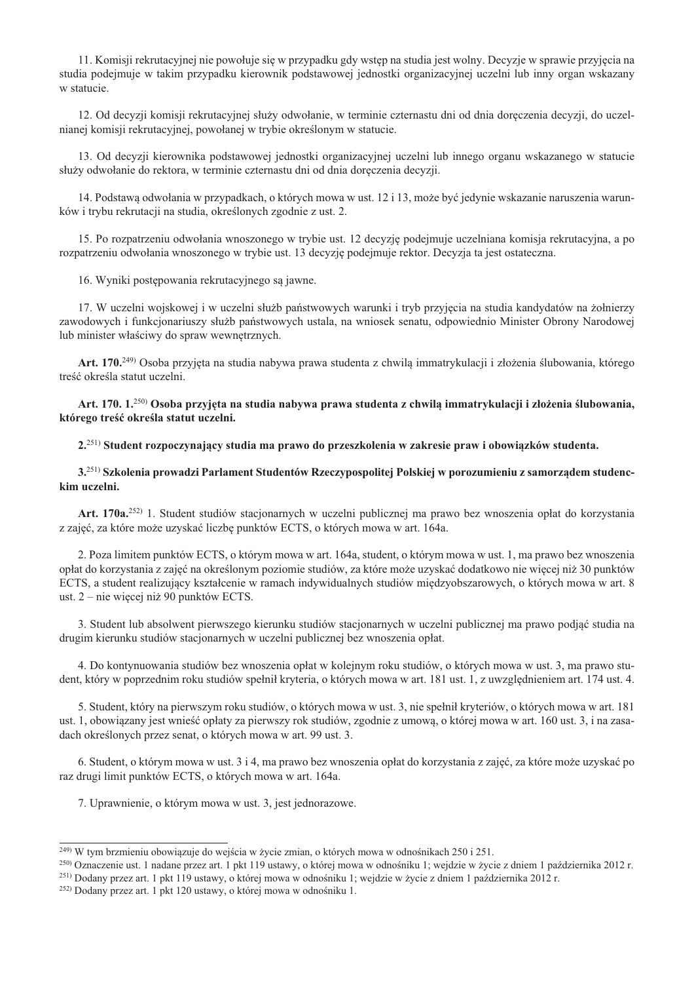11. Komisji rekrutacyjnej nie powołuje się w przypadku gdy wstęp na studia jest wolny. Decyzje w sprawie przyjęcia na studia podejmuje w takim przypadku kierownik podstawowej jednostki organizacyjnej uczelni lub inny organ wskazany w statucie.

12. Od decyzji komisji rekrutacyjnej służy odwołanie, w terminie czternastu dni od dnia doręczenia decyzji, do uczelnianej komisji rekrutacyjnej, powołanej w trybie określonym w statucie.

13. Od decyzji kierownika podstawowej jednostki organizacyjnej uczelni lub innego organu wskazanego w statucie służy odwołanie do rektora, w terminie czternastu dni od dnia doreczenia decyzji.

14. Podstawą odwołania w przypadkach, o których mowa w ust. 12 i 13, może być jedynie wskazanie naruszenia warunków i trybu rekrutacji na studia, określonych zgodnie z ust. 2.

15. Po rozpatrzeniu odwołania wnoszonego w trybie ust. 12 decyzie podeimuje uczelniana komisia rekrutacyjna, a po rozpatrzeniu odwołania wnoszonego w trybie ust. 13 decyzje podejmuje rektor. Decyzja ta jest ostateczna.

16. Wyniki postępowania rekrutacyjnego są jawne.

17. W uczelni wojskowej i w uczelni służb państwowych warunki i tryb przyjęcia na studia kandydatów na żołnierzy zawodowych i funkcjonariuszy służb państwowych ustala, na wniosek senatu, odpowiednio Minister Obrony Narodowej lub minister właściwy do spraw wewnętrznych.

Art. 170.<sup>249)</sup> Osoba przyjęta na studia nabywa prawa studenta z chwilą immatrykulacji i złożenia ślubowania, którego treść określa statut uczelni.

Art. 170. 1.<sup>250)</sup> Osoba przyjęta na studia nabywa prawa studenta z chwilą immatrykulacji i złożenia ślubowania, którego treść określa statut uczelni.

2.<sup>251)</sup> Student rozpoczynający studia ma prawo do przeszkolenia w zakresie praw i obowiazków studenta.

3.<sup>251)</sup> Szkolenia prowadzi Parlament Studentów Rzeczypospolitej Polskiej w porozumieniu z samorządem studenckim uczelni.

Art. 170a.<sup>252)</sup> 1. Student studiów stacjonarnych w uczelni publicznej ma prawo bez wnoszenia opłat do korzystania z zajęć, za które może uzyskać liczbę punktów ECTS, o których mowa w art. 164a.

2. Poza limitem punktów ECTS, o którym mowa w art. 164a, student, o którym mowa w ust. 1, ma prawo bez wnoszenia opłat do korzystania z zajęć na określonym poziomie studiów, za które może uzyskać dodatkowo nie więcej niż 30 punktów ECTS, a student realizujący kształcenie w ramach indywidualnych studiów miedzyobszarowych, o których mowa w art. 8 ust.  $2$  – nie więcej niż 90 punktów ECTS.

3. Student lub absolwent pierwszego kierunku studiów stacjonarnych w uczelni publicznej ma prawo podjąć studia na drugim kierunku studiów stacjonarnych w uczelni publicznej bez wnoszenia opłat.

4. Do kontynuowania studiów bez wnoszenia opłat w kolejnym roku studiów, o których mowa w ust. 3, ma prawo student, który w poprzednim roku studiów spełnił kryteria, o których mowa w art. 181 ust. 1, z uwzględnieniem art. 174 ust. 4.

5. Student, który na pierwszym roku studiów, o których mowa w ust. 3, nie spełnił kryteriów, o których mowa w art. 181 ust. 1, obowiązany jest wnieść opłaty za pierwszy rok studiów, zgodnie z umową, o której mowa w art. 160 ust. 3, i na zasadach określonych przez senat, o których mowa w art. 99 ust. 3.

6. Student, o którym mowa w ust. 3 i 4, ma prawo bez wnoszenia opłat do korzystania z zajęć, za które może uzyskać po raz drugi limit punktów ECTS, o których mowa w art. 164a.

7. Uprawnienie, o którym mowa w ust. 3, jest jednorazowe.

<sup>&</sup>lt;sup>249)</sup> W tym brzmieniu obowiązuje do wejścia w życie zmian, o których mowa w odnośnikach 250 i 251.

<sup>&</sup>lt;sup>250</sup>) Oznaczenie ust. 1 nadane przez art. 1 pkt 119 ustawy, o której mowa w odnośniku 1; wejdzie w życie z dniem 1 października 2012 r.

<sup>251)</sup> Dodany przez art. 1 pkt 119 ustawy, o której mowa w odnośniku 1; wejdzie w życie z dniem 1 października 2012 r.

<sup>&</sup>lt;sup>252)</sup> Dodany przez art. 1 pkt 120 ustawy, o której mowa w odnośniku 1.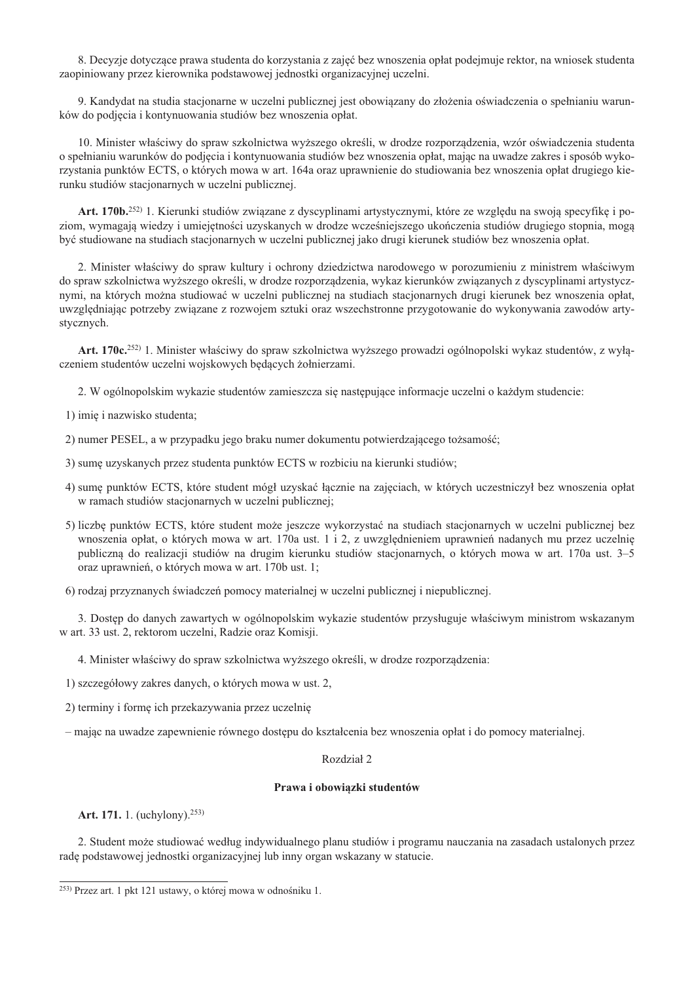8. Decyzje dotyczące prawa studenta do korzystania z zajęć bez wnoszenia opłat podejmuje rektor, na wniosek studenta zaopiniowany przez kierownika podstawowej jednostki organizacyjnej uczelni.

9. Kandydat na studia stacionarne w uczelni publicznej jest obowiazany do złożenia oświadczenia o spełnianiu warunków do podjęcia i kontynuowania studiów bez wnoszenia opłat.

10. Minister właściwy do spraw szkolnictwa wyższego określi, w drodze rozporządzenia, wzór oświadczenia studenta o spełnianiu warunków do podjęcia i kontynuowania studiów bez wnoszenia opłat, mając na uwadze zakres i sposób wykorzystania punktów ECTS, o których mowa w art. 164a oraz uprawnienie do studiowania bez wnoszenia opłat drugiego kierunku studiów stacjonarnych w uczelni publicznej.

Art. 170b.<sup>252)</sup> 1. Kierunki studiów związane z dyscyplinami artystycznymi, które ze względu na swoją specyfikę i poziom, wymagają wiedzy i umiejetności uzyskanych w drodze wcześniejszego ukończenia studiów drugiego stopnia, moga być studiowane na studiach stacionarnych w uczelni publicznej jako drugi kierunek studiów bez wnoszenia opłat.

2. Minister właściwy do spraw kultury i ochrony dziedzictwa narodowego w porozumieniu z ministrem właściwym do spraw szkolnictwa wyższego określi, w drodze rozporządzenia, wykaz kierunków związanych z dyscyplinami artystycznymi, na których można studiować w uczelni publicznej na studiach stacjonarnych drugi kierunek bez wnoszenia opłat, uwzględniając potrzeby związane z rozwojem sztuki oraz wszechstronne przygotowanie do wykonywania zawodów artystycznych.

Art. 170c.<sup>252)</sup> 1. Minister właściwy do spraw szkolnictwa wyższego prowadzi ogólnopolski wykaz studentów, z wyłączeniem studentów uczelni wojskowych będących żołnierzami.

2. W ogólnopolskim wykazie studentów zamieszcza się następujące informacje uczelni o każdym studencie:

1) imię i nazwisko studenta;

- 2) numer PESEL, a w przypadku jego braku numer dokumentu potwierdzającego tożsamość;
- 3) sumę uzyskanych przez studenta punktów ECTS w rozbiciu na kierunki studiów;
- 4) sume punktów ECTS, które student mógł uzyskać łącznie na zajęciach, w których uczestniczył bez wnoszenia opłat w ramach studiów stacjonarnych w uczelni publicznej;
- 5) liczbę punktów ECTS, które student może jeszcze wykorzystać na studiach stacjonarnych w uczelni publicznej bez wnoszenia opłat, o których mowa w art. 170a ust. 1 i 2, z uwzględnieniem uprawnień nadanych mu przez uczelnię publiczną do realizacji studiów na drugim kierunku studiów stacjonarnych, o których mowa w art. 170a ust. 3–5 oraz uprawnień, o których mowa w art. 170b ust. 1;
- 6) rodzaj przyznanych świadczeń pomocy materialnej w uczelni publicznej i niepublicznej.

3. Dostęp do danych zawartych w ogólnopolskim wykazie studentów przysługuje właściwym ministrom wskazanym w art. 33 ust. 2, rektorom uczelni, Radzie oraz Komisji.

4. Minister właściwy do spraw szkolnictwa wyższego określi, w drodze rozporządzenia:

1) szczegółowy zakres danych, o których mowa w ust. 2,

2) terminy i formę ich przekazywania przez uczelnię

- mając na uwadze zapewnienie równego dostępu do kształcenia bez wnoszenia opłat i do pomocy materialnej.

# Rozdział 2

### Prawa i obowiązki studentów

Art. 171. 1. (uchylony).<sup>253)</sup>

2. Student może studiować według indywidualnego planu studiów i programu nauczania na zasadach ustalonych przez radę podstawowej jednostki organizacyjnej lub inny organ wskazany w statucie.

<sup>&</sup>lt;sup>253)</sup> Przez art. 1 pkt 121 ustawy, o której mowa w odnośniku 1.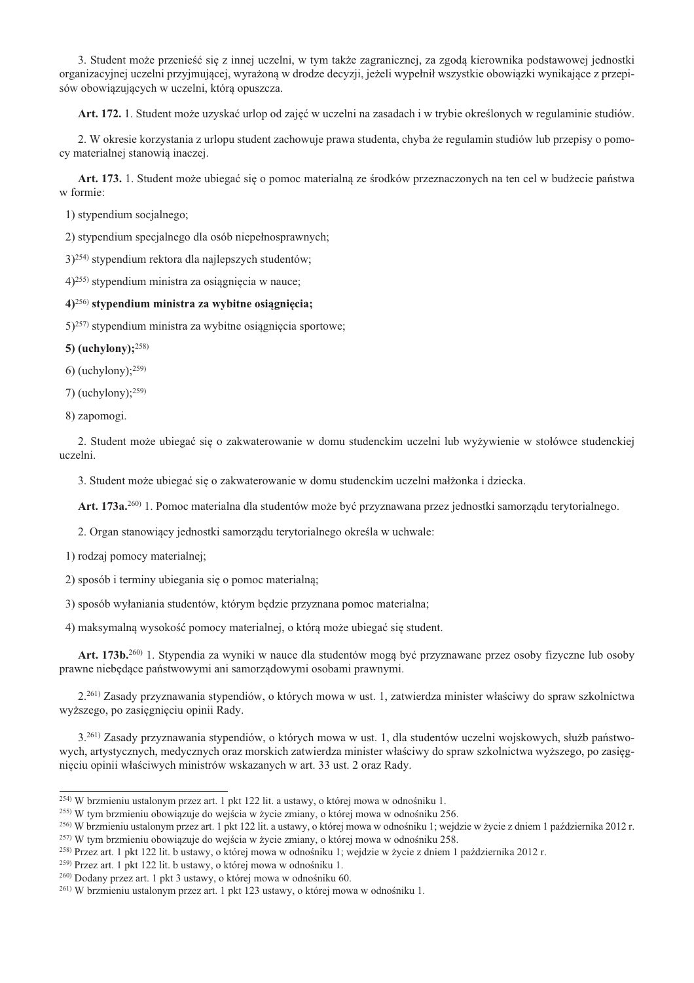3. Student może przenieść się z innej uczelni, w tym także zagranicznej, za zgoda kierownika podstawowej jednostki organizacyjnej uczelni przyjmującej, wyrażona w drodze decyzji, jeżeli wypełnił wszystkie obowiązki wynikające z przepisów obowiazujących w uczelni, którą opuszcza.

Art. 172. 1. Student może uzyskać urlop od zajęć w uczelni na zasadach i w trybie określonych w regulaminie studiów.

2. W okresie korzystania z urlopu student zachowuje prawa studenta, chyba że regulamin studiów lub przepisy o pomocy materialnej stanowia inaczei.

Art. 173. 1. Student może ubiegać się o pomoc materialną ze środków przeznaczonych na ten cel w budżecie państwa w formie:

1) stypendium socjalnego;

2) stypendium specjalnego dla osób niepełnosprawnych;

 $(3)^{254}$  stypendium rektora dla najlepszych studentów;

 $(4)^{255}$  stypendium ministra za osiagniecia w nauce:

# $(4)^{256}$  stypendium ministra za wybitne osiagniecia;

 $(5)^{257}$  stypendium ministra za wybitne osiągnięcia sportowe;

5) (uchylony); $^{258}$ )

6) (uchylony); $^{259}$ )

 $(1)$  (uchylony):  $259$ )

8) zapomogi.

2. Student może ubiegać się o zakwaterowanie w domu studenckim uczelni lub wyżywienie w stołówce studenckiej uczelni.

3. Student może ubiegać się o zakwaterowanie w domu studenckim uczelni małżonka i dziecka.

Art. 173a.<sup>260</sup> 1. Pomoc materialna dla studentów może być przyznawana przez jednostki samorzadu terytorialnego.

2. Organ stanowiący jednostki samorządu terytorialnego określa w uchwale:

1) rodzaj pomocy materialnej;

2) sposób i terminy ubiegania się o pomoc materialną;

3) sposób wyłaniania studentów, którym będzie przyznana pomoc materialna;

4) maksymalną wysokość pomocy materialnej, o którą może ubiegać się student.

Art. 173b.<sup>260</sup> 1. Stypendia za wyniki w nauce dla studentów mogą być przyznawane przez osoby fizyczne lub osoby prawne niebędące państwowymi ani samorządowymi osobami prawnymi.

2.<sup>261)</sup> Zasady przyznawania stypendiów, o których mowa w ust. 1, zatwierdza minister właściwy do spraw szkolnictwa wyższego, po zasięgnięciu opinii Rady.

3.<sup>261)</sup> Zasady przyznawania stypendiów, o których mowa w ust. 1, dla studentów uczelni wojskowych, służb państwowych, artystycznych, medycznych oraz morskich zatwierdza minister właściwy do spraw szkolnictwa wyższego, po zasięgnięciu opinii właściwych ministrów wskazanych w art. 33 ust. 2 oraz Rady.

<sup>259)</sup> Przez art. 1 pkt 122 lit. b ustawy, o której mowa w odnośniku 1.

<sup>&</sup>lt;sup>254)</sup> W brzmieniu ustalonym przez art. 1 pkt 122 lit. a ustawy, o której mowa w odnośniku 1.

<sup>255)</sup> W tym brzmieniu obowiązuje do wejścia w życie zmiany, o której mowa w odnośniku 256.

<sup>&</sup>lt;sup>256)</sup> W brzmieniu ustalonym przez art. 1 pkt 122 lit. a ustawy, o której mowa w odnośniku 1; wejdzie w życie z dniem 1 października 2012 r.

<sup>&</sup>lt;sup>257)</sup> W tym brzmieniu obowiązuje do wejścia w życie zmiany, o której mowa w odnośniku 258.

<sup>258)</sup> Przez art. 1 pkt 122 lit. b ustawy, o której mowa w odnośniku 1; wejdzie w życie z dniem 1 października 2012 r.

<sup>&</sup>lt;sup>260</sup> Dodany przez art. 1 pkt 3 ustawy, o której mowa w odnośniku 60.

<sup>&</sup>lt;sup>261)</sup> W brzmieniu ustalonym przez art. 1 pkt 123 ustawy, o której mowa w odnośniku 1.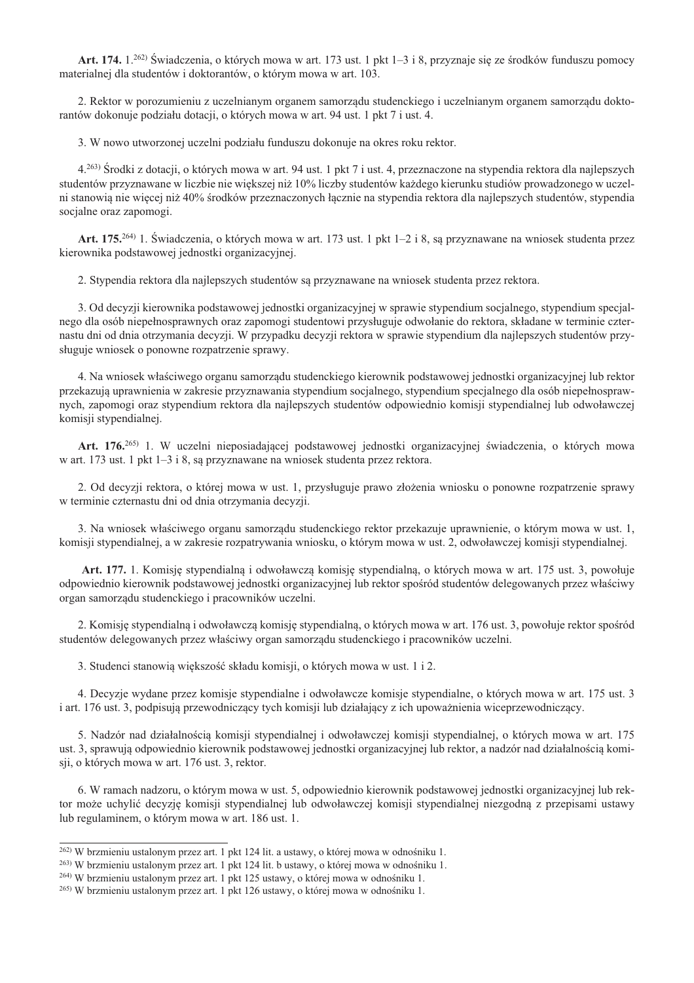Art. 174, 1.<sup>262)</sup> Świadczenia, o których mowa w art. 173 ust. 1 pkt 1–3 i 8, przyznaje się ze środków funduszu pomocy materialnej dla studentów i doktorantów, o którym mowa w art. 103.

2. Rektor w porozumieniu z uczelnianym organem samorządu studenckiego i uczelnianym organem samorządu doktorantów dokonuje podziału dotacji, o których mowa w art. 94 ust. 1 pkt 7 i ust. 4.

3. W nowo utworzonej uczelni podziału funduszu dokonuje na okres roku rektor.

4.<sup>263)</sup> Środki z dotacji, o których mowa w art. 94 ust. 1 pkt 7 i ust. 4, przeznaczone na stypendia rektora dla najlepszych studentów przyznawane w liczbie nie większej niż 10% liczby studentów każdego kierunku studiów prowadzonego w uczelni stanowia nie więcej niż 40% środków przeznaczonych łacznie na stypendia rektora dla najlepszych studentów, stypendia socialne oraz zapomogi.

Art. 175.<sup>264)</sup> 1. Świadczenia, o których mowa w art. 173 ust. 1 pkt 1–2 i 8, sa przyznawane na wniosek studenta przez kierownika podstawowej jednostki organizacyjnej.

2. Stypendia rektora dla najlepszych studentów są przyznawane na wniosek studenta przez rektora.

3. Od decyzji kierownika podstawowej jednostki organizacyjnej w sprawie stypendium socjalnego, stypendium specjalnego dla osób niepełnosprawnych oraz zapomogi studentowi przysługuje odwołanie do rektora, składane w terminie czternastu dni od dnia otrzymania decyzji. W przypadku decyzji rektora w sprawie stypendium dla najlepszych studentów przysługuje wniosek o ponowne rozpatrzenie sprawy.

4. Na wniosek właściwego organu samorządu studenckiego kierownik podstawowej jednostki organizacyjnej lub rektor przekazują uprawnienia w zakresie przyznawania stypendium socjalnego, stypendium specjalnego dla osób niepełnosprawnych, zapomogi oraz stypendium rektora dla najlepszych studentów odpowiednio komisji stypendialnej lub odwoławczej komisji stypendialnej.

Art. 176.<sup>265)</sup> 1. W uczelni nieposiadającej podstawowej jednostki organizacyjnej świadczenia, o których mowa w art. 173 ust. 1 pkt  $1-3$  i 8, są przyznawane na wniosek studenta przez rektora.

2. Od decyzji rektora, o której mowa w ust. 1, przysługuje prawo złożenia wniosku o ponowne rozpatrzenie sprawy w terminie czternastu dni od dnia otrzymania decyzji.

3. Na wniosek właściwego organu samorządu studenckiego rektor przekazuje uprawnienie, o którym mowa w ust. 1, komisji stypendialnej, a w zakresie rozpatrywania wniosku, o którym mowa w ust. 2, odwoławczej komisji stypendialnej.

Art. 177, 1. Komisie stypendialna i odwoławcza komisie stypendialna, o których mowa w art. 175 ust. 3. powołuje odpowiednio kierownik podstawowej jednostki organizacyjnej lub rektor spośród studentów delegowanych przez właściwy organ samorządu studenckiego i pracowników uczelni.

2. Komisję stypendialną i odwoławczą komisję stypendialną, o których mowa w art. 176 ust. 3, powołuje rektor spośród studentów delegowanych przez właściwy organ samorządu studenckiego i pracowników uczelni.

3. Studenci stanowią większość składu komisji, o których mowa w ust. 1 i 2.

4. Decyzje wydane przez komisje stypendialne i odwoławcze komisje stypendialne, o których mowa w art. 175 ust. 3 i art. 176 ust. 3, podpisują przewodniczący tych komisji lub działający z ich upoważnienia wiceprzewodniczący.

5. Nadzór nad działalnością komisji stypendialnej i odwoławczej komisji stypendialnej, o których mowa w art. 175 ust. 3, sprawują odpowiednio kierownik podstawowej jednostki organizacyjnej lub rektor, a nadzór nad działalnością komisii, o których mowa w art. 176 ust. 3, rektor.

6. W ramach nadzoru, o którym mowa w ust. 5, odpowiednio kierownik podstawowej jednostki organizacyjnej lub rektor może uchylić decyzję komisji stypendialnej lub odwoławczej komisji stypendialnej niezgodną z przepisami ustawy lub regulaminem, o którym mowa w art. 186 ust. 1.

 $^{262}$ ) W brzmieniu ustalonym przez art. 1 pkt 124 lit. a ustawy, o której mowa w odnośniku 1.

<sup>&</sup>lt;sup>263)</sup> W brzmieniu ustalonym przez art. 1 pkt 124 lit. b ustawy, o której mowa w odnośniku 1.

<sup>&</sup>lt;sup>264)</sup> W brzmieniu ustalonym przez art. 1 pkt 125 ustawy, o której mowa w odnośniku 1.

<sup>&</sup>lt;sup>265)</sup> W brzmieniu ustalonym przez art. 1 pkt 126 ustawy, o której mowa w odnośniku 1.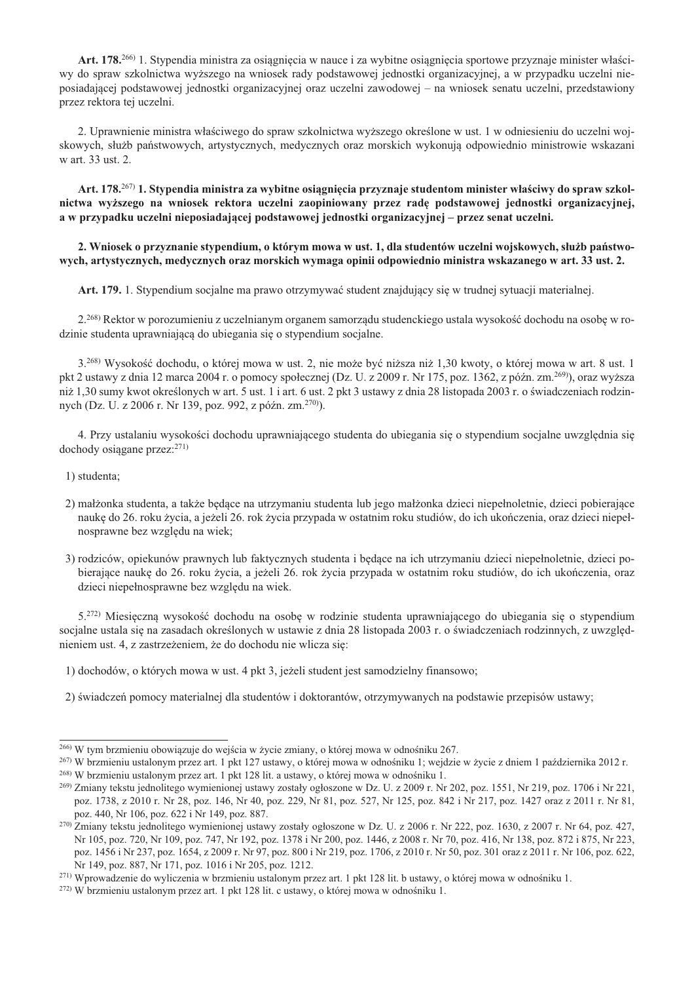Art. 178.<sup>266)</sup> 1. Stypendia ministra za osiagniecia w nauce i za wybitne osiagniecia sportowe przyznaje minister właściwy do spraw szkolnictwa wyższego na wniosek rady podstawowej jednostki organizacyjnej, a w przypadku uczelni nieposiadającej podstawowej jednostki organizacyjnej oraz uczelni zawodowej – na wniosek senatu uczelni, przedstawiony przez rektora tej uczelni.

2. Uprawnienie ministra właściwego do spraw szkolnictwa wyższego określone w ust. 1 w odniesieniu do uczelni wojskowych, służb państwowych, artystycznych, medycznych oraz morskich wykonują odpowiednio ministrowie wskazani w art. 33 ust. 2.

Art. 178.<sup>267)</sup> 1. Stypendia ministra za wybitne osiągnięcia przyznaje studentom minister właściwy do spraw szkolnictwa wyższego na wniosek rektora uczelni zaopiniowany przez rade podstawowej jednostki organizacyjnej. a w przypadku uczelni nieposiadającej podstawowej jednostki organizacyjnej – przez senat uczelni.

# 2. Wniosek o przyznanie stypendium, o którym mowa w ust. 1, dla studentów uczelni wojskowych, służb państwowych, artystycznych, medycznych oraz morskich wymaga opinii odpowiednio ministra wskazanego w art. 33 ust. 2.

Art. 179. 1. Stypendium socjalne ma prawo otrzymywać student znajdujący się w trudnej sytuacji materialnej.

2.<sup>268)</sup> Rektor w porozumieniu z uczelnianym organem samorządu studenckiego ustala wysokość dochodu na osobę w rodzinie studenta uprawniającą do ubiegania się o stypendium socialne.

3.<sup>268)</sup> Wysokość dochodu, o której mowa w ust. 2, nie może być niższa niż 1,30 kwoty, o której mowa w art. 8 ust. 1 pkt 2 ustawy z dnia 12 marca 2004 r. o pomocy społecznej (Dz. U. z 2009 r. Nr 175, poz. 1362, z późn. zm.<sup>269)</sup>), oraz wyższa niż 1,30 sumy kwot określonych w art. 5 ust. 1 i art. 6 ust. 2 pkt 3 ustawy z dnia 28 listopada 2003 r. o świadczeniach rodzinnych (Dz. U. z 2006 r. Nr 139, poz. 992, z późn. zm.<sup>270</sup>).

4. Przy ustalaniu wysokości dochodu uprawniającego studenta do ubiegania się o stypendium socjalne uwzględnia się dochody osiągane przez: $271$ )

1) studenta;

- 2) małżonka studenta, a także będące na utrzymaniu studenta lub jego małżonka dzieci niepełnoletnie, dzieci pobierające naukę do 26. roku życia, a jeżeli 26. rok życia przypada w ostatnim roku studiów, do ich ukończenia, oraz dzieci niepełnosprawne bez względu na wiek;
- 3) rodzieów, opiekunów prawnych lub faktycznych studenta i będące na ich utrzymaniu dzieci niepełnoletnie, dzieci pobierające naukę do 26. roku życia, a jeżeli 26. rok życia przypada w ostatnim roku studiów, do ich ukończenia, oraz dzieci niepełnosprawne bez względu na wiek.

5.<sup>272)</sup> Miesięczną wysokość dochodu na osobę w rodzinie studenta uprawniającego do ubiegania się o stypendium socjalne ustala się na zasadach określonych w ustawie z dnia 28 listopada 2003 r. o świadczeniach rodzinnych, z uwzględnieniem ust. 4, z zastrzeżeniem, że do dochodu nie wlicza się:

1) dochodów, o których mowa w ust. 4 pkt 3, jeżeli student jest samodzielny finansowo;

2) świadczeń pomocy materialnej dla studentów i doktorantów, otrzymywanych na podstawie przepisów ustawy;

<sup>&</sup>lt;sup>266)</sup> W tvm brzmieniu obowiązuje do wejścia w życie zmiany, o której mowa w odnośniku 267.

<sup>&</sup>lt;sup>267)</sup> W brzmieniu ustalonym przez art. 1 pkt 127 ustawy, o której mowa w odnośniku 1; wejdzie w życie z dniem 1 października 2012 r. <sup>268)</sup> W brzmieniu ustalonym przez art. 1 pkt 128 lit. a ustawy, o której mowa w odnośniku 1.

<sup>&</sup>lt;sup>269)</sup> Zmiany tekstu jednolitego wymienionej ustawy zostały ogłoszone w Dz. U. z 2009 r. Nr 202, poz. 1551, Nr 219, poz. 1706 i Nr 221, poz. 1738, z 2010 r. Nr 28, poz. 146, Nr 40, poz. 229, Nr 81, poz. 527, Nr 125, poz. 842 i Nr 217, poz. 1427 oraz z 2011 r. Nr 81,

poz. 440, Nr 106, poz. 622 i Nr 149, poz. 887. <sup>270)</sup> Zmiany tekstu jednolitego wymienionej ustawy zostały ogłoszone w Dz. U. z 2006 r. Nr 222, poz. 1630, z 2007 r. Nr 64, poz. 427,

Nr 105, poz. 720, Nr 109, poz. 747, Nr 192, poz. 1378 i Nr 200, poz. 1446, z 2008 r. Nr 70, poz. 416, Nr 138, poz. 872 i 875, Nr 223, poz. 1456 i Nr 237, poz. 1654, z 2009 r. Nr 97, poz. 800 i Nr 219, poz. 1706, z 2010 r. Nr 50, poz. 301 oraz z 2011 r. Nr 106, poz. 622, Nr 149, poz. 887, Nr 171, poz. 1016 i Nr 205, poz. 1212.

<sup>&</sup>lt;sup>271)</sup> Wprowadzenie do wyliczenia w brzmieniu ustalonym przez art. 1 pkt 128 lit. b ustawy, o której mowa w odnośniku 1.

<sup>&</sup>lt;sup>272</sup>) W brzmieniu ustalonym przez art. 1 pkt 128 lit. c ustawy, o której mowa w odnośniku 1.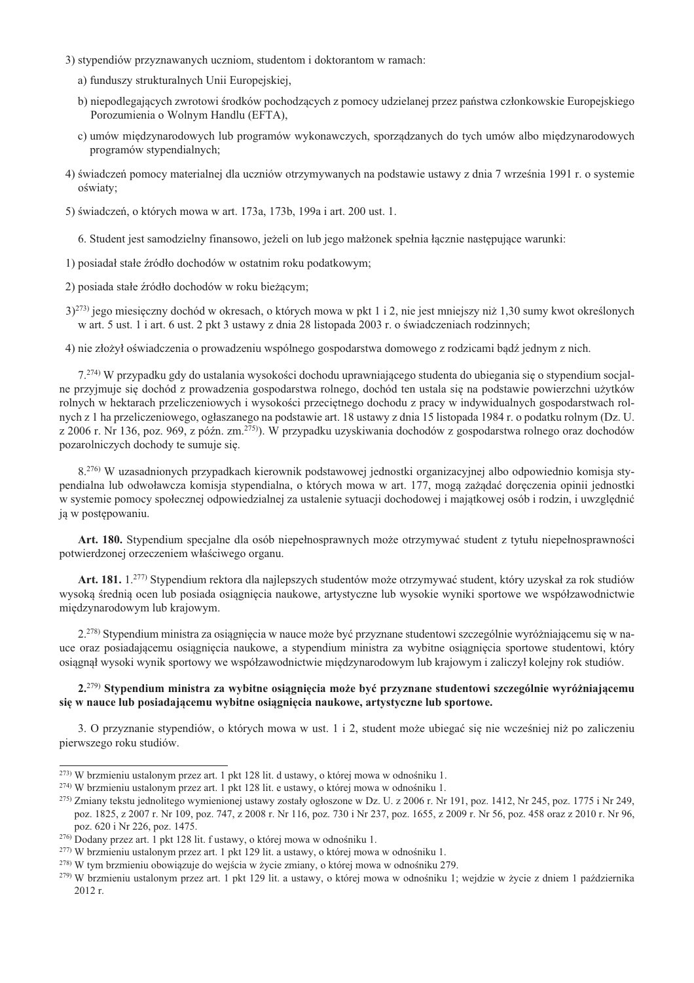- 3) stypendiów przyznawanych uczniom, studentom i doktorantom w ramach:
	- a) funduszy strukturalnych Unii Europejskiej,
	- b) niepodlegających zwrotowi środków pochodzących z pomocy udzielanej przez państwa członkowskie Europejskiego Porozumienia o Wolnym Handlu (EFTA),
	- c) umów międzynarodowych lub programów wykonawczych, sporządzanych do tych umów albo międzynarodowych programów stypendialnych;
- 4) świadczeń pomocy materialnej dla uczniów otrzymywanych na podstawie ustawy z dnia 7 września 1991 r. o systemie oświaty;

5) świadczeń, o których mowa w art. 173a, 173b, 199a i art. 200 ust. 1.

6. Student jest samodzielny finansowo, jeżeli on lub jego małżonek spełnia łacznie nastepujące warunki:

1) posiadał stałe źródło dochodów w ostatnim roku podatkowym;

2) posiada stałe źródło dochodów w roku bieżącym;

3)<sup>273</sup> jego miesięczny dochód w okresach, o których mowa w pkt 1 i 2, nie jest mniejszy niż 1,30 sumy kwot określonych w art. 5 ust. 1 i art. 6 ust. 2 pkt 3 ustawy z dnia 28 listopada 2003 r. o świadczeniach rodzinnych;

4) nie złożył oświadczenia o prowadzeniu wspólnego gospodarstwa domowego z rodzicami bądź jednym z nich.

7.<sup>274)</sup> W przypadku gdy do ustalania wysokości dochodu uprawniającego studenta do ubiegania się o stypendium socjalne przyjmuje się dochód z prowadzenia gospodarstwa rolnego, dochód ten ustala się na podstawie powierzchni użytków rolnych w hektarach przeliczeniowych i wysokości przecietnego dochodu z pracy w indywidualnych gospodarstwach rolnych z 1 ha przeliczeniowego, ogłaszanego na podstawie art. 18 ustawy z dnia 15 listopada 1984 r. o podatku rolnym (Dz. U. z 2006 r. Nr 136, poz. 969, z późn, zm.<sup>275</sup>). W przypadku uzyskiwania dochodów z gospodarstwa rolnego oraz dochodów pozarolniczych dochody te sumuje się.

8.<sup>276</sup> W uzasadnionych przypadkach kierownik podstawowej jednostki organizacyjnej albo odpowiednio komisja stypendialna lub odwoławcza komisia stypendialna, o których mowa w art. 177, moga zażadać doreczenia opinii jednostki w systemie pomocy społecznej odpowiedzialnej za ustalenie sytuacji dochodowej i majątkowej osób i rodzin, i uwzględnić ją w postępowaniu.

Art. 180. Stypendium specjalne dla osób niepełnosprawnych może otrzymywać student z tytułu niepełnosprawności potwierdzonej orzeczeniem właściwego organu.

Art. 181. 1.<sup>277)</sup> Stypendium rektora dla najlepszych studentów może otrzymywać student, który uzyskał za rok studiów wysoką średnią ocen lub posiada osiągnięcia naukowe, artystyczne lub wysokie wyniki sportowe we współzawodnictwie międzynarodowym lub krajowym.

2.<sup>278)</sup> Stypendium ministra za osiągnięcia w nauce może być przyznane studentowi szczególnie wyróżniającemu się w nauce oraz posiadającemu osiągniecia naukowe, a stypendium ministra za wybitne osiągniecia sportowe studentowi, który osiągnał wysoki wynik sportowy we współzawodnictwie miedzynarodowym lub krajowym i zaliczył kolejny rok studiów.

# 2.<sup>279)</sup> Stvpendium ministra za wybitne osiągnięcia może być przyznane studentowi szczególnie wyróżniającemu się w nauce lub posiadającemu wybitne osiągnięcia naukowe, artystyczne lub sportowe.

3. O przyznanie stypendiów, o których mowa w ust. 1 i 2, student może ubiegać się nie wcześniej niż po zaliczeniu pierwszego roku studiów.

- $^{277}$  W brzmieniu ustalonym przez art. 1 pkt 129 lit. a ustawy, o której mowa w odnośniku 1.
- <sup>278)</sup> W tym brzmieniu obowiązuje do wejścia w życie zmiany, o której mowa w odnośniku 279.

<sup>&</sup>lt;sup>273)</sup> W brzmieniu ustalonym przez art. 1 pkt 128 lit. d ustawy, o której mowa w odnośniku 1.

<sup>&</sup>lt;sup>274)</sup> W brzmieniu ustalonym przez art. 1 pkt 128 lit. e ustawy, o której mowa w odnośniku 1.

<sup>&</sup>lt;sup>275</sup>) Zmiany tekstu jednolitego wymienionej ustawy zostały ogłoszone w Dz. U. z 2006 r. Nr 191, poz. 1412, Nr 245, poz. 1775 i Nr 249, poz. 1825, z 2007 r. Nr 109, poz. 747, z 2008 r. Nr 116, poz. 730 i Nr 237, poz. 1655, z 2009 r. Nr 56, poz. 458 oraz z 2010 r. Nr 96, poz. 620 i Nr 226, poz. 1475.

<sup>&</sup>lt;sup>276</sup> Dodany przez art. 1 pkt 128 lit. f ustawy, o której mowa w odnośniku 1.

<sup>&</sup>lt;sup>279)</sup> W brzmieniu ustalonym przez art. 1 pkt 129 lit. a ustawy, o której mowa w odnośniku 1; wejdzie w życie z dniem 1 października 2012 r.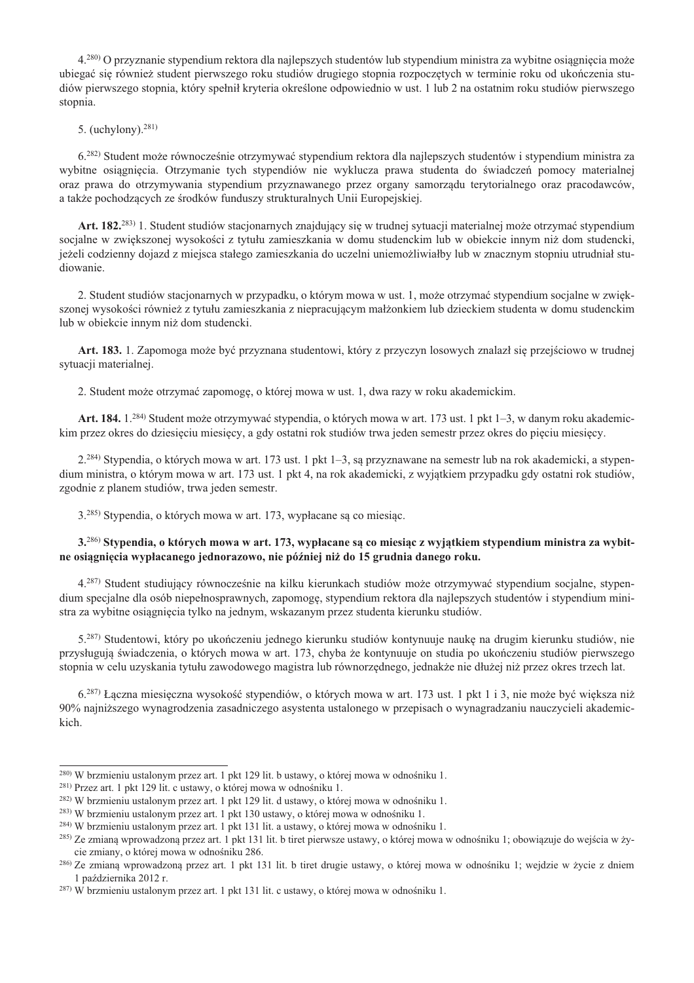4.<sup>280</sup>) O przyznanie stypendium rektora dla najlepszych studentów lub stypendium ministra za wybitne osiagniecia może ubiegać sie również student pierwszego roku studiów drugiego stopnia rozpoczętych w terminie roku od ukończenia studiów pierwszego stopnia, który spełnił kryteria określone odpowiednio w ust. 1 lub 2 na ostatnim roku studiów pierwszego stopnia.

5. (uchylony).  $281$ )

6.<sup>282)</sup> Student może równocześnie otrzymywać stypendium rektora dla najlepszych studentów i stypendium ministra za wybitne osiągnięcia. Otrzymanie tych stypendiów nie wyklucza prawa studenta do świadczeń pomocy materialnej oraz prawa do otrzymywania stypendium przyznawanego przez organy samorządu terytorialnego oraz pracodawców, a także pochodzących ze środków funduszy strukturalnych Unii Europejskiej.

Art. 182.<sup>283)</sup> 1. Student studiów stacjonarnych znajdujący się w trudnej sytuacji materialnej może otrzymać stypendium socialne w zwiekszonej wysokości z tytułu zamieszkania w domu studenckim lub w obiekcie innym niż dom studencki. jeżeli codzienny dojazd z miejsca stałego zamieszkania do uczelni uniemożliwiałby lub w znacznym stopniu utrudniał studiowanie.

2. Student studiów stacjonarnych w przypadku, o którym mowa w ust. 1, może otrzymać stypendium socjalne w zwiekszonej wysokości również z tytułu zamieszkania z niepracującym małżonkiem lub dzieckiem studenta w domu studenckim lub w obiekcie innym niż dom studencki.

Art. 183. 1. Zapomoga może być przyznana studentowi, który z przyczyn losowych znalazł się przejściowo w trudnej sytuacji materialnej.

2. Student może otrzymać zapomogę, o której mowa w ust. 1, dwa razy w roku akademickim.

Art. 184. 1.<sup>284)</sup> Student może otrzymywać stypendia, o których mowa w art. 173 ust. 1 pkt 1–3, w danym roku akademickim przez okres do dziesieciu miesiecy, a gdy ostatni rok studiów trwa jeden semestr przez okres do pieciu miesiecy.

2.<sup>284)</sup> Stypendia, o których mowa w art. 173 ust. 1 pkt 1–3, są przyznawane na semestr lub na rok akademicki, a stypendium ministra, o którym mowa w art. 173 ust. 1 pkt 4, na rok akademicki, z wyjątkiem przypadku gdy ostatni rok studiów, zgodnie z planem studiów, trwa jeden semestr.

3.<sup>285)</sup> Stypendia, o których mowa w art. 173, wypłacane są co miesiąc.

3.<sup>286)</sup> Stypendia, o których mowa w art. 173, wypłacane są co miesiąc z wyjątkiem stypendium ministra za wybitne osiagniecia wypłacanego jednorazowo, nie później niż do 15 grudnia danego roku.

4.<sup>287)</sup> Student studiujący równocześnie na kilku kierunkach studiów może otrzymywać stypendium socjalne, stypendium specjalne dla osób niepełnosprawnych, zapomogę, stypendium rektora dla najlepszych studentów i stypendium ministra za wybitne osiągniecia tylko na jednym, wskazanym przez studenta kierunku studiów.

5.<sup>287)</sup> Studentowi, który po ukończeniu jednego kierunku studiów kontynuuje nauke na drugim kierunku studiów, nie przysługują świadczenia, o których mowa w art. 173, chyba że kontynuuje on studia po ukończeniu studiów pierwszego stopnia w celu uzyskania tytułu zawodowego magistra lub równorzędnego, jednakże nie dłużej niż przez okres trzech lat.

6.<sup>287)</sup> Łączna miesięczna wysokość stypendiów, o których mowa w art. 173 ust. 1 pkt 1 i 3, nie może być większa niż 90% najniższego wynagrodzenia zasadniczego asystenta ustalonego w przepisach o wynagradzaniu nauczycieli akademickich.

<sup>&</sup>lt;sup>280)</sup> W brzmieniu ustalonym przez art. 1 pkt 129 lit. b ustawy, o której mowa w odnośniku 1.

<sup>&</sup>lt;sup>281)</sup> Przez art. 1 pkt 129 lit. c ustawy, o której mowa w odnośniku 1.

<sup>&</sup>lt;sup>282)</sup> W brzmieniu ustalonym przez art. 1 pkt 129 lit. d ustawy, o której mowa w odnośniku 1.

<sup>&</sup>lt;sup>283)</sup> W brzmieniu ustalonym przez art. 1 pkt 130 ustawy, o której mowa w odnośniku 1.

<sup>&</sup>lt;sup>284)</sup> W brzmieniu ustalonym przez art. 1 pkt 131 lit. a ustawy, o której mowa w odnośniku 1.

<sup>&</sup>lt;sup>285</sup>) Ze zmiana wprowadzona przez art. 1 pkt 131 lit. b tiret pierwsze ustawy, o której mowa w odnośniku 1; obowiązuje do wejścia w życie zmiany, o której mowa w odnośniku 286.

<sup>286)</sup> Ze zmianą wprowadzoną przez art. 1 pkt 131 lit. b tiret drugie ustawy, o której mowa w odnośniku 1; wejdzie w życie z dniem 1 października 2012 r.

<sup>&</sup>lt;sup>287)</sup> W brzmieniu ustalonym przez art. 1 pkt 131 lit. c ustawy, o której mowa w odnośniku 1.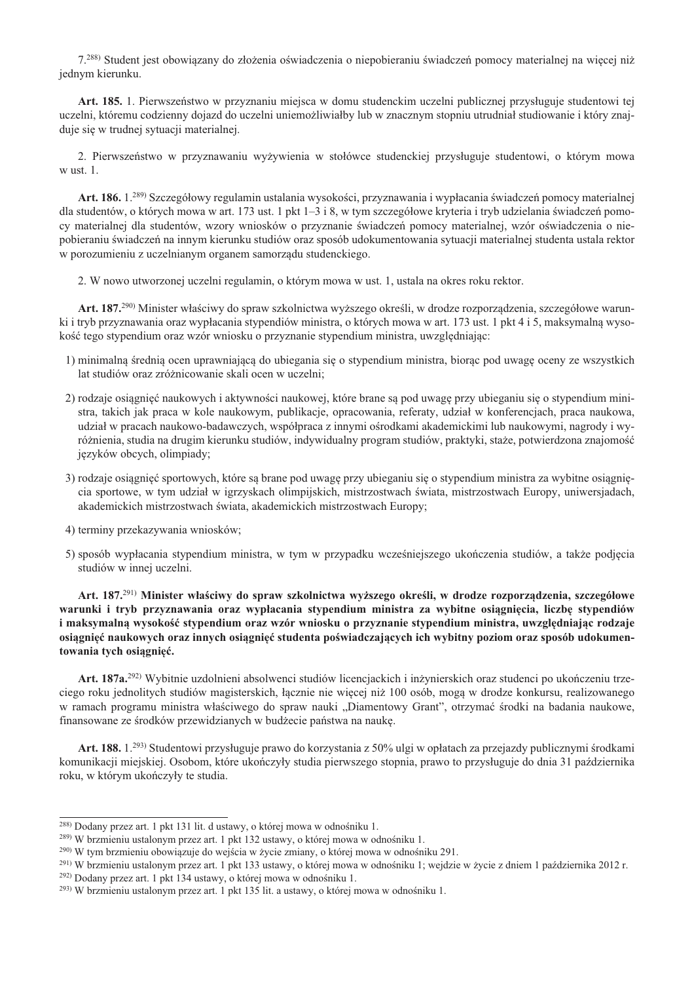7.288) Student jest obowiązany do złożenia oświadczenia o niepobieraniu świadczeń pomocy materialnej na więcej niż jednym kierunku.

Art. 185. 1. Pierwszeństwo w przyznaniu miejsca w domu studenckim uczelni publicznej przysługuje studentowi tej uczelni, któremu codzienny dojazd do uczelni uniemożliwiałby lub w znacznym stopniu utrudniał studiowanie i który znajduje się w trudnej sytuacji materialnej.

2. Pierwszeństwo w przyznawaniu wyżywienia w stołówce studenckiej przysługuje studentowi, o którym mowa w ust. 1.

Art. 186. 1.<sup>289)</sup> Szczegółowy regulamin ustalania wysokości, przyznawania i wypłacania świadczeń pomocy materialnej dla studentów, o których mowa w art. 173 ust. 1 pkt  $1-3$  i 8, w tym szczegółowe kryteria i tryb udzielania świadczeń pomocy materialnej dla studentów, wzory wniosków o przyznanie świadczeń pomocy materialnej, wzór oświadczenia o niepobieraniu świadczeń na innym kierunku studiów oraz sposób udokumentowania sytuacji materialnej studenta ustala rektor w porozumieniu z uczelnianym organem samorządu studenckiego.

2. W nowo utworzonej uczelni regulamin, o którym mowa w ust. 1, ustala na okres roku rektor.

Art. 187.<sup>290</sup> Minister właściwy do spraw szkolnictwa wyższego określi, w drodze rozporządzenia, szczegółowe warunki i tryb przyznawania oraz wypłacania stypendiów ministra, o których mowa w art. 173 ust. 1 pkt 4 i 5, maksymalną wysokość tego stypendium oraz wzór wniosku o przyznanie stypendium ministra, uwzględniając:

- 1) minimalna średnią ocen uprawniającą do ubiegania się o stypendium ministra, biorąc pod uwagę oceny ze wszystkich lat studiów oraz zróżnicowanie skali ocen w uczelni;
- 2) rodzaje osiągnięć naukowych i aktywności naukowej, które brane są pod uwagę przy ubieganiu się o stypendium ministra, takich jak praca w kole naukowym, publikacje, opracowania, referaty, udział w konferencjach, praca naukowa, udział w pracach naukowo-badawczych, współpraca z innymi ośrodkami akademickimi lub naukowymi, nagrody i wyróżnienia, studia na drugim kierunku studiów, indywidualny program studiów, praktyki, staże, potwierdzona znajomość języków obcych, olimpiady;
- 3) rodzaje osiągnięć sportowych, które są brane pod uwagę przy ubieganiu się o stypendium ministra za wybitne osiągnięcia sportowe, w tym udział w igrzyskach olimpijskich, mistrzostwach świata, mistrzostwach Europy, uniwersjadach, akademickich mistrzostwach świata, akademickich mistrzostwach Europy;
- 4) terminy przekazywania wniosków;
- 5) sposób wypłacania stypendium ministra, w tym w przypadku wcześniejszego ukończenia studiów, a także podjęcia studiów w innej uczelni.

Art. 187.<sup>291)</sup> Minister właściwy do spraw szkolnictwa wyższego określi, w drodze rozporządzenia, szczegółowe warunki i tryb przyznawania oraz wypłacania stypendium ministra za wybitne osiągniecia, liczbe stypendiów i maksymalna wysokość stypendium oraz wzór wniosku o przyznanie stypendium ministra, uwzgledniając rodzaje osiągnięć naukowych oraz innych osiągnięć studenta poświadczających ich wybitny poziom oraz sposób udokumentowania tych osiągnięć.

Art. 187a.<sup>292)</sup> Wybitnie uzdolnieni absolwenci studiów licencjackich i inżynierskich oraz studenci po ukończeniu trzeciego roku jednolitych studiów magisterskich, łącznie nie więcej niż 100 osób, mogą w drodze konkursu, realizowanego w ramach programu ministra właściwego do spraw nauki "Diamentowy Grant", otrzymać środki na badania naukowe, finansowane ze środków przewidzianych w budżecie państwa na naukę.

Art. 188. 1.293) Studentowi przysługuje prawo do korzystania z 50% ulgi w opłatach za przejazdy publicznymi środkami komunikacji miejskiej. Osobom, które ukończyły studia pierwszego stopnia, prawo to przysługuje do dnia 31 października roku, w którym ukończyły te studia.

<sup>&</sup>lt;sup>288</sup> Dodany przez art. 1 pkt 131 lit. d ustawy, o której mowa w odnośniku 1.

<sup>&</sup>lt;sup>289</sup>) W brzmieniu ustalonym przez art. 1 pkt 132 ustawy, o której mowa w odnośniku 1.

<sup>&</sup>lt;sup>290</sup>) W tym brzmieniu obowiązuje do wejścia w życie zmiany, o której mowa w odnośniku 291.

<sup>&</sup>lt;sup>291)</sup> W brzmieniu ustalonym przez art. 1 pkt 133 ustawy, o której mowa w odnośniku 1; wejdzie w życie z dniem 1 października 2012 r.

<sup>&</sup>lt;sup>292)</sup> Dodany przez art. 1 pkt 134 ustawy, o której mowa w odnośniku 1.

 $^{293}$ ) W brzmieniu ustalonym przez art. 1 pkt 135 lit. a ustawy, o której mowa w odnośniku 1.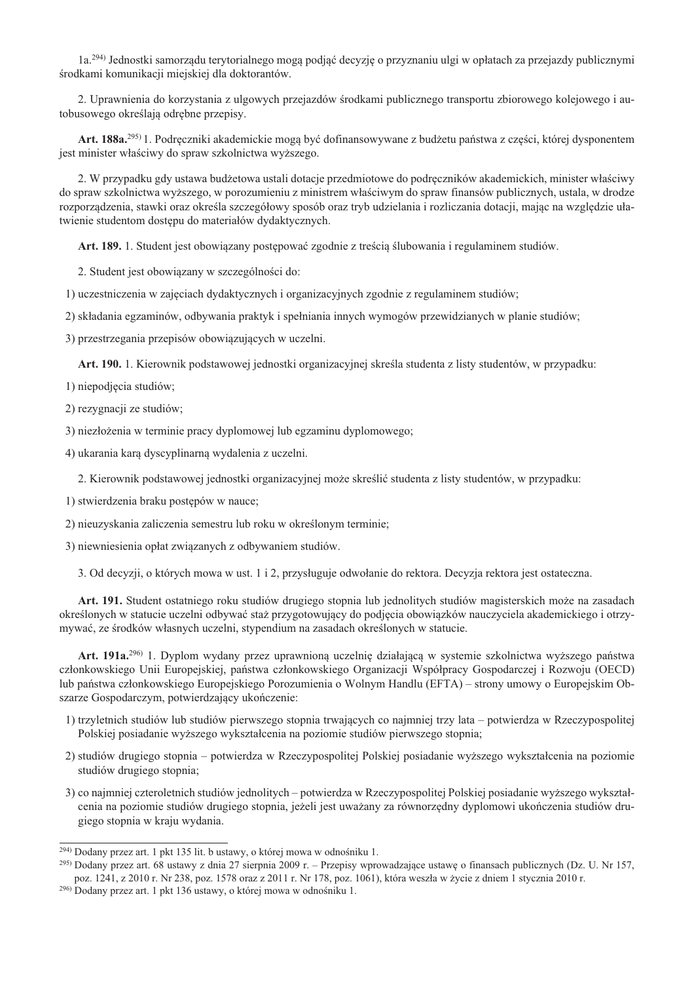1a.<sup>294)</sup> Jednostki samorządu terytorialnego mogą podjąć decyzję o przyznaniu ulgi w opłatach za przejazdy publicznymi środkami komunikacji miejskiej dla doktorantów.

2. Uprawnienia do korzystania z ulgowych przejazdów środkami publicznego transportu zbiorowego kolejowego i autobusowego określają odrębne przepisy.

Art. 188a.<sup>295</sup> 1. Podreczniki akademickie mogą być dofinansowywane z budżetu państwa z części, której dysponentem jest minister właściwy do spraw szkolnictwa wyższego.

2. W przypadku gdy ustawa budżetowa ustali dotacje przedmiotowe do podręczników akademickich, minister właściwy do spraw szkolnictwa wyższego, w porozumieniu z ministrem właściwym do spraw finansów publicznych, ustala, w drodze rozporządzenia, stawki oraz określa szczegółowy sposób oraz tryb udzielania i rozliczania dotacji, mając na względzie ułatwienie studentom dostępu do materiałów dydaktycznych.

Art. 189. 1. Student jest obowiązany postępować zgodnie z treścią ślubowania i regulaminem studiów.

2. Student jest obowiązany w szczególności do:

1) uczestniczenia w zajęciach dydaktycznych i organizacyjnych zgodnie z regulaminem studiów;

2) składania egzaminów, odbywania praktyk i spełniania innych wymogów przewidzianych w planie studiów;

3) przestrzegania przepisów obowiązujących w uczelni.

Art. 190. 1. Kierownik podstawowej jednostki organizacyjnej skreśla studenta z listy studentów, w przypadku:

- 1) niepodjęcia studiów;
- 2) rezygnacji ze studiów;
- 3) niezłożenia w terminie pracy dyplomowej lub egzaminu dyplomowego;
- 4) ukarania karą dyscyplinarną wydalenia z uczelni.

2. Kierownik podstawowej jednostki organizacyjnej może skreślić studenta z listy studentów, w przypadku:

- 1) stwierdzenia braku postępów w nauce;
- 2) nieuzyskania zaliczenia semestru lub roku w określonym terminie;
- 3) niewniesienia opłat związanych z odbywaniem studiów.

3. Od decyzji, o których mowa w ust. 1 i 2, przysługuje odwołanie do rektora. Decyzja rektora jest ostateczna.

Art. 191. Student ostatniego roku studiów drugiego stopnia lub jednolitych studiów magisterskich może na zasadach określonych w statucie uczelni odbywać staż przygotowujący do podjęcia obowiązków nauczyciela akademickiego i otrzymywać, ze środków własnych uczelni, stypendium na zasadach określonych w statucie.

Art. 191a.<sup>296</sup> 1. Dyplom wydany przez uprawnioną uczelnię działającą w systemie szkolnictwa wyższego państwa członkowskiego Unii Europejskiej, państwa członkowskiego Organizacji Współpracy Gospodarczej i Rozwoju (OECD) lub państwa członkowskiego Europejskiego Porozumienia o Wolnym Handlu (EFTA) – strony umowy o Europejskim Obszarze Gospodarczym, potwierdzający ukończenie:

- 1) trzyletnich studiów lub studiów pierwszego stopnia trwających co najmniej trzy lata potwierdza w Rzeczypospolitej Polskiej posiadanie wyższego wykształcenia na poziomie studiów pierwszego stopnia;
- 2) studiów drugiego stopnia potwierdza w Rzeczypospolitej Polskiej posiadanie wyższego wykształcenia na poziomie studiów drugiego stopnia:
- 3) co najmniej czteroletnich studiów jednolitych potwierdza w Rzeczypospolitej Polskiej posiadanie wyższego wykształcenia na poziomie studiów drugiego stopnia, jeżeli jest uważany za równorzędny dyplomowi ukończenia studiów drugiego stopnia w kraju wydania.

<sup>&</sup>lt;sup>294)</sup> Dodany przez art. 1 pkt 135 lit. b ustawy, o której mowa w odnośniku 1.

<sup>&</sup>lt;sup>295</sup>) Dodany przez art. 68 ustawy z dnia 27 sierpnia 2009 r. – Przepisy wprowadzające ustawę o finansach publicznych (Dz. U. Nr 157, poz. 1241, z 2010 r. Nr 238, poz. 1578 oraz z 2011 r. Nr 178, poz. 1061), która weszła w życie z dniem 1 stycznia 2010 r.

<sup>&</sup>lt;sup>296</sup> Dodany przez art. 1 pkt 136 ustawy, o której mowa w odnośniku 1.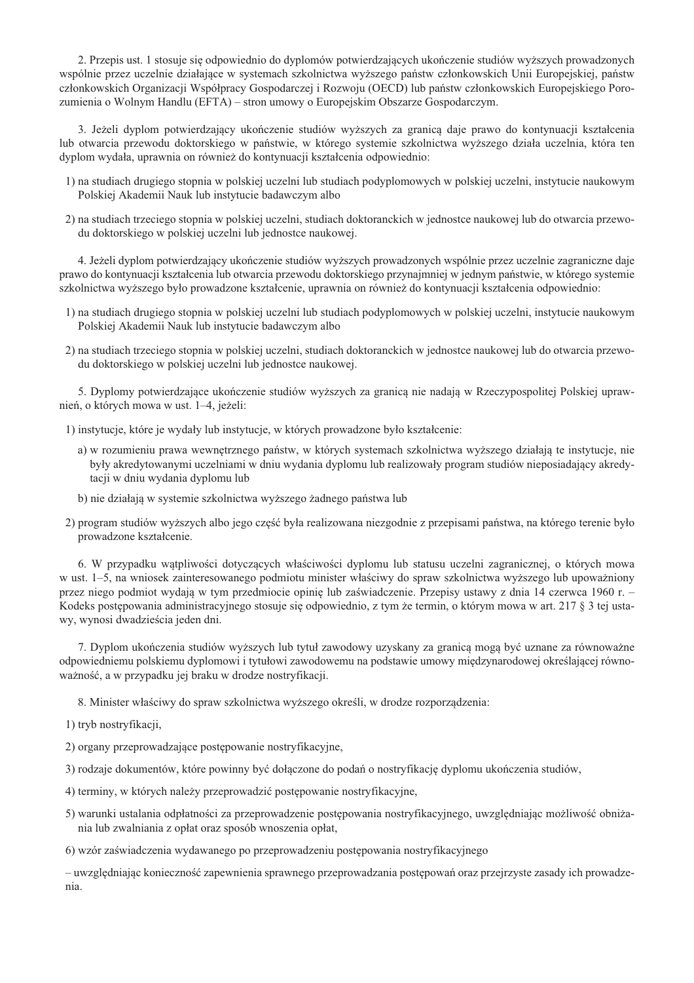2. Przepis ust. 1 stosuje się odpowiednio do dyplomów potwierdzających ukończenie studiów wyższych prowadzonych wspólnie przez uczelnie działające w systemach szkolnictwa wyższego państw członkowskich Unii Europejskiej, państw członkowskich Organizacji Współpracy Gospodarczej i Rozwoju (OECD) lub państw członkowskich Europejskiego Porozumienia o Wolnym Handlu (EFTA) – stron umowy o Europejskim Obszarze Gospodarczym.

3. Jeżeli dyplom potwierdzający ukończenie studiów wyższych za granicą daje prawo do kontynuacji kształcenia lub otwarcia przewodu doktorskiego w państwie, w którego systemie szkolnictwa wyższego działa uczelnia, która ten dyplom wydała, uprawnia on również do kontynuacji kształcenia odpowiednio:

- 1) na studiach drugiego stopnia w polskiej uczelni lub studiach podyplomowych w polskiej uczelni, instytucie naukowym Polskiej Akademii Nauk lub instytucie badawczym albo
- 2) na studiach trzeciego stopnia w polskiej uczelni, studiach doktoranckich w jednostce naukowej lub do otwarcia przewodu doktorskiego w polskiej uczelni lub jednostce naukowej.

4. Jeżeli dyplom potwierdzający ukończenie studiów wyższych prowadzonych wspólnie przez uczelnie zagraniczne daje prawo do kontynuacji kształcenia lub otwarcia przewodu doktorskiego przynajmniej w jednym państwie, w którego systemie szkolnictwa wyższego było prowadzone kształcenie, uprawnia on również do kontynuacji kształcenia odpowiednio:

- 1) na studiach drugiego stopnia w polskiej uczelni lub studiach podyplomowych w polskiej uczelni, instytucie naukowym Polskiej Akademii Nauk lub instytucie badawczym albo
- 2) na studiach trzeciego stopnia w polskiej uczelni, studiach doktoranckich w jednostce naukowej lub do otwarcia przewodu doktorskiego w polskiej uczelni lub jednostce naukowej.

5. Dyplomy potwierdzające ukończenie studiów wyższych za granicą nie nadają w Rzeczypospolitej Polskiej uprawnień, o których mowa w ust. 1–4, jeżeli:

1) instytucje, które je wydały lub instytucje, w których prowadzone było kształcenie:

- a) w rozumieniu prawa wewnętrznego państw, w których systemach szkolnictwa wyższego działają te instytucje, nie były akredytowanymi uczelniami w dniu wydania dyplomu lub realizowały program studiów nieposiadający akredytacji w dniu wydania dyplomu lub
- b) nie działają w systemie szkolnictwa wyższego żadnego państwa lub
- 2) program studiów wyższych albo jego część była realizowana niezgodnie z przepisami państwa, na którego terenie było prowadzone kształcenie.

6. W przypadku wątpliwości dotyczących właściwości dyplomu lub statusu uczelni zagranicznej, o których mowa w ust. 1–5, na wniosek zainteresowanego podmiotu minister właściwy do spraw szkolnictwa wyższego lub upoważniony przez niego podmiot wydają w tym przedmiocie opinię lub zaświadczenie. Przepisy ustawy z dnia 14 czerwca 1960 r. – Kodeks postępowania administracyjnego stosuje się odpowiednio, z tym że termin, o którym mowa w art. 217 § 3 tej ustawy, wynosi dwadzieścia jeden dni.

7. Dyplom ukończenia studiów wyższych lub tytuł zawodowy uzyskany za granicą mogą być uznane za równoważne odpowiedniemu polskiemu dyplomowi i tytułowi zawodowemu na podstawie umowy miedzynarodowej określającej równoważność, a w przypadku jej braku w drodze nostryfikacji.

8. Minister właściwy do spraw szkolnictwa wyższego określi, w drodze rozporządzenia:

- 1) tryb nostryfikacji.
- 2) organy przeprowadzające postępowanie nostryfikacyjne,
- 3) rodzaje dokumentów, które powinny być dołączone do podań o nostryfikację dyplomu ukończenia studiów,
- 4) terminy, w których należy przeprowadzić postępowanie nostryfikacyjne,
- 5) warunki ustalania odpłatności za przeprowadzenie postępowania nostryfikacyjnego, uwzględniając możliwość obniżania lub zwalniania z opłat oraz sposób wnoszenia opłat,

6) wzór zaświadczenia wydawanego po przeprowadzeniu postępowania nostryfikacyjnego

- uwzględniając konieczność zapewnienia sprawnego przeprowadzania postępowań oraz przejrzyste zasady ich prowadzenia.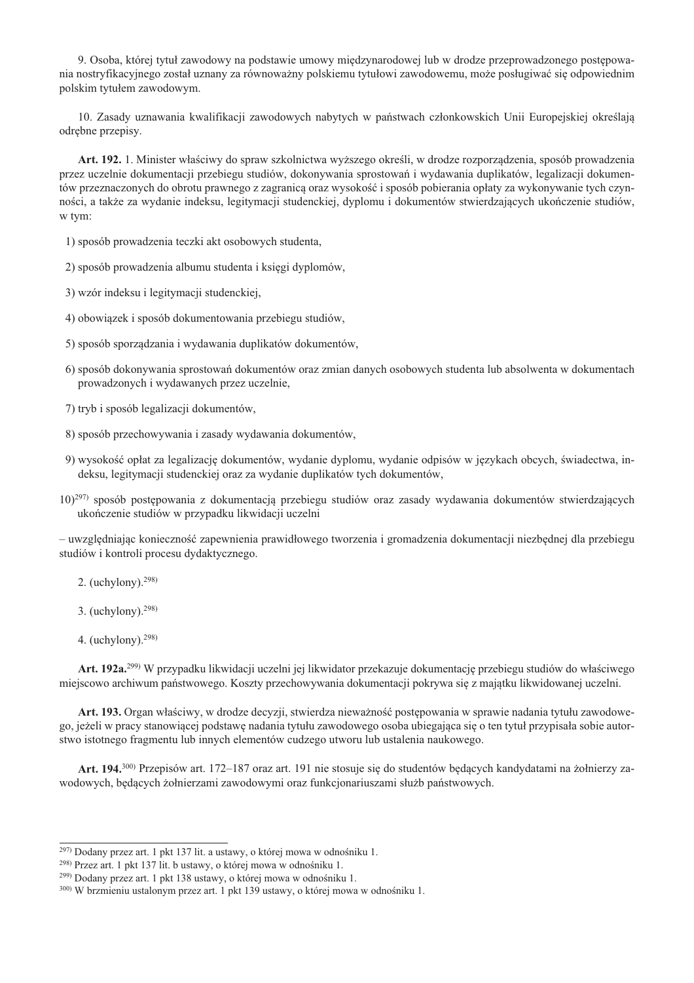9. Osoba, której tytuł zawodowy na podstawie umowy miedzynarodowej lub w drodze przeprowadzonego postepowania nostryfikacyjnego został uznany za równoważny polskiemu tytułowi zawodowemu, może posługiwać się odpowiednim polskim tytułem zawodowym.

10. Zasady uznawania kwalifikacji zawodowych nabytych w państwach członkowskich Unii Europejskiej określają odrębne przepisy.

Art. 192. 1. Minister właściwy do spraw szkolnictwa wyższego określi, w drodze rozporządzenia, sposób prowadzenia przez uczelnie dokumentacji przebiegu studiów, dokonywania sprostowań i wydawania duplikatów, legalizacji dokumentów przeznaczonych do obrotu prawnego z zagranicą oraz wysokość i sposób pobierania opłaty za wykonywanie tych czynności, a także za wydanie indeksu, legitymacji studenckiej, dyplomu i dokumentów stwierdzających ukończenie studiów, w tym:

1) sposób prowadzenia teczki akt osobowych studenta,

2) sposób prowadzenia albumu studenta i księgi dyplomów,

3) wzór indeksu i legitymacji studenckiej,

4) obowiązek i sposób dokumentowania przebiegu studiów,

5) sposób sporządzania i wydawania duplikatów dokumentów,

6) sposób dokonywania sprostowań dokumentów oraz zmian danych osobowych studenta lub absolwenta w dokumentach prowadzonych i wydawanych przez uczelnie,

7) tryb i sposób legalizacji dokumentów,

8) sposób przechowywania i zasady wydawania dokumentów,

- 9) wysokość opłat za legalizację dokumentów, wydanie dyplomu, wydanie odpisów w językach obcych, świadectwa, indeksu, legitymacji studenckiej oraz za wydanie duplikatów tych dokumentów,
- $10^{297}$  sposób postępowania z dokumentacją przebiegu studiów oraz zasady wydawania dokumentów stwierdzających ukończenie studiów w przypadku likwidacji uczelni

- uwzględniając konieczność zapewnienia prawidłowego tworzenia i gromadzenia dokumentacji niezbędnej dla przebiegu studiów i kontroli procesu dydaktycznego.

- 2. (uchylony). $298$ )
- 3. (uchylony).  $298$ )
- 4. (uchylony).  $298$ )

Art. 192a.<sup>299)</sup> W przypadku likwidacji uczelni jej likwidator przekazuje dokumentację przebiegu studiów do właściwego miejscowo archiwum państwowego. Koszty przechowywania dokumentacji pokrywa się z majątku likwidowanej uczelni.

Art. 193. Organ właściwy, w drodze decyzji, stwierdza nieważność postępowania w sprawie nadania tytułu zawodowego, jeżeli w pracy stanowiącej podstawę nadania tytułu zawodowego osoba ubiegająca się o ten tytuł przypisała sobie autorstwo istotnego fragmentu lub innych elementów cudzego utworu lub ustalenia naukowego.

Art. 194.<sup>300)</sup> Przepisów art. 172-187 oraz art. 191 nie stosuje się do studentów będących kandydatami na żołnierzy zawodowych, będących żołnierzami zawodowymi oraz funkcjonariuszami służb państwowych.

<sup>&</sup>lt;sup>297)</sup> Dodany przez art. 1 pkt 137 lit. a ustawy, o której mowa w odnośniku 1.

<sup>&</sup>lt;sup>298)</sup> Przez art. 1 pkt 137 lit. b ustawy, o której mowa w odnośniku 1.

<sup>&</sup>lt;sup>299)</sup> Dodany przez art. 1 pkt 138 ustawy, o której mowa w odnośniku 1.

<sup>300)</sup> W brzmieniu ustalonym przez art. 1 pkt 139 ustawy, o której mowa w odnośniku 1.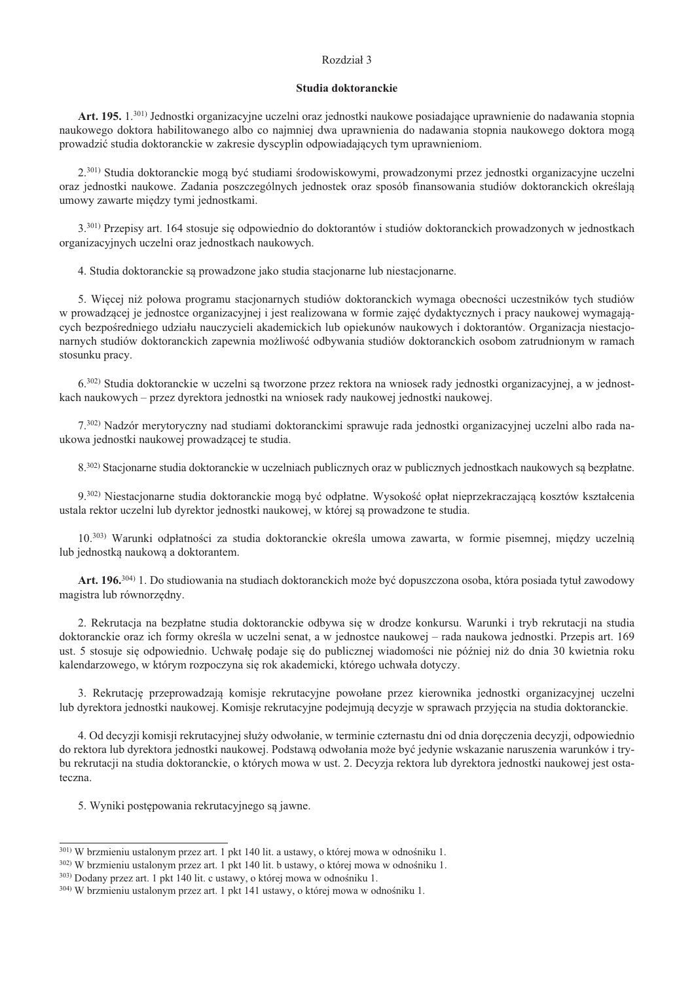# Rozdział 3

#### Studia doktoranckie

Art. 195. 1.<sup>301)</sup> Jednostki organizacyjne uczelni oraz jednostki naukowe posiadające uprawnienie do nadawania stopnia naukowego doktora habilitowanego albo co najmniej dwa uprawnienia do nadawania stopnia naukowego doktora mogą prowadzić studia doktoranckie w zakresie dyscyplin odpowiadających tym uprawnieniom.

2.<sup>301)</sup> Studia doktoranckie mogą być studiami środowiskowymi, prowadzonymi przez jednostki organizacyjne uczelni oraz jednostki naukowe. Zadania poszczególnych jednostek oraz sposób finansowania studiów doktoranckich określaja umowy zawarte miedzy tymi jednostkami.

3.301) Przepisy art. 164 stosuje się odpowiednio do doktorantów i studiów doktoranckich prowadzonych w jednostkach organizacyjnych uczelni oraz jednostkach naukowych.

4. Studia doktoranckie są prowadzone jako studia stacjonarne lub niestacjonarne.

5. Więcej niż połowa programu stacjonarnych studiów doktoranckich wymaga obecności uczestników tych studiów w prowadzącej je jednostce organizacyjnej i jest realizowana w formie zajęć dydaktycznych i pracy naukowej wymagających bezpośredniego udziału nauczycieli akademickich lub opiekunów naukowych i doktorantów. Organizacja niestacjonarnych studiów doktoranckich zapewnia możliwość odbywania studiów doktoranckich osobom zatrudnionym w ramach stosunku pracy.

 $6^{302}$ ) Studia doktoranckie w uczelni sa tworzone przez rektora na wniosek rady jednostki organizacyjnej, a w jednostkach naukowych – przez dyrektora jednostki na wniosek rady naukowej jednostki naukowej.

7.302) Nadzór merytoryczny nad studiami doktoranckimi sprawuje rada jednostki organizacyjnej uczelni albo rada naukowa jednostki naukowej prowadzącej te studia.

8.<sup>302)</sup> Stacionarne studia doktoranckie w uczelniach publicznych oraz w publicznych jednostkach naukowych sa bezpłatne.

9.<sup>302)</sup> Niestacjonarne studia doktoranckie mogą być odpłatne. Wysokość opłat nieprzekraczającą kosztów kształcenia ustala rektor uczelni lub dyrektor jednostki naukowej, w której sa prowadzone te studia.

10.<sup>303)</sup> Warunki odpłatności za studia doktoranckie określa umowa zawarta, w formie pisemnej, między uczelnią lub jednostką naukową a doktorantem.

Art. 196.<sup>304)</sup> 1. Do studiowania na studiach doktoranckich może być dopuszczona osoba, która posiada tytuł zawodowy magistra lub równorzędny.

2. Rekrutacja na bezpłatne studia doktoranckie odbywa się w drodze konkursu. Warunki i tryb rekrutacji na studia doktoranckie oraz ich formy określa w uczelni senat, a w jednostce naukowej – rada naukowa jednostki. Przepis art. 169 ust. 5 stosuje się odpowiednio. Uchwałę podaje się do publicznej wiadomości nie później niż do dnia 30 kwietnia roku kalendarzowego, w którym rozpoczyna się rok akademicki, którego uchwała dotyczy.

3. Rekrutacje przeprowadzają komisje rekrutacyjne powołane przez kierownika jednostki organizacyjnej uczelni lub dyrektora jednostki naukowej. Komisje rekrutacyjne podejmują decyzje w sprawach przyjęcia na studia doktoranckie.

4. Od decyzji komisji rekrutacyjnej służy odwołanie, w terminie czternastu dni od dnia doręczenia decyzji, odpowiednio do rektora lub dyrektora jednostki naukowej. Podstawa odwołania może być jedynie wskazanie naruszenia warunków i trybu rekrutacji na studia doktoranckie, o których mowa w ust. 2. Decyzja rektora lub dyrektora jednostki naukowej jest ostateczna.

5. Wyniki postępowania rekrutacyjnego są jawne.

<sup>&</sup>lt;sup>301)</sup> W brzmieniu ustalonym przez art. 1 pkt 140 lit. a ustawy, o której mowa w odnośniku 1.

<sup>302)</sup> W brzmieniu ustalonym przez art. 1 pkt 140 lit. b ustawy, o której mowa w odnośniku 1.

<sup>303)</sup> Dodany przez art. 1 pkt 140 lit. c ustawy, o której mowa w odnośniku 1.

<sup>304)</sup> W brzmieniu ustalonym przez art. 1 pkt 141 ustawy, o której mowa w odnośniku 1.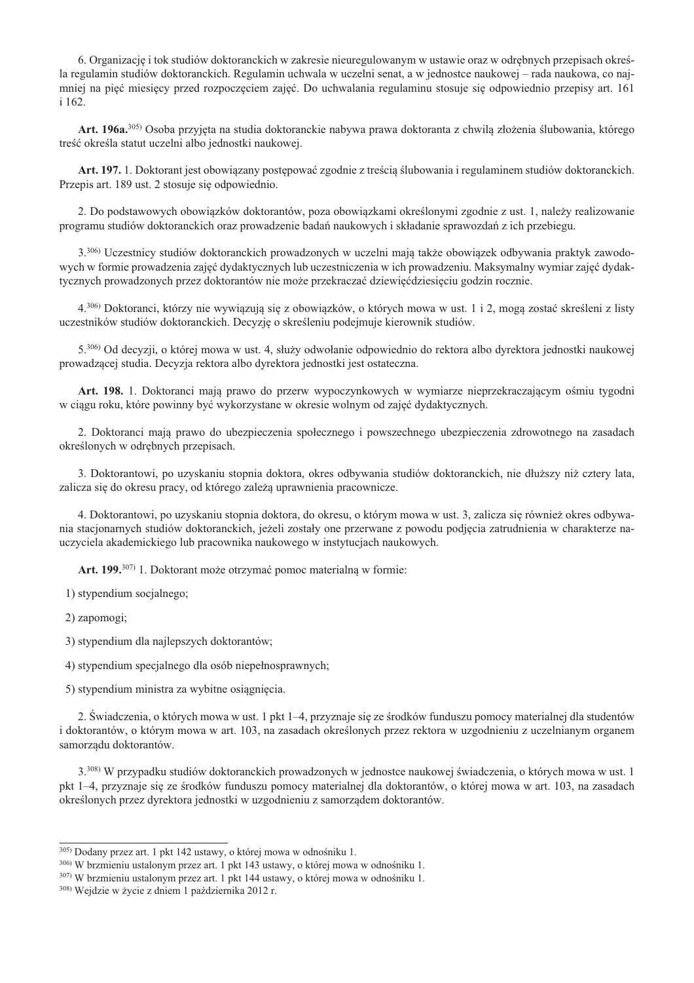6. Organizacje i tok studiów doktoranckich w zakresie nieuregulowanym w ustawie oraz w odrebnych przepisach określa regulamin studiów doktoranckich. Regulamin uchwala w uczelni senat, a w jednostce naukowej – rada naukowa, co najmniej na pięć miesięcy przed rozpoczęciem zajęć. Do uchwalania regulaminu stosuje się odpowiednio przepisy art. 161 i 162.

Art. 196a.<sup>305</sup>) Osoba przyjęta na studia doktoranckie nabywa prawa doktoranta z chwilą złożenia ślubowania, którego treść określa statut uczelni albo jednostki naukowej.

Art. 197. 1. Doktorant jest obowiązany postępować zgodnie z treścią ślubowania i regulaminem studiów doktoranckich. Przepis art. 189 ust. 2 stosuje się odpowiednio.

2. Do podstawowych obowiazków doktorantów, poza obowiazkami określonymi zgodnie z ust. 1. należy realizowanie programu studiów doktoranckich oraz prowadzenie badań naukowych i składanie sprawozdań z ich przebiegu.

3.306) Uczestnicy studiów doktoranckich prowadzonych w uczelni mają także obowiązek odbywania praktyk zawodowych w formie prowadzenia zajęć dydaktycznych lub uczestniczenia w ich prowadzeniu. Maksymalny wymiar zajęć dydaktycznych prowadzonych przez doktorantów nie może przekraczać dziewięćdziesięciu godzin rocznie.

4.306) Doktoranci, którzy nie wywiązują się z obowiązków, o których mowa w ust. 1 i 2, mogą zostać skreśleni z listy uczestników studiów doktoranckich. Decyzję o skreśleniu podejmuje kierownik studiów.

5.306) Od decyzji, o której mowa w ust. 4, służy odwołanie odpowiednio do rektora albo dyrektora jednostki naukowej prowadzącej studia. Decyzja rektora albo dyrektora jednostki jest ostateczna.

Art. 198. 1. Doktoranci mają prawo do przerw wypoczynkowych w wymiarze nieprzekraczającym ośmiu tygodni w ciągu roku, które powinny być wykorzystane w okresie wolnym od zajęć dydaktycznych.

2. Doktoranci maja prawo do ubezpieczenia społecznego i powszechnego ubezpieczenia zdrowotnego na zasadach określonych w odrębnych przepisach.

3. Doktorantowi, po uzyskaniu stopnia doktora, okres odbywania studiów doktoranckich, nie dłuższy niż cztery lata, zalicza się do okresu pracy, od którego zależą uprawnienia pracownicze.

4. Doktorantowi, po uzyskaniu stopnia doktora, do okresu, o którym mowa w ust. 3, zalicza się również okres odbywania stacjonarnych studiów doktoranckich, jeżeli zostały one przerwane z powodu podjęcia zatrudnienia w charakterze nauczyciela akademickiego lub pracownika naukowego w instytucjach naukowych.

Art. 199.<sup>307)</sup> 1. Doktorant może otrzymać pomoc materialna w formie:

1) stypendium socjalnego;

2) zapomogi;

3) stypendium dla najlepszych doktorantów;

4) stypendium specjalnego dla osób niepełnosprawnych;

5) stypendium ministra za wybitne osiągnięcia.

2. Świadczenia, o których mowa w ust. 1 pkt 1–4, przyznaje się ze środków funduszu pomocy materialnej dla studentów i doktorantów, o którym mowa w art. 103, na zasadach określonych przez rektora w uzgodnieniu z uczelnianym organem samorządu doktorantów.

3.308) W przypadku studiów doktoranckich prowadzonych w jednostce naukowej świadczenia, o których mowa w ust. 1 pkt 1–4, przyznaje się ze środków funduszu pomocy materialnej dla doktorantów, o której mowa w art. 103, na zasadach określonych przez dyrektora jednostki w uzgodnieniu z samorzadem doktorantów.

<sup>305)</sup> Dodany przez art. 1 pkt 142 ustawy, o której mowa w odnośniku 1.

<sup>306)</sup> W brzmieniu ustalonym przez art. 1 pkt 143 ustawy, o której mowa w odnośniku 1.

<sup>307)</sup> W brzmieniu ustalonym przez art. 1 pkt 144 ustawy, o której mowa w odnośniku 1.

<sup>308)</sup> Wejdzie w życie z dniem 1 października 2012 r.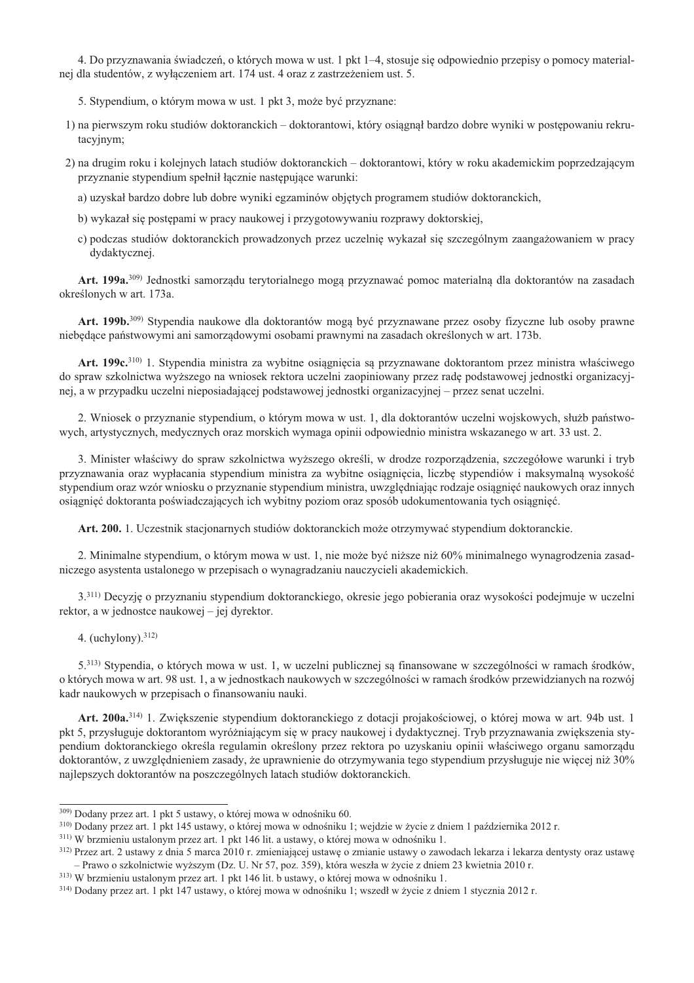4. Do przyznawania świadczeń, o których mowa w ust. 1 pkt 1–4, stosuje się odpowiednio przepisy o pomocy materialnej dla studentów, z wyłaczeniem art. 174 ust. 4 oraz z zastrzeżeniem ust. 5.

- 5. Stypendium, o którym mowa w ust. 1 pkt 3, może być przyznane:
- 1) na pierwszym roku studiów doktoranckich doktorantowi, który osiągnał bardzo dobre wyniki w postepowaniu rekrutacyjnym;
- 2) na drugim roku i kolejnych latach studiów doktoranckich doktorantowi, który w roku akademickim poprzedzającym przyznanie stypendium spełnił łącznie następujące warunki:
	- a) uzyskał bardzo dobre lub dobre wyniki egzaminów objętych programem studiów doktoranckich,
	- b) wykazał się postępami w pracy naukowej i przygotowywaniu rozprawy doktorskiej,
	- c) podczas studiów doktoranckich prowadzonych przez uczelnie wykazał się szczególnym zaangażowaniem w pracy dvdaktvcznej.

Art. 199a.<sup>309)</sup> Jednostki samorządu terytorialnego mogą przyznawać pomoc materialną dla doktorantów na zasadach określonych w art. 173a.

Art. 199b.<sup>309)</sup> Stypendia naukowe dla doktorantów mogą być przyznawane przez osoby fizyczne lub osoby prawne niebędące państwowymi ani samorządowymi osobami prawnymi na zasadach określonych w art. 173b.

Art. 199c.<sup>310</sup> 1. Stypendia ministra za wybitne osiągnięcia są przyznawane doktorantom przez ministra właściwego do spraw szkolnictwa wyższego na wniosek rektora uczelni zaopiniowany przez radę podstawowej jednostki organizacyjnej, a w przypadku uczelni nieposiadającej podstawowej jednostki organizacyjnej – przez senat uczelni.

2. Wniosek o przyznanie stypendium, o którym mowa w ust. 1, dla doktorantów uczelni wojskowych, służb państwowych, artystycznych, medycznych oraz morskich wymaga opinii odpowiednio ministra wskazanego w art. 33 ust. 2.

3. Minister właściwy do spraw szkolnictwa wyższego określi, w drodze rozporządzenia, szczegółowe warunki i tryb przyznawania oraz wypłacania stypendium ministra za wybitne osiągnięcia, liczbę stypendiów i maksymalną wysokość stypendium oraz wzór wniosku o przyznanie stypendium ministra, uwzględniając rodzaje osiągnieć naukowych oraz innych osiągnięć doktoranta poświadczających ich wybitny poziom oraz sposób udokumentowania tych osiągnięć.

Art. 200. 1. Uczestnik stacjonarnych studiów doktoranckich może otrzymywać stypendium doktoranckie.

2. Minimalne stypendium, o którym mowa w ust. 1, nie może być niższe niż 60% minimalnego wynagrodzenia zasadniczego asystenta ustalonego w przepisach o wynagradzaniu nauczycieli akademickich.

3.<sup>311)</sup> Decyzie o przyznaniu stypendium doktoranckiego, okresie jego pobierania oraz wysokości podejmuje w uczelni rektor, a w jednostce naukowej – jej dvrektor.

4. (uchylony).  $312$ )

5.313) Stypendia, o których mowa w ust. 1, w uczelni publicznej są finansowane w szczególności w ramach środków, o których mowa w art. 98 ust. 1, a w jednostkach naukowych w szczególności w ramach środków przewidzianych na rozwój kadr naukowych w przepisach o finansowaniu nauki.

Art. 200a.<sup>314)</sup> 1. Zwiększenie stypendium doktoranckiego z dotacji projakościowej, o której mowa w art. 94b ust. 1 pkt 5, przysługuje doktorantom wyróżniającym się w pracy naukowej i dydaktycznej. Tryb przyznawania zwiększenia stypendium doktoranckiego określa regulamin określony przez rektora po uzyskaniu opinii właściwego organu samorządu doktorantów, z uwzględnieniem zasady, że uprawnienie do otrzymywania tego stypendium przysługuje nie więcej niż 30% najlepszych doktorantów na poszczególnych latach studiów doktoranckich.

<sup>309)</sup> Dodany przez art. 1 pkt 5 ustawy, o której mowa w odnośniku 60.

<sup>&</sup>lt;sup>310)</sup> Dodany przez art. 1 pkt 145 ustawy, o której mowa w odnośniku 1; wejdzie w życie z dniem 1 października 2012 r.

<sup>&</sup>lt;sup>311)</sup> W brzmieniu ustalonym przez art. 1 pkt 146 lit. a ustawy, o której mowa w odnośniku 1.

<sup>312)</sup> Przez art. 2 ustawy z dnia 5 marca 2010 r. zmieniającej ustawę o zmianie ustawy o zawodach lekarza i lekarza dentysty oraz ustawę – Prawo o szkolnictwie wyższym (Dz. U. Nr 57, poz. 359), która weszła w życie z dniem 23 kwietnia 2010 r.

<sup>&</sup>lt;sup>313</sup>) W brzmieniu ustalonym przez art. 1 pkt 146 lit. b ustawy, o której mowa w odnośniku 1.

<sup>&</sup>lt;sup>314)</sup> Dodany przez art. 1 pkt 147 ustawy, o której mowa w odnośniku 1; wszedł w życie z dniem 1 stycznia 2012 r.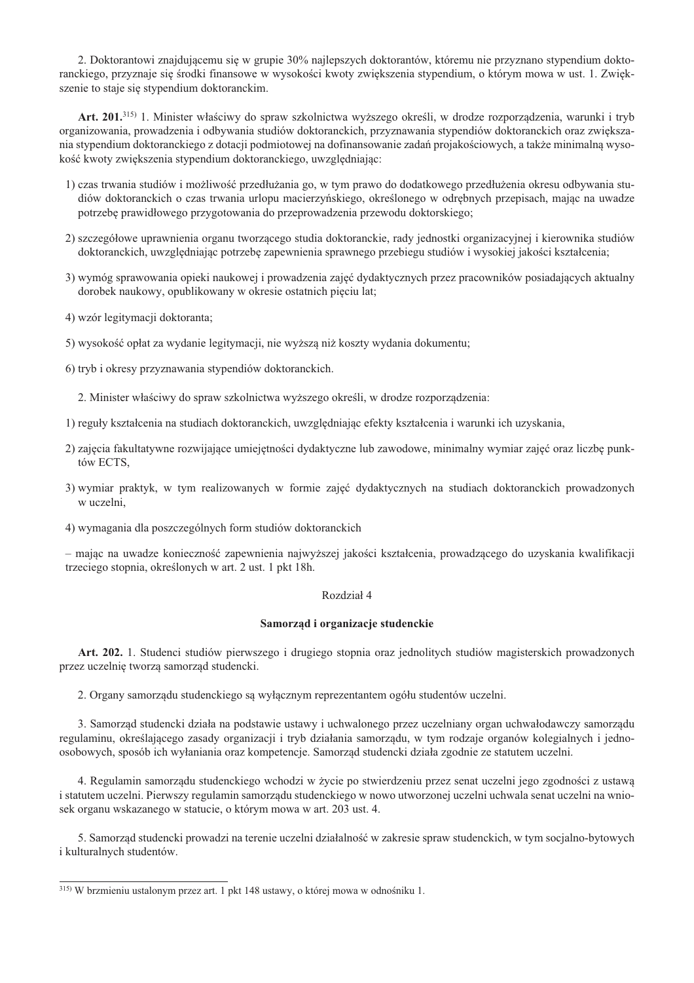2. Doktorantowi znajdującemu się w grupie 30% najlepszych doktorantów, któremu nie przyznano stypendium doktoranckiego, przyznaje się środki finansowe w wysokości kwoty zwiększenia stypendium, o którym mowa w ust. 1. Zwiększenie to staje się stypendium doktoranckim.

Art. 201.315) 1. Minister właściwy do spraw szkolnictwa wyższego określi, w drodze rozporządzenia, warunki i tryb organizowania, prowadzenia i odbywania studiów doktoranckich, przyznawania stypendiów doktoranckich oraz zwiększania stypendium doktoranckiego z dotacji podmiotowej na dofinansowanie zadań projakościowych, a także minimalną wysokość kwoty zwiększenia stypendium doktoranckiego, uwzględniając:

- 1) czas trwania studiów i możliwość przedłużania go, w tym prawo do dodatkowego przedłużenia okresu odbywania studiów doktoranckich o czas trwania urlopu macierzyńskiego, określonego w odrębnych przepisach, mając na uwadze potrzebe prawidłowego przygotowania do przeprowadzenia przewodu doktorskiego;
- 2) szczegółowe uprawnienia organu tworzącego studia doktoranckie, rady jednostki organizacyjnej i kierownika studiów doktoranckich, uwzględniając potrzebę zapewnienia sprawnego przebiegu studiów i wysokiej jakości kształcenia:
- 3) wymóg sprawowania opieki naukowej i prowadzenia zajęć dydaktycznych przez pracowników posiadających aktualny dorobek naukowy, opublikowany w okresie ostatnich pięciu lat;
- 4) wzór legitymacji doktoranta;
- 5) wysokość opłat za wydanie legitymacji, nie wyższą niż koszty wydania dokumentu;
- 6) tryb i okresy przyznawania stypendiów doktoranckich.
	- 2. Minister właściwy do spraw szkolnictwa wyższego określi, w drodze rozporządzenia:
- 1) reguły kształcenia na studiach doktoranckich, uwzględniając efekty kształcenia i warunki ich uzyskania,
- 2) zajęcia fakultatywne rozwijające umiejętności dydaktyczne lub zawodowe, minimalny wymiar zajęć oraz liczbę punktów ECTS,
- 3) wymiar praktyk, w tym realizowanych w formie zajęć dydaktycznych na studiach doktoranckich prowadzonych w uczelni.
- 4) wymagania dla poszczególnych form studiów doktoranckich

- mając na uwadze konieczność zapewnienia najwyższej jakości kształcenia, prowadzącego do uzyskania kwalifikacji trzeciego stopnia, określonych w art. 2 ust. 1 pkt 18h.

### Rozdział 4

### Samorząd i organizacje studenckie

Art. 202. 1. Studenci studiów pierwszego i drugiego stopnia oraz jednolitych studiów magisterskich prowadzonych przez uczelnię tworzą samorząd studencki.

2. Organy samorządu studenckiego są wyłącznym reprezentantem ogółu studentów uczelni.

3. Samorząd studencki działa na podstawie ustawy i uchwalonego przez uczelniany organ uchwałodawczy samorządu regulaminu, określającego zasady organizacji i tryb działania samorządu, w tym rodzaje organów kolegialnych i jednoosobowych, sposób ich wyłaniania oraz kompetencje. Samorząd studencki działa zgodnie ze statutem uczelni.

4. Regulamin samorządu studenckiego wchodzi w życie po stwierdzeniu przez senat uczelni jego zgodności z ustawą i statutem uczelni. Pierwszy regulamin samorządu studenckiego w nowo utworzonej uczelni uchwala senat uczelni na wniosek organu wskazanego w statucie, o którym mowa w art. 203 ust. 4.

5. Samorząd studencki prowadzi na terenie uczelni działalność w zakresie spraw studenckich, w tym socjalno-bytowych i kulturalnych studentów.

<sup>315)</sup> W brzmieniu ustalonym przez art. 1 pkt 148 ustawy, o której mowa w odnośniku 1.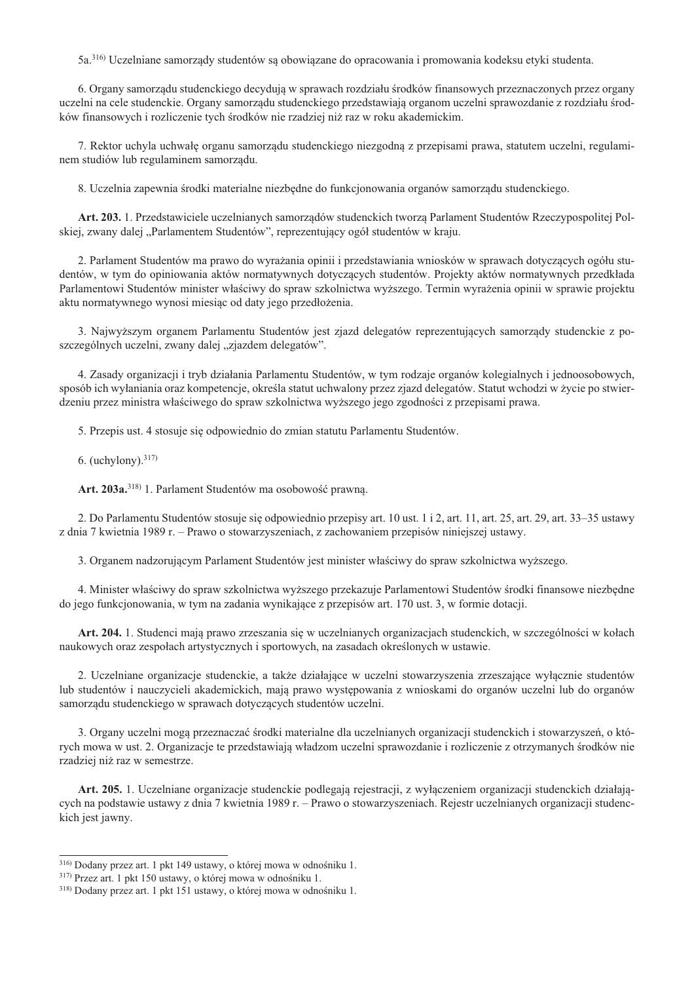5a.<sup>316)</sup> Uczelniane samorzady studentów sa obowiazane do opracowania i promowania kodeksu etyki studenta.

6. Organy samorządu studenckiego decydują w sprawach rozdziału środków finansowych przeznaczonych przez organy uczelni na cele studenckie. Organy samorządu studenckiego przedstawiają organom uczelni sprawozdanie z rozdziału środków finansowych i rozliczenie tych środków nie rzadziej niż raz w roku akademickim.

7. Rektor uchyla uchwałę organu samorządu studenckiego niezgodną z przepisami prawa, statutem uczelni, regulaminem studiów lub regulaminem samorządu.

8. Uczelnia zapewnia środki materialne niezbędne do funkcjonowania organów samorządu studenckiego.

Art. 203. 1. Przedstawiciele uczelnianych samorządów studenckich tworzą Parlament Studentów Rzeczypospolitej Polskiej, zwany dalej "Parlamentem Studentów", reprezentujący ogół studentów w kraju.

2. Parlament Studentów ma prawo do wyrażania opinii i przedstawiania wniosków w sprawach dotyczących ogółu studentów, w tym do opiniowania aktów normatywnych dotyczących studentów. Projekty aktów normatywnych przedkłada Parlamentowi Studentów minister właściwy do spraw szkolnictwa wyższego. Termin wyrażenia opinii w sprawie projektu aktu normatywnego wynosi miesiąc od daty jego przedłożenia.

3. Najwyższym organem Parlamentu Studentów jest zjazd delegatów reprezentujących samorządy studenckie z poszczególnych uczelni, zwany dalej "zjazdem delegatów".

4. Zasady organizacji i tryb działania Parlamentu Studentów, w tym rodzaje organów kolegialnych i jednoosobowych, sposób ich wyłaniania oraz kompetencje, określa statut uchwalony przez zjazd delegatów. Statut wchodzi w życie po stwierdzeniu przez ministra właściwego do spraw szkolnictwa wyższego jego zgodności z przepisami prawa.

5. Przepis ust. 4 stosuje się odpowiednio do zmian statutu Parlamentu Studentów.

6. (uchylony).  $317$ )

Art. 203a.<sup>318)</sup> 1. Parlament Studentów ma osobowość prawna.

2. Do Parlamentu Studentów stosuje się odpowiednio przepisy art. 10 ust. 1 i 2, art. 11, art. 25, art. 29, art. 33–35 ustawy z dnia 7 kwietnia 1989 r. – Prawo o stowarzyszeniach, z zachowaniem przepisów niniejszej ustawy.

3. Organem nadzorującym Parlament Studentów jest minister właściwy do spraw szkolnictwa wyższego.

4. Minister właściwy do spraw szkolnictwa wyższego przekazuje Parlamentowi Studentów środki finansowe niezbedne do jego funkcjonowania, w tym na zadania wynikające z przepisów art. 170 ust. 3, w formie dotacji.

Art. 204. 1. Studenci mają prawo zrzeszania się w uczelnianych organizacjach studenckich, w szczególności w kołach naukowych oraz zespołach artystycznych i sportowych, na zasadach określonych w ustawie.

2. Uczelniane organizacje studenckie, a także działające w uczelni stowarzyszenia zrzeszające wyłącznie studentów lub studentów i nauczycieli akademickich, mają prawo występowania z wnioskami do organów uczelni lub do organów samorządu studenckiego w sprawach dotyczących studentów uczelni.

3. Organy uczelni mogą przeznaczać środki materialne dla uczelnianych organizacji studenckich i stowarzyszeń, o których mowa w ust. 2. Organizacje te przedstawiają władzom uczelni sprawozdanie i rozliczenie z otrzymanych środków nie rzadziej niż raz w semestrze.

Art. 205. 1. Uczelniane organizacie studenckie podlegają rejestracji, z wyłaczeniem organizacji studenckich działających na podstawie ustawy z dnia 7 kwietnia 1989 r. – Prawo o stowarzyszeniach. Rejestr uczelnianych organizacji studenckich jest jawny.

<sup>316)</sup> Dodany przez art. 1 pkt 149 ustawy, o której mowa w odnośniku 1.

<sup>317)</sup> Przez art. 1 pkt 150 ustawy, o której mowa w odnośniku 1.

<sup>318)</sup> Dodany przez art. 1 pkt 151 ustawy, o której mowa w odnośniku 1.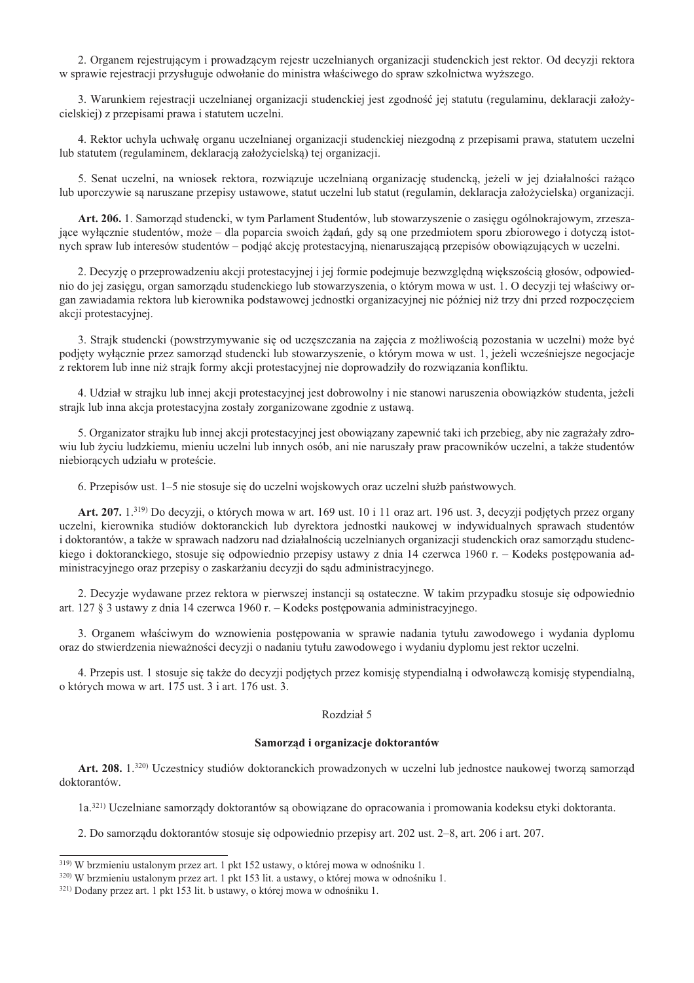2. Organem rejestrującym i prowadzącym rejestr uczelnianych organizacji studenckich jest rektor. Od decyzji rektora w sprawie rejestracji przysługuje odwołanie do ministra właściwego do spraw szkolnictwa wyższego.

3. Warunkiem rejestracji uczelnianej organizacji studenckiej jest zgodność jej statutu (regulaminu, deklaracji założycielskiej) z przepisami prawa i statutem uczelni.

4. Rektor uchyla uchwałę organu uczelnianej organizacji studenckiej niezgodną z przepisami prawa, statutem uczelni lub statutem (regulaminem, deklaracją założycielską) tej organizacji.

5. Senat uczelni, na wniosek rektora, rozwiązuje uczelnianą organizację studencką, jeżeli w jej działalności rażąco lub uporczywie są naruszane przepisy ustawowe, statut uczelni lub statut (regulamin, deklaracja założycielska) organizacji.

Art. 206. 1. Samorząd studencki, w tym Parlament Studentów, lub stowarzyszenie o zasięgu ogólnokrajowym, zrzeszające wyłącznie studentów, może – dla poparcia swoich żądań, gdy są one przedmiotem sporu zbiorowego i dotyczą istotnych spraw lub interesów studentów – podjąć akcję protestacyjną, nienaruszającą przepisów obowiązujących w uczelni.

2. Decyzję o przeprowadzeniu akcji protestacyjnej i jej formie podejmuje bezwzględną większością głosów, odpowiednio do jej zasięgu, organ samorządu studenckiego lub stowarzyszenia, o którym mowa w ust. 1. O decyzji tej właściwy organ zawiadamia rektora lub kierownika podstawowej jednostki organizacyjnej nie później niż trzy dni przed rozpoczęciem akcji protestacyjnej.

3. Strajk studencki (powstrzymywanie się od uczęszczania na zajęcia z możliwością pozostania w uczelni) może być podjety wyłacznie przez samorzad studencki lub stowarzyszenie, o którym mowa w ust. 1, jeżeli wcześniejsze negociącie z rektorem lub inne niż straik formy akcji protestacyjnej nie doprowadziły do rozwiązania konfliktu.

4. Udział w strajku lub innej akcji protestacyjnej jest dobrowolny i nie stanowi naruszenia obowiązków studenta, jeżeli strajk lub inna akcja protestacyjna zostały zorganizowane zgodnie z ustawą.

5. Organizator strajku lub innej akcji protestacyjnej jest obowiązany zapewnić taki ich przebieg, aby nie zagrażały zdrowiu lub życiu ludzkiemu, mieniu uczelni lub innych osób, ani nie naruszały praw pracowników uczelni, a także studentów niebiorących udziału w proteście.

6. Przepisów ust. 1–5 nie stosuje się do uczelni wojskowych oraz uczelni służb państwowych.

Art. 207.  $1^{319}$  Do decyzji, o których mowa w art. 169 ust. 10 i 11 oraz art. 196 ust. 3, decyzji podjetych przez organy uczelni, kierownika studiów doktoranckich lub dyrektora jednostki naukowej w indywidualnych sprawach studentów i doktorantów, a także w sprawach nadzoru nad działalnością uczelnianych organizacji studenckich oraz samorządu studenckiego i doktoranckiego, stosuje się odpowiednio przepisy ustawy z dnia 14 czerwca 1960 r. – Kodeks postępowania administracyjnego oraz przepisy o zaskarżaniu decyzji do sądu administracyjnego.

2. Decyzje wydawane przez rektora w pierwszej instancji są ostateczne. W takim przypadku stosuje się odpowiednio art. 127  $\S$  3 ustawy z dnia 14 czerwca 1960 r. – Kodeks postępowania administracyjnego.

3. Organem właściwym do wznowienia postępowania w sprawie nadania tytułu zawodowego i wydania dyplomu oraz do stwierdzenia nieważności decyzji o nadaniu tytułu zawodowego i wydaniu dyplomu jest rektor uczelni.

4. Przepis ust. 1 stosuje się także do decyzji podjętych przez komisję stypendialną i odwoławczą komisję stypendialną, o których mowa w art. 175 ust. 3 i art. 176 ust. 3.

## Rozdział 5

#### Samorząd i organizacje doktorantów

Art. 208. 1.320) Uczestnicy studiów doktoranckich prowadzonych w uczelni lub jednostce naukowej tworzą samorząd doktorantów.

1a.<sup>321)</sup> Uczelniane samorządy doktorantów są obowiązane do opracowania i promowania kodeksu etyki doktoranta.

2. Do samorządu doktorantów stosuje się odpowiednio przepisy art. 202 ust. 2–8, art. 206 i art. 207.

<sup>319)</sup> W brzmieniu ustalonym przez art. 1 pkt 152 ustawy, o której mowa w odnośniku 1.

<sup>320)</sup> W brzmieniu ustalonym przez art. 1 pkt 153 lit. a ustawy, o której mowa w odnośniku 1.

<sup>&</sup>lt;sup>321)</sup> Dodany przez art. 1 pkt 153 lit. b ustawy, o której mowa w odnośniku 1.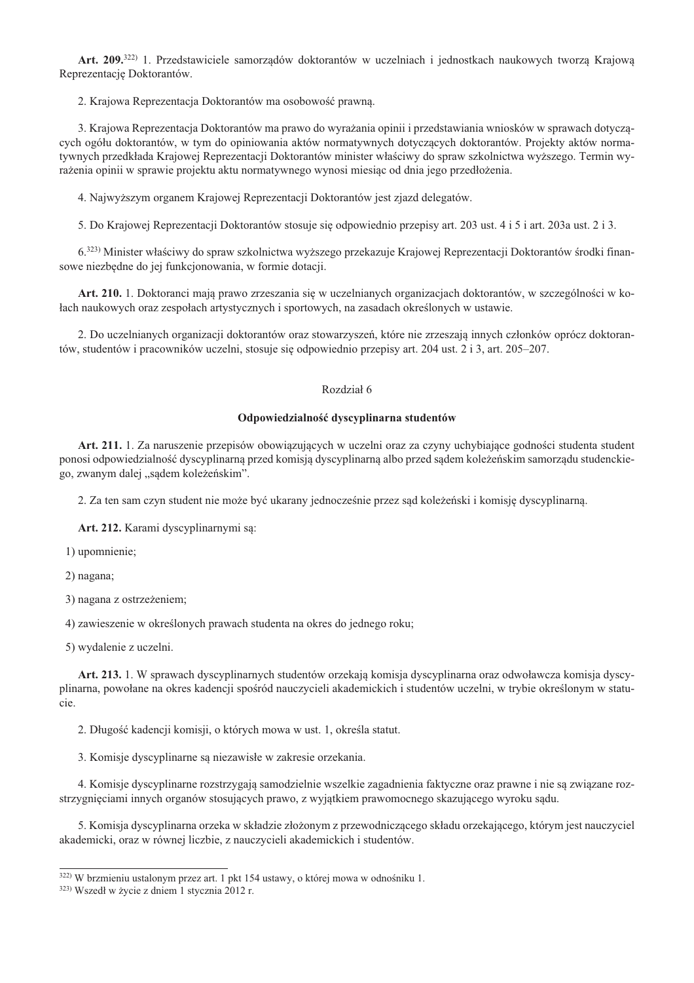Art. 209.<sup>322)</sup> 1. Przedstawiciele samorzadów doktorantów w uczelniach i jednostkach naukowych tworza Krajowa Reprezentację Doktorantów.

2. Krajowa Reprezentacja Doktorantów ma osobowość prawna.

3. Krajowa Reprezentacja Doktorantów ma prawo do wyrażania opinii i przedstawiania wniosków w sprawach dotyczących ogółu doktorantów, w tym do opiniowania aktów normatywnych dotyczących doktorantów. Projekty aktów normatywnych przedkłada Krajowej Reprezentacji Doktorantów minister właściwy do spraw szkolnictwa wyższego. Termin wyrażenia opinii w sprawie projektu aktu normatywnego wynosi miesiąc od dnia jego przedłożenia.

4. Najwyższym organem Krajowej Reprezentacji Doktorantów jest zjazd delegatów.

5. Do Krajowej Reprezentacji Doktorantów stosuje się odpowiednio przepisy art. 203 ust. 4 i 5 i art. 203a ust. 2 i 3.

6.323) Minister właściwy do spraw szkolnictwa wyższego przekazuje Krajowej Reprezentacji Doktorantów środki finansowe niezbędne do jej funkcjonowania, w formie dotacji.

Art. 210. 1. Doktoranci mają prawo zrzeszania się w uczelnianych organizacjach doktorantów, w szczególności w kołach naukowych oraz zespołach artystycznych i sportowych, na zasadach określonych w ustawie.

2. Do uczelnianych organizacji doktorantów oraz stowarzyszeń, które nie zrzeszają innych członków oprócz doktorantów, studentów i pracowników uczelni, stosuje się odpowiednio przepisy art. 204 ust. 2 i 3, art. 205–207.

# Rozdział 6

#### Odpowiedzialność dyscyplinarna studentów

Art. 211. 1. Za naruszenie przepisów obowiazujących w uczelni oraz za czyny uchybiające godności studenta student ponosi odpowiedzialność dyscyplinarną przed komisją dyscyplinarną albo przed sądem koleżeńskim samorządu studenckiego, zwanym dalej "sądem koleżeńskim".

2. Za ten sam czyn student nie może być ukarany jednocześnie przez sąd koleżeński i komisję dyscyplinarną.

Art. 212. Karami dyscyplinarnymi są:

1) upomnienie;

2) nagana;

3) nagana z ostrzeżeniem:

4) zawieszenie w określonych prawach studenta na okres do jednego roku;

5) wydalenie z uczelni.

Art. 213. 1. W sprawach dyscyplinarnych studentów orzekają komisja dyscyplinarna oraz odwoławcza komisja dyscyplinarna, powołane na okres kadencji spośród nauczycieli akademickich i studentów uczelni, w trybie określonym w statucie

2. Długość kadencji komisji, o których mowa w ust. 1, określa statut.

3. Komisje dyscyplinarne są niezawisłe w zakresie orzekania.

4. Komisje dyscyplinarne rozstrzygają samodzielnie wszelkie zagadnienia faktyczne oraz prawne i nie są związane rozstrzygnięciami innych organów stosujących prawo, z wyjątkiem prawomocnego skazującego wyroku sądu.

5. Komisja dyscyplinarna orzeka w składzie złożonym z przewodniczącego składu orzekającego, którym jest nauczyciel akademicki, oraz w równej liczbie, z nauczycieli akademickich i studentów.

<sup>322)</sup> W brzmieniu ustalonym przez art. 1 pkt 154 ustawy, o której mowa w odnośniku 1.

<sup>323)</sup> Wszedł w życie z dniem 1 stycznia 2012 r.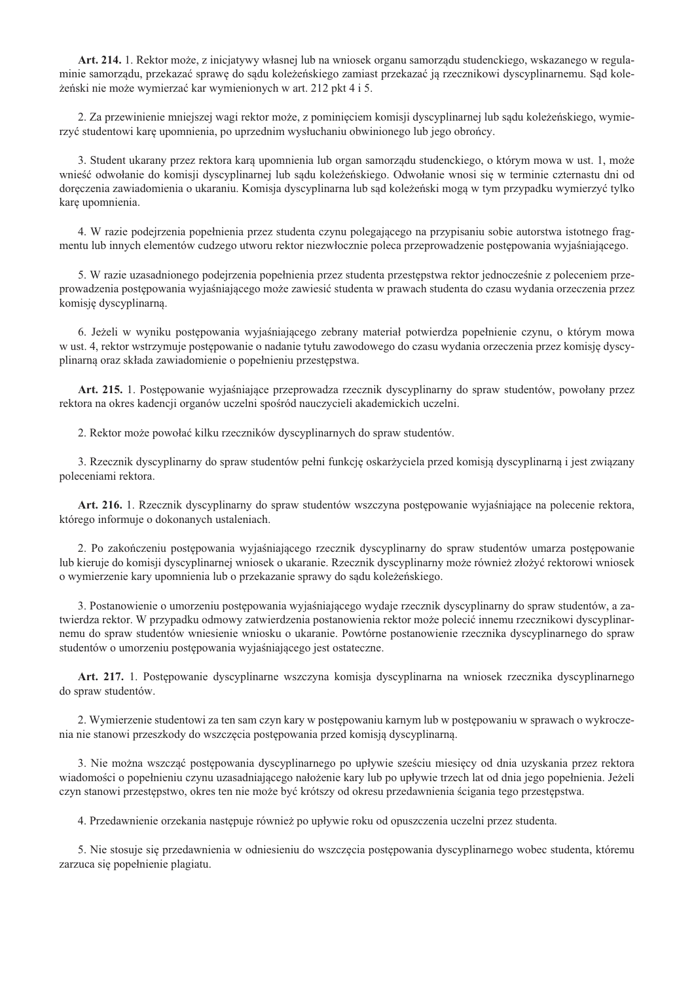Art. 214. 1. Rektor może, z inicjatywy własnej lub na wniosek organu samorządu studenckiego, wskazanego w regulaminie samorządu, przekazać sprawę do sądu koleżeńskiego zamiast przekazać ją rzecznikowi dyscyplinarnemu. Sąd koleżeński nie może wymierzać kar wymienionych w art. 212 pkt 4 i 5.

2. Za przewinienie mniejszej wagi rektor może, z pominięciem komisji dyscyplinarnej lub sądu koleżeńskiego, wymierzyć studentowi karę upomnienia, po uprzednim wysłuchaniu obwinionego lub jego obrońcy.

3. Student ukarany przez rektora karą upomnienia lub organ samorządu studenckiego, o którym mowa w ust. 1, może wnieść odwołanie do komisji dyscyplinarnej lub sądu koleżeńskiego. Odwołanie wnosi się w terminie czternastu dni od doręczenia zawiadomienia o ukaraniu. Komisja dyscyplinarna lub sąd koleżeński mogą w tym przypadku wymierzyć tylko karę upomnienia.

4. W razie podejrzenia popełnienia przez studenta czynu polegającego na przypisaniu sobie autorstwa istotnego fragmentu lub innych elementów cudzego utworu rektor niezwłocznie poleca przeprowadzenie postępowania wyjaśniającego.

5. W razie uzasadnionego podejrzenia popełnienia przez studenta przestępstwa rektor jednocześnie z poleceniem przeprowadzenia postepowania wyjaśniającego może zawiesić studenta w prawach studenta do czasu wydania orzeczenia przez komisję dyscyplinarną.

6. Jeżeli w wyniku postępowania wyjaśniającego zebrany materiał potwierdza popełnienie czynu, o którym mowa w ust. 4, rektor wstrzymuje postępowanie o nadanie tytułu zawodowego do czasu wydania orzeczenia przez komisję dyscyplinarną oraz składa zawiadomienie o popełnieniu przestępstwa.

Art. 215. 1. Postępowanie wyjaśniające przeprowadza rzecznik dyscyplinarny do spraw studentów, powołany przez rektora na okres kadencii organów uczelni spośród nauczycieli akademickich uczelni.

2. Rektor może powołać kilku rzeczników dyscyplinarnych do spraw studentów.

3. Rzecznik dyscyplinarny do spraw studentów pełni funkcję oskarżyciela przed komisją dyscyplinarną i jest związany poleceniami rektora.

Art. 216. 1. Rzecznik dyscyplinarny do spraw studentów wszczyna postępowanie wyjaśniające na polecenie rektora, którego informuje o dokonanych ustaleniach.

2. Po zakończeniu postępowania wyjaśniającego rzecznik dyscyplinarny do spraw studentów umarza postępowanie lub kieruje do komisji dyscyplinarnej wniosek o ukaranie. Rzecznik dyscyplinarny może również złożyć rektorowi wniosek o wymierzenie kary upomnienia lub o przekazanie sprawy do sądu koleżeńskiego.

3. Postanowienie o umorzeniu postępowania wyjaśniającego wydaje rzecznik dyscyplinarny do spraw studentów, a zatwierdza rektor. W przypadku odmowy zatwierdzenia postanowienia rektor może polecić innemu rzecznikowi dyscyplinarnemu do spraw studentów wniesienie wniosku o ukaranie. Powtórne postanowienie rzecznika dyscyplinarnego do spraw studentów o umorzeniu postępowania wyjaśniającego jest ostateczne.

Art. 217. 1. Postępowanie dyscyplinarne wszczyna komisja dyscyplinarna na wniosek rzecznika dyscyplinarnego do spraw studentów.

2. Wymierzenie studentowi za ten sam czyn kary w postępowaniu karnym lub w postępowaniu w sprawach o wykroczenia nie stanowi przeszkody do wszczęcia postępowania przed komisją dyscyplinarną.

3. Nie można wszcząć postępowania dyscyplinarnego po upływie sześciu miesięcy od dnia uzyskania przez rektora wiadomości o popełnieniu czynu uzasadniającego nałożenie kary lub po upływie trzech lat od dnia jego popełnienia. Jeżeli czyn stanowi przestępstwo, okres ten nie może być krótszy od okresu przedawnienia ścigania tego przestępstwa.

4. Przedawnienie orzekania następuje również po upływie roku od opuszczenia uczelni przez studenta.

5. Nie stosuje się przedawnienia w odniesieniu do wszczęcia postępowania dyscyplinarnego wobec studenta, któremu zarzuca się popełnienie plagiatu.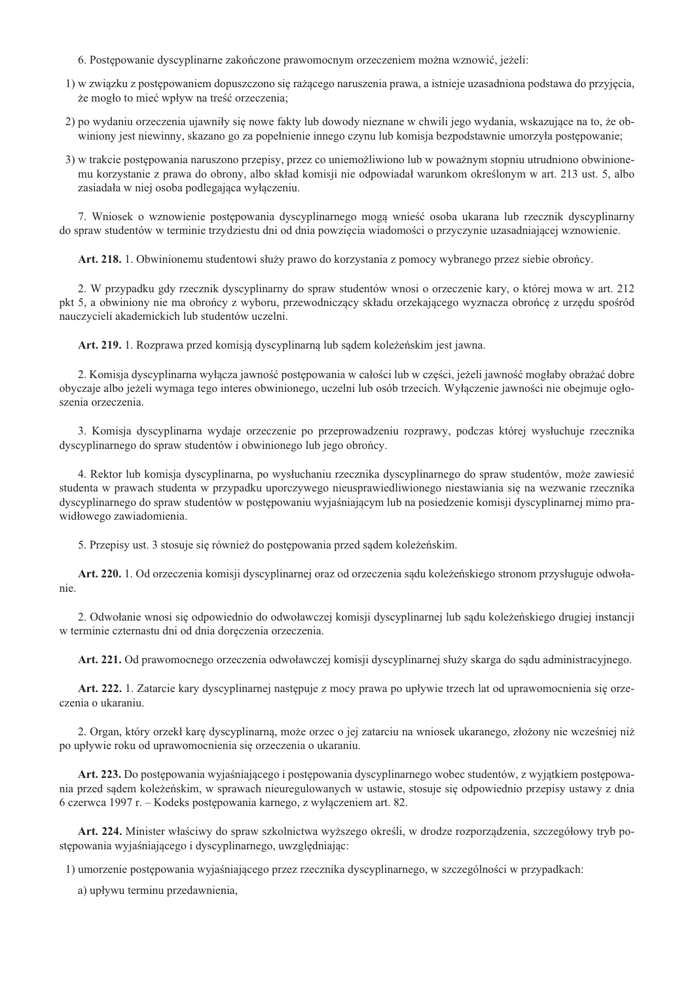- 6. Postepowanie dyscyplinarne zakończone prawomocnym orzeczeniem można wznowić, jeżeli:
- 1) w związku z postępowaniem dopuszczono się rażącego naruszenia prawa, a istnieje uzasadniona podstawa do przyjęcia, że mogło to mieć wpływ na treść orzeczenia;
- 2) po wydaniu orzeczenia ujawniły się nowe fakty lub dowody nieznane w chwili jego wydania, wskazujące na to, że obwiniony jest niewinny, skazano go za popełnienie innego czynu lub komisja bezpodstawnie umorzyła postępowanie;
- 3) w trakcie postępowania naruszono przepisy, przez co uniemożliwiono lub w poważnym stopniu utrudniono obwinionemu korzystanie z prawa do obrony, albo skład komisji nie odpowiadał warunkom określonym w art. 213 ust. 5, albo zasiadała w niej osoba podlegająca wyłączeniu.

7. Wniosek o wznowienie postępowania dyscyplinarnego mogą wnieść osoba ukarana lub rzecznik dyscyplinarny do spraw studentów w terminie trzydziestu dni od dnia powzięcia wiadomości o przyczynie uzasadniającej wznowienie.

Art. 218. 1. Obwinionemu studentowi służy prawo do korzystania z pomocy wybranego przez siebie obrońcy.

2. W przypadku gdy rzecznik dyscyplinarny do spraw studentów wnosi o orzeczenie kary, o której mowa w art. 212 pkt 5, a obwiniony nie ma obrońcy z wyboru, przewodniczący składu orzekającego wyznacza obrońcę z urzędu spośród nauczycieli akademickich lub studentów uczelni.

Art. 219. 1. Rozprawa przed komisją dyscyplinarną lub sądem koleżeńskim jest jawna.

2. Komisja dyscyplinarna wyłącza jawność postępowania w całości lub w części, jeżeli jawność mogłaby obrażać dobre obyczaje albo jeżeli wymaga tego interes obwinionego, uczelni lub osób trzecich. Wyłączenie jawności nie obejmuje ogłoszenia orzeczenia.

3. Komisja dyscyplinarna wydaje orzeczenie po przeprowadzeniu rozprawy, podczas której wysłuchuje rzecznika dyscyplinarnego do spraw studentów i obwinionego lub jego obrońcy.

4. Rektor lub komisja dyscyplinarna, po wysłuchaniu rzecznika dyscyplinarnego do spraw studentów, może zawiesić studenta w prawach studenta w przypadku uporczywego nieusprawiedliwionego niestawiania się na wezwanie rzecznika dyscyplinarnego do spraw studentów w postępowaniu wyjaśniającym lub na posiedzenie komisji dyscyplinarnej mimo prawidłowego zawiadomienia.

5. Przepisy ust. 3 stosuje się również do postępowania przed sądem koleżeńskim.

Art. 220. 1. Od orzeczenia komisji dyscyplinarnej oraz od orzeczenia sądu koleżeńskiego stronom przysługuje odwołanie

2. Odwołanie wnosi się odpowiednio do odwoławczej komisji dyscyplinarnej lub sądu koleżeńskiego drugiej instancji w terminie czternastu dni od dnia doręczenia orzeczenia.

Art. 221. Od prawomocnego orzeczenia odwoławczej komisji dyscyplinarnej służy skarga do sądu administracyjnego.

Art. 222. 1. Zatarcie kary dyscyplinarnej następuje z mocy prawa po upływie trzech lat od uprawomocnienia się orzeczenia o ukaraniu.

2. Organ, który orzekł karę dyscyplinarną, może orzec o jej zatarciu na wniosek ukaranego, złożony nie wcześniej niż po upływie roku od uprawomocnienia się orzeczenia o ukaraniu.

Art. 223. Do postępowania wyjaśniającego i postępowania dyscyplinarnego wobec studentów, z wyjatkiem postępowania przed sądem koleżeńskim, w sprawach nieuregulowanych w ustawie, stosuje się odpowiednio przepisy ustawy z dnia 6 czerwca 1997 r. – Kodeks postępowania karnego, z wyłączeniem art. 82.

Art. 224. Minister właściwy do spraw szkolnictwa wyższego określi, w drodze rozporządzenia, szczegółowy tryb postępowania wyjaśniającego i dyscyplinarnego, uwzględniając:

1) umorzenie postępowania wyjaśniającego przez rzecznika dyscyplinarnego, w szczególności w przypadkach:

a) upływu terminu przedawnienia,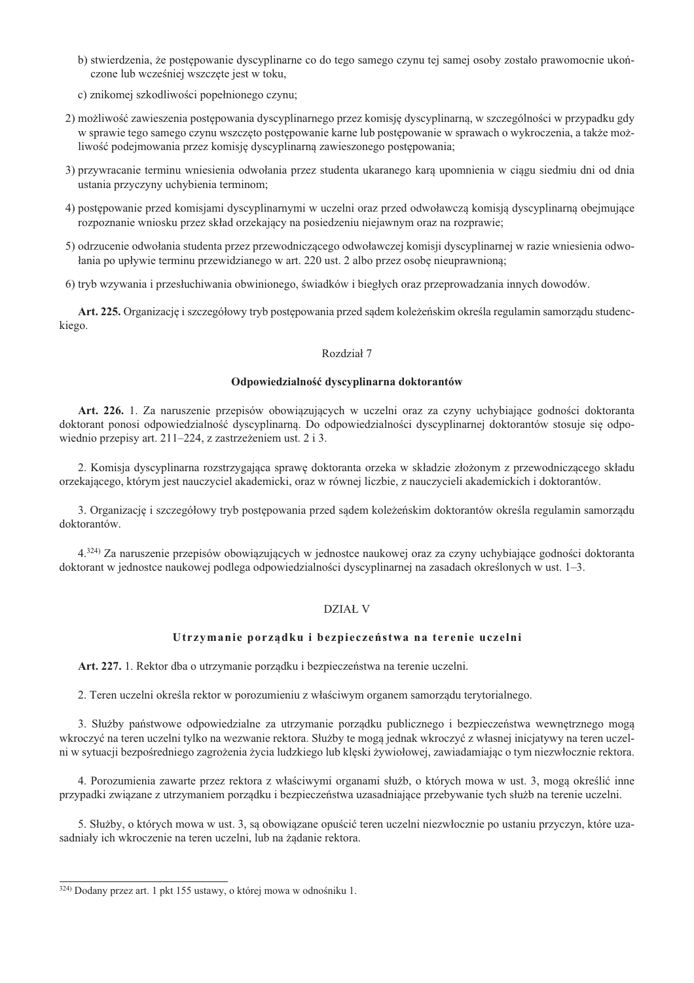- b) stwierdzenia, że postępowanie dyscyplinarne co do tego samego czynu tej samej osoby zostało prawomocnie ukończone lub wcześniej wszczęte jest w toku,
- c) znikomej szkodliwości popełnionego czynu;
- 2) możliwość zawieszenia postępowania dyscyplinarnego przez komisję dyscyplinarną, w szczególności w przypadku gdy w sprawie tego samego czynu wszczęto postępowanie karne lub postępowanie w sprawach o wykroczenia, a także możliwość podejmowania przez komisję dyscyplinarną zawieszonego postępowania;
- 3) przywracanie terminu wniesienia odwołania przez studenta ukaranego karą upomnienia w ciągu siedmiu dni od dnia ustania przyczyny uchybienia terminom;
- 4) postępowanie przed komisjami dyscyplinarnymi w uczelni oraz przed odwoławczą komisją dyscyplinarną obejmujące rozpoznanie wniosku przez skład orzekający na posiedzeniu niejawnym oraz na rozprawie;
- 5) odrzucenie odwołania studenta przez przewodniczącego odwoławczej komisji dyscyplinarnej w razie wniesienia odwołania po upływie terminu przewidzianego w art. 220 ust. 2 albo przez osobę nieuprawnioną;
- 6) tryb wzywania i przesłuchiwania obwinionego, świadków i biegłych oraz przeprowadzania innych dowodów.

Art. 225. Organizację i szczegółowy tryb postępowania przed sądem koleżeńskim określa regulamin samorządu studenckiego.

## Rozdział 7

# Odpowiedzialność dyscyplinarna doktorantów

Art. 226. 1. Za naruszenie przepisów obowiązujących w uczelni oraz za czyny uchybiające godności doktoranta doktorant ponosi odpowiedzialność dyscyplinarna. Do odpowiedzialności dyscyplinarnej doktorantów stosuje się odpowiednio przepisy art. 211–224, z zastrzeżeniem ust. 2 i 3.

2. Komisia dysevplinarna rozstrzygająca sprawe doktoranta orzeka w składzie złożonym z przewodniczącego składu orzekającego, którym jest nauczyciel akademicki, oraz w równej liczbie, z nauczycieli akademickich i doktorantów.

3. Organizację i szczegółowy tryb postępowania przed sądem koleżeńskim doktorantów określa regulamin samorządu doktorantów.

4.324) Za naruszenie przepisów obowiązujących w jednostce naukowej oraz za czyny uchybiające godności doktoranta doktorant w jednostce naukowej podlega odpowiedzialności dyscyplinarnej na zasadach określonych w ust. 1–3.

### DZIAŁ V

### Utrzymanie porządku i bezpieczeństwa na terenie uczelni

Art. 227. 1. Rektor dba o utrzymanie porządku i bezpieczeństwa na terenie uczelni.

2. Teren uczelni określa rektor w porozumieniu z właściwym organem samorządu terytorialnego.

3. Służby państwowe odpowiedzialne za utrzymanie porządku publicznego i bezpieczeństwa wewnętrznego mogą wkroczyć na teren uczelni tylko na wezwanie rektora. Służby te mogą jednak wkroczyć z własnej inicjatywy na teren uczelni w sytuacji bezpośredniego zagrożenia życia ludzkiego lub klęski żywiołowej, zawiadamiając o tym niezwłocznie rektora.

4. Porozumienia zawarte przez rektora z właściwymi organami służb, o których mowa w ust. 3, mogą określić inne przypadki związane z utrzymaniem porządku i bezpieczeństwa uzasadniające przebywanie tych służb na terenie uczelni.

5. Służby, o których mowa w ust. 3, są obowiązane opuścić teren uczelni niezwłocznie po ustaniu przyczyn, które uzasadniały ich wkroczenie na teren uczelni, lub na żądanie rektora.

<sup>324)</sup> Dodany przez art. 1 pkt 155 ustawy, o której mowa w odnośniku 1.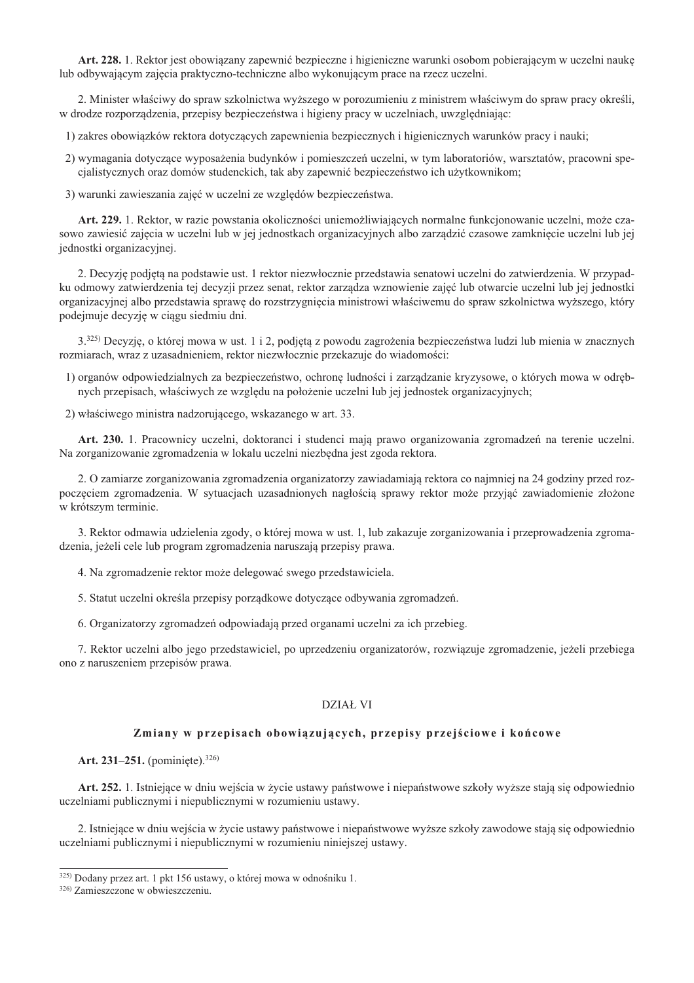Art. 228. 1. Rektor jest obowiazany zapewnić bezpieczne i higieniczne warunki osobom pobierającym w uczelni nauke lub odbywającym zajęcia praktyczno-techniczne albo wykonującym prace na rzecz uczelni.

2. Minister właściwy do spraw szkolnictwa wyższego w porozumieniu z ministrem właściwym do spraw pracy określi, w drodze rozporządzenia, przepisy bezpieczeństwa i higieny pracy w uczelniach, uwzględniając:

1) zakres obowiązków rektora dotyczących zapewnienia bezpiecznych i higienicznych warunków pracy i nauki;

- 2) wymagania dotyczące wyposażenia budynków i pomieszczeń uczelni, w tym laboratoriów, warsztatów, pracowni specjalistycznych oraz domów studenckich, tak aby zapewnić bezpieczeństwo ich użytkownikom;
- 3) warunki zawieszania zajęć w uczelni ze względów bezpieczeństwa.

Art. 229. 1. Rektor, w razie powstania okoliczności uniemożliwiających normalne funkcjonowanie uczelni, może czasowo zawiesić zajęcia w uczelni lub w jej jednostkach organizacyjnych albo zarządzić czasowe zamknięcie uczelni lub jej jednostki organizacyjnej.

2. Decyzję podjętą na podstawie ust. 1 rektor niezwłocznie przedstawia senatowi uczelni do zatwierdzenia. W przypadku odmowy zatwierdzenia tej decyzji przez senat, rektor zarządza wznowienie zajęć lub otwarcie uczelni lub jej jednostki organizacyjnej albo przedstawia sprawe do rozstrzygniecia ministrowi właściwemu do spraw szkolnictwa wyższego, który podejmuje decyzję w ciągu siedmiu dni.

3.325) Decyzje, o której mowa w ust. 1 i 2, podjeta z powodu zagrożenia bezpieczeństwa ludzi lub mienia w znacznych rozmiarach, wraz z uzasadnieniem, rektor niezwłocznie przekazuje do wiadomości:

- 1) organów odpowiedzialnych za bezpieczeństwo, ochronę ludności i zarządzanie kryzysowe, o których mowa w odrębnych przepisach, właściwych ze względu na położenie uczelni lub jej jednostek organizacyjnych;
- 2) właściwego ministra nadzorującego, wskazanego w art. 33.

Art. 230. 1. Pracownicy uczelni, doktoranci i studenci mają prawo organizowania zgromadzeń na terenie uczelni. Na zorganizowanie zgromadzenia w lokalu uczelni niezbędna jest zgoda rektora.

2. O zamiarze zorganizowania zgromadzenia organizatorzy zawiadamiają rektora co najmniej na 24 godziny przed rozpoczęciem zgromadzenia. W sytuacjach uzasadnionych nagłością sprawy rektor może przyjąć zawiadomienie złożone w krótszym terminie.

3. Rektor odmawia udzielenia zgody, o której mowa w ust. 1, lub zakazuje zorganizowania i przeprowadzenia zgromadzenia, jeżeli cele lub program zgromadzenia naruszają przepisy prawa.

- 4. Na zgromadzenie rektor może delegować swego przedstawiciela.
- 5. Statut uczelni określa przepisy porządkowe dotyczące odbywania zgromadzeń.
- 6. Organizatorzy zgromadzeń odpowiadają przed organami uczelni za ich przebieg.

7. Rektor uczelni albo jego przedstawiciel, po uprzedzeniu organizatorów, rozwiązuje zgromadzenie, jeżeli przebiega ono z naruszeniem przepisów prawa.

#### **DZIAŁ VI**

### Zmiany w przepisach obowiązujących, przepisy przejściowe i końcowe

Art. 231-251. (pominiete). 326)

Art. 252. 1. Istniejące w dniu wejścia w życie ustawy państwowe i niepaństwowe szkoły wyższe stają się odpowiednio uczelniami publicznymi i niepublicznymi w rozumieniu ustawy.

2. Istniejące w dniu wejścia w życie ustawy państwowe i niepaństwowe wyższe szkoły zawodowe stają się odpowiednio uczelniami publicznymi i niepublicznymi w rozumieniu niniejszej ustawy.

<sup>325)</sup> Dodany przez art. 1 pkt 156 ustawy, o której mowa w odnośniku 1.

<sup>326)</sup> Zamieszczone w obwieszczeniu.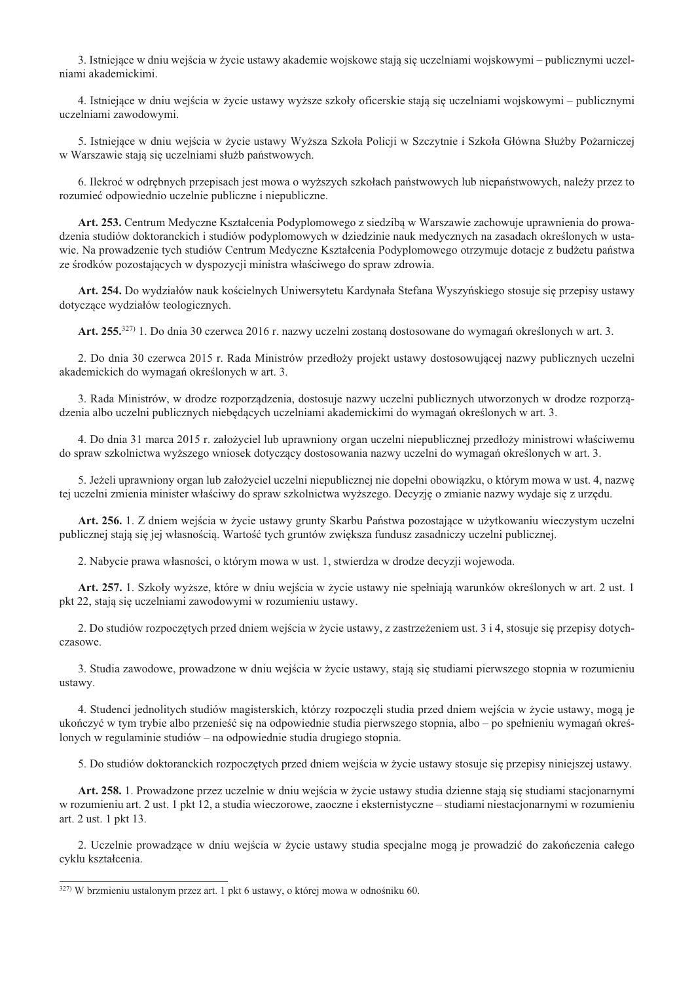3. Istniejące w dniu wejścia w życie ustawy akademie wojskowe stają się uczelniami wojskowymi – publicznymi uczelniami akademickimi.

4. Istniejące w dniu wejścia w życie ustawy wyższe szkoły oficerskie stają się uczelniami wojskowymi – publicznymi uczelniami zawodowymi.

5. Istniejące w dniu wejścia w życie ustawy Wyższa Szkoła Policji w Szczytnie i Szkoła Główna Służby Pożarniczej w Warszawie stają się uczelniami służb państwowych.

6. Ilekroć w odrębnych przepisach jest mowa o wyższych szkołach państwowych lub niepaństwowych, należy przez to rozumieć odpowiednio uczelnie publiczne i niepubliczne.

Art. 253. Centrum Medyczne Kształcenia Podyplomowego z siedzibą w Warszawie zachowuje uprawnienia do prowadzenia studiów doktoranckich i studiów podyplomowych w dziedzinie nauk medycznych na zasadach określonych w ustawie. Na prowadzenie tych studiów Centrum Medyczne Kształcenia Podyplomowego otrzymuje dotacje z budżetu państwa ze środków pozostających w dyspozycji ministra właściwego do spraw zdrowia.

Art. 254. Do wydziałów nauk kościelnych Uniwersytetu Kardynała Stefana Wyszyńskiego stosuje się przepisy ustawy dotyczące wydziałów teologicznych.

Art. 255.<sup>327)</sup> 1. Do dnia 30 czerwca 2016 r. nazwy uczelni zostaną dostosowane do wymagań określonych w art. 3.

2. Do dnia 30 czerwca 2015 r. Rada Ministrów przedłoży projekt ustawy dostosowującej nazwy publicznych uczelni akademickich do wymagań określonych w art. 3.

3. Rada Ministrów, w drodze rozporządzenia, dostosuje nazwy uczelni publicznych utworzonych w drodze rozporządzenia albo uczelni publicznych niebędących uczelniami akademickimi do wymagań określonych w art. 3.

4. Do dnia 31 marca 2015 r. założyciel lub uprawniony organ uczelni niepublicznej przedłoży ministrowi właściwemu do spraw szkolnictwa wyższego wniosek dotyczący dostosowania nazwy uczelni do wymagań określonych w art. 3.

5. Jeżeli uprawniony organ lub założyciel uczelni niepublicznej nie dopełni obowiązku, o którym mowa w ust. 4, nazwę tej uczelni zmienia minister właściwy do spraw szkolnictwa wyższego. Decyzję o zmianie nazwy wydaje się z urzędu.

Art. 256. 1. Z dniem wejścia w życie ustawy grunty Skarbu Państwa pozostające w użytkowaniu wieczystym uczelni publicznej stają się jej własnością. Wartość tych gruntów zwiększa fundusz zasadniczy uczelni publicznej.

2. Nabycie prawa własności, o którym mowa w ust. 1, stwierdza w drodze decyzji wojewoda.

Art. 257. 1. Szkoły wyższe, które w dniu wejścia w życie ustawy nie spełniają warunków określonych w art. 2 ust. 1 pkt 22, stają się uczelniami zawodowymi w rozumieniu ustawy.

2. Do studiów rozpoczętych przed dniem wejścia w życie ustawy, z zastrzeżeniem ust. 3 i 4, stosuje się przepisy dotychczasowe.

3. Studia zawodowe, prowadzone w dniu wejścia w życie ustawy, stają się studiami pierwszego stopnia w rozumieniu ustawy.

4. Studenci jednolitych studiów magisterskich, którzy rozpoczęli studia przed dniem wejścia w życie ustawy, mogą je ukończyć w tym trybie albo przenieść się na odpowiednie studia pierwszego stopnia, albo – po spełnieniu wymagań określonych w regulaminie studiów – na odpowiednie studia drugiego stopnia.

5. Do studiów doktoranckich rozpoczętych przed dniem wejścia w życie ustawy stosuje się przepisy niniejszej ustawy.

Art. 258. 1. Prowadzone przez uczelnie w dniu wejścia w życie ustawy studia dzienne stają się studiami stacjonarnymi w rozumieniu art. 2 ust. 1 pkt 12, a studia wieczorowe, zaoczne i eksternistyczne – studiami niestacjonarnymi w rozumieniu art. 2 ust. 1 pkt 13.

2. Uczelnie prowadzące w dniu wejścia w życie ustawy studia specjalne mogą je prowadzić do zakończenia całego cyklu kształcenia.

<sup>327)</sup> W brzmieniu ustalonym przez art. 1 pkt 6 ustawy, o której mowa w odnośniku 60.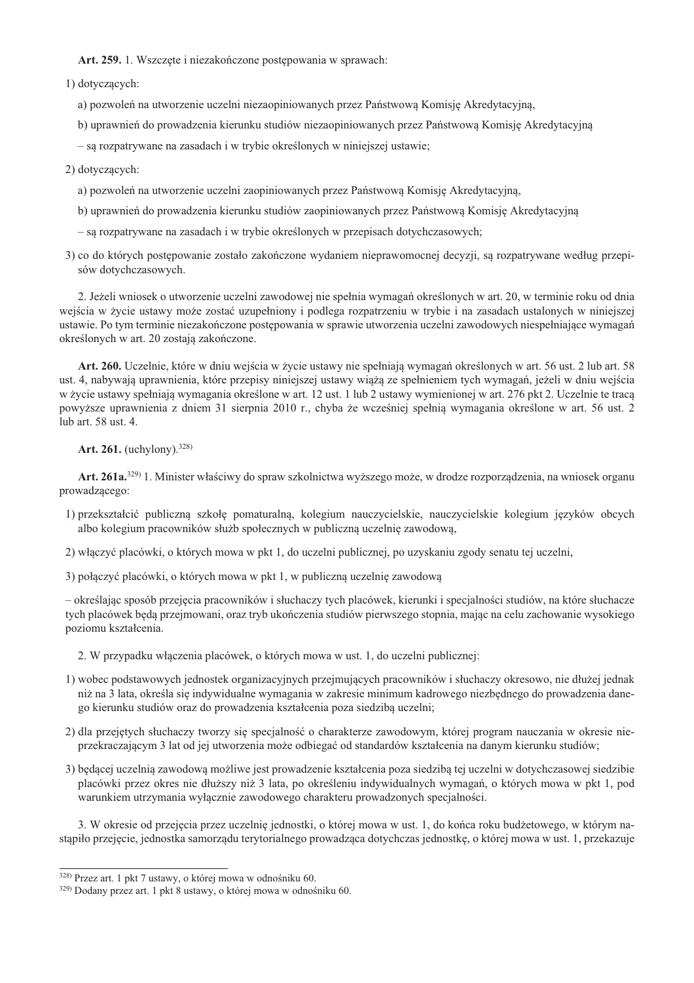## Art. 259. 1. Wszczęte i niezakończone postępowania w sprawach:

1) dotyczących:

a) pozwoleń na utworzenie uczelni niezaopiniowanych przez Państwową Komisję Akredytacyjną,

b) uprawnień do prowadzenia kierunku studiów niezaopiniowanych przez Państwowa Komisie Akredytacyjna

- są rozpatrywane na zasadach i w trybie określonych w niniejszej ustawie;

2) dotyczących:

- a) pozwoleń na utworzenie uczelni zaopiniowanych przez Państwowa Komisje Akredytacyjna,
- b) uprawnień do prowadzenia kierunku studiów zaopiniowanych przez Państwowa Komisję Akredytacyjną
- są rozpatrywane na zasadach i w trybie określonych w przepisach dotychczasowych;
- 3) co do których postępowanie zostało zakończone wydaniem nieprawomocnej decyzji, są rozpatrywane według przepisów dotychczasowych.

2. Jeżeli wniosek o utworzenie uczelni zawodowej nie spełnia wymagań określonych w art. 20, w terminie roku od dnia wejścia w życie ustawy może zostać uzupełniony i podlega rozpatrzeniu w trybie i na zasadach ustalonych w niniejszej ustawie. Po tym terminie niezakończone postępowania w sprawie utworzenia uczelni zawodowych niespełniające wymagań określonych w art. 20 zostają zakończone.

Art. 260. Uczelnie, które w dniu wejścia w życie ustawy nie spełniają wymagań określonych w art. 56 ust. 2 lub art. 58 ust. 4, nabywają uprawnienia, które przepisy niniejszej ustawy wiążą ze spełnieniem tych wymagań, jeżeli w dniu wejścia w życie ustawy spełniają wymagania określone w art. 12 ust. 1 lub 2 ustawy wymienionej w art. 276 pkt 2. Uczelnie te tracą powyższe uprawnienia z dniem 31 sierpnia 2010 r., chyba że wcześniej spełnią wymagania określone w art. 56 ust. 2 lub art. 58 ust. 4.

Art. 261. (uchylony).  $328$ )

Art. 261a.<sup>329)</sup> 1. Minister właściwy do spraw szkolnictwa wyższego może, w drodze rozporządzenia, na wniosek organu prowadzącego:

- 1) przekształcić publiczną szkołę pomaturalną, kolegium nauczycielskie, nauczycielskie kolegium języków obcych albo kolegium pracowników służb społecznych w publiczną uczelnię zawodową,
- 2) włączyć placówki, o których mowa w pkt 1, do uczelni publicznej, po uzyskaniu zgody senatu tej uczelni,
- 3) połączyć placówki, o których mowa w pkt 1, w publiczną uczelnię zawodową

– określając sposób przejęcia pracowników i słuchaczy tych placówek, kierunki i specjalności studiów, na które słuchacze tych placówek będą przejmowani, oraz tryb ukończenia studiów pierwszego stopnia, mając na celu zachowanie wysokiego poziomu kształcenia.

- 2. W przypadku włączenia placówek, o których mowa w ust. 1, do uczelni publicznej:
- 1) wobec podstawowych jednostek organizacyjnych przejmujących pracowników i słuchaczy okresowo, nie dłużej jednak niż na 3 lata, określa się indywidualne wymagania w zakresie minimum kadrowego niezbędnego do prowadzenia danego kierunku studiów oraz do prowadzenia kształcenia poza siedzibą uczelni;
- 2) dla przejętych słuchaczy tworzy się specjalność o charakterze zawodowym, której program nauczania w okresie nieprzekraczającym 3 lat od jej utworzenia może odbiegać od standardów kształcenia na danym kierunku studiów;
- 3) bedacej uczelnia zawodowa możliwe jest prowadzenie kształcenia poza siedzibą tej uczelni w dotychczasowej siedzibie placówki przez okres nie dłuższy niż 3 lata, po określeniu indywidualnych wymagań, o których mowa w pkt 1, pod warunkiem utrzymania wyłacznie zawodowego charakteru prowadzonych specjalności.

3. W okresie od przejęcia przez uczelnie jednostki, o której mowa w ust. 1, do końca roku budżetowego, w którym nastapiło przejęcie, jednostka samorządu terytorialnego prowadząca dotychczas jednostkę, o której mowa w ust. 1, przekazuje

<sup>328)</sup> Przez art. 1 pkt 7 ustawy, o której mowa w odnośniku 60.

<sup>329)</sup> Dodany przez art. 1 pkt 8 ustawy, o której mowa w odnośniku 60.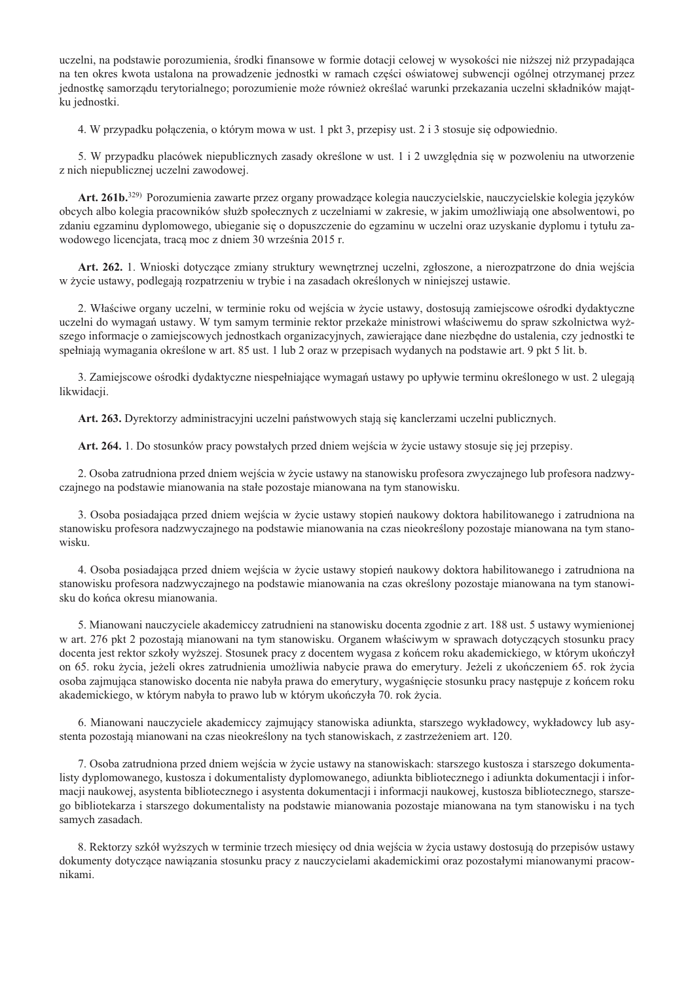uczelni, na podstawie porozumienia, środki finansowe w formie dotacji celowej w wysokości nie niższej niż przypadająca na ten okres kwota ustalona na prowadzenie jednostki w ramach części oświatowej subwencji ogólnej otrzymanej przez jednostkę samorządu terytorialnego; porozumienie może również określać warunki przekazania uczelni składników majątku jednostki.

4. W przypadku połączenia, o którym mowa w ust. 1 pkt 3, przepisy ust. 2 i 3 stosuje się odpowiednio.

5. W przypadku placówek niepublicznych zasady określone w ust. 1 i 2 uwzględnia się w pozwoleniu na utworzenie z nich niepublicznej uczelni zawodowej.

Art. 261b.<sup>329</sup>) Porozumienia zawarte przez organy prowadzące kolegia nauczycielskie, nauczycielskie kolegia języków obcych albo kolegia pracowników służb społecznych z uczelniami w zakresie, w jakim umożliwiają one absolwentowi, po zdaniu egzaminu dyplomowego, ubieganie się o dopuszczenie do egzaminu w uczelni oraz uzyskanie dyplomu i tytułu zawodowego licenciata, traca moc z dniem 30 września 2015 r.

Art. 262. 1. Wnioski dotyczące zmiany struktury wewnętrznej uczelni, zgłoszone, a nierozpatrzone do dnia wejścia w życie ustawy, podlegają rozpatrzeniu w trybie i na zasadach określonych w niniejszej ustawie.

2. Właściwe organy uczelni, w terminie roku od wejścia w życie ustawy, dostosują zamiejscowe ośrodki dydaktyczne uczelni do wymagań ustawy. W tym samym terminie rektor przekaże ministrowi właściwemu do spraw szkolnictwa wyż szego informacje o zamiejscowych jednostkach organizacyjnych, zawierające dane niezbędne do ustalenia, czy jednostki te spełniają wymagania określone w art. 85 ust. 1 lub 2 oraz w przepisach wydanych na podstawie art. 9 pkt 5 lit. b.

3. Zamiejscowe ośrodki dydaktyczne niespełniające wymagań ustawy po upływie terminu określonego w ust. 2 ulegają likwidacji.

Art. 263. Dyrektorzy administracyjni uczelni państwowych stają się kanclerzami uczelni publicznych.

Art. 264. 1. Do stosunków pracy powstałych przed dniem wejścia w życie ustawy stosuje się jej przepisy.

2. Osoba zatrudniona przed dniem wejścia w życie ustawy na stanowisku profesora zwyczajnego lub profesora nadzwyczajnego na podstawie mianowania na stałe pozostaje mianowana na tym stanowisku.

3. Osoba posiadająca przed dniem wejścia w życie ustawy stopień naukowy doktora habilitowanego i zatrudniona na stanowisku profesora nadzwyczajnego na podstawie mianowania na czas nieokreślony pozostaje mianowana na tym stanowisku.

4. Osoba posiadająca przed dniem wejścia w życie ustawy stopień naukowy doktora habilitowanego i zatrudniona na stanowisku profesora nadzwyczajnego na podstawie mianowania na czas określony pozostaje mianowana na tym stanowisku do końca okresu mianowania.

5. Mianowani nauczyciele akademiccy zatrudnieni na stanowisku docenta zgodnie z art. 188 ust. 5 ustawy wymienionej w art. 276 pkt 2 pozostają mianowani na tym stanowisku. Organem właściwym w sprawach dotyczących stosunku pracy docenta jest rektor szkoły wyższej. Stosunek pracy z docentem wygasa z końcem roku akademickiego, w którym ukończył on 65. roku życia, jeżeli okres zatrudnienia umożliwia nabycie prawa do emerytury. Jeżeli z ukończeniem 65. rok życia osoba zajmująca stanowisko docenta nie nabyła prawa do emerytury, wygaśnięcie stosunku pracy następuje z końcem roku akademickiego, w którym nabyła to prawo lub w którym ukończyła 70. rok życia.

6. Mianowani nauczyciele akademiccy zajmujący stanowiska adiunkta, starszego wykładowcy, wykładowcy lub asystenta pozostają mianowani na czas nieokreślony na tych stanowiskach, z zastrzeżeniem art. 120.

7. Osoba zatrudniona przed dniem wejścia w życie ustawy na stanowiskach: starszego kustosza i starszego dokumentalisty dyplomowanego, kustosza i dokumentalisty dyplomowanego, adiunkta bibliotecznego i adiunkta dokumentacji i informacji naukowej, asystenta bibliotecznego i asystenta dokumentacji i informacji naukowej, kustosza bibliotecznego, starszego bibliotekarza i starszego dokumentalisty na podstawie mianowania pozostaje mianowana na tym stanowisku i na tych samych zasadach.

8. Rektorzy szkół wyższych w terminie trzech miesięcy od dnia wejścia w życia ustawy dostosują do przepisów ustawy dokumenty dotyczące nawiązania stosunku pracy z nauczycielami akademickimi oraz pozostałymi mianowanymi pracownikami.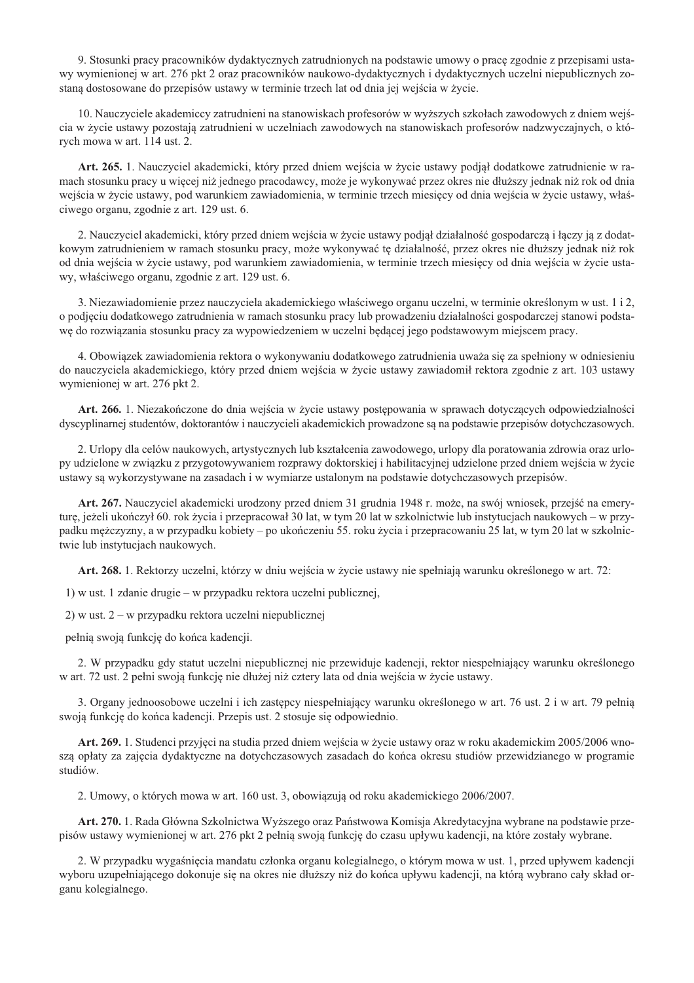9. Stosunki pracy pracowników dydaktycznych zatrudnionych na podstawie umowy o prace zgodnie z przepisami ustawy wymienionej w art. 276 pkt 2 oraz pracowników naukowo-dydaktycznych i dydaktycznych uczelni niepublicznych zostana dostosowane do przepisów ustawy w terminie trzech lat od dnia jej wejścia w życie.

10. Nauczyciele akademiccy zatrudnieni na stanowiskach profesorów w wyższych szkołach zawodowych z dniem wejścia w życie ustawy pozostają zatrudnieni w uczelniach zawodowych na stanowiskach profesorów nadzwyczajnych, o których mowa w art. 114 ust. 2.

Art. 265. 1. Nauczyciel akademicki, który przed dniem wejścia w życie ustawy podjał dodatkowe zatrudnienie w ramach stosunku pracy u więcej niż jednego pracodawcy, może je wykonywać przez okres nie dłuższy jednak niż rok od dnia wejścia w życie ustawy, pod warunkiem zawiadomienia, w terminie trzech miesięcy od dnia wejścia w życie ustawy, właściwego organu, zgodnie z art. 129 ust. 6.

2. Nauczyciel akademicki, który przed dniem wejścia w życie ustawy podjął działalność gospodarczą i łączy ją z dodatkowym zatrudnieniem w ramach stosunku pracy, może wykonywać tę działalność, przez okres nie dłuższy jednak niż rok od dnia wejścia w życie ustawy, pod warunkiem zawiadomienia, w terminie trzech miesięcy od dnia wejścia w życie ustawy, właściwego organu, zgodnie z art. 129 ust. 6.

3. Niezawiadomienie przez nauczyciela akademickiego właściwego organu uczelni, w terminie określonym w ust. 1 i 2, o podjęciu dodatkowego zatrudnienia w ramach stosunku pracy lub prowadzeniu działalności gospodarczej stanowi podstawę do rozwiązania stosunku pracy za wypowiedzeniem w uczelni będącej jego podstawowym miejscem pracy.

4. Obowiązek zawiadomienia rektora o wykonywaniu dodatkowego zatrudnienia uważa się za spełniony w odniesieniu do nauczyciela akademickiego, który przed dniem wejścia w życie ustawy zawiadomił rektora zgodnie z art. 103 ustawy wymienionej w art. 276 pkt 2.

Art. 266. 1. Niezakończone do dnia wejścia w życie ustawy postępowania w sprawach dotyczących odpowiedzialności dyscyplinarnej studentów, doktorantów i nauczycieli akademickich prowadzone są na podstawie przepisów dotychczasowych.

2. Urlopy dla celów naukowych, artystycznych lub kształcenia zawodowego, urlopy dla poratowania zdrowia oraz urlopy udzielone w związku z przygotowywaniem rozprawy doktorskiej i habilitacyjnej udzielone przed dniem wejścia w życie ustawy są wykorzystywane na zasadach i w wymiarze ustalonym na podstawie dotychczasowych przepisów.

Art. 267. Nauczyciel akademicki urodzony przed dniem 31 grudnia 1948 r. może, na swój wniosek, przejść na emeryturę, jeżeli ukończył 60. rok życia i przepracował 30 lat, w tym 20 lat w szkolnictwie lub instytucjach naukowych – w przypadku mężczyzny, a w przypadku kobiety – po ukończeniu 55. roku życia i przepracowaniu 25 lat, w tym 20 lat w szkolnictwie lub instytucjach naukowych.

Art. 268. 1. Rektorzy uczelni, którzy w dniu wejścia w życie ustawy nie spełniają warunku określonego w art. 72:

1) w ust. 1 zdanie drugie – w przypadku rektora uczelni publicznej,

2) w ust. 2 – w przypadku rektora uczelni niepublicznej

pełnią swoją funkcję do końca kadencji.

2. W przypadku gdy statut uczelni niepublicznej nie przewiduje kadencji, rektor niespełniający warunku określonego w art. 72 ust. 2 pełni swoją funkcję nie dłużej niż cztery lata od dnia wejścia w życie ustawy.

3. Organy jednoosobowe uczelni i ich zastępcy niespełniający warunku określonego w art. 76 ust. 2 i w art. 79 pełnią swoją funkcję do końca kadencji. Przepis ust. 2 stosuje się odpowiednio.

Art. 269. 1. Studenci przyjęci na studia przed dniem wejścia w życie ustawy oraz w roku akademickim 2005/2006 wnoszą opłaty za zajęcia dydaktyczne na dotychczasowych zasadach do końca okresu studiów przewidzianego w programie studiów.

2. Umowy, o których mowa w art. 160 ust. 3, obowiązują od roku akademickiego 2006/2007.

Art. 270. 1. Rada Główna Szkolnictwa Wyższego oraz Państwowa Komisja Akredytacyjna wybrane na podstawie przepisów ustawy wymienionej w art. 276 pkt 2 pełnią swoją funkcję do czasu upływu kadencji, na które zostały wybrane.

2. W przypadku wygaśnięcia mandatu członka organu kolegialnego, o którym mowa w ust. 1, przed upływem kadencji wyboru uzupełniającego dokonuje się na okres nie dłuższy niż do końca upływu kadencji, na którą wybrano cały skład organu kolegialnego.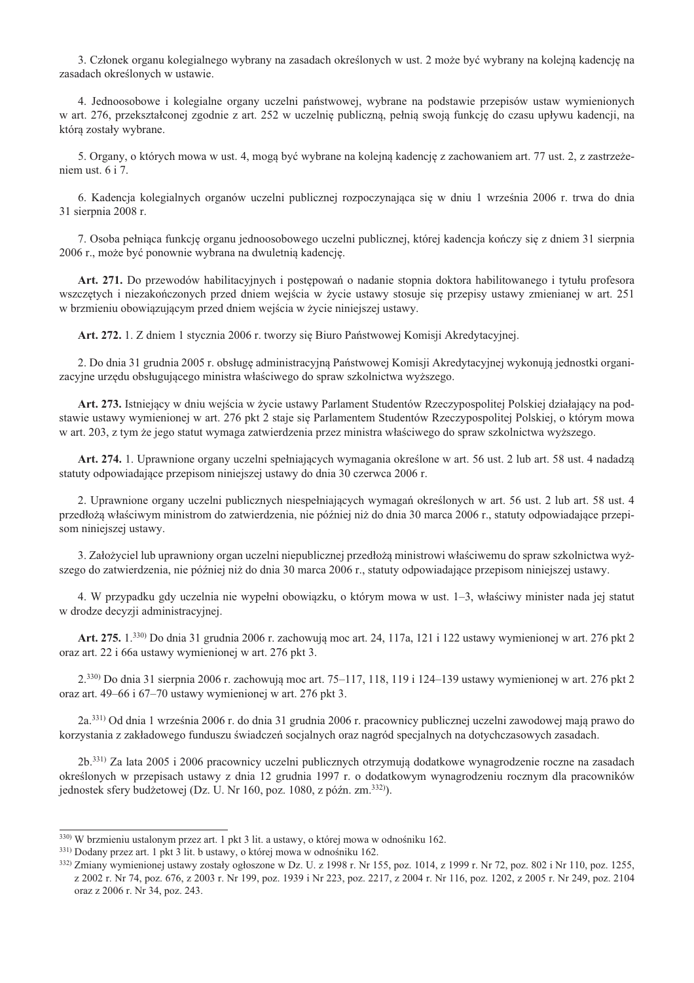3. Członek organu kolegialnego wybrany na zasadach określonych w ust. 2 może być wybrany na kolejna kadencje na zasadach określonych w ustawie.

4. Jednoosobowe i kolegialne organy uczelni państwowej, wybrane na podstawie przepisów ustaw wymienionych w art. 276, przekształconej zgodnie z art. 252 w uczelnię publiczną, pełnią swoją funkcję do czasu upływu kadencji, na którą zostały wybrane.

5. Organy, o których mowa w ust. 4, mogą być wybrane na kolejną kadencję z zachowaniem art. 77 ust. 2, z zastrzeżeniem ust. 6 i 7.

6. Kadencja kolegialnych organów uczelni publicznej rozpoczynająca się w dniu 1 września 2006 r. trwa do dnia 31 sierpnia 2008 r.

7. Osoba pełniaca funkcie organu jednoosobowego uczelni publicznej, której kadencia kończy się z dniem 31 sierpnia 2006 r., może być ponownie wybrana na dwuletnia kadencie.

Art. 271. Do przewodów habilitacyjnych i postępowań o nadanie stopnia doktora habilitowanego i tytułu profesora wszczętych i niezakończonych przed dniem wejścia w życie ustawy stosuje się przepisy ustawy zmienianej w art. 251 w brzmieniu obowiązującym przed dniem wejścia w życie niniejszej ustawy.

Art. 272. 1. Z dniem 1 stycznia 2006 r. tworzy się Biuro Państwowej Komisji Akredytacyjnej.

2. Do dnia 31 grudnia 2005 r. obsługę administracyjną Państwowej Komisji Akredytacyjnej wykonują jednostki organizacyjne urzędu obsługującego ministra właściwego do spraw szkolnictwa wyższego.

Art. 273. Istniejący w dniu wejścia w życie ustawy Parlament Studentów Rzeczypospolitej Polskiej działający na podstawie ustawy wymienionej w art. 276 pkt 2 staje się Parlamentem Studentów Rzeczypospolitej Polskiej, o którym mowa w art. 203, z tym że jego statut wymaga zatwierdzenia przez ministra właściwego do spraw szkolnictwa wyższego.

Art. 274. 1. Uprawnione organy uczelni spełniających wymagania określone w art. 56 ust. 2 lub art. 58 ust. 4 nadadzą statuty odpowiadające przepisom niniejszej ustawy do dnia 30 czerwca 2006 r.

2. Uprawnione organy uczelni publicznych niespełniających wymagań określonych w art. 56 ust. 2 lub art. 58 ust. 4 przedłożą właściwym ministrom do zatwierdzenia, nie później niż do dnia 30 marca 2006 r., statuty odpowiadające przepisom niniejszej ustawy.

3. Założyciel lub uprawniony organ uczelni niepublicznej przedłożą ministrowi właściwemu do spraw szkolnictwa wyższego do zatwierdzenia, nie później niż do dnia 30 marca 2006 r., statuty odpowiadające przepisom niniejszej ustawy.

4. W przypadku gdy uczelnia nie wypełni obowiazku, o którym mowa w ust. 1–3, właściwy minister nada jej statut w drodze decyzji administracyjnej.

Art. 275. 1.<sup>330</sup> Do dnia 31 grudnia 2006 r. zachowują moc art. 24, 117a, 121 i 122 ustawy wymienionej w art. 276 pkt 2 oraz art. 22 i 66a ustawy wymienionej w art. 276 pkt 3.

2.330) Do dnia 31 sierpnia 2006 r. zachowują moc art. 75-117, 118, 119 i 124-139 ustawy wymienionej w art. 276 pkt 2 oraz art. 49-66 i 67-70 ustawy wymienionej w art. 276 pkt 3.

2a.<sup>331)</sup> Od dnia 1 września 2006 r. do dnia 31 grudnia 2006 r. pracownicy publicznej uczelni zawodowej mają prawo do korzystania z zakładowego funduszu świadczeń socjalnych oraz nagród specjalnych na dotychczasowych zasadach.

2b.<sup>331)</sup> Za lata 2005 i 2006 pracownicy uczelni publicznych otrzymują dodatkowe wynagrodzenie roczne na zasadach określonych w przepisach ustawy z dnia 12 grudnia 1997 r. o dodatkowym wynagrodzeniu rocznym dla pracowników jednostek sfery budżetowej (Dz. U. Nr 160, poz. 1080, z późn. zm.<sup>332)</sup>).

<sup>330)</sup> W brzmieniu ustalonym przez art. 1 pkt 3 lit. a ustawy, o której mowa w odnośniku 162.

<sup>331)</sup> Dodany przez art. 1 pkt 3 lit. b ustawy, o której mowa w odnośniku 162.

<sup>332)</sup> Zmiany wymienionej ustawy zostały ogłoszone w Dz. U. z 1998 r. Nr 155, poz. 1014, z 1999 r. Nr 72, poz. 802 i Nr 110, poz. 1255, z 2002 r. Nr 74, poz. 676, z 2003 r. Nr 199, poz. 1939 i Nr 223, poz. 2217, z 2004 r. Nr 116, poz. 1202, z 2005 r. Nr 249, poz. 2104 oraz z 2006 r. Nr 34, poz. 243.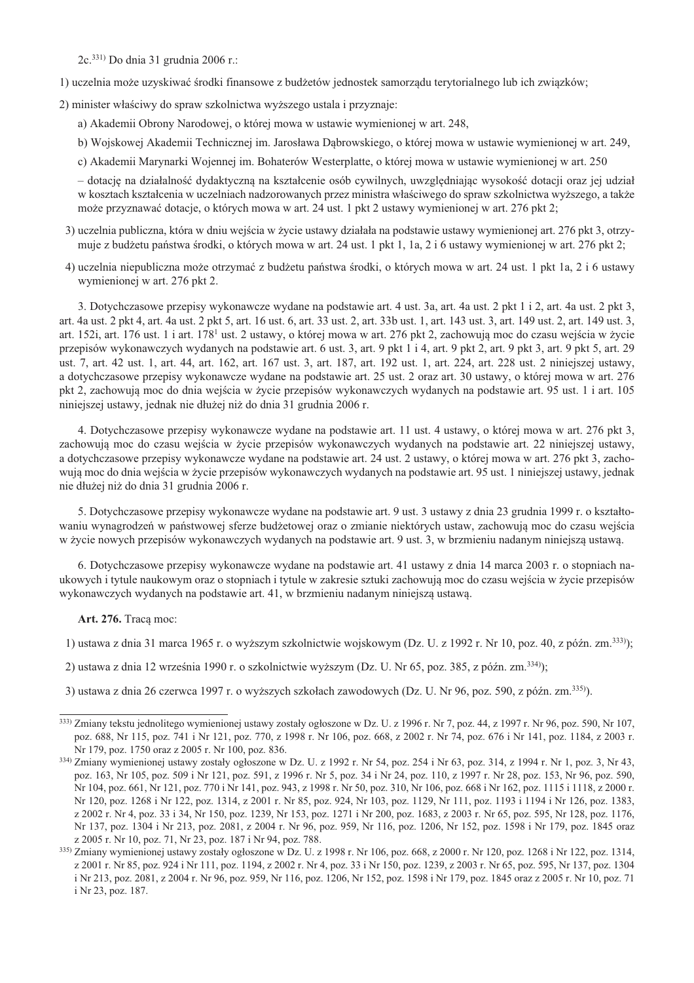2c.<sup>331)</sup> Do dnia 31 grudnia 2006 r.:

1) uczelnia może uzyskiwać środki finansowe z budżetów jednostek samorządu terytorialnego lub ich związków;

2) minister właściwy do spraw szkolnictwa wyższego ustala i przyznaje:

- a) Akademii Obrony Narodowei, o której mowa w ustawie wymienionej w art. 248.
- b) Wojskowej Akademii Technicznej im. Jarosława Dąbrowskiego, o której mowa w ustawie wymienionej w art. 249,
- c) Akademii Marynarki Wojennej im. Bohaterów Westerplatte, o której mowa w ustawie wymienionej w art. 250

– dotacie na działalność dydaktyczna na kształcenie osób cywilnych, uwzgledniając wysokość dotacii oraz jej udział w kosztach kształcenia w uczelniach nadzorowanych przez ministra właściwego do spraw szkolnictwa wyższego, a także może przyznawać dotacje, o których mowa w art. 24 ust. 1 pkt 2 ustawy wymienionej w art. 276 pkt 2;

- 3) uczelnia publiczna, która w dniu wejścia w życie ustawy działała na podstawie ustawy wymienionej art. 276 pkt 3, otrzymuje z budżetu państwa środki, o których mowa w art. 24 ust. 1 pkt 1, 1a, 2 i 6 ustawy wymienionej w art. 276 pkt 2;
- 4) uczelnia niepubliczna może otrzymać z budżetu państwa środki, o których mowa w art. 24 ust. 1 pkt 1a, 2 i 6 ustawy wymienionej w art. 276 pkt 2.

3. Dotychczasowe przepisy wykonawcze wydane na podstawie art. 4 ust. 3a, art. 4a ust. 2 pkt 1 i 2, art. 4a ust. 2 pkt 3, art. 4a ust. 2 pkt 4, art. 4a ust. 2 pkt 5, art. 16 ust. 6, art. 33 ust. 2, art. 33b ust. 1, art. 143 ust. 3, art. 149 ust. 2, art. 149 ust. 3, art. 152i, art. 176 ust. 1 i art. 178<sup>1</sup> ust. 2 ustawy, o której mowa w art. 276 pkt 2, zachowują moc do czasu wejścia w życie przepisów wykonawczych wydanych na podstawie art. 6 ust. 3, art. 9 pkt 1 i 4, art. 9 pkt 2, art. 9 pkt 3, art. 9 pkt 5, art. 29 ust. 7, art. 42 ust. 1, art. 44, art. 162, art. 167 ust. 3, art. 187, art. 192 ust. 1, art. 224, art. 228 ust. 2 niniejszej ustawy, a dotychczasowe przepisy wykonawcze wydane na podstawie art. 25 ust. 2 oraz art. 30 ustawy, o której mowa w art. 276 pkt 2, zachowują moc do dnia wejścia w życie przepisów wykonawczych wydanych na podstawie art. 95 ust. 1 i art. 105 niniejszej ustawy, jednak nie dłużej niż do dnia 31 grudnia 2006 r.

4. Dotychczasowe przepisy wykonawcze wydane na podstawie art. 11 ust. 4 ustawy, o której mowa w art. 276 pkt 3, zachowują moc do czasu wejścia w życie przepisów wykonawczych wydanych na podstawie art. 22 niniejszej ustawy, a dotychczasowe przepisy wykonawcze wydane na podstawie art. 24 ust. 2 ustawy, o której mowa w art. 276 pkt 3, zachowują moc do dnia wejścia w życie przepisów wykonawczych wydanych na podstawie art. 95 ust. 1 niniejszej ustawy, jednak nie dłużej niż do dnia 31 grudnia 2006 r.

5. Dotychczasowe przepisy wykonawcze wydane na podstawie art. 9 ust. 3 ustawy z dnia 23 grudnia 1999 r. o kształtowaniu wynagrodzeń w państwowej sferze budżetowej oraz o zmianie niektórych ustaw, zachowują moc do czasu wejścia w życie nowych przepisów wykonawczych wydanych na podstawie art. 9 ust. 3, w brzmieniu nadanym niniejszą ustawą.

6. Dotychczasowe przepisy wykonawcze wydane na podstawie art. 41 ustawy z dnia 14 marca 2003 r. o stopniach naukowych i tytule naukowym oraz o stopniach i tytule w zakresie sztuki zachowują moc do czasu wejścia w życie przepisów wykonawczych wydanych na podstawie art. 41, w brzmieniu nadanym niniejszą ustawą.

Art. 276. Tracq moc:

1) ustawa z dnia 31 marca 1965 r. o wyższym szkolnictwie wojskowym (Dz. U. z 1992 r. Nr 10, poz. 40, z późn. zm.<sup>333)</sup>);

2) ustawa z dnia 12 września 1990 r. o szkolnictwie wyższym (Dz. U. Nr 65, poz. 385, z późn. zm.<sup>334)</sup>);

3) ustawa z dnia 26 czerwca 1997 r. o wyższych szkołach zawodowych (Dz. U. Nr 96, poz. 590, z późn. zm.<sup>335)</sup>).

<sup>333)</sup> Zmiany tekstu jednolitego wymienionej ustawy zostały ogłoszone w Dz. U. z 1996 r. Nr 7, poz. 44, z 1997 r. Nr 96, poz. 590, Nr 107, poz. 688, Nr 115, poz. 741 i Nr 121, poz. 770, z 1998 r. Nr 106, poz. 668, z 2002 r. Nr 74, poz. 676 i Nr 141, poz. 1184, z 2003 r. Nr 179, poz. 1750 oraz z 2005 r. Nr 100, poz. 836.

<sup>334)</sup> Zmiany wymienionej ustawy zostały ogłoszone w Dz. U. z 1992 r. Nr 54, poz. 254 i Nr 63, poz. 314, z 1994 r. Nr 1, poz. 3, Nr 43, poz. 163, Nr 105, poz. 509 i Nr 121, poz. 591, z 1996 r. Nr 5, poz. 34 i Nr 24, poz. 110, z 1997 r. Nr 28, poz. 153, Nr 96, poz. 590, Nr 104, poz. 661, Nr 121, poz. 770 i Nr 141, poz. 943, z 1998 r. Nr 50, poz. 310, Nr 106, poz. 668 i Nr 162, poz. 1115 i 1118, z 2000 r. Nr 120, poz. 1268 i Nr 122, poz. 1314, z 2001 r. Nr 85, poz. 924, Nr 103, poz. 1129, Nr 111, poz. 1193 i 1194 i Nr 126, poz. 1383, z 2002 r. Nr 4, poz. 33 i 34, Nr 150, poz. 1239, Nr 153, poz. 1271 i Nr 200, poz. 1683, z 2003 r. Nr 65, poz. 595, Nr 128, poz. 1176, Nr 137, poz. 1304 i Nr 213, poz. 2081, z 2004 r. Nr 96, poz. 959, Nr 116, poz. 1206, Nr 152, poz. 1598 i Nr 179, poz. 1845 oraz z 2005 r. Nr 10, poz. 71, Nr 23, poz. 187 i Nr 94, poz. 788.

<sup>335)</sup> Zmiany wymienionej ustawy zostały ogłoszone w Dz. U. z 1998 r. Nr 106, poz. 668, z 2000 r. Nr 120, poz. 1268 i Nr 122, poz. 1314, z 2001 r. Nr 85, poz. 924 i Nr 111, poz. 1194, z 2002 r. Nr 4, poz. 33 i Nr 150, poz. 1239, z 2003 r. Nr 65, poz. 595, Nr 137, poz. 1304 i Nr 213, poz. 2081, z 2004 r. Nr 96, poz. 959, Nr 116, poz. 1206, Nr 152, poz. 1598 i Nr 179, poz. 1845 oraz z 2005 r. Nr 10, poz. 71 i Nr 23, poz. 187.